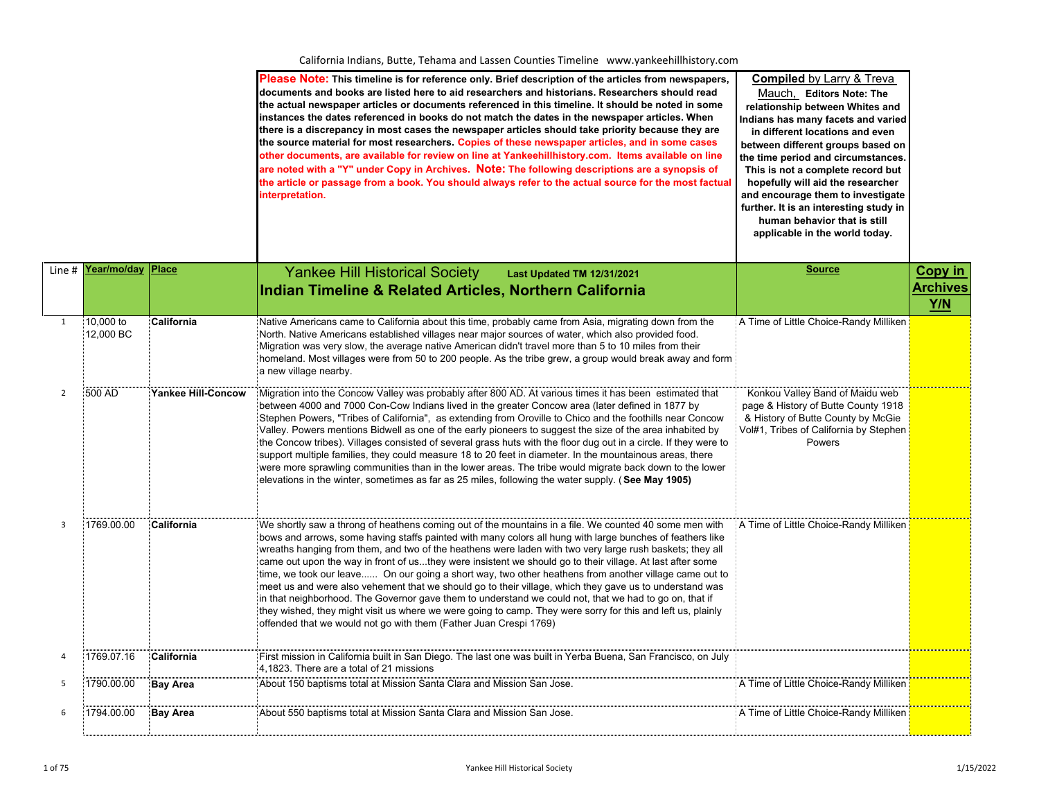|                |                        |                           | Please Note: This timeline is for reference only. Brief description of the articles from newspapers,<br>documents and books are listed here to aid researchers and historians. Researchers should read<br>the actual newspaper articles or documents referenced in this timeline. It should be noted in some<br>instances the dates referenced in books do not match the dates in the newspaper articles. When<br>there is a discrepancy in most cases the newspaper articles should take priority because they are<br>the source material for most researchers. Copies of these newspaper articles, and in some cases<br>other documents, are available for review on line at Yankeehillhistory.com. Items available on line<br>are noted with a "Y" under Copy in Archives. Note: The following descriptions are a synopsis of<br>the article or passage from a book. You should always refer to the actual source for the most factual<br>interpretation.   | <b>Compiled</b> by Larry & Treva<br>Mauch, Editors Note: The<br>relationship between Whites and<br>Indians has many facets and varied<br>in different locations and even<br>between different groups based on<br>the time period and circumstances.<br>This is not a complete record but<br>hopefully will aid the researcher<br>and encourage them to investigate<br>further. It is an interesting study in<br>human behavior that is still<br>applicable in the world today. |                        |
|----------------|------------------------|---------------------------|----------------------------------------------------------------------------------------------------------------------------------------------------------------------------------------------------------------------------------------------------------------------------------------------------------------------------------------------------------------------------------------------------------------------------------------------------------------------------------------------------------------------------------------------------------------------------------------------------------------------------------------------------------------------------------------------------------------------------------------------------------------------------------------------------------------------------------------------------------------------------------------------------------------------------------------------------------------|--------------------------------------------------------------------------------------------------------------------------------------------------------------------------------------------------------------------------------------------------------------------------------------------------------------------------------------------------------------------------------------------------------------------------------------------------------------------------------|------------------------|
| Line #         | <u>Year/mo/day</u>     | Place                     | <b>Yankee Hill Historical Society</b><br>Last Updated TM 12/31/2021                                                                                                                                                                                                                                                                                                                                                                                                                                                                                                                                                                                                                                                                                                                                                                                                                                                                                            | <b>Source</b>                                                                                                                                                                                                                                                                                                                                                                                                                                                                  | <b>Copy in</b>         |
|                |                        |                           | Indian Timeline & Related Articles, Northern California                                                                                                                                                                                                                                                                                                                                                                                                                                                                                                                                                                                                                                                                                                                                                                                                                                                                                                        |                                                                                                                                                                                                                                                                                                                                                                                                                                                                                | <b>Archives</b><br>Y/N |
| $\mathbf{1}$   | 10,000 to<br>12,000 BC | California                | Native Americans came to California about this time, probably came from Asia, migrating down from the<br>North. Native Americans established villages near major sources of water, which also provided food.<br>Migration was very slow, the average native American didn't travel more than 5 to 10 miles from their<br>homeland. Most villages were from 50 to 200 people. As the tribe grew, a group would break away and form<br>a new village nearby.                                                                                                                                                                                                                                                                                                                                                                                                                                                                                                     | A Time of Little Choice-Randy Milliken                                                                                                                                                                                                                                                                                                                                                                                                                                         |                        |
| $\overline{2}$ | 500 AD                 | <b>Yankee Hill-Concow</b> | Migration into the Concow Valley was probably after 800 AD. At various times it has been estimated that<br>between 4000 and 7000 Con-Cow Indians lived in the greater Concow area (later defined in 1877 by<br>Stephen Powers, "Tribes of California", as extending from Oroville to Chico and the foothills near Concow<br>Valley. Powers mentions Bidwell as one of the early pioneers to suggest the size of the area inhabited by<br>the Concow tribes). Villages consisted of several grass huts with the floor dug out in a circle. If they were to<br>support multiple families, they could measure 18 to 20 feet in diameter. In the mountainous areas, there<br>were more sprawling communities than in the lower areas. The tribe would migrate back down to the lower<br>elevations in the winter, sometimes as far as 25 miles, following the water supply. (See May 1905)                                                                         | Konkou Valley Band of Maidu web<br>page & History of Butte County 1918<br>& History of Butte County by McGie<br>Vol#1, Tribes of California by Stephen<br>Powers                                                                                                                                                                                                                                                                                                               |                        |
| $\overline{3}$ | 1769.00.00             | California                | We shortly saw a throng of heathens coming out of the mountains in a file. We counted 40 some men with<br>bows and arrows, some having staffs painted with many colors all hung with large bunches of feathers like<br>wreaths hanging from them, and two of the heathens were laden with two very large rush baskets; they all<br>came out upon the way in front of usthey were insistent we should go to their village. At last after some<br>time, we took our leave On our going a short way, two other heathens from another village came out to<br>meet us and were also vehement that we should go to their village, which they gave us to understand was<br>in that neighborhood. The Governor gave them to understand we could not, that we had to go on, that if<br>they wished, they might visit us where we were going to camp. They were sorry for this and left us, plainly<br>offended that we would not go with them (Father Juan Crespi 1769) | A Time of Little Choice-Randy Milliken                                                                                                                                                                                                                                                                                                                                                                                                                                         |                        |
| $\overline{4}$ | 1769.07.16             | California                | First mission in California built in San Diego. The last one was built in Yerba Buena, San Francisco, on July<br>4,1823. There are a total of 21 missions                                                                                                                                                                                                                                                                                                                                                                                                                                                                                                                                                                                                                                                                                                                                                                                                      |                                                                                                                                                                                                                                                                                                                                                                                                                                                                                |                        |
| 5              | 1790.00.00             | <b>Bay Area</b>           | About 150 baptisms total at Mission Santa Clara and Mission San Jose.                                                                                                                                                                                                                                                                                                                                                                                                                                                                                                                                                                                                                                                                                                                                                                                                                                                                                          | A Time of Little Choice-Randy Milliken                                                                                                                                                                                                                                                                                                                                                                                                                                         |                        |
| 6              | 1794.00.00             | <b>Bay Area</b>           | About 550 baptisms total at Mission Santa Clara and Mission San Jose.                                                                                                                                                                                                                                                                                                                                                                                                                                                                                                                                                                                                                                                                                                                                                                                                                                                                                          | A Time of Little Choice-Randy Milliken                                                                                                                                                                                                                                                                                                                                                                                                                                         |                        |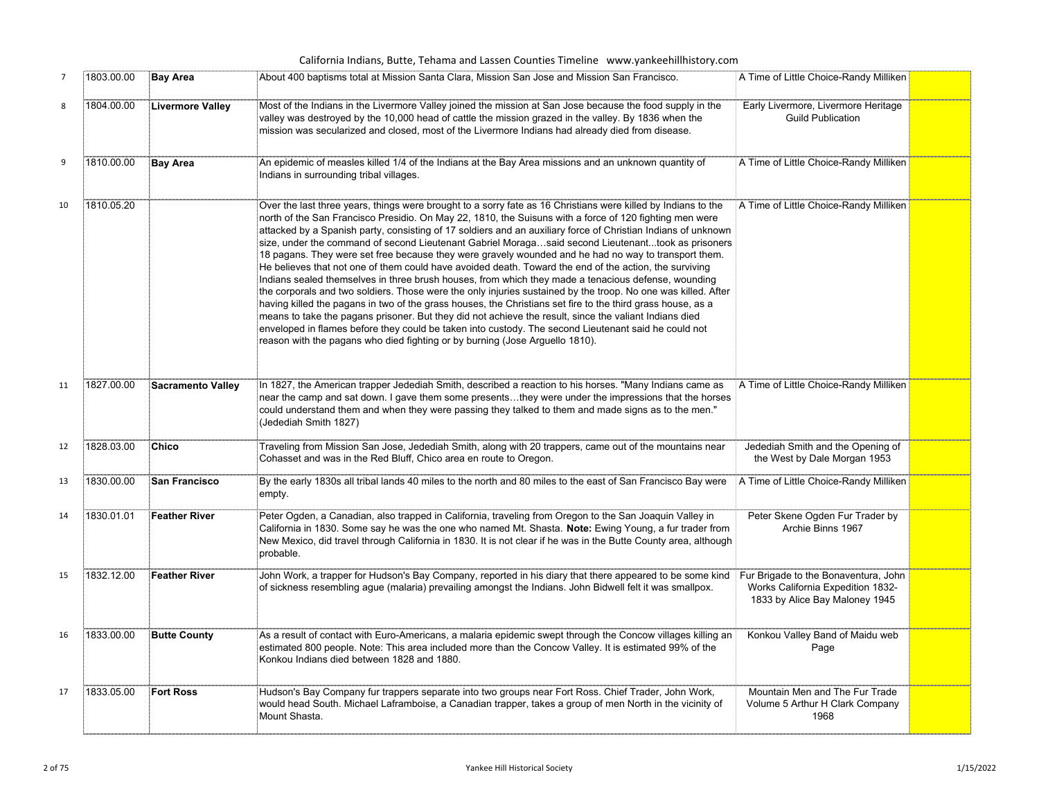|                |            |                          | California Indians, Butte, Tehama and Lassen Counties Timeline www.yankeehillhistory.com                                                                                                                                                                                                                                                                                                                                                                                                                                                                                                                                                                                                                                                                                                                                                                                                                                                                                                                                                                                                                                                                                                                                                                                                                   |                                                                           |  |
|----------------|------------|--------------------------|------------------------------------------------------------------------------------------------------------------------------------------------------------------------------------------------------------------------------------------------------------------------------------------------------------------------------------------------------------------------------------------------------------------------------------------------------------------------------------------------------------------------------------------------------------------------------------------------------------------------------------------------------------------------------------------------------------------------------------------------------------------------------------------------------------------------------------------------------------------------------------------------------------------------------------------------------------------------------------------------------------------------------------------------------------------------------------------------------------------------------------------------------------------------------------------------------------------------------------------------------------------------------------------------------------|---------------------------------------------------------------------------|--|
| $\overline{7}$ | 1803.00.00 | <b>Bay Area</b>          | About 400 baptisms total at Mission Santa Clara, Mission San Jose and Mission San Francisco.                                                                                                                                                                                                                                                                                                                                                                                                                                                                                                                                                                                                                                                                                                                                                                                                                                                                                                                                                                                                                                                                                                                                                                                                               | A Time of Little Choice-Randy Milliken                                    |  |
| 8              | 1804.00.00 | <b>Livermore Valley</b>  | Most of the Indians in the Livermore Valley joined the mission at San Jose because the food supply in the<br>valley was destroyed by the 10,000 head of cattle the mission grazed in the valley. By 1836 when the<br>mission was secularized and closed, most of the Livermore Indians had already died from disease.                                                                                                                                                                                                                                                                                                                                                                                                                                                                                                                                                                                                                                                                                                                                                                                                                                                                                                                                                                                      | Early Livermore, Livermore Heritage<br><b>Guild Publication</b>           |  |
| 9              | 1810.00.00 | <b>Bay Area</b>          | An epidemic of measles killed 1/4 of the Indians at the Bay Area missions and an unknown quantity of<br>Indians in surrounding tribal villages.                                                                                                                                                                                                                                                                                                                                                                                                                                                                                                                                                                                                                                                                                                                                                                                                                                                                                                                                                                                                                                                                                                                                                            | A Time of Little Choice-Randy Milliken                                    |  |
| 10             | 1810.05.20 |                          | Over the last three years, things were brought to a sorry fate as 16 Christians were killed by Indians to the<br>north of the San Francisco Presidio. On May 22, 1810, the Suisuns with a force of 120 fighting men were<br>attacked by a Spanish party, consisting of 17 soldiers and an auxiliary force of Christian Indians of unknown<br>size, under the command of second Lieutenant Gabriel Moragasaid second Lieutenanttook as prisoners<br>18 pagans. They were set free because they were gravely wounded and he had no way to transport them.<br>He believes that not one of them could have avoided death. Toward the end of the action, the surviving<br>Indians sealed themselves in three brush houses, from which they made a tenacious defense, wounding<br>the corporals and two soldiers. Those were the only injuries sustained by the troop. No one was killed. After<br>having killed the pagans in two of the grass houses, the Christians set fire to the third grass house, as a<br>means to take the pagans prisoner. But they did not achieve the result, since the valiant Indians died<br>enveloped in flames before they could be taken into custody. The second Lieutenant said he could not<br>reason with the pagans who died fighting or by burning (Jose Arguello 1810). | A Time of Little Choice-Randy Milliken                                    |  |
| 11             | 1827.00.00 | <b>Sacramento Valley</b> | In 1827, the American trapper Jedediah Smith, described a reaction to his horses. "Many Indians came as<br>near the camp and sat down. I gave them some presentsthey were under the impressions that the horses<br>could understand them and when they were passing they talked to them and made signs as to the men."<br>(Jedediah Smith 1827)                                                                                                                                                                                                                                                                                                                                                                                                                                                                                                                                                                                                                                                                                                                                                                                                                                                                                                                                                            | A Time of Little Choice-Randy Milliken                                    |  |
| 12             | 1828.03.00 | <b>Chico</b>             | Traveling from Mission San Jose, Jedediah Smith, along with 20 trappers, came out of the mountains near<br>Cohasset and was in the Red Bluff, Chico area en route to Oregon.                                                                                                                                                                                                                                                                                                                                                                                                                                                                                                                                                                                                                                                                                                                                                                                                                                                                                                                                                                                                                                                                                                                               | Jedediah Smith and the Opening of<br>the West by Dale Morgan 1953         |  |
| 13             | 1830.00.00 | <b>San Francisco</b>     | By the early 1830s all tribal lands 40 miles to the north and 80 miles to the east of San Francisco Bay were<br>empty.                                                                                                                                                                                                                                                                                                                                                                                                                                                                                                                                                                                                                                                                                                                                                                                                                                                                                                                                                                                                                                                                                                                                                                                     | A Time of Little Choice-Randy Milliken                                    |  |
| 14             | 1830.01.01 | <b>Feather River</b>     | Peter Ogden, a Canadian, also trapped in California, traveling from Oregon to the San Joaquin Valley in<br>California in 1830. Some say he was the one who named Mt. Shasta. Note: Ewing Young, a fur trader from<br>New Mexico, did travel through California in 1830. It is not clear if he was in the Butte County area, although<br>probable.                                                                                                                                                                                                                                                                                                                                                                                                                                                                                                                                                                                                                                                                                                                                                                                                                                                                                                                                                          | Peter Skene Ogden Fur Trader by<br>Archie Binns 1967                      |  |
| 15             | 1832.12.00 | <b>Feather River</b>     | John Work, a trapper for Hudson's Bay Company, reported in his diary that there appeared to be some kind i Fur Brigade to the Bonaventura, John<br>of sickness resembling ague (malaria) prevailing amongst the Indians. John Bidwell felt it was smallpox.                                                                                                                                                                                                                                                                                                                                                                                                                                                                                                                                                                                                                                                                                                                                                                                                                                                                                                                                                                                                                                                | Works California Expedition 1832-<br>1833 by Alice Bay Maloney 1945       |  |
| 16             | 1833.00.00 | <b>Butte County</b>      | As a result of contact with Euro-Americans, a malaria epidemic swept through the Concow villages killing an<br>estimated 800 people. Note: This area included more than the Concow Valley. It is estimated 99% of the<br>Konkou Indians died between 1828 and 1880.                                                                                                                                                                                                                                                                                                                                                                                                                                                                                                                                                                                                                                                                                                                                                                                                                                                                                                                                                                                                                                        | Konkou Valley Band of Maidu web<br>Page                                   |  |
| 17             | 1833.05.00 | <b>Fort Ross</b>         | Hudson's Bay Company fur trappers separate into two groups near Fort Ross. Chief Trader, John Work,<br>would head South. Michael Laframboise, a Canadian trapper, takes a group of men North in the vicinity of<br>Mount Shasta.                                                                                                                                                                                                                                                                                                                                                                                                                                                                                                                                                                                                                                                                                                                                                                                                                                                                                                                                                                                                                                                                           | Mountain Men and The Fur Trade<br>Volume 5 Arthur H Clark Company<br>1968 |  |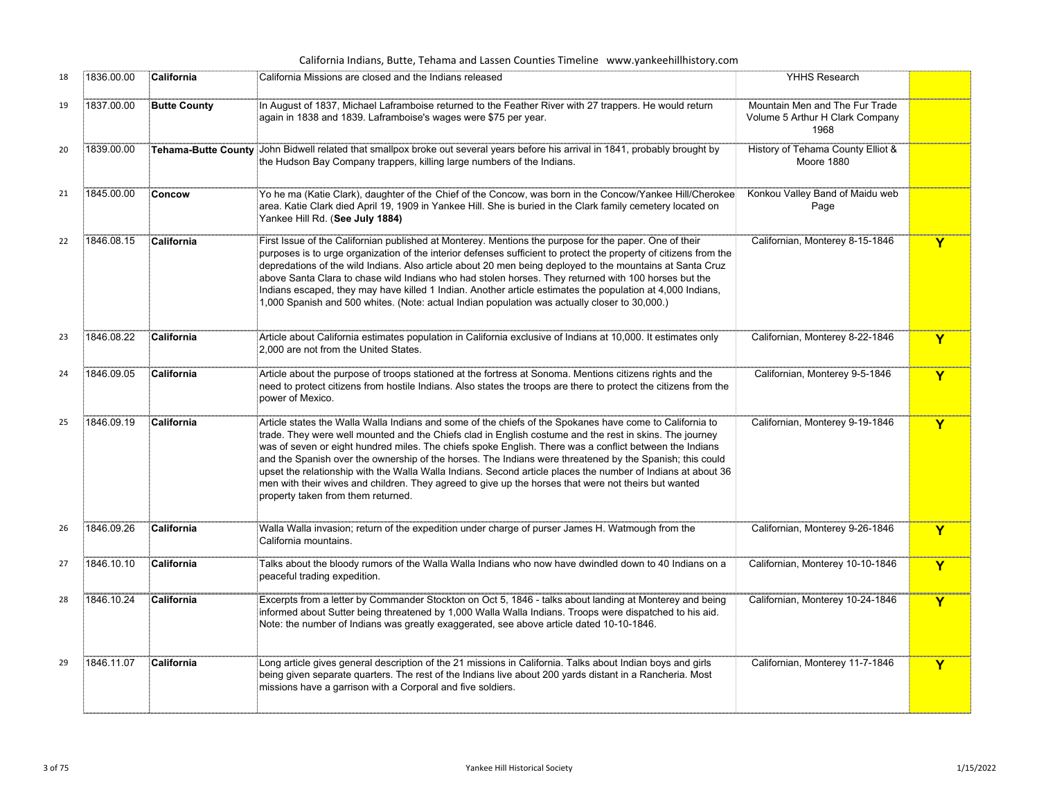| California Indians, Butte, Tehama and Lassen Counties Timeline www.yankeehillhistory.com |            |                     |                                                                                                                                                                                                                                                                                                                                                                                                                                                                                                                                                                                                                                                                                                          |                                                                           |   |  |
|------------------------------------------------------------------------------------------|------------|---------------------|----------------------------------------------------------------------------------------------------------------------------------------------------------------------------------------------------------------------------------------------------------------------------------------------------------------------------------------------------------------------------------------------------------------------------------------------------------------------------------------------------------------------------------------------------------------------------------------------------------------------------------------------------------------------------------------------------------|---------------------------------------------------------------------------|---|--|
| 18                                                                                       | 1836.00.00 | California          | California Missions are closed and the Indians released                                                                                                                                                                                                                                                                                                                                                                                                                                                                                                                                                                                                                                                  | YHHS Research                                                             |   |  |
| 19                                                                                       | 1837.00.00 | <b>Butte County</b> | In August of 1837, Michael Laframboise returned to the Feather River with 27 trappers. He would return<br>again in 1838 and 1839. Laframboise's wages were \$75 per year.                                                                                                                                                                                                                                                                                                                                                                                                                                                                                                                                | Mountain Men and The Fur Trade<br>Volume 5 Arthur H Clark Company<br>1968 |   |  |
| 20                                                                                       | 1839.00.00 |                     | Tehama-Butte County John Bidwell related that smallpox broke out several years before his arrival in 1841, probably brought by<br>the Hudson Bay Company trappers, killing large numbers of the Indians.                                                                                                                                                                                                                                                                                                                                                                                                                                                                                                 | History of Tehama County Elliot &<br>Moore 1880                           |   |  |
| 21                                                                                       | 1845.00.00 | Concow              | Yo he ma (Katie Clark), daughter of the Chief of the Concow, was born in the Concow/Yankee Hill/Cherokee<br>area. Katie Clark died April 19, 1909 in Yankee Hill. She is buried in the Clark family cemetery located on<br>Yankee Hill Rd. (See July 1884)                                                                                                                                                                                                                                                                                                                                                                                                                                               | Konkou Valley Band of Maidu web<br>Page                                   |   |  |
| 22                                                                                       | 1846.08.15 | California          | First Issue of the Californian published at Monterey. Mentions the purpose for the paper. One of their<br>purposes is to urge organization of the interior defenses sufficient to protect the property of citizens from the<br>depredations of the wild Indians. Also article about 20 men being deployed to the mountains at Santa Cruz<br>above Santa Clara to chase wild Indians who had stolen horses. They returned with 100 horses but the<br>Indians escaped, they may have killed 1 Indian. Another article estimates the population at 4,000 Indians,<br>1,000 Spanish and 500 whites. (Note: actual Indian population was actually closer to 30,000.)                                          | Californian, Monterey 8-15-1846                                           | Y |  |
| 23                                                                                       | 1846.08.22 | California          | Article about California estimates population in California exclusive of Indians at 10,000. It estimates only<br>2.000 are not from the United States.                                                                                                                                                                                                                                                                                                                                                                                                                                                                                                                                                   | Californian, Monterey 8-22-1846                                           | Y |  |
| 24                                                                                       | 1846.09.05 | California          | Article about the purpose of troops stationed at the fortress at Sonoma. Mentions citizens rights and the<br>need to protect citizens from hostile Indians. Also states the troops are there to protect the citizens from the<br>power of Mexico.                                                                                                                                                                                                                                                                                                                                                                                                                                                        | Californian, Monterey 9-5-1846                                            | Y |  |
| 25                                                                                       | 1846.09.19 | California          | Article states the Walla Walla Indians and some of the chiefs of the Spokanes have come to California to<br>trade. They were well mounted and the Chiefs clad in English costume and the rest in skins. The journey<br>was of seven or eight hundred miles. The chiefs spoke English. There was a conflict between the Indians<br>and the Spanish over the ownership of the horses. The Indians were threatened by the Spanish; this could<br>upset the relationship with the Walla Walla Indians. Second article places the number of Indians at about 36<br>men with their wives and children. They agreed to give up the horses that were not theirs but wanted<br>property taken from them returned. | Californian, Monterey 9-19-1846                                           | Y |  |
| 26                                                                                       | 1846.09.26 | California          | Walla Walla invasion; return of the expedition under charge of purser James H. Watmough from the<br>California mountains.                                                                                                                                                                                                                                                                                                                                                                                                                                                                                                                                                                                | Californian, Monterey 9-26-1846                                           | Y |  |
| 27                                                                                       | 1846.10.10 | California          | Talks about the bloody rumors of the Walla Walla Indians who now have dwindled down to 40 Indians on a<br>peaceful trading expedition.                                                                                                                                                                                                                                                                                                                                                                                                                                                                                                                                                                   | Californian, Monterey 10-10-1846                                          | Y |  |
| 28                                                                                       | 1846.10.24 | California          | Excerpts from a letter by Commander Stockton on Oct 5, 1846 - talks about landing at Monterey and being<br>informed about Sutter being threatened by 1,000 Walla Walla Indians. Troops were dispatched to his aid.<br>Note: the number of Indians was greatly exaggerated, see above article dated 10-10-1846.                                                                                                                                                                                                                                                                                                                                                                                           | Californian, Monterey 10-24-1846                                          | Y |  |
| 29                                                                                       | 1846.11.07 | California          | Long article gives general description of the 21 missions in California. Talks about Indian boys and girls<br>being given separate quarters. The rest of the Indians live about 200 yards distant in a Rancheria. Most<br>missions have a garrison with a Corporal and five soldiers.                                                                                                                                                                                                                                                                                                                                                                                                                    | Californian, Monterey 11-7-1846                                           | Y |  |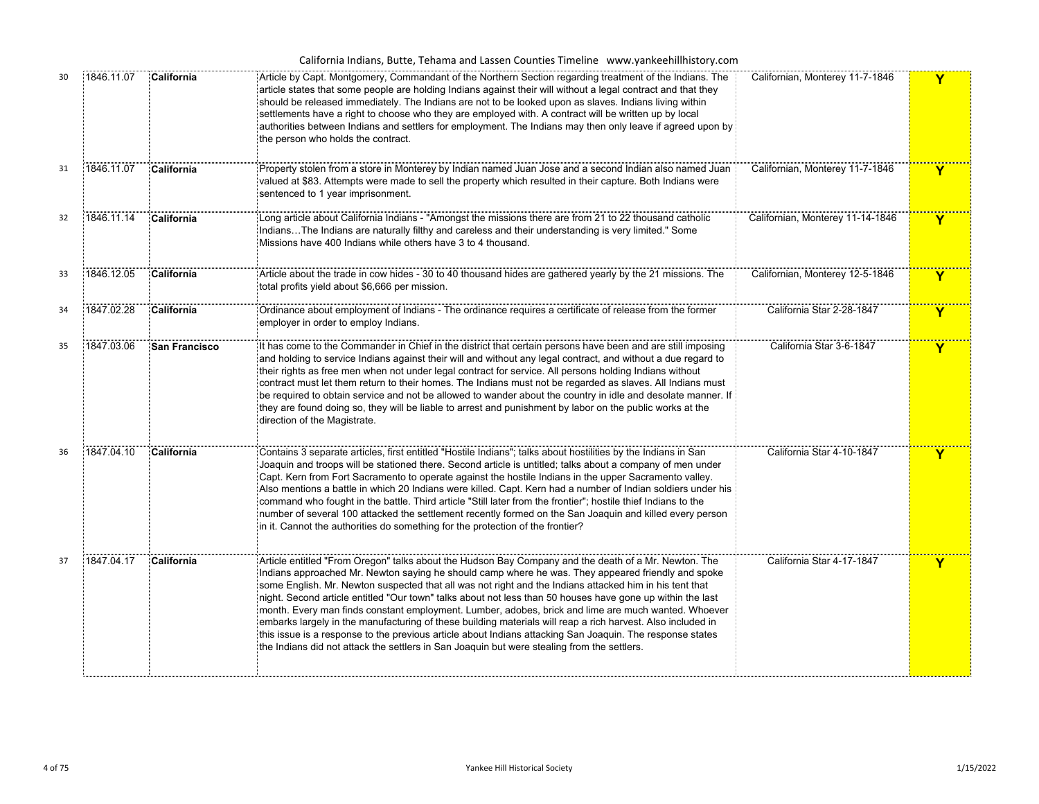| California Indians, Butte, Tehama and Lassen Counties Timeline www.yankeehillhistory.com |  |  |
|------------------------------------------------------------------------------------------|--|--|
|------------------------------------------------------------------------------------------|--|--|

| 30 | 1846.11.07 | California    | Article by Capt. Montgomery, Commandant of the Northern Section regarding treatment of the Indians. The<br>article states that some people are holding Indians against their will without a legal contract and that they<br>should be released immediately. The Indians are not to be looked upon as slaves. Indians living within<br>settlements have a right to choose who they are employed with. A contract will be written up by local<br>authorities between Indians and settlers for employment. The Indians may then only leave if agreed upon by<br>the person who holds the contract.                                                                                                                                                                                                                                                                       | Californian, Monterey 11-7-1846  | Y           |
|----|------------|---------------|-----------------------------------------------------------------------------------------------------------------------------------------------------------------------------------------------------------------------------------------------------------------------------------------------------------------------------------------------------------------------------------------------------------------------------------------------------------------------------------------------------------------------------------------------------------------------------------------------------------------------------------------------------------------------------------------------------------------------------------------------------------------------------------------------------------------------------------------------------------------------|----------------------------------|-------------|
| 31 | 1846.11.07 | California    | Property stolen from a store in Monterey by Indian named Juan Jose and a second Indian also named Juan<br>valued at \$83. Attempts were made to sell the property which resulted in their capture. Both Indians were<br>sentenced to 1 year imprisonment.                                                                                                                                                                                                                                                                                                                                                                                                                                                                                                                                                                                                             | Californian, Monterey 11-7-1846  | Y           |
| 32 | 1846.11.14 | California    | Long article about California Indians - "Amongst the missions there are from 21 to 22 thousand catholic<br>IndiansThe Indians are naturally filthy and careless and their understanding is very limited." Some<br>Missions have 400 Indians while others have 3 to 4 thousand.                                                                                                                                                                                                                                                                                                                                                                                                                                                                                                                                                                                        | Californian, Monterey 11-14-1846 | Y           |
| 33 | 1846.12.05 | California    | Article about the trade in cow hides - 30 to 40 thousand hides are gathered yearly by the 21 missions. The<br>total profits yield about \$6,666 per mission.                                                                                                                                                                                                                                                                                                                                                                                                                                                                                                                                                                                                                                                                                                          | Californian, Monterey 12-5-1846  | $\mathbf Y$ |
| 34 | 1847.02.28 | California    | Ordinance about employment of Indians - The ordinance requires a certificate of release from the former<br>employer in order to employ Indians.                                                                                                                                                                                                                                                                                                                                                                                                                                                                                                                                                                                                                                                                                                                       | California Star 2-28-1847        | Y           |
| 35 | 1847.03.06 | San Francisco | It has come to the Commander in Chief in the district that certain persons have been and are still imposing<br>and holding to service Indians against their will and without any legal contract, and without a due regard to<br>their rights as free men when not under legal contract for service. All persons holding Indians without<br>contract must let them return to their homes. The Indians must not be regarded as slaves. All Indians must<br>be required to obtain service and not be allowed to wander about the country in idle and desolate manner. If<br>they are found doing so, they will be liable to arrest and punishment by labor on the public works at the<br>direction of the Magistrate.                                                                                                                                                    | California Star 3-6-1847         | Y           |
| 36 | 1847.04.10 | California    | Contains 3 separate articles, first entitled "Hostile Indians"; talks about hostilities by the Indians in San<br>Joaquin and troops will be stationed there. Second article is untitled; talks about a company of men under<br>Capt. Kern from Fort Sacramento to operate against the hostile Indians in the upper Sacramento valley.<br>Also mentions a battle in which 20 Indians were killed. Capt. Kern had a number of Indian soldiers under his<br>command who fought in the battle. Third article "Still later from the frontier"; hostile thief Indians to the<br>number of several 100 attacked the settlement recently formed on the San Joaquin and killed every person<br>in it. Cannot the authorities do something for the protection of the frontier?                                                                                                  | California Star 4-10-1847        | Y           |
| 37 | 1847.04.17 | California    | Article entitled "From Oregon" talks about the Hudson Bay Company and the death of a Mr. Newton. The<br>Indians approached Mr. Newton saying he should camp where he was. They appeared friendly and spoke<br>some English. Mr. Newton suspected that all was not right and the Indians attacked him in his tent that<br>night. Second article entitled "Our town" talks about not less than 50 houses have gone up within the last<br>month. Every man finds constant employment. Lumber, adobes, brick and lime are much wanted. Whoever<br>embarks largely in the manufacturing of these building materials will reap a rich harvest. Also included in<br>this issue is a response to the previous article about Indians attacking San Joaquin. The response states<br>the Indians did not attack the settlers in San Joaquin but were stealing from the settlers. | California Star 4-17-1847        | Y           |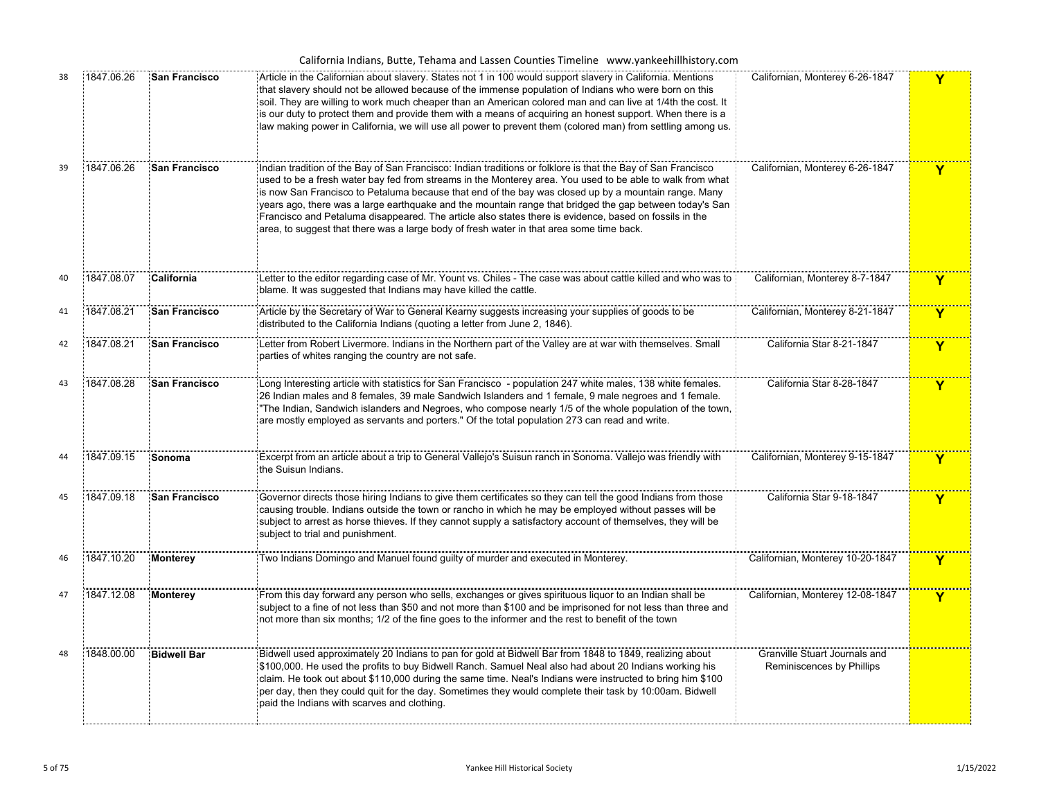| California Indians, Butte, Tehama and Lassen Counties Timeline www.yankeehillhistory.com |  |  |  |  |
|------------------------------------------------------------------------------------------|--|--|--|--|
|------------------------------------------------------------------------------------------|--|--|--|--|

| 38 | 1847.06.26 | <b>San Francisco</b> | Article in the Californian about slavery. States not 1 in 100 would support slavery in California. Mentions<br>that slavery should not be allowed because of the immense population of Indians who were born on this<br>soil. They are willing to work much cheaper than an American colored man and can live at 1/4th the cost. It<br>is our duty to protect them and provide them with a means of acquiring an honest support. When there is a<br>law making power in California, we will use all power to prevent them (colored man) from settling among us.                                                                                    | Californian, Monterey 6-26-1847                            | Y            |
|----|------------|----------------------|----------------------------------------------------------------------------------------------------------------------------------------------------------------------------------------------------------------------------------------------------------------------------------------------------------------------------------------------------------------------------------------------------------------------------------------------------------------------------------------------------------------------------------------------------------------------------------------------------------------------------------------------------|------------------------------------------------------------|--------------|
| 39 | 1847.06.26 | San Francisco        | Indian tradition of the Bay of San Francisco: Indian traditions or folklore is that the Bay of San Francisco<br>used to be a fresh water bay fed from streams in the Monterey area. You used to be able to walk from what<br>is now San Francisco to Petaluma because that end of the bay was closed up by a mountain range. Many<br>years ago, there was a large earthquake and the mountain range that bridged the gap between today's San<br>Francisco and Petaluma disappeared. The article also states there is evidence, based on fossils in the<br>area, to suggest that there was a large body of fresh water in that area some time back. | Californian, Monterey 6-26-1847                            | Y            |
| 40 | 1847.08.07 | California           | Letter to the editor regarding case of Mr. Yount vs. Chiles - The case was about cattle killed and who was to<br>blame. It was suggested that Indians may have killed the cattle.                                                                                                                                                                                                                                                                                                                                                                                                                                                                  | Californian, Monterey 8-7-1847                             | Y            |
| 41 | 1847.08.21 | <b>San Francisco</b> | Article by the Secretary of War to General Kearny suggests increasing your supplies of goods to be<br>distributed to the California Indians (quoting a letter from June 2, 1846).                                                                                                                                                                                                                                                                                                                                                                                                                                                                  | Californian, Monterey 8-21-1847                            | Y            |
| 42 | 1847.08.21 | <b>San Francisco</b> | .<br>Letter from Robert Livermore. Indians in the Northern part of the Valley are at war with themselves. Small<br>parties of whites ranging the country are not safe.                                                                                                                                                                                                                                                                                                                                                                                                                                                                             | California Star 8-21-1847                                  | Y            |
| 43 | 1847.08.28 | <b>San Francisco</b> | Long Interesting article with statistics for San Francisco - population 247 white males, 138 white females.<br>26 Indian males and 8 females, 39 male Sandwich Islanders and 1 female, 9 male negroes and 1 female.<br>"The Indian, Sandwich islanders and Negroes, who compose nearly 1/5 of the whole population of the town,<br>are mostly employed as servants and porters." Of the total population 273 can read and write.                                                                                                                                                                                                                   | California Star 8-28-1847                                  | Y            |
| 44 | 1847.09.15 | Sonoma               | Excerpt from an article about a trip to General Vallejo's Suisun ranch in Sonoma. Vallejo was friendly with<br>the Suisun Indians.                                                                                                                                                                                                                                                                                                                                                                                                                                                                                                                 | Californian, Monterey 9-15-1847                            | $\mathbf{Y}$ |
| 45 | 1847.09.18 | <b>San Francisco</b> | Governor directs those hiring Indians to give them certificates so they can tell the good Indians from those<br>causing trouble. Indians outside the town or rancho in which he may be employed without passes will be<br>subject to arrest as horse thieves. If they cannot supply a satisfactory account of themselves, they will be<br>subject to trial and punishment.                                                                                                                                                                                                                                                                         | California Star 9-18-1847                                  | Y            |
| 46 | 1847.10.20 | <b>Monterey</b>      | Two Indians Domingo and Manuel found guilty of murder and executed in Monterey.                                                                                                                                                                                                                                                                                                                                                                                                                                                                                                                                                                    | Californian, Monterey 10-20-1847                           | Y            |
| 47 | 1847.12.08 | <b>Monterey</b>      | From this day forward any person who sells, exchanges or gives spirituous liquor to an Indian shall be<br>subject to a fine of not less than \$50 and not more than \$100 and be imprisoned for not less than three and<br>not more than six months; 1/2 of the fine goes to the informer and the rest to benefit of the town                                                                                                                                                                                                                                                                                                                      | Californian, Monterey 12-08-1847                           | Y            |
| 48 | 1848.00.00 | <b>Bidwell Bar</b>   | Bidwell used approximately 20 Indians to pan for gold at Bidwell Bar from 1848 to 1849, realizing about<br>\$100,000. He used the profits to buy Bidwell Ranch. Samuel Neal also had about 20 Indians working his<br>claim. He took out about \$110,000 during the same time. Neal's Indians were instructed to bring him \$100<br>per day, then they could quit for the day. Sometimes they would complete their task by 10:00am. Bidwell<br>paid the Indians with scarves and clothing.                                                                                                                                                          | Granville Stuart Journals and<br>Reminiscences by Phillips |              |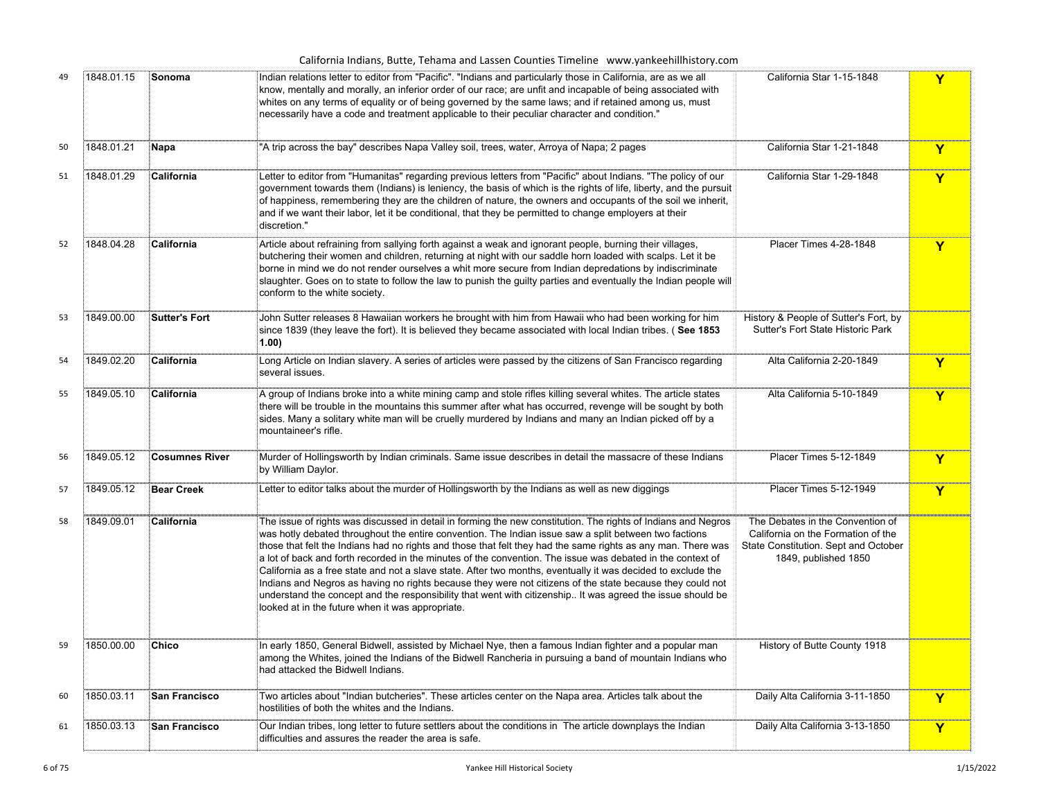| California Indians, Butte, Tehama and Lassen Counties Timeline www.yankeehillhistory.com |  |
|------------------------------------------------------------------------------------------|--|
|------------------------------------------------------------------------------------------|--|

|            |                       | Indian relations letter to editor from "Pacific". "Indians and particularly those in California, are as we all<br>know, mentally and morally, an inferior order of our race; are unfit and incapable of being associated with<br>whites on any terms of equality or of being governed by the same laws; and if retained among us, must<br>necessarily have a code and treatment applicable to their peculiar character and condition."                                                                                                                                                                                                                                                                                                                                                                                                              |                                                                                                                                        | Y |
|------------|-----------------------|-----------------------------------------------------------------------------------------------------------------------------------------------------------------------------------------------------------------------------------------------------------------------------------------------------------------------------------------------------------------------------------------------------------------------------------------------------------------------------------------------------------------------------------------------------------------------------------------------------------------------------------------------------------------------------------------------------------------------------------------------------------------------------------------------------------------------------------------------------|----------------------------------------------------------------------------------------------------------------------------------------|---|
| 1848.01.21 |                       | "A trip across the bay" describes Napa Valley soil, trees, water, Arroya of Napa; 2 pages                                                                                                                                                                                                                                                                                                                                                                                                                                                                                                                                                                                                                                                                                                                                                           | California Star 1-21-1848                                                                                                              | Y |
| 1848.01.29 | California            | Letter to editor from "Humanitas" regarding previous letters from "Pacific" about Indians. "The policy of our<br>government towards them (Indians) is leniency, the basis of which is the rights of life, liberty, and the pursuit<br>of happiness, remembering they are the children of nature, the owners and occupants of the soil we inherit,<br>and if we want their labor, let it be conditional, that they be permitted to change employers at their<br>discretion."                                                                                                                                                                                                                                                                                                                                                                         | California Star 1-29-1848                                                                                                              | Y |
| 1848.04.28 | California            | Article about refraining from sallying forth against a weak and ignorant people, burning their villages,<br>butchering their women and children, returning at night with our saddle horn loaded with scalps. Let it be<br>borne in mind we do not render ourselves a whit more secure from Indian depredations by indiscriminate<br>slaughter. Goes on to state to follow the law to punish the guilty parties and eventually the Indian people will<br>conform to the white society.                                                                                                                                                                                                                                                                                                                                                               | Placer Times 4-28-1848                                                                                                                 | Y |
| 1849.00.00 | <b>Sutter's Fort</b>  | John Sutter releases 8 Hawaiian workers he brought with him from Hawaii who had been working for him<br>isince 1839 (they leave the fort). It is believed they became associated with local Indian tribes. (See 1853<br>1.00)                                                                                                                                                                                                                                                                                                                                                                                                                                                                                                                                                                                                                       | History & People of Sutter's Fort, by<br><b>Sutter's Fort State Historic Park</b>                                                      |   |
| 1849.02.20 | California            | Long Article on Indian slavery. A series of articles were passed by the citizens of San Francisco regarding<br>several issues.                                                                                                                                                                                                                                                                                                                                                                                                                                                                                                                                                                                                                                                                                                                      | Alta California 2-20-1849                                                                                                              | Y |
| 1849.05.10 | California            | A group of Indians broke into a white mining camp and stole rifles killing several whites. The article states<br>there will be trouble in the mountains this summer after what has occurred, revenge will be sought by both<br>sides. Many a solitary white man will be cruelly murdered by Indians and many an Indian picked off by a<br>mountaineer's rifle.                                                                                                                                                                                                                                                                                                                                                                                                                                                                                      | Alta California 5-10-1849                                                                                                              | Y |
| 1849.05.12 | <b>Cosumnes River</b> | Murder of Hollingsworth by Indian criminals. Same issue describes in detail the massacre of these Indians<br>by William Daylor.                                                                                                                                                                                                                                                                                                                                                                                                                                                                                                                                                                                                                                                                                                                     | Placer Times 5-12-1849                                                                                                                 | Y |
| 1849.05.12 | <b>Bear Creek</b>     | Letter to editor talks about the murder of Hollingsworth by the Indians as well as new diggings                                                                                                                                                                                                                                                                                                                                                                                                                                                                                                                                                                                                                                                                                                                                                     | Placer Times 5-12-1949                                                                                                                 | Y |
| 1849.09.01 | California            | The issue of rights was discussed in detail in forming the new constitution. The rights of Indians and Negros<br>was hotly debated throughout the entire convention. The Indian issue saw a split between two factions<br>those that felt the Indians had no rights and those that felt they had the same rights as any man. There was<br>a lot of back and forth recorded in the minutes of the convention. The issue was debated in the context of<br>California as a free state and not a slave state. After two months, eventually it was decided to exclude the<br>Indians and Negros as having no rights because they were not citizens of the state because they could not<br>understand the concept and the responsibility that went with citizenship It was agreed the issue should be<br>looked at in the future when it was appropriate. | The Debates in the Convention of<br>California on the Formation of the<br>State Constitution. Sept and October<br>1849, published 1850 |   |
| 1850.00.00 | Chico                 | In early 1850, General Bidwell, assisted by Michael Nye, then a famous Indian fighter and a popular man<br>among the Whites, joined the Indians of the Bidwell Rancheria in pursuing a band of mountain Indians who<br>had attacked the Bidwell Indians.                                                                                                                                                                                                                                                                                                                                                                                                                                                                                                                                                                                            | History of Butte County 1918                                                                                                           |   |
| 1850.03.11 | San Francisco         | Two articles about "Indian butcheries". These articles center on the Napa area. Articles talk about the<br>hostilities of both the whites and the Indians.                                                                                                                                                                                                                                                                                                                                                                                                                                                                                                                                                                                                                                                                                          | Daily Alta California 3-11-1850                                                                                                        | Y |
| 1850.03.13 | San Francisco         | Our Indian tribes, long letter to future settlers about the conditions in The article downplays the Indian<br>difficulties and assures the reader the area is safe.                                                                                                                                                                                                                                                                                                                                                                                                                                                                                                                                                                                                                                                                                 | Daily Alta California 3-13-1850                                                                                                        | Y |
|            |                       | Napa                                                                                                                                                                                                                                                                                                                                                                                                                                                                                                                                                                                                                                                                                                                                                                                                                                                |                                                                                                                                        |   |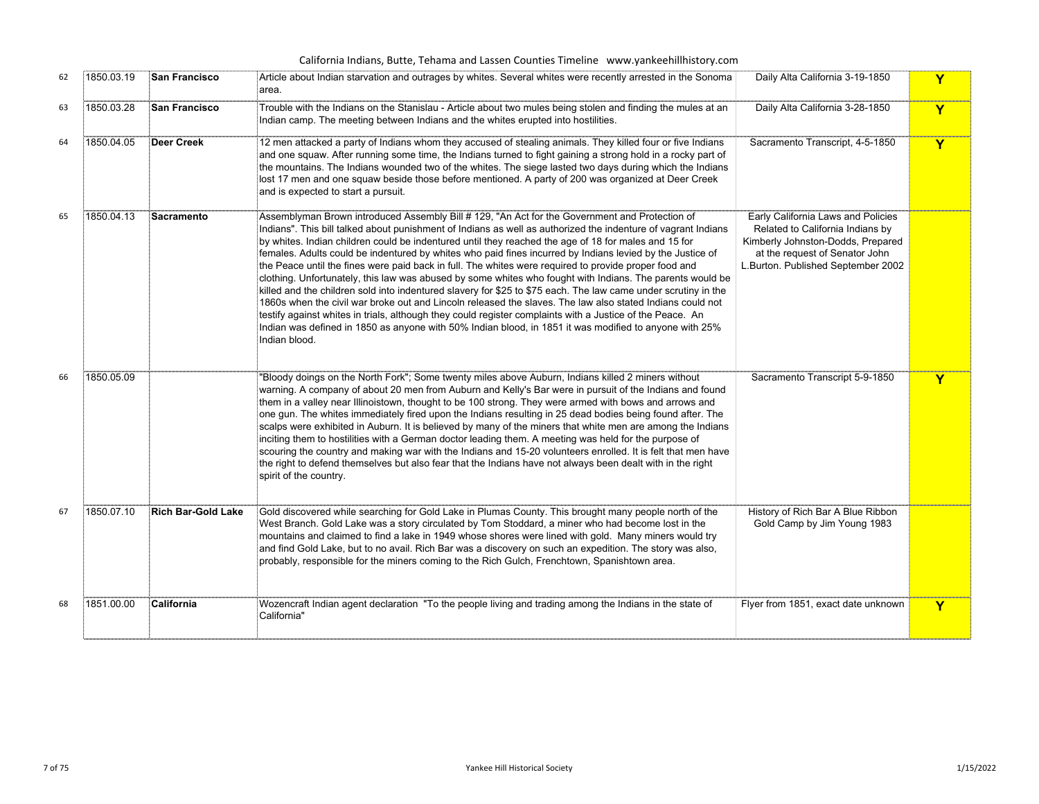| 62 | 1850.03.19 | San Francisco             | Article about Indian starvation and outrages by whites. Several whites were recently arrested in the Sonoma<br>area.                                                                                                                                                                                                                                                                                                                                                                                                                                                                                                                                                                                                                                                                                                                                                                                                                                                                                                                                                                                                              | Daily Alta California 3-19-1850                                                                                                                                                     | Y |
|----|------------|---------------------------|-----------------------------------------------------------------------------------------------------------------------------------------------------------------------------------------------------------------------------------------------------------------------------------------------------------------------------------------------------------------------------------------------------------------------------------------------------------------------------------------------------------------------------------------------------------------------------------------------------------------------------------------------------------------------------------------------------------------------------------------------------------------------------------------------------------------------------------------------------------------------------------------------------------------------------------------------------------------------------------------------------------------------------------------------------------------------------------------------------------------------------------|-------------------------------------------------------------------------------------------------------------------------------------------------------------------------------------|---|
| 63 | 1850.03.28 | <b>San Francisco</b>      | Trouble with the Indians on the Stanislau - Article about two mules being stolen and finding the mules at an<br>Indian camp. The meeting between Indians and the whites erupted into hostilities.                                                                                                                                                                                                                                                                                                                                                                                                                                                                                                                                                                                                                                                                                                                                                                                                                                                                                                                                 | Daily Alta California 3-28-1850                                                                                                                                                     | Y |
| 64 | 1850.04.05 | Deer Creek                | 12 men attacked a party of Indians whom they accused of stealing animals. They killed four or five Indians<br>and one squaw. After running some time, the Indians turned to fight gaining a strong hold in a rocky part of<br>the mountains. The Indians wounded two of the whites. The siege lasted two days during which the Indians<br>lost 17 men and one squaw beside those before mentioned. A party of 200 was organized at Deer Creek<br>and is expected to start a pursuit.                                                                                                                                                                                                                                                                                                                                                                                                                                                                                                                                                                                                                                              | Sacramento Transcript, 4-5-1850                                                                                                                                                     | Y |
| 65 | 1850.04.13 | Sacramento                | Assemblyman Brown introduced Assembly Bill # 129, "An Act for the Government and Protection of<br>Indians". This bill talked about punishment of Indians as well as authorized the indenture of vagrant Indians<br>by whites. Indian children could be indentured until they reached the age of 18 for males and 15 for<br>females. Adults could be indentured by whites who paid fines incurred by Indians levied by the Justice of<br>the Peace until the fines were paid back in full. The whites were required to provide proper food and<br>clothing. Unfortunately, this law was abused by some whites who fought with Indians. The parents would be<br>killed and the children sold into indentured slavery for \$25 to \$75 each. The law came under scrutiny in the<br>1860s when the civil war broke out and Lincoln released the slaves. The law also stated Indians could not<br>testify against whites in trials, although they could register complaints with a Justice of the Peace. An<br>Indian was defined in 1850 as anyone with 50% Indian blood, in 1851 it was modified to anyone with 25%<br>Indian blood. | Early California Laws and Policies<br>Related to California Indians by<br>Kimberly Johnston-Dodds, Prepared<br>at the request of Senator John<br>L.Burton. Published September 2002 |   |
| 66 | 1850.05.09 |                           | "Bloody doings on the North Fork"; Some twenty miles above Auburn, Indians killed 2 miners without<br>warning. A company of about 20 men from Auburn and Kelly's Bar were in pursuit of the Indians and found<br>them in a valley near Illinoistown, thought to be 100 strong. They were armed with bows and arrows and<br>one gun. The whites immediately fired upon the Indians resulting in 25 dead bodies being found after. The<br>scalps were exhibited in Auburn. It is believed by many of the miners that white men are among the Indians<br>inciting them to hostilities with a German doctor leading them. A meeting was held for the purpose of<br>scouring the country and making war with the Indians and 15-20 volunteers enrolled. It is felt that men have<br>the right to defend themselves but also fear that the Indians have not always been dealt with in the right<br>spirit of the country.                                                                                                                                                                                                               | Sacramento Transcript 5-9-1850                                                                                                                                                      | Y |
| 67 | 1850.07.10 | <b>Rich Bar-Gold Lake</b> | Gold discovered while searching for Gold Lake in Plumas County. This brought many people north of the<br>West Branch. Gold Lake was a story circulated by Tom Stoddard, a miner who had become lost in the<br>mountains and claimed to find a lake in 1949 whose shores were lined with gold. Many miners would try<br>and find Gold Lake, but to no avail. Rich Bar was a discovery on such an expedition. The story was also,<br>probably, responsible for the miners coming to the Rich Gulch, Frenchtown, Spanishtown area.                                                                                                                                                                                                                                                                                                                                                                                                                                                                                                                                                                                                   | History of Rich Bar A Blue Ribbon<br>Gold Camp by Jim Young 1983                                                                                                                    |   |
| 68 | 1851.00.00 | California                | Wozencraft Indian agent declaration "To the people living and trading among the Indians in the state of<br>California"                                                                                                                                                                                                                                                                                                                                                                                                                                                                                                                                                                                                                                                                                                                                                                                                                                                                                                                                                                                                            | Flyer from 1851, exact date unknown                                                                                                                                                 | Y |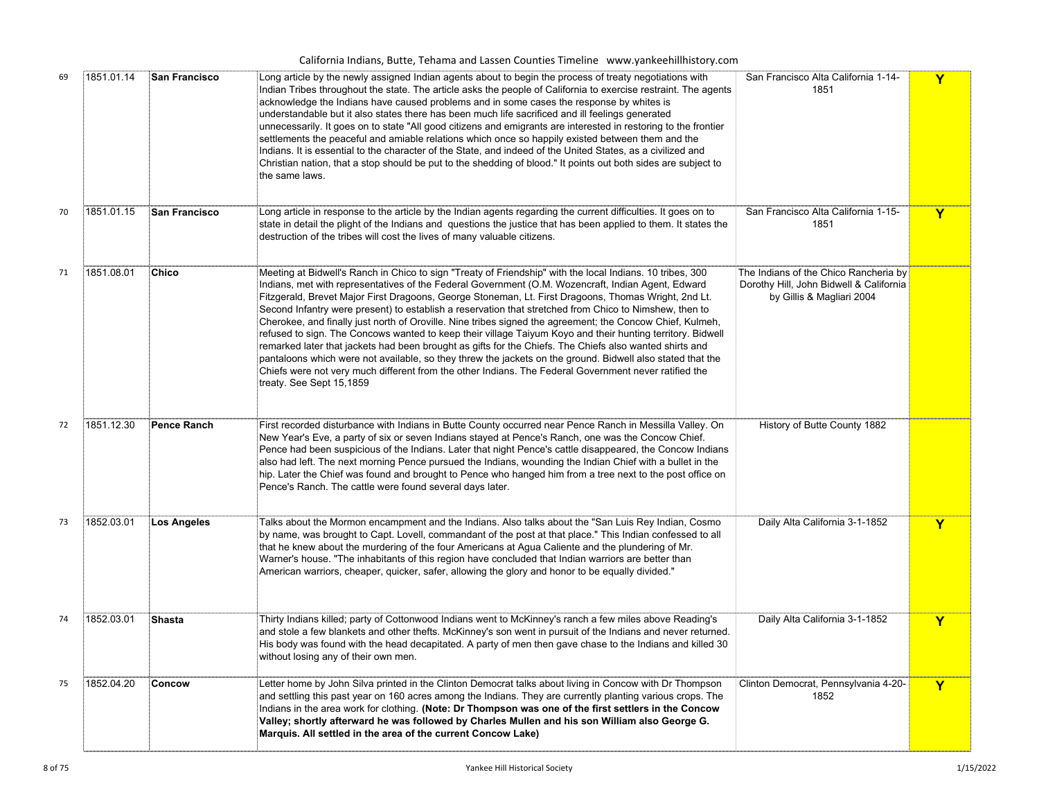| 69 | 1851.01.14 | <b>San Francisco</b> | Long article by the newly assigned Indian agents about to begin the process of treaty negotiations with<br>Indian Tribes throughout the state. The article asks the people of California to exercise restraint. The agents<br>acknowledge the Indians have caused problems and in some cases the response by whites is<br>understandable but it also states there has been much life sacrificed and ill feelings generated<br>unnecessarily. It goes on to state "All good citizens and emigrants are interested in restoring to the frontier<br>settlements the peaceful and amiable relations which once so happily existed between them and the<br>Indians. It is essential to the character of the State, and indeed of the United States, as a civilized and<br>Christian nation, that a stop should be put to the shedding of blood." It points out both sides are subject to<br>the same laws.                                                                                                                      | San Francisco Alta California 1-14-<br>1851                                                                   | Y |
|----|------------|----------------------|----------------------------------------------------------------------------------------------------------------------------------------------------------------------------------------------------------------------------------------------------------------------------------------------------------------------------------------------------------------------------------------------------------------------------------------------------------------------------------------------------------------------------------------------------------------------------------------------------------------------------------------------------------------------------------------------------------------------------------------------------------------------------------------------------------------------------------------------------------------------------------------------------------------------------------------------------------------------------------------------------------------------------|---------------------------------------------------------------------------------------------------------------|---|
| 70 | 1851.01.15 | San Francisco        | Long article in response to the article by the Indian agents regarding the current difficulties. It goes on to<br>state in detail the plight of the Indians and questions the justice that has been applied to them. It states the<br>destruction of the tribes will cost the lives of many valuable citizens.                                                                                                                                                                                                                                                                                                                                                                                                                                                                                                                                                                                                                                                                                                             | San Francisco Alta California 1-15-<br>1851                                                                   | Y |
| 71 | 1851.08.01 | Chico                | Meeting at Bidwell's Ranch in Chico to sign "Treaty of Friendship" with the local Indians. 10 tribes, 300<br>Indians, met with representatives of the Federal Government (O.M. Wozencraft, Indian Agent, Edward<br>Fitzgerald, Brevet Major First Dragoons, George Stoneman, Lt. First Dragoons, Thomas Wright, 2nd Lt.<br>Second Infantry were present) to establish a reservation that stretched from Chico to Nimshew, then to<br>Cherokee, and finally just north of Oroville. Nine tribes signed the agreement; the Concow Chief, Kulmeh,<br>refused to sign. The Concows wanted to keep their village Taiyum Koyo and their hunting territory. Bidwell<br>remarked later that jackets had been brought as gifts for the Chiefs. The Chiefs also wanted shirts and<br>pantaloons which were not available, so they threw the jackets on the ground. Bidwell also stated that the<br>Chiefs were not very much different from the other Indians. The Federal Government never ratified the<br>treaty. See Sept 15,1859 | The Indians of the Chico Rancheria by<br>Dorothy Hill, John Bidwell & California<br>by Gillis & Magliari 2004 |   |
| 72 | 1851.12.30 | Pence Ranch          | First recorded disturbance with Indians in Butte County occurred near Pence Ranch in Messilla Valley. On<br>New Year's Eve, a party of six or seven Indians stayed at Pence's Ranch, one was the Concow Chief.<br>Pence had been suspicious of the Indians. Later that night Pence's cattle disappeared, the Concow Indians<br>also had left. The next morning Pence pursued the Indians, wounding the Indian Chief with a bullet in the<br>hip. Later the Chief was found and brought to Pence who hanged him from a tree next to the post office on<br>Pence's Ranch. The cattle were found several days later.                                                                                                                                                                                                                                                                                                                                                                                                          | History of Butte County 1882                                                                                  |   |
| 73 | 1852.03.01 | Los Angeles          | Talks about the Mormon encampment and the Indians. Also talks about the "San Luis Rey Indian, Cosmo<br>by name, was brought to Capt. Lovell, commandant of the post at that place." This Indian confessed to all<br>that he knew about the murdering of the four Americans at Agua Caliente and the plundering of Mr.<br>Warner's house. "The inhabitants of this region have concluded that Indian warriors are better than<br>American warriors, cheaper, quicker, safer, allowing the glory and honor to be equally divided."                                                                                                                                                                                                                                                                                                                                                                                                                                                                                           | Daily Alta California 3-1-1852                                                                                | Y |
| 74 | 1852.03.01 | Shasta               | Thirty Indians killed; party of Cottonwood Indians went to McKinney's ranch a few miles above Reading's<br>and stole a few blankets and other thefts. McKinney's son went in pursuit of the Indians and never returned.<br>His body was found with the head decapitated. A party of men then gave chase to the Indians and killed 30<br>without losing any of their own men.                                                                                                                                                                                                                                                                                                                                                                                                                                                                                                                                                                                                                                               | Daily Alta California 3-1-1852                                                                                | Y |
| 75 | 1852.04.20 | ∶Concow              | Letter home by John Silva printed in the Clinton Democrat talks about living in Concow with Dr Thompson<br>and settling this past year on 160 acres among the Indians. They are currently planting various crops. The<br>Indians in the area work for clothing. (Note: Dr Thompson was one of the first settlers in the Concow<br>Valley; shortly afterward he was followed by Charles Mullen and his son William also George G.<br>Marquis. All settled in the area of the current Concow Lake)                                                                                                                                                                                                                                                                                                                                                                                                                                                                                                                           | Clinton Democrat, Pennsylvania 4-20-<br>1852                                                                  | Y |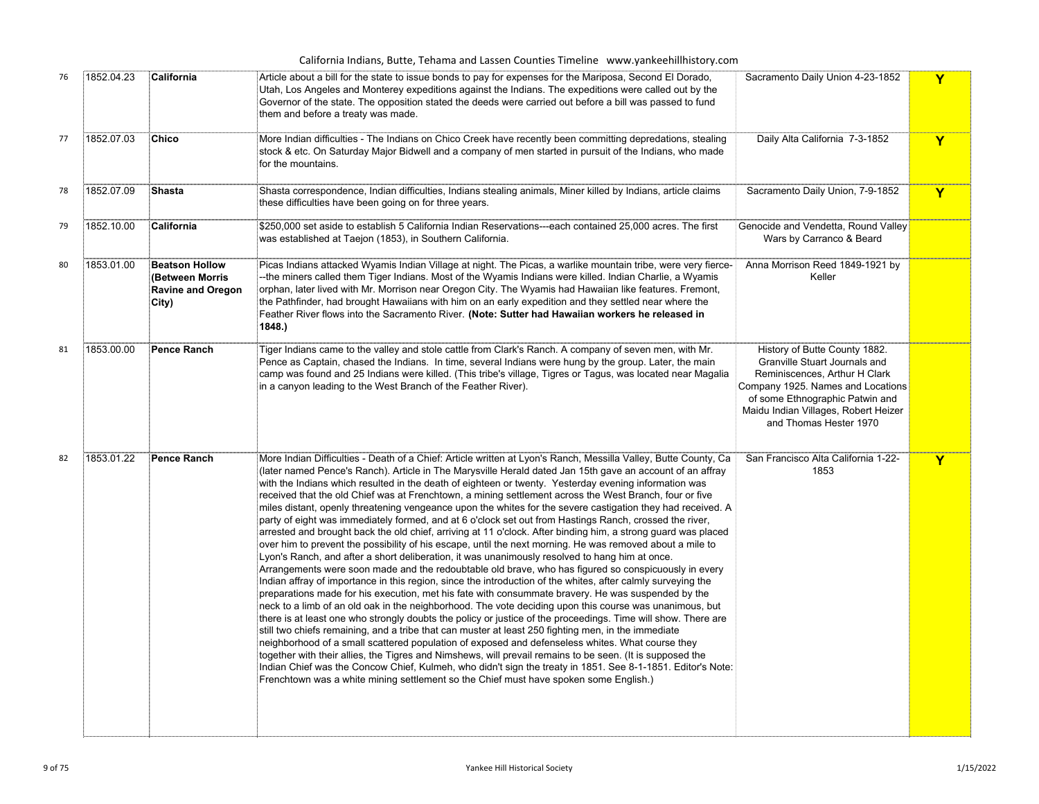| 76 | 1852.04.23 | California                                                                    | Article about a bill for the state to issue bonds to pay for expenses for the Mariposa, Second El Dorado,<br>Utah, Los Angeles and Monterey expeditions against the Indians. The expeditions were called out by the<br>Governor of the state. The opposition stated the deeds were carried out before a bill was passed to fund<br>them and before a treaty was made.                                                                                                                                                                                                                                                                                                                                                                                                                                                                                                                                                                                                                                                                                                                                                                                                                                                                                                                                                                                                                                                                                                                                                                                                                                                                                                                                                                                                                                                                                                                                                                                                                                                                                                                                 | Sacramento Daily Union 4-23-1852                                                                                                                                                                                                          | Y |
|----|------------|-------------------------------------------------------------------------------|-------------------------------------------------------------------------------------------------------------------------------------------------------------------------------------------------------------------------------------------------------------------------------------------------------------------------------------------------------------------------------------------------------------------------------------------------------------------------------------------------------------------------------------------------------------------------------------------------------------------------------------------------------------------------------------------------------------------------------------------------------------------------------------------------------------------------------------------------------------------------------------------------------------------------------------------------------------------------------------------------------------------------------------------------------------------------------------------------------------------------------------------------------------------------------------------------------------------------------------------------------------------------------------------------------------------------------------------------------------------------------------------------------------------------------------------------------------------------------------------------------------------------------------------------------------------------------------------------------------------------------------------------------------------------------------------------------------------------------------------------------------------------------------------------------------------------------------------------------------------------------------------------------------------------------------------------------------------------------------------------------------------------------------------------------------------------------------------------------|-------------------------------------------------------------------------------------------------------------------------------------------------------------------------------------------------------------------------------------------|---|
| 77 | 1852.07.03 | <b>Chico</b>                                                                  | More Indian difficulties - The Indians on Chico Creek have recently been committing depredations, stealing<br>stock & etc. On Saturday Major Bidwell and a company of men started in pursuit of the Indians, who made<br>for the mountains.                                                                                                                                                                                                                                                                                                                                                                                                                                                                                                                                                                                                                                                                                                                                                                                                                                                                                                                                                                                                                                                                                                                                                                                                                                                                                                                                                                                                                                                                                                                                                                                                                                                                                                                                                                                                                                                           | Daily Alta California 7-3-1852                                                                                                                                                                                                            | Y |
| 78 | 1852.07.09 | <b>Shasta</b>                                                                 | Shasta correspondence, Indian difficulties, Indians stealing animals, Miner killed by Indians, article claims<br>these difficulties have been going on for three years.                                                                                                                                                                                                                                                                                                                                                                                                                                                                                                                                                                                                                                                                                                                                                                                                                                                                                                                                                                                                                                                                                                                                                                                                                                                                                                                                                                                                                                                                                                                                                                                                                                                                                                                                                                                                                                                                                                                               | Sacramento Daily Union, 7-9-1852                                                                                                                                                                                                          | Y |
| 79 | 1852.10.00 | California                                                                    | \$250,000 set aside to establish 5 California Indian Reservations---each contained 25,000 acres. The first<br>was established at Taejon (1853), in Southern California.                                                                                                                                                                                                                                                                                                                                                                                                                                                                                                                                                                                                                                                                                                                                                                                                                                                                                                                                                                                                                                                                                                                                                                                                                                                                                                                                                                                                                                                                                                                                                                                                                                                                                                                                                                                                                                                                                                                               | Genocide and Vendetta, Round Valley<br>Wars by Carranco & Beard                                                                                                                                                                           |   |
| 80 | 1853.01.00 | <b>Beatson Hollow</b><br>(Between Morris<br><b>Ravine and Oregon</b><br>City) | Picas Indians attacked Wyamis Indian Village at night. The Picas, a warlike mountain tribe, were very fierce-<br>-the miners called them Tiger Indians. Most of the Wyamis Indians were killed. Indian Charlie, a Wyamis-<br>orphan, later lived with Mr. Morrison near Oregon City. The Wyamis had Hawaiian like features. Fremont,<br>the Pathfinder, had brought Hawaiians with him on an early expedition and they settled near where the<br>Feather River flows into the Sacramento River. (Note: Sutter had Hawaiian workers he released in<br>1848.)                                                                                                                                                                                                                                                                                                                                                                                                                                                                                                                                                                                                                                                                                                                                                                                                                                                                                                                                                                                                                                                                                                                                                                                                                                                                                                                                                                                                                                                                                                                                           | Anna Morrison Reed 1849-1921 by<br>Keller                                                                                                                                                                                                 |   |
| 81 | 1853.00.00 | <b>Pence Ranch</b>                                                            | Tiger Indians came to the valley and stole cattle from Clark's Ranch. A company of seven men, with Mr.<br>Pence as Captain, chased the Indians. In time, several Indians were hung by the group. Later, the main<br>camp was found and 25 Indians were killed. (This tribe's village, Tigres or Tagus, was located near Magalia<br>in a canyon leading to the West Branch of the Feather River).                                                                                                                                                                                                                                                                                                                                                                                                                                                                                                                                                                                                                                                                                                                                                                                                                                                                                                                                                                                                                                                                                                                                                                                                                                                                                                                                                                                                                                                                                                                                                                                                                                                                                                      | History of Butte County 1882.<br>Granville Stuart Journals and<br>Reminiscences, Arthur H Clark<br>Company 1925. Names and Locations<br>of some Ethnographic Patwin and<br>Maidu Indian Villages, Robert Heizer<br>and Thomas Hester 1970 |   |
| 82 | 1853.01.22 | Pence Ranch                                                                   | More Indian Difficulties - Death of a Chief: Article written at Lyon's Ranch, Messilla Valley, Butte County, Ca<br>(later named Pence's Ranch). Article in The Marysville Herald dated Jan 15th gave an account of an affray<br>with the Indians which resulted in the death of eighteen or twenty. Yesterday evening information was<br>received that the old Chief was at Frenchtown, a mining settlement across the West Branch, four or five<br>miles distant, openly threatening vengeance upon the whites for the severe castigation they had received. A<br>party of eight was immediately formed, and at 6 o'clock set out from Hastings Ranch, crossed the river,<br>arrested and brought back the old chief, arriving at 11 o'clock. After binding him, a strong guard was placed<br>over him to prevent the possibility of his escape, until the next morning. He was removed about a mile to@<br>Lyon's Ranch, and after a short deliberation, it was unanimously resolved to hang him at once.<br>Arrangements were soon made and the redoubtable old brave, who has figured so conspicuously in every<br>Indian affray of importance in this region, since the introduction of the whites, after calmly surveying the<br>preparations made for his execution, met his fate with consummate bravery. He was suspended by the<br>neck to a limb of an old oak in the neighborhood. The vote deciding upon this course was unanimous, but<br>there is at least one who strongly doubts the policy or justice of the proceedings. Time will show. There are<br>still two chiefs remaining, and a tribe that can muster at least 250 fighting men, in the immediate<br>neighborhood of a small scattered population of exposed and defenseless whites. What course they<br>together with their allies, the Tigres and Nimshews, will prevail remains to be seen. (It is supposed the<br>Indian Chief was the Concow Chief, Kulmeh, who didn't sign the treaty in 1851. See 8-1-1851. Editor's Note:<br>Frenchtown was a white mining settlement so the Chief must have spoken some English.) | San Francisco Alta California 1-22-<br>1853                                                                                                                                                                                               | Y |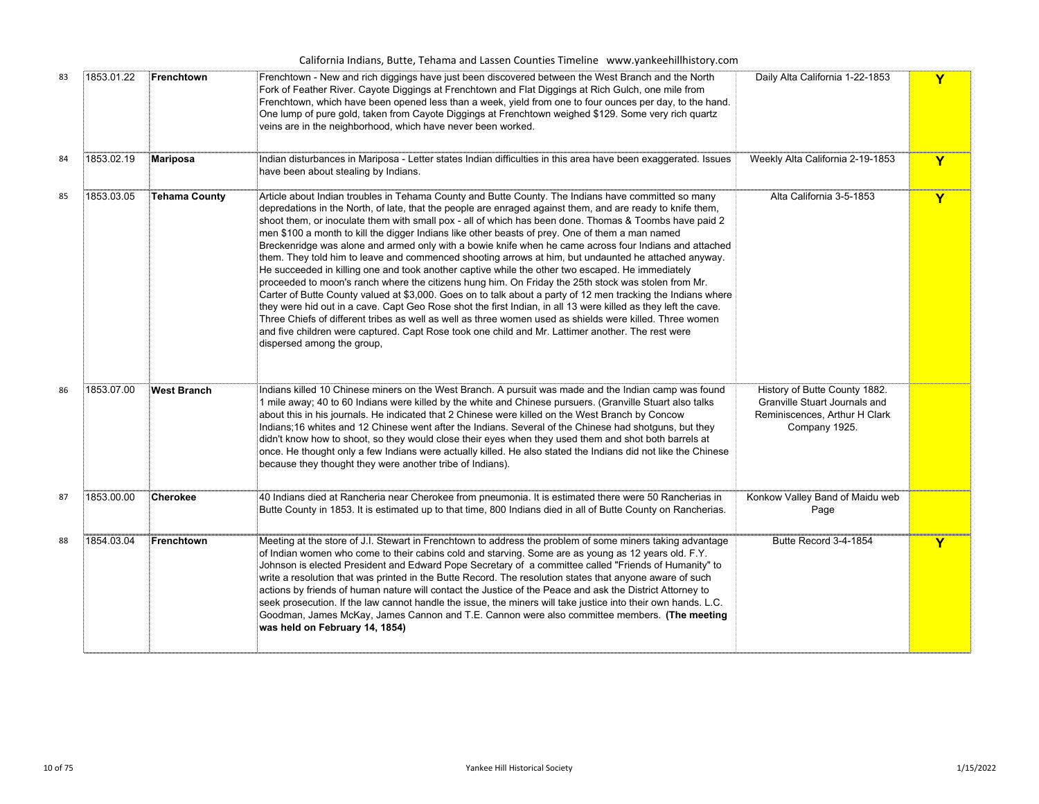|    | California Indians, Butte, Tehama and Lassen Counties Timeline www.yankeehillhistory.com |                      |                                                                                                                                                                                                                                                                                                                                                                                                                                                                                                                                                                                                                                                                                                                                                                                                                                                                                                                                                                                                                                                                                                                                                                                                                                                                                                                                              |                                                                                                                  |             |  |  |  |
|----|------------------------------------------------------------------------------------------|----------------------|----------------------------------------------------------------------------------------------------------------------------------------------------------------------------------------------------------------------------------------------------------------------------------------------------------------------------------------------------------------------------------------------------------------------------------------------------------------------------------------------------------------------------------------------------------------------------------------------------------------------------------------------------------------------------------------------------------------------------------------------------------------------------------------------------------------------------------------------------------------------------------------------------------------------------------------------------------------------------------------------------------------------------------------------------------------------------------------------------------------------------------------------------------------------------------------------------------------------------------------------------------------------------------------------------------------------------------------------|------------------------------------------------------------------------------------------------------------------|-------------|--|--|--|
| 83 | 1853.01.22                                                                               | Frenchtown           | Frenchtown - New and rich diggings have just been discovered between the West Branch and the North<br>Fork of Feather River. Cayote Diggings at Frenchtown and Flat Diggings at Rich Gulch, one mile from<br>Frenchtown, which have been opened less than a week, yield from one to four ounces per day, to the hand.<br>One lump of pure gold, taken from Cayote Diggings at Frenchtown weighed \$129. Some very rich quartz<br>veins are in the neighborhood, which have never been worked.                                                                                                                                                                                                                                                                                                                                                                                                                                                                                                                                                                                                                                                                                                                                                                                                                                                | Daily Alta California 1-22-1853                                                                                  | Y           |  |  |  |
| 84 | 1853.02.19                                                                               | Mariposa             | Indian disturbances in Mariposa - Letter states Indian difficulties in this area have been exaggerated. Issues<br>have been about stealing by Indians.                                                                                                                                                                                                                                                                                                                                                                                                                                                                                                                                                                                                                                                                                                                                                                                                                                                                                                                                                                                                                                                                                                                                                                                       | Weekly Alta California 2-19-1853                                                                                 | $\mathbf Y$ |  |  |  |
| 85 | 1853.03.05                                                                               | <b>Tehama County</b> | Article about Indian troubles in Tehama County and Butte County. The Indians have committed so many<br>depredations in the North, of late, that the people are enraged against them, and are ready to knife them,<br>shoot them, or inoculate them with small pox - all of which has been done. Thomas & Toombs have paid 2<br>men \$100 a month to kill the digger Indians like other beasts of prey. One of them a man named<br>Breckenridge was alone and armed only with a bowie knife when he came across four Indians and attached<br>them. They told him to leave and commenced shooting arrows at him, but undaunted he attached anyway.<br>He succeeded in killing one and took another captive while the other two escaped. He immediately<br>proceeded to moon's ranch where the citizens hung him. On Friday the 25th stock was stolen from Mr.<br>Carter of Butte County valued at \$3,000. Goes on to talk about a party of 12 men tracking the Indians where<br>they were hid out in a cave. Capt Geo Rose shot the first Indian, in all 13 were killed as they left the cave.<br>Three Chiefs of different tribes as well as well as three women used as shields were killed. Three women<br>and five children were captured. Capt Rose took one child and Mr. Lattimer another. The rest were<br>dispersed among the group, | Alta California 3-5-1853                                                                                         | Y           |  |  |  |
| 86 | 1853.07.00                                                                               | <b>West Branch</b>   | Indians killed 10 Chinese miners on the West Branch. A pursuit was made and the Indian camp was found<br>1 mile away; 40 to 60 Indians were killed by the white and Chinese pursuers. (Granville Stuart also talks<br>about this in his journals. He indicated that 2 Chinese were killed on the West Branch by Concow<br>Indians;16 whites and 12 Chinese went after the Indians. Several of the Chinese had shotguns, but they<br>didn't know how to shoot, so they would close their eyes when they used them and shot both barrels at<br>once. He thought only a few Indians were actually killed. He also stated the Indians did not like the Chinese<br>because they thought they were another tribe of Indians).                                                                                                                                                                                                                                                                                                                                                                                                                                                                                                                                                                                                                      | History of Butte County 1882.<br>Granville Stuart Journals and<br>Reminiscences, Arthur H Clark<br>Company 1925. |             |  |  |  |
| 87 | 1853.00.00                                                                               | Cherokee             | 40 Indians died at Rancheria near Cherokee from pneumonia. It is estimated there were 50 Rancherias in<br>Butte County in 1853. It is estimated up to that time, 800 Indians died in all of Butte County on Rancherias.                                                                                                                                                                                                                                                                                                                                                                                                                                                                                                                                                                                                                                                                                                                                                                                                                                                                                                                                                                                                                                                                                                                      | Konkow Valley Band of Maidu web<br>Page                                                                          |             |  |  |  |
| 88 | 1854.03.04                                                                               | <b>Frenchtown</b>    | Meeting at the store of J.I. Stewart in Frenchtown to address the problem of some miners taking advantage<br>of Indian women who come to their cabins cold and starving. Some are as young as 12 years old. F.Y.<br>Johnson is elected President and Edward Pope Secretary of a committee called "Friends of Humanity" to<br>write a resolution that was printed in the Butte Record. The resolution states that anyone aware of such<br>actions by friends of human nature will contact the Justice of the Peace and ask the District Attorney to<br>seek prosecution. If the law cannot handle the issue, the miners will take justice into their own hands. L.C.<br>Goodman, James McKay, James Cannon and T.E. Cannon were also committee members. (The meeting<br>was held on February 14, 1854)                                                                                                                                                                                                                                                                                                                                                                                                                                                                                                                                        | Butte Record 3-4-1854                                                                                            | Y           |  |  |  |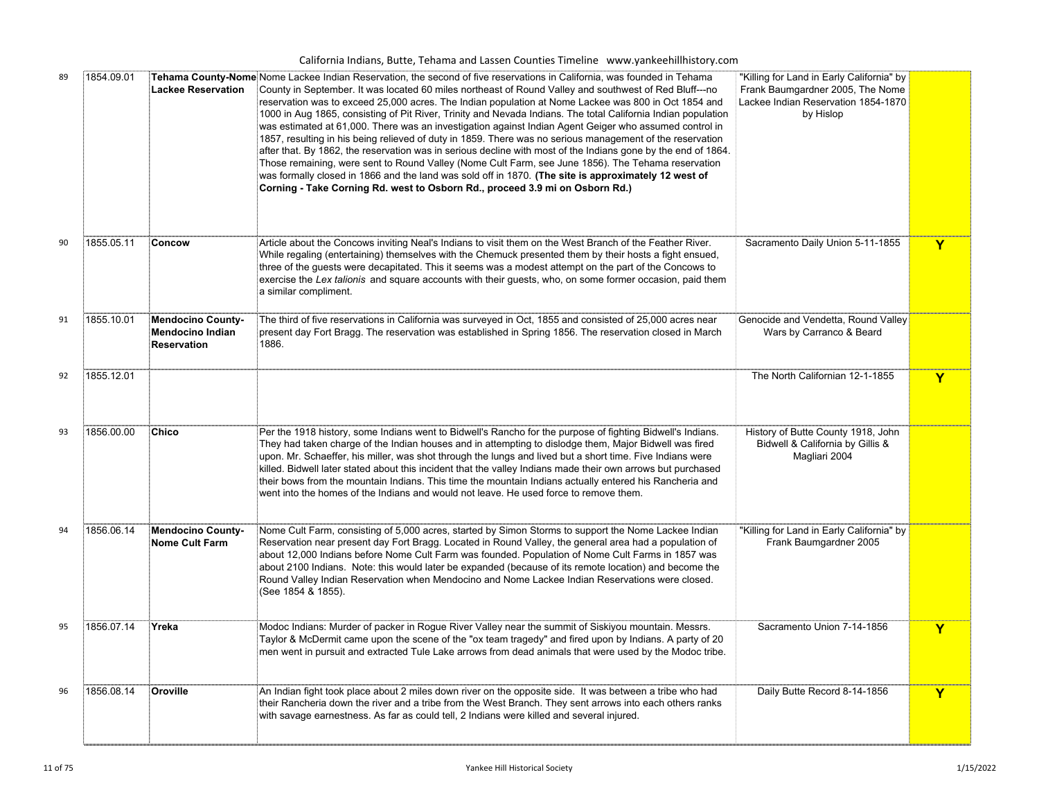| 89 | 1854.09.01 | <b>Lackee Reservation</b>                                          | Tehama County-Nome Nome Lackee Indian Reservation, the second of five reservations in California, was founded in Tehama<br>County in September. It was located 60 miles northeast of Round Valley and southwest of Red Bluff---no<br>reservation was to exceed 25,000 acres. The Indian population at Nome Lackee was 800 in Oct 1854 and<br>1000 in Aug 1865, consisting of Pit River, Trinity and Nevada Indians. The total California Indian population<br>was estimated at 61,000. There was an investigation against Indian Agent Geiger who assumed control in<br>1857, resulting in his being relieved of duty in 1859. There was no serious management of the reservation<br>after that. By 1862, the reservation was in serious decline with most of the Indians gone by the end of 1864.<br>Those remaining, were sent to Round Valley (Nome Cult Farm, see June 1856). The Tehama reservation<br>was formally closed in 1866 and the land was sold off in 1870. (The site is approximately 12 west of<br>Corning - Take Corning Rd. west to Osborn Rd., proceed 3.9 mi on Osborn Rd.) | "Killing for Land in Early California" by<br>Frank Baumgardner 2005, The Nome<br>Lackee Indian Reservation 1854-1870<br>by Hislop |                         |
|----|------------|--------------------------------------------------------------------|--------------------------------------------------------------------------------------------------------------------------------------------------------------------------------------------------------------------------------------------------------------------------------------------------------------------------------------------------------------------------------------------------------------------------------------------------------------------------------------------------------------------------------------------------------------------------------------------------------------------------------------------------------------------------------------------------------------------------------------------------------------------------------------------------------------------------------------------------------------------------------------------------------------------------------------------------------------------------------------------------------------------------------------------------------------------------------------------------|-----------------------------------------------------------------------------------------------------------------------------------|-------------------------|
| 90 | 1855.05.11 | Concow                                                             | Article about the Concows inviting Neal's Indians to visit them on the West Branch of the Feather River.<br>While regaling (entertaining) themselves with the Chemuck presented them by their hosts a fight ensued,<br>three of the guests were decapitated. This it seems was a modest attempt on the part of the Concows to<br>exercise the Lex talionis and square accounts with their guests, who, on some former occasion, paid them<br>a similar compliment.                                                                                                                                                                                                                                                                                                                                                                                                                                                                                                                                                                                                                               | Sacramento Daily Union 5-11-1855                                                                                                  | $\overline{\mathbf{Y}}$ |
| 91 | 1855.10.01 | Mendocino County-<br><b>Mendocino Indian</b><br><b>Reservation</b> | The third of five reservations in California was surveyed in Oct, 1855 and consisted of 25,000 acres near<br>present day Fort Bragg. The reservation was established in Spring 1856. The reservation closed in March<br>1886.                                                                                                                                                                                                                                                                                                                                                                                                                                                                                                                                                                                                                                                                                                                                                                                                                                                                    | Genocide and Vendetta, Round Valley<br>Wars by Carranco & Beard                                                                   |                         |
| 92 | 1855.12.01 |                                                                    |                                                                                                                                                                                                                                                                                                                                                                                                                                                                                                                                                                                                                                                                                                                                                                                                                                                                                                                                                                                                                                                                                                  | The North Californian 12-1-1855                                                                                                   | Ÿ                       |
| 93 | 1856.00.00 | <b>Chico</b>                                                       | Per the 1918 history, some Indians went to Bidwell's Rancho for the purpose of fighting Bidwell's Indians.<br>They had taken charge of the Indian houses and in attempting to dislodge them, Major Bidwell was fired<br>upon. Mr. Schaeffer, his miller, was shot through the lungs and lived but a short time. Five Indians were<br>killed. Bidwell later stated about this incident that the valley Indians made their own arrows but purchased<br>their bows from the mountain Indians. This time the mountain Indians actually entered his Rancheria and<br>went into the homes of the Indians and would not leave. He used force to remove them.                                                                                                                                                                                                                                                                                                                                                                                                                                            | History of Butte County 1918, John<br>Bidwell & California by Gillis &<br>Magliari 2004                                           |                         |
| 94 | 1856.06.14 | <b>Mendocino County-</b><br>Nome Cult Farm                         | Nome Cult Farm, consisting of 5,000 acres, started by Simon Storms to support the Nome Lackee Indian<br>Reservation near present day Fort Bragg. Located in Round Valley, the general area had a population of<br>about 12,000 Indians before Nome Cult Farm was founded. Population of Nome Cult Farms in 1857 was<br>about 2100 Indians. Note: this would later be expanded (because of its remote location) and become the<br>Round Valley Indian Reservation when Mendocino and Nome Lackee Indian Reservations were closed.<br>(See 1854 & 1855).                                                                                                                                                                                                                                                                                                                                                                                                                                                                                                                                           | "Killing for Land in Early California" by<br>Frank Baumgardner 2005                                                               |                         |
| 95 | 1856.07.14 | Yreka                                                              | Modoc Indians: Murder of packer in Rogue River Valley near the summit of Siskiyou mountain. Messrs.<br>Taylor & McDermit came upon the scene of the "ox team tragedy" and fired upon by Indians. A party of 20<br>men went in pursuit and extracted Tule Lake arrows from dead animals that were used by the Modoc tribe.                                                                                                                                                                                                                                                                                                                                                                                                                                                                                                                                                                                                                                                                                                                                                                        | Sacramento Union 7-14-1856                                                                                                        | Y                       |
| 96 | 1856.08.14 | Oroville                                                           | An Indian fight took place about 2 miles down river on the opposite side. It was between a tribe who had<br>their Rancheria down the river and a tribe from the West Branch. They sent arrows into each others ranks<br>with savage earnestness. As far as could tell, 2 Indians were killed and several injured.                                                                                                                                                                                                                                                                                                                                                                                                                                                                                                                                                                                                                                                                                                                                                                                | Daily Butte Record 8-14-1856                                                                                                      | Y                       |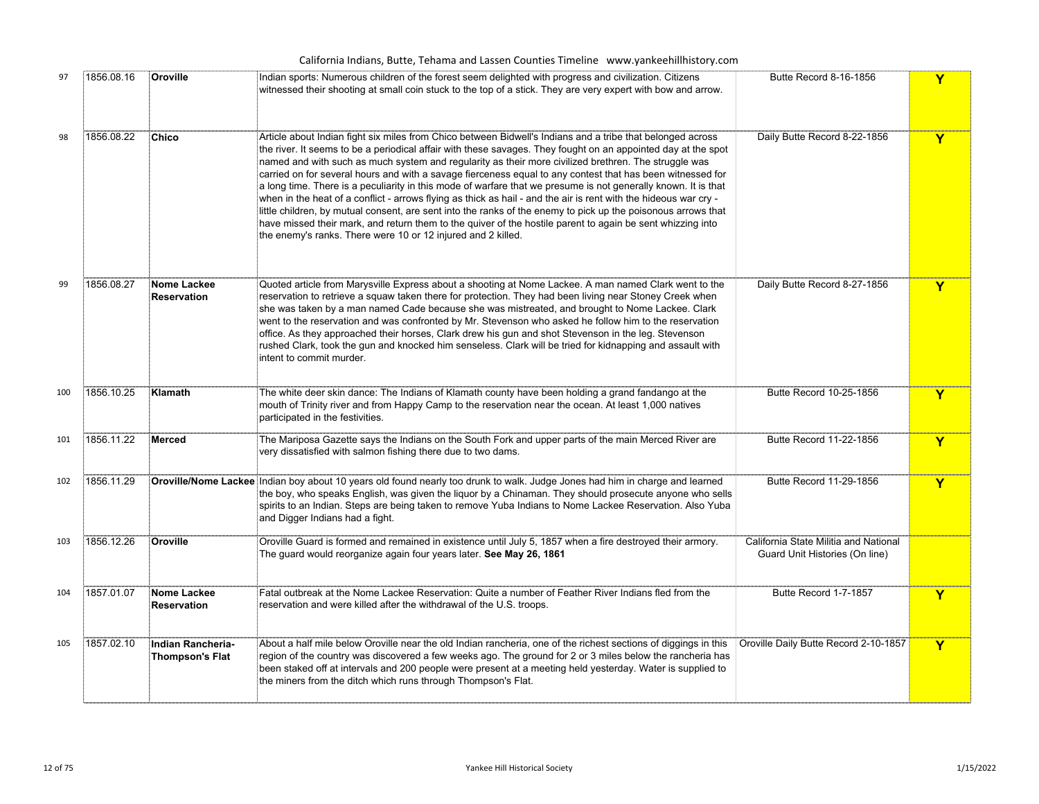| 97  | 1856.08.16 | Oroville                                    | Indian sports: Numerous children of the forest seem delighted with progress and civilization. Citizens<br>witnessed their shooting at small coin stuck to the top of a stick. They are very expert with bow and arrow.                                                                                                                                                                                                                                                                                                                                                                                                                                                                                                                                                                                                                                                                                                                                                                 | Butte Record 8-16-1856                                                  | Y |
|-----|------------|---------------------------------------------|----------------------------------------------------------------------------------------------------------------------------------------------------------------------------------------------------------------------------------------------------------------------------------------------------------------------------------------------------------------------------------------------------------------------------------------------------------------------------------------------------------------------------------------------------------------------------------------------------------------------------------------------------------------------------------------------------------------------------------------------------------------------------------------------------------------------------------------------------------------------------------------------------------------------------------------------------------------------------------------|-------------------------------------------------------------------------|---|
| 98  | 1856.08.22 | Chico                                       | Article about Indian fight six miles from Chico between Bidwell's Indians and a tribe that belonged across<br>the river. It seems to be a periodical affair with these savages. They fought on an appointed day at the spot<br>named and with such as much system and regularity as their more civilized brethren. The struggle was<br>carried on for several hours and with a savage fierceness equal to any contest that has been witnessed for<br>a long time. There is a peculiarity in this mode of warfare that we presume is not generally known. It is that<br>when in the heat of a conflict - arrows flying as thick as hail - and the air is rent with the hideous war cry -<br>little children, by mutual consent, are sent into the ranks of the enemy to pick up the poisonous arrows that<br>have missed their mark, and return them to the quiver of the hostile parent to again be sent whizzing into<br>the enemy's ranks. There were 10 or 12 injured and 2 killed. | Daily Butte Record 8-22-1856                                            | Y |
| 99  | 1856.08.27 | Nome Lackee<br><b>Reservation</b>           | Quoted article from Marysville Express about a shooting at Nome Lackee. A man named Clark went to the<br>reservation to retrieve a squaw taken there for protection. They had been living near Stoney Creek when<br>she was taken by a man named Cade because she was mistreated, and brought to Nome Lackee. Clark<br>went to the reservation and was confronted by Mr. Stevenson who asked he follow him to the reservation<br>office. As they approached their horses, Clark drew his gun and shot Stevenson in the leg. Stevenson<br>rushed Clark, took the gun and knocked him senseless. Clark will be tried for kidnapping and assault with<br>intent to commit murder.                                                                                                                                                                                                                                                                                                         | Daily Butte Record 8-27-1856                                            | Y |
| 100 | 1856.10.25 | Klamath                                     | The white deer skin dance: The Indians of Klamath county have been holding a grand fandango at the<br>mouth of Trinity river and from Happy Camp to the reservation near the ocean. At least 1,000 natives<br>participated in the festivities.                                                                                                                                                                                                                                                                                                                                                                                                                                                                                                                                                                                                                                                                                                                                         | Butte Record 10-25-1856                                                 | Y |
| 101 | 1856.11.22 | Merced                                      | The Mariposa Gazette says the Indians on the South Fork and upper parts of the main Merced River are<br>very dissatisfied with salmon fishing there due to two dams.                                                                                                                                                                                                                                                                                                                                                                                                                                                                                                                                                                                                                                                                                                                                                                                                                   | Butte Record 11-22-1856                                                 | Y |
| 102 | 1856.11.29 |                                             | <b>Oroville/Nome Lackee</b> Indian boy about 10 years old found nearly too drunk to walk. Judge Jones had him in charge and learned<br>the boy, who speaks English, was given the liquor by a Chinaman. They should prosecute anyone who sells<br>spirits to an Indian. Steps are being taken to remove Yuba Indians to Nome Lackee Reservation. Also Yuba<br>and Digger Indians had a fight.                                                                                                                                                                                                                                                                                                                                                                                                                                                                                                                                                                                          | Butte Record 11-29-1856                                                 | Y |
| 103 | 1856.12.26 | Oroville                                    | Oroville Guard is formed and remained in existence until July 5, 1857 when a fire destroyed their armory.<br>The guard would reorganize again four years later. See May 26, 1861                                                                                                                                                                                                                                                                                                                                                                                                                                                                                                                                                                                                                                                                                                                                                                                                       | California State Militia and National<br>Guard Unit Histories (On line) |   |
| 104 | 1857.01.07 | Nome Lackee<br>Reservation                  | Fatal outbreak at the Nome Lackee Reservation: Quite a number of Feather River Indians fled from the<br>reservation and were killed after the withdrawal of the U.S. troops.                                                                                                                                                                                                                                                                                                                                                                                                                                                                                                                                                                                                                                                                                                                                                                                                           | Butte Record 1-7-1857                                                   | Y |
| 105 | 1857.02.10 | Indian Rancheria-<br><b>Thompson's Flat</b> | About a half mile below Oroville near the old Indian rancheria, one of the richest sections of diggings in this<br>region of the country was discovered a few weeks ago. The ground for 2 or 3 miles below the rancheria has<br>been staked off at intervals and 200 people were present at a meeting held yesterday. Water is supplied to<br>the miners from the ditch which runs through Thompson's Flat.                                                                                                                                                                                                                                                                                                                                                                                                                                                                                                                                                                            | Oroville Daily Butte Record 2-10-1857                                   | Y |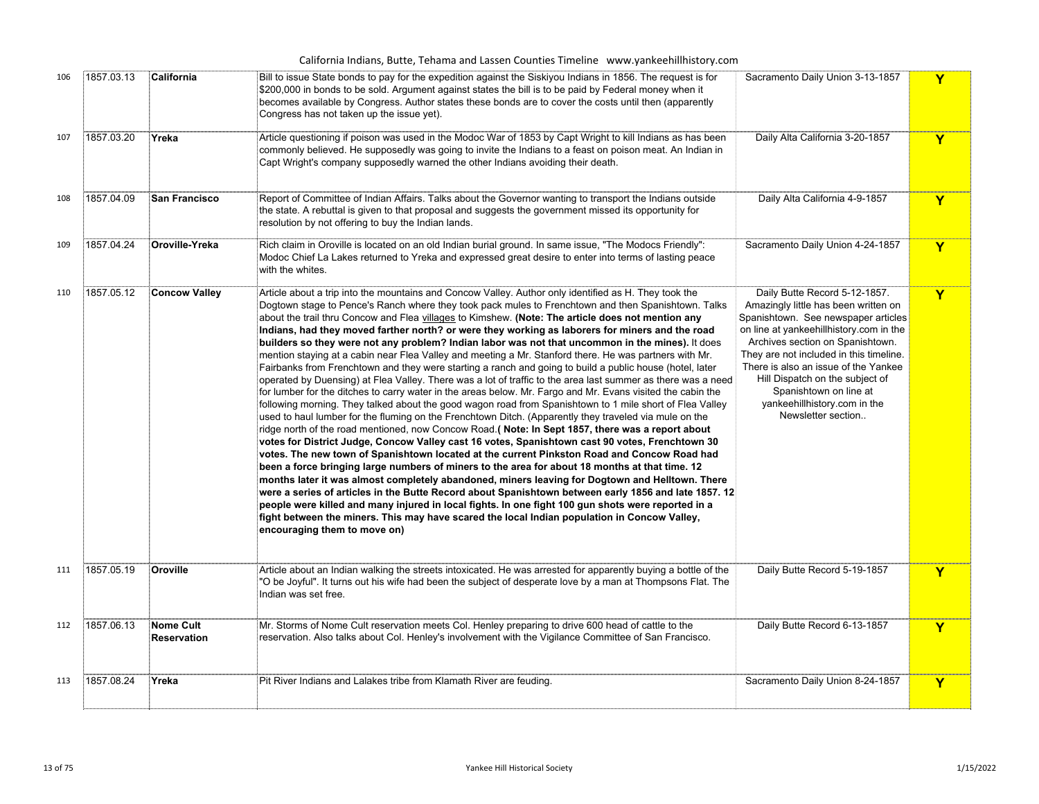| 106 | 1857.03.13 | California                             | Bill to issue State bonds to pay for the expedition against the Siskiyou Indians in 1856. The request is for<br>\$200,000 in bonds to be sold. Argument against states the bill is to be paid by Federal money when it<br>becomes available by Congress. Author states these bonds are to cover the costs until then (apparently<br>Congress has not taken up the issue yet).                                                                                                                                                                                                                                                                                                                                                                                                                                                                                                                                                                                                                                                                                                                                                                                                                                                                                                                                                                                                                                                                                                                                                                                                                                                                                                                                                                                                                                                                                                                                                                                                                                                                                 | Sacramento Daily Union 3-13-1857                                                                                                                                                                                                                                                                                                                                                                  | Y            |
|-----|------------|----------------------------------------|---------------------------------------------------------------------------------------------------------------------------------------------------------------------------------------------------------------------------------------------------------------------------------------------------------------------------------------------------------------------------------------------------------------------------------------------------------------------------------------------------------------------------------------------------------------------------------------------------------------------------------------------------------------------------------------------------------------------------------------------------------------------------------------------------------------------------------------------------------------------------------------------------------------------------------------------------------------------------------------------------------------------------------------------------------------------------------------------------------------------------------------------------------------------------------------------------------------------------------------------------------------------------------------------------------------------------------------------------------------------------------------------------------------------------------------------------------------------------------------------------------------------------------------------------------------------------------------------------------------------------------------------------------------------------------------------------------------------------------------------------------------------------------------------------------------------------------------------------------------------------------------------------------------------------------------------------------------------------------------------------------------------------------------------------------------|---------------------------------------------------------------------------------------------------------------------------------------------------------------------------------------------------------------------------------------------------------------------------------------------------------------------------------------------------------------------------------------------------|--------------|
| 107 | 1857.03.20 | Yreka                                  | Article questioning if poison was used in the Modoc War of 1853 by Capt Wright to kill Indians as has been<br>commonly believed. He supposedly was going to invite the Indians to a feast on poison meat. An Indian in<br>Capt Wright's company supposedly warned the other Indians avoiding their death.                                                                                                                                                                                                                                                                                                                                                                                                                                                                                                                                                                                                                                                                                                                                                                                                                                                                                                                                                                                                                                                                                                                                                                                                                                                                                                                                                                                                                                                                                                                                                                                                                                                                                                                                                     | Daily Alta California 3-20-1857                                                                                                                                                                                                                                                                                                                                                                   | Y            |
| 108 | 1857.04.09 | <b>San Francisco</b>                   | Report of Committee of Indian Affairs. Talks about the Governor wanting to transport the Indians outside<br>the state. A rebuttal is given to that proposal and suggests the government missed its opportunity for<br>resolution by not offering to buy the Indian lands.                                                                                                                                                                                                                                                                                                                                                                                                                                                                                                                                                                                                                                                                                                                                                                                                                                                                                                                                                                                                                                                                                                                                                                                                                                                                                                                                                                                                                                                                                                                                                                                                                                                                                                                                                                                     | Daily Alta California 4-9-1857                                                                                                                                                                                                                                                                                                                                                                    | Y            |
| 109 | 1857.04.24 | Oroville-Yreka                         | Rich claim in Oroville is located on an old Indian burial ground. In same issue, "The Modocs Friendly":<br>Modoc Chief La Lakes returned to Yreka and expressed great desire to enter into terms of lasting peace<br>with the whites.                                                                                                                                                                                                                                                                                                                                                                                                                                                                                                                                                                                                                                                                                                                                                                                                                                                                                                                                                                                                                                                                                                                                                                                                                                                                                                                                                                                                                                                                                                                                                                                                                                                                                                                                                                                                                         | Sacramento Daily Union 4-24-1857                                                                                                                                                                                                                                                                                                                                                                  | Y            |
| 110 | 1857.05.12 | <b>Concow Valley</b>                   | Article about a trip into the mountains and Concow Valley. Author only identified as H. They took the<br>Dogtown stage to Pence's Ranch where they took pack mules to Frenchtown and then Spanishtown. Talks<br>about the trail thru Concow and Flea villages to Kimshew. (Note: The article does not mention any<br>Indians, had they moved farther north? or were they working as laborers for miners and the road<br>builders so they were not any problem? Indian labor was not that uncommon in the mines). It does<br>mention staying at a cabin near Flea Valley and meeting a Mr. Stanford there. He was partners with Mr.<br>Fairbanks from Frenchtown and they were starting a ranch and going to build a public house (hotel, later<br>operated by Duensing) at Flea Valley. There was a lot of traffic to the area last summer as there was a need<br>for lumber for the ditches to carry water in the areas below. Mr. Fargo and Mr. Evans visited the cabin the<br>following morning. They talked about the good wagon road from Spanishtown to 1 mile short of Flea Valley<br>used to haul lumber for the fluming on the Frenchtown Ditch. (Apparently they traveled via mule on the<br>ridge north of the road mentioned, now Concow Road.( Note: In Sept 1857, there was a report about<br>votes for District Judge, Concow Valley cast 16 votes, Spanishtown cast 90 votes, Frenchtown 30<br>votes. The new town of Spanishtown located at the current Pinkston Road and Concow Road had<br>been a force bringing large numbers of miners to the area for about 18 months at that time. 12<br>months later it was almost completely abandoned, miners leaving for Dogtown and Helltown. There<br>were a series of articles in the Butte Record about Spanishtown between early 1856 and late 1857. 12<br>people were killed and many injured in local fights. In one fight 100 gun shots were reported in a<br>fight between the miners. This may have scared the local Indian population in Concow Valley,<br>encouraging them to move on) | Daily Butte Record 5-12-1857.<br>Amazingly little has been written on<br>Spanishtown. See newspaper articles<br>on line at yankeehillhistory.com in the<br>Archives section on Spanishtown.<br>They are not included in this timeline.<br>There is also an issue of the Yankee<br>Hill Dispatch on the subject of<br>Spanishtown on line at<br>yankeehillhistory.com in the<br>Newsletter section | Y            |
| 111 | 1857.05.19 | Oroville                               | Article about an Indian walking the streets intoxicated. He was arrested for apparently buying a bottle of the<br>"O be Joyful". It turns out his wife had been the subject of desperate love by a man at Thompsons Flat. The<br>Indian was set free.                                                                                                                                                                                                                                                                                                                                                                                                                                                                                                                                                                                                                                                                                                                                                                                                                                                                                                                                                                                                                                                                                                                                                                                                                                                                                                                                                                                                                                                                                                                                                                                                                                                                                                                                                                                                         | Daily Butte Record 5-19-1857                                                                                                                                                                                                                                                                                                                                                                      | Y            |
| 112 | 1857.06.13 | <b>Nome Cult</b><br><b>Reservation</b> | Mr. Storms of Nome Cult reservation meets Col. Henley preparing to drive 600 head of cattle to the<br>reservation. Also talks about Col. Henley's involvement with the Vigilance Committee of San Francisco.                                                                                                                                                                                                                                                                                                                                                                                                                                                                                                                                                                                                                                                                                                                                                                                                                                                                                                                                                                                                                                                                                                                                                                                                                                                                                                                                                                                                                                                                                                                                                                                                                                                                                                                                                                                                                                                  | Daily Butte Record 6-13-1857                                                                                                                                                                                                                                                                                                                                                                      | Y            |
| 113 | 1857.08.24 | Yreka                                  | Pit River Indians and Lalakes tribe from Klamath River are feuding.                                                                                                                                                                                                                                                                                                                                                                                                                                                                                                                                                                                                                                                                                                                                                                                                                                                                                                                                                                                                                                                                                                                                                                                                                                                                                                                                                                                                                                                                                                                                                                                                                                                                                                                                                                                                                                                                                                                                                                                           | Sacramento Daily Union 8-24-1857                                                                                                                                                                                                                                                                                                                                                                  | $\mathbf{Y}$ |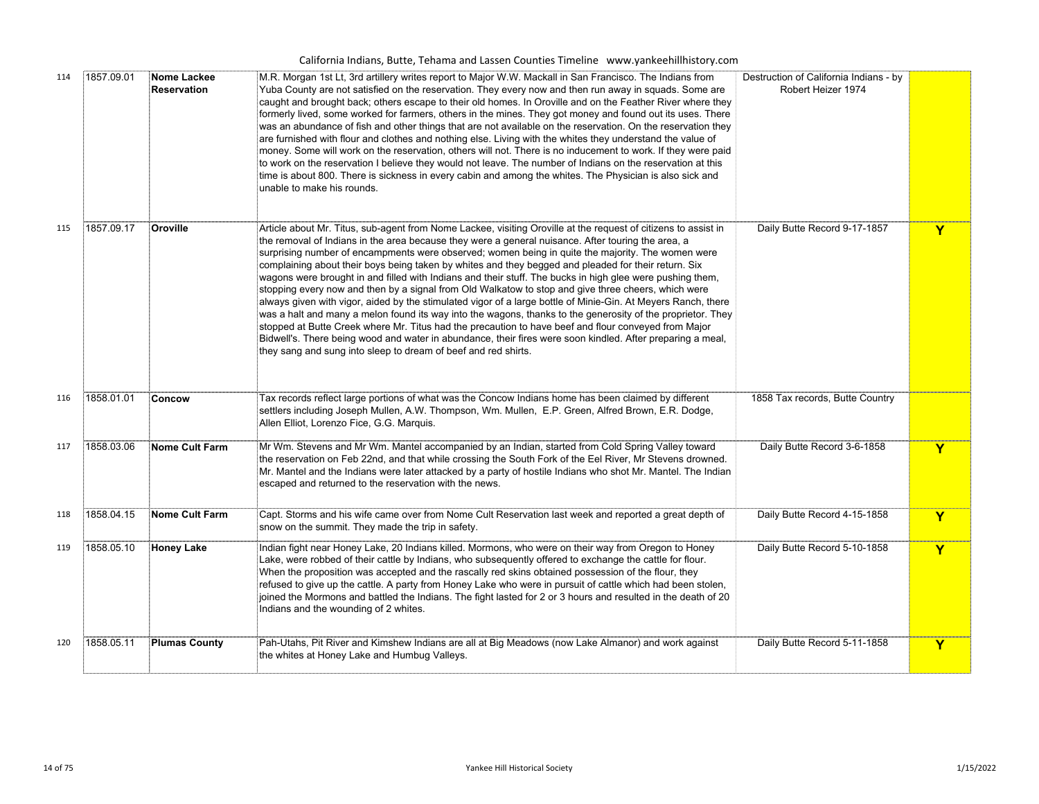| 114 | 1857.09.01 | Nome Lackee<br>Reservation | M.R. Morgan 1st Lt, 3rd artillery writes report to Major W.W. Mackall in San Francisco. The Indians from<br>Yuba County are not satisfied on the reservation. They every now and then run away in squads. Some are<br>caught and brought back; others escape to their old homes. In Oroville and on the Feather River where they<br>formerly lived, some worked for farmers, others in the mines. They got money and found out its uses. There<br>was an abundance of fish and other things that are not available on the reservation. On the reservation they<br>are furnished with flour and clothes and nothing else. Living with the whites they understand the value of<br>money. Some will work on the reservation, others will not. There is no inducement to work. If they were paid<br>to work on the reservation I believe they would not leave. The number of Indians on the reservation at this<br>time is about 800. There is sickness in every cabin and among the whites. The Physician is also sick and<br>unable to make his rounds.                                                                                                                         | Destruction of California Indians - by<br>Robert Heizer 1974 |   |
|-----|------------|----------------------------|-------------------------------------------------------------------------------------------------------------------------------------------------------------------------------------------------------------------------------------------------------------------------------------------------------------------------------------------------------------------------------------------------------------------------------------------------------------------------------------------------------------------------------------------------------------------------------------------------------------------------------------------------------------------------------------------------------------------------------------------------------------------------------------------------------------------------------------------------------------------------------------------------------------------------------------------------------------------------------------------------------------------------------------------------------------------------------------------------------------------------------------------------------------------------------|--------------------------------------------------------------|---|
| 115 | 1857.09.17 | Oroville                   | Article about Mr. Titus, sub-agent from Nome Lackee, visiting Oroville at the request of citizens to assist in<br>the removal of Indians in the area because they were a general nuisance. After touring the area, a<br>surprising number of encampments were observed; women being in quite the majority. The women were<br>complaining about their boys being taken by whites and they begged and pleaded for their return. Six<br>wagons were brought in and filled with Indians and their stuff. The bucks in high glee were pushing them,<br>stopping every now and then by a signal from Old Walkatow to stop and give three cheers, which were<br>always given with vigor, aided by the stimulated vigor of a large bottle of Minie-Gin. At Meyers Ranch, there<br>was a halt and many a melon found its way into the wagons, thanks to the generosity of the proprietor. They<br>stopped at Butte Creek where Mr. Titus had the precaution to have beef and flour conveyed from Major<br>Bidwell's. There being wood and water in abundance, their fires were soon kindled. After preparing a meal,<br>they sang and sung into sleep to dream of beef and red shirts. | Daily Butte Record 9-17-1857                                 | Y |
| 116 | 1858.01.01 | Concow                     | Tax records reflect large portions of what was the Concow Indians home has been claimed by different<br>settlers including Joseph Mullen, A.W. Thompson, Wm. Mullen, E.P. Green, Alfred Brown, E.R. Dodge,<br>Allen Elliot, Lorenzo Fice, G.G. Marquis.                                                                                                                                                                                                                                                                                                                                                                                                                                                                                                                                                                                                                                                                                                                                                                                                                                                                                                                       | 1858 Tax records, Butte Country                              |   |
| 117 | 1858.03.06 | Nome Cult Farm             | Mr Wm. Stevens and Mr Wm. Mantel accompanied by an Indian, started from Cold Spring Valley toward<br>the reservation on Feb 22nd, and that while crossing the South Fork of the Eel River, Mr Stevens drowned.<br>Mr. Mantel and the Indians were later attacked by a party of hostile Indians who shot Mr. Mantel. The Indian<br>escaped and returned to the reservation with the news.                                                                                                                                                                                                                                                                                                                                                                                                                                                                                                                                                                                                                                                                                                                                                                                      | Daily Butte Record 3-6-1858                                  | Y |
| 118 | 1858.04.15 | Nome Cult Farm             | Capt. Storms and his wife came over from Nome Cult Reservation last week and reported a great depth of<br>snow on the summit. They made the trip in safety.                                                                                                                                                                                                                                                                                                                                                                                                                                                                                                                                                                                                                                                                                                                                                                                                                                                                                                                                                                                                                   | Daily Butte Record 4-15-1858                                 | Y |
| 119 | 1858.05.10 | Honey Lake                 | Indian fight near Honey Lake, 20 Indians killed. Mormons, who were on their way from Oregon to Honey<br>Lake, were robbed of their cattle by Indians, who subsequently offered to exchange the cattle for flour.<br>When the proposition was accepted and the rascally red skins obtained possession of the flour, they<br>refused to give up the cattle. A party from Honey Lake who were in pursuit of cattle which had been stolen,<br>joined the Mormons and battled the Indians. The fight lasted for 2 or 3 hours and resulted in the death of 20<br>Indians and the wounding of 2 whites.                                                                                                                                                                                                                                                                                                                                                                                                                                                                                                                                                                              | Daily Butte Record 5-10-1858                                 | Y |
| 120 | 1858.05.11 | <b>Plumas County</b>       | Pah-Utahs, Pit River and Kimshew Indians are all at Big Meadows (now Lake Almanor) and work against<br>the whites at Honey Lake and Humbug Valleys.                                                                                                                                                                                                                                                                                                                                                                                                                                                                                                                                                                                                                                                                                                                                                                                                                                                                                                                                                                                                                           | Daily Butte Record 5-11-1858                                 | Y |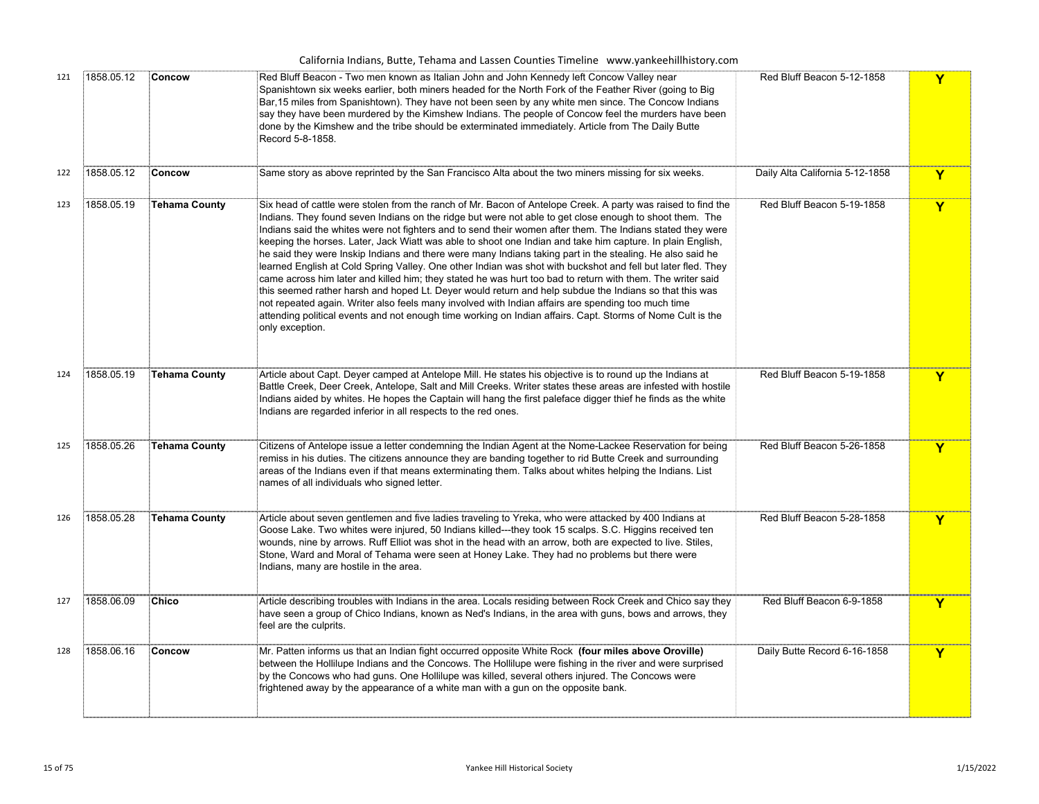|     |            |                      | California Indians, Butte, Tehama and Lassen Counties Timeline www.yankeehillhistory.com                                                                                                                                                                                                                                                                                                                                                                                                                                                                                                                                                                                                                                                                                                                                                                                                                                                                                                                                                                                                                                                        |                                 |                         |
|-----|------------|----------------------|-------------------------------------------------------------------------------------------------------------------------------------------------------------------------------------------------------------------------------------------------------------------------------------------------------------------------------------------------------------------------------------------------------------------------------------------------------------------------------------------------------------------------------------------------------------------------------------------------------------------------------------------------------------------------------------------------------------------------------------------------------------------------------------------------------------------------------------------------------------------------------------------------------------------------------------------------------------------------------------------------------------------------------------------------------------------------------------------------------------------------------------------------|---------------------------------|-------------------------|
| 121 | 1858.05.12 | Concow               | Red Bluff Beacon - Two men known as Italian John and John Kennedy left Concow Valley near<br>Spanishtown six weeks earlier, both miners headed for the North Fork of the Feather River (going to Big<br>Bar, 15 miles from Spanishtown). They have not been seen by any white men since. The Concow Indians<br>say they have been murdered by the Kimshew Indians. The people of Concow feel the murders have been<br>done by the Kimshew and the tribe should be exterminated immediately. Article from The Daily Butte<br>Record 5-8-1858.                                                                                                                                                                                                                                                                                                                                                                                                                                                                                                                                                                                                    | Red Bluff Beacon 5-12-1858      | Y                       |
| 122 | 1858.05.12 | Concow               | Same story as above reprinted by the San Francisco Alta about the two miners missing for six weeks.                                                                                                                                                                                                                                                                                                                                                                                                                                                                                                                                                                                                                                                                                                                                                                                                                                                                                                                                                                                                                                             | Daily Alta California 5-12-1858 | Y                       |
| 123 | 1858.05.19 | <b>Tehama County</b> | Six head of cattle were stolen from the ranch of Mr. Bacon of Antelope Creek. A party was raised to find the<br>Indians. They found seven Indians on the ridge but were not able to get close enough to shoot them. The<br>Indians said the whites were not fighters and to send their women after them. The Indians stated they were<br>keeping the horses. Later, Jack Wiatt was able to shoot one Indian and take him capture. In plain English,<br>he said they were Inskip Indians and there were many Indians taking part in the stealing. He also said he<br>learned English at Cold Spring Valley. One other Indian was shot with buckshot and fell but later fled. They<br>came across him later and killed him; they stated he was hurt too bad to return with them. The writer said<br>this seemed rather harsh and hoped Lt. Deyer would return and help subdue the Indians so that this was<br>not repeated again. Writer also feels many involved with Indian affairs are spending too much time<br>attending political events and not enough time working on Indian affairs. Capt. Storms of Nome Cult is the<br>only exception. | Red Bluff Beacon 5-19-1858      | Y                       |
| 124 | 1858.05.19 | <b>Tehama County</b> | Article about Capt. Deyer camped at Antelope Mill. He states his objective is to round up the Indians at<br>Battle Creek, Deer Creek, Antelope, Salt and Mill Creeks. Writer states these areas are infested with hostile<br>Indians aided by whites. He hopes the Captain will hang the first paleface digger thief he finds as the white<br>Indians are regarded inferior in all respects to the red ones.                                                                                                                                                                                                                                                                                                                                                                                                                                                                                                                                                                                                                                                                                                                                    | Red Bluff Beacon 5-19-1858      | Y                       |
| 125 | 1858.05.26 | <b>Tehama County</b> | Citizens of Antelope issue a letter condemning the Indian Agent at the Nome-Lackee Reservation for being<br>remiss in his duties. The citizens announce they are banding together to rid Butte Creek and surrounding<br>areas of the Indians even if that means exterminating them. Talks about whites helping the Indians. List<br>names of all individuals who signed letter.                                                                                                                                                                                                                                                                                                                                                                                                                                                                                                                                                                                                                                                                                                                                                                 | Red Bluff Beacon 5-26-1858      | Y                       |
| 126 | 1858.05.28 | <b>Tehama County</b> | Article about seven gentlemen and five ladies traveling to Yreka, who were attacked by 400 Indians at<br>Goose Lake. Two whites were injured, 50 Indians killed---they took 15 scalps. S.C. Higgins received ten<br>wounds, nine by arrows. Ruff Elliot was shot in the head with an arrow, both are expected to live. Stiles,<br>Stone, Ward and Moral of Tehama were seen at Honey Lake. They had no problems but there were<br>Indians, many are hostile in the area.                                                                                                                                                                                                                                                                                                                                                                                                                                                                                                                                                                                                                                                                        | Red Bluff Beacon 5-28-1858      | $\overline{\mathbf{Y}}$ |
| 127 | 1858.06.09 | Chico                | Article describing troubles with Indians in the area. Locals residing between Rock Creek and Chico say they<br>have seen a group of Chico Indians, known as Ned's Indians, in the area with guns, bows and arrows, they<br>feel are the culprits.                                                                                                                                                                                                                                                                                                                                                                                                                                                                                                                                                                                                                                                                                                                                                                                                                                                                                               | Red Bluff Beacon 6-9-1858       | Y                       |
| 128 | 1858.06.16 | Concow               | Mr. Patten informs us that an Indian fight occurred opposite White Rock (four miles above Oroville)<br>between the Hollilupe Indians and the Concows. The Hollilupe were fishing in the river and were surprised<br>by the Concows who had guns. One Hollilupe was killed, several others injured. The Concows were<br>frightened away by the appearance of a white man with a gun on the opposite bank.                                                                                                                                                                                                                                                                                                                                                                                                                                                                                                                                                                                                                                                                                                                                        | Daily Butte Record 6-16-1858    | Y                       |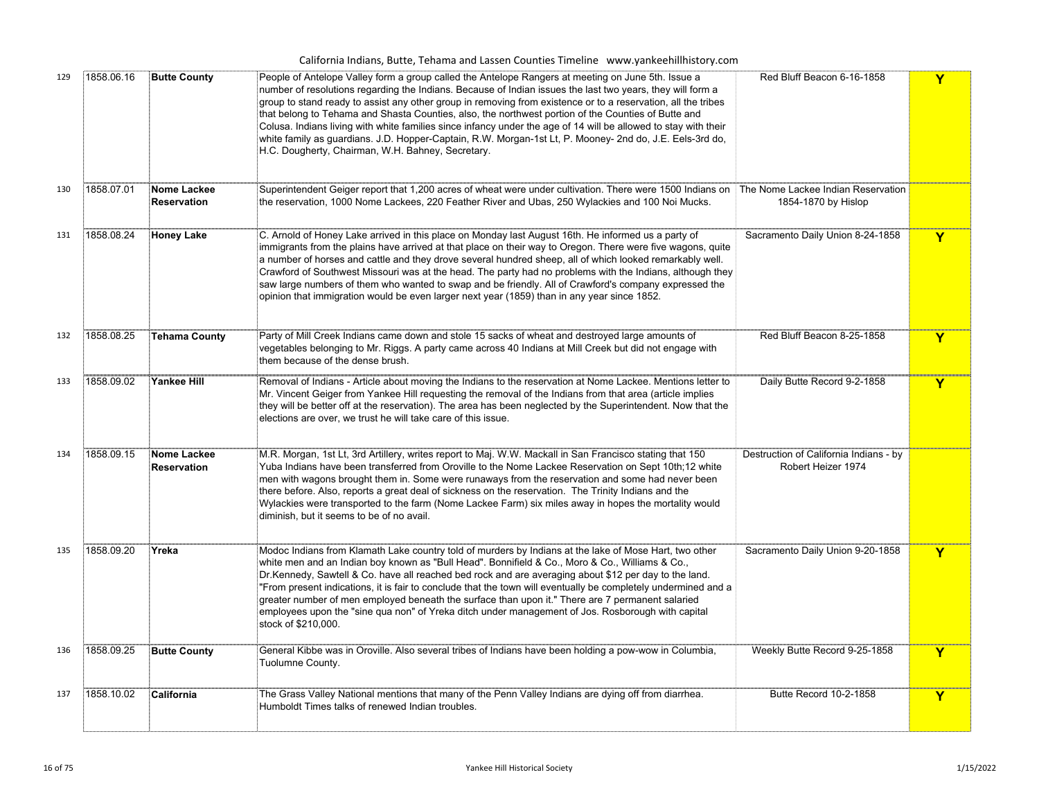|     |            |                                   | California Indians, Butte, Tehama and Lassen Counties Timeline www.yankeehillhistory.com                                                                                                                                                                                                                                                                                                                                                                                                                                                                                                                                                                                                                                     |                                                              |             |
|-----|------------|-----------------------------------|------------------------------------------------------------------------------------------------------------------------------------------------------------------------------------------------------------------------------------------------------------------------------------------------------------------------------------------------------------------------------------------------------------------------------------------------------------------------------------------------------------------------------------------------------------------------------------------------------------------------------------------------------------------------------------------------------------------------------|--------------------------------------------------------------|-------------|
| 129 | 1858.06.16 | <b>Butte County</b>               | People of Antelope Valley form a group called the Antelope Rangers at meeting on June 5th. Issue a<br>number of resolutions regarding the Indians. Because of Indian issues the last two years, they will form a<br>group to stand ready to assist any other group in removing from existence or to a reservation, all the tribes<br>that belong to Tehama and Shasta Counties, also, the northwest portion of the Counties of Butte and<br>Colusa. Indians living with white families since infancy under the age of 14 will be allowed to stay with their<br>white family as guardians. J.D. Hopper-Captain, R.W. Morgan-1st Lt, P. Mooney- 2nd do, J.E. Eels-3rd do,<br>H.C. Dougherty, Chairman, W.H. Bahney, Secretary. | Red Bluff Beacon 6-16-1858                                   | Y           |
| 130 | 1858.07.01 | Nome Lackee<br>Reservation        | Superintendent Geiger report that 1,200 acres of wheat were under cultivation. There were 1500 Indians on The Nome Lackee Indian Reservation<br>the reservation, 1000 Nome Lackees, 220 Feather River and Ubas, 250 Wylackies and 100 Noi Mucks.                                                                                                                                                                                                                                                                                                                                                                                                                                                                             | 1854-1870 by Hislop                                          |             |
| 131 | 1858.08.24 | <b>Honey Lake</b>                 | C. Arnold of Honey Lake arrived in this place on Monday last August 16th. He informed us a party of<br>immigrants from the plains have arrived at that place on their way to Oregon. There were five wagons, quite<br>a number of horses and cattle and they drove several hundred sheep, all of which looked remarkably well.<br>Crawford of Southwest Missouri was at the head. The party had no problems with the Indians, although they<br>saw large numbers of them who wanted to swap and be friendly. All of Crawford's company expressed the<br>opinion that immigration would be even larger next year (1859) than in any year since 1852.                                                                          | Sacramento Daily Union 8-24-1858                             | Y           |
| 132 | 1858.08.25 | <b>Tehama County</b>              | Party of Mill Creek Indians came down and stole 15 sacks of wheat and destroyed large amounts of<br>vegetables belonging to Mr. Riggs. A party came across 40 Indians at Mill Creek but did not engage with<br>them because of the dense brush.                                                                                                                                                                                                                                                                                                                                                                                                                                                                              | Red Bluff Beacon 8-25-1858                                   | Y           |
| 133 | 1858.09.02 | <b>Yankee Hill</b>                | Removal of Indians - Article about moving the Indians to the reservation at Nome Lackee. Mentions letter to<br>Mr. Vincent Geiger from Yankee Hill requesting the removal of the Indians from that area (article implies<br>they will be better off at the reservation). The area has been neglected by the Superintendent. Now that the<br>elections are over, we trust he will take care of this issue.                                                                                                                                                                                                                                                                                                                    | Daily Butte Record 9-2-1858                                  | Y           |
| 134 | 1858.09.15 | Nome Lackee<br><b>Reservation</b> | M.R. Morgan, 1st Lt, 3rd Artillery, writes report to Maj. W.W. Mackall in San Francisco stating that 150ْ<br>Yuba Indians have been transferred from Oroville to the Nome Lackee Reservation on Sept 10th;12 white<br>men with wagons brought them in. Some were runaways from the reservation and some had never been<br>there before. Also, reports a great deal of sickness on the reservation. The Trinity Indians and the<br>Wylackies were transported to the farm (Nome Lackee Farm) six miles away in hopes the mortality would<br>diminish, but it seems to be of no avail.                                                                                                                                         | Destruction of California Indians - by<br>Robert Heizer 1974 |             |
| 135 | 1858.09.20 | Yreka                             | Modoc Indians from Klamath Lake country told of murders by Indians at the lake of Mose Hart, two other<br>white men and an Indian boy known as "Bull Head". Bonnifield & Co., Moro & Co., Williams & Co.,<br>Dr.Kennedy, Sawtell & Co. have all reached bed rock and are averaging about \$12 per day to the land.<br>"From present indications, it is fair to conclude that the town will eventually be completely undermined and a<br>greater number of men employed beneath the surface than upon it." There are 7 permanent salaried<br>employees upon the "sine qua non" of Yreka ditch under management of Jos. Rosborough with capital<br>stock of \$210,000.                                                         | Sacramento Daily Union 9-20-1858                             | Y           |
| 136 | 1858.09.25 | <b>Butte County</b>               | General Kibbe was in Oroville. Also several tribes of Indians have been holding a pow-wow in Columbia,<br>Tuolumne County.                                                                                                                                                                                                                                                                                                                                                                                                                                                                                                                                                                                                   | Weekly Butte Record 9-25-1858                                | $\mathbf Y$ |
| 137 | 1858.10.02 | California                        | The Grass Valley National mentions that many of the Penn Valley Indians are dying off from diarrhea.<br>Humboldt Times talks of renewed Indian troubles.                                                                                                                                                                                                                                                                                                                                                                                                                                                                                                                                                                     | Butte Record 10-2-1858                                       | Y           |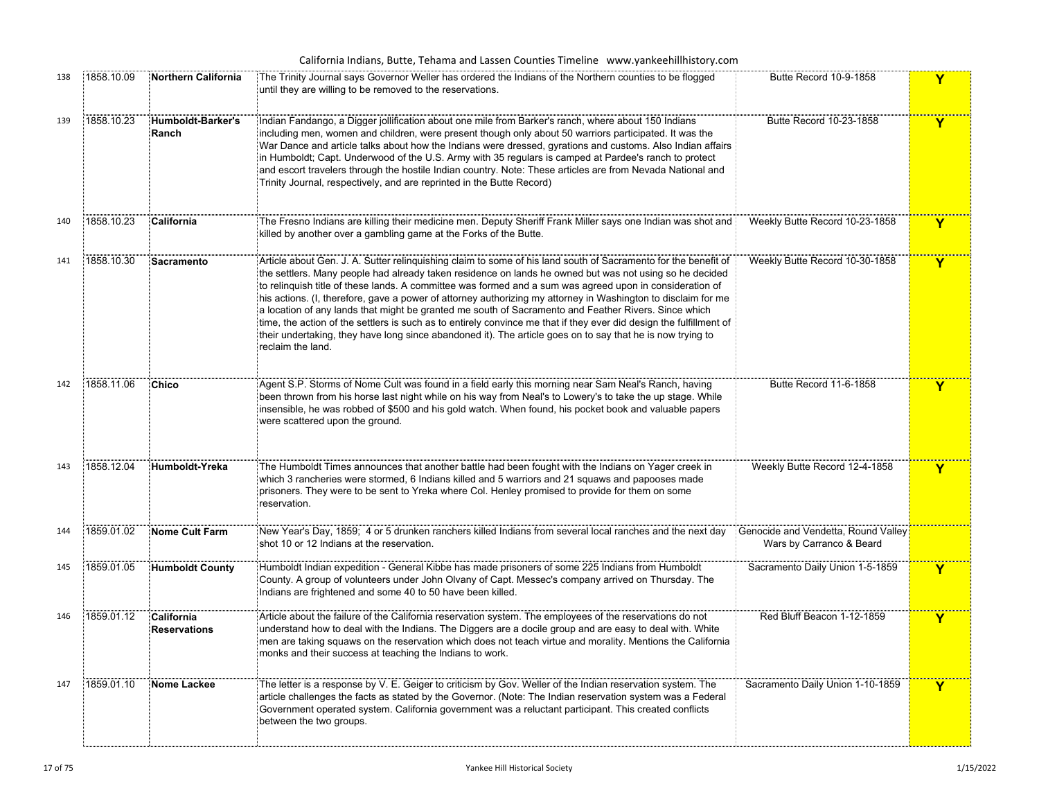|     |            |                                   | California Indians, Butte, Tehama and Lassen Counties Timeline www.yankeehillhistory.com                                                                                                                                                                                                                                                                                                                                                                                                                                                                                                                                                                                                                                                                                                                                   |                                                                 |             |
|-----|------------|-----------------------------------|----------------------------------------------------------------------------------------------------------------------------------------------------------------------------------------------------------------------------------------------------------------------------------------------------------------------------------------------------------------------------------------------------------------------------------------------------------------------------------------------------------------------------------------------------------------------------------------------------------------------------------------------------------------------------------------------------------------------------------------------------------------------------------------------------------------------------|-----------------------------------------------------------------|-------------|
| 138 | 1858.10.09 | <b>Northern California</b>        | The Trinity Journal says Governor Weller has ordered the Indians of the Northern counties to be flogged<br>until they are willing to be removed to the reservations.                                                                                                                                                                                                                                                                                                                                                                                                                                                                                                                                                                                                                                                       | Butte Record 10-9-1858                                          | Y           |
| 139 | 1858.10.23 | Humboldt-Barker's<br>Ranch        | Indian Fandango, a Digger jollification about one mile from Barker's ranch, where about 150 Indians<br>including men, women and children, were present though only about 50 warriors participated. It was the<br>War Dance and article talks about how the Indians were dressed, gyrations and customs. Also Indian affairs<br>in Humboldt; Capt. Underwood of the U.S. Army with 35 regulars is camped at Pardee's ranch to protect<br>and escort travelers through the hostile Indian country. Note: These articles are from Nevada National and<br>Trinity Journal, respectively, and are reprinted in the Butte Record)                                                                                                                                                                                                | Butte Record 10-23-1858                                         | Y           |
| 140 | 1858.10.23 | California                        | The Fresno Indians are killing their medicine men. Deputy Sheriff Frank Miller says one Indian was shot and<br>killed by another over a gambling game at the Forks of the Butte.                                                                                                                                                                                                                                                                                                                                                                                                                                                                                                                                                                                                                                           | Weekly Butte Record 10-23-1858                                  | Y           |
| 141 | 1858.10.30 | Sacramento                        | Article about Gen. J. A. Sutter relinguishing claim to some of his land south of Sacramento for the benefit of<br>the settlers. Many people had already taken residence on lands he owned but was not using so he decided<br>to relinquish title of these lands. A committee was formed and a sum was agreed upon in consideration of<br>็ะhis actions. (I, therefore, gave a power of attorney authorizing my attorney in Washington to disclaim for me<br>a location of any lands that might be granted me south of Sacramento and Feather Rivers. Since which<br>time, the action of the settlers is such as to entirely convince me that if they ever did design the fulfillment of<br>their undertaking, they have long since abandoned it). The article goes on to say that he is now trying to<br>reclaim the land. | Weekly Butte Record 10-30-1858                                  | Y           |
| 142 | 1858.11.06 | Chico                             | Agent S.P. Storms of Nome Cult was found in a field early this morning near Sam Neal's Ranch, having<br>been thrown from his horse last night while on his way from Neal's to Lowery's to take the up stage. While<br>insensible, he was robbed of \$500 and his gold watch. When found, his pocket book and valuable papers<br>were scattered upon the ground.                                                                                                                                                                                                                                                                                                                                                                                                                                                            | Butte Record 11-6-1858                                          | Y           |
| 143 | 1858.12.04 | Humboldt-Yreka                    | The Humboldt Times announces that another battle had been fought with the Indians on Yager creek in<br>which 3 rancheries were stormed, 6 Indians killed and 5 warriors and 21 squaws and papooses made<br>prisoners. They were to be sent to Yreka where Col. Henley promised to provide for them on some<br>reservation.                                                                                                                                                                                                                                                                                                                                                                                                                                                                                                 | Weekly Butte Record 12-4-1858                                   | Y           |
| 144 | 1859.01.02 | Nome Cult Farm                    | New Year's Day, 1859; 4 or 5 drunken ranchers killed Indians from several local ranches and the next day<br>shot 10 or 12 Indians at the reservation.                                                                                                                                                                                                                                                                                                                                                                                                                                                                                                                                                                                                                                                                      | Genocide and Vendetta, Round Valley<br>Wars by Carranco & Beard |             |
| 145 | 1859.01.05 | <b>Humboldt County</b>            | Humboldt Indian expedition - General Kibbe has made prisoners of some 225 Indians from Humboldt<br>County. A group of volunteers under John Olvany of Capt. Messec's company arrived on Thursday. The<br>Indians are frightened and some 40 to 50 have been killed.                                                                                                                                                                                                                                                                                                                                                                                                                                                                                                                                                        | Sacramento Daily Union 1-5-1859                                 | $\mathbf Y$ |
| 146 | 1859.01.12 | California<br><b>Reservations</b> | Article about the failure of the California reservation system. The employees of the reservations do not<br>understand how to deal with the Indians. The Diggers are a docile group and are easy to deal with. White<br>men are taking squaws on the reservation which does not teach virtue and morality. Mentions the California<br>monks and their success at teaching the Indians to work.                                                                                                                                                                                                                                                                                                                                                                                                                             | Red Bluff Beacon 1-12-1859                                      | Y           |
| 147 | 1859.01.10 | Nome Lackee                       | The letter is a response by V. E. Geiger to criticism by Gov. Weller of the Indian reservation system. The<br>article challenges the facts as stated by the Governor. (Note: The Indian reservation system was a Federal<br>Government operated system. California government was a reluctant participant. This created conflicts<br>between the two groups.                                                                                                                                                                                                                                                                                                                                                                                                                                                               | Sacramento Daily Union 1-10-1859                                | Y           |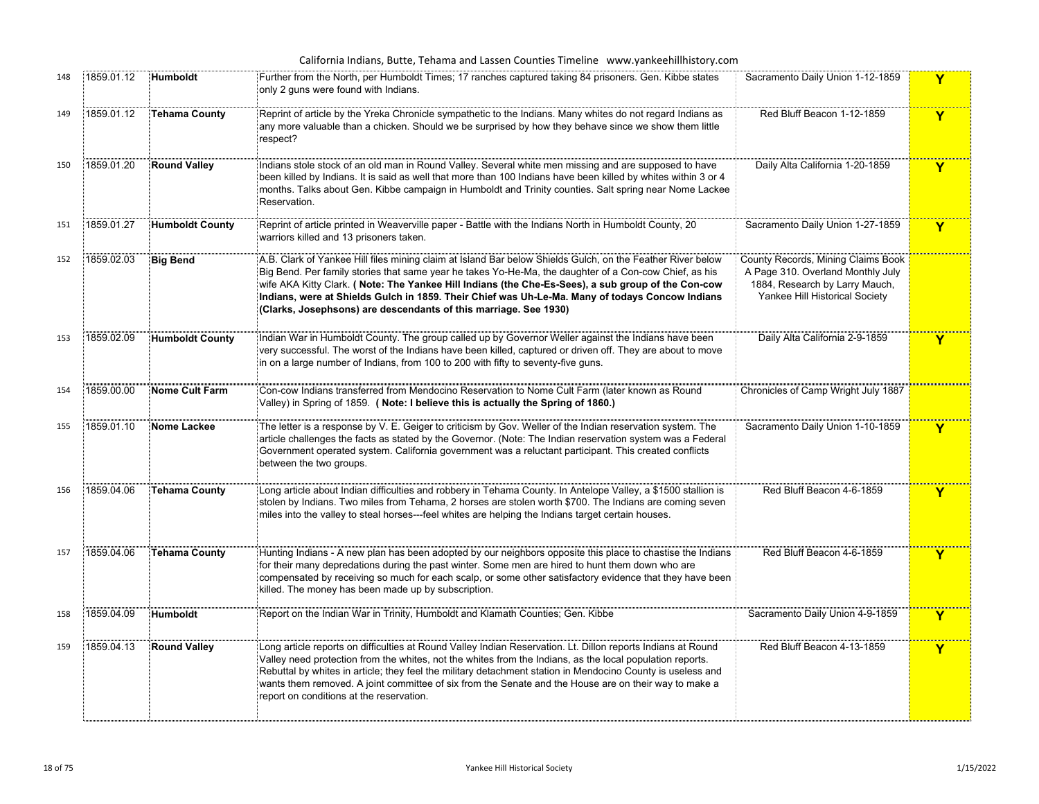|     |            |                        | California Indians, Butte, Tehama and Lassen Counties Timeline www.yankeehillhistory.com                                                                                                                                                                                                                                                                                                                                                                                                          |                                                                                                                                             |             |
|-----|------------|------------------------|---------------------------------------------------------------------------------------------------------------------------------------------------------------------------------------------------------------------------------------------------------------------------------------------------------------------------------------------------------------------------------------------------------------------------------------------------------------------------------------------------|---------------------------------------------------------------------------------------------------------------------------------------------|-------------|
| 148 | 1859.01.12 | <b>Humboldt</b>        | Further from the North, per Humboldt Times; 17 ranches captured taking 84 prisoners. Gen. Kibbe states<br>only 2 guns were found with Indians.                                                                                                                                                                                                                                                                                                                                                    | Sacramento Daily Union 1-12-1859                                                                                                            | Y           |
| 149 | 1859.01.12 | <b>Tehama County</b>   | Reprint of article by the Yreka Chronicle sympathetic to the Indians. Many whites do not regard Indians as<br>any more valuable than a chicken. Should we be surprised by how they behave since we show them little<br>respect?                                                                                                                                                                                                                                                                   | Red Bluff Beacon 1-12-1859                                                                                                                  | Y           |
| 150 | 1859.01.20 | <b>Round Valley</b>    | Indians stole stock of an old man in Round Valley. Several white men missing and are supposed to have<br>been killed by Indians. It is said as well that more than 100 Indians have been killed by whites within 3 or 4<br>months. Talks about Gen. Kibbe campaign in Humboldt and Trinity counties. Salt spring near Nome Lackee<br>Reservation.                                                                                                                                                 | Daily Alta California 1-20-1859                                                                                                             | $\mathbf Y$ |
| 151 | 1859.01.27 | <b>Humboldt County</b> | Reprint of article printed in Weaverville paper - Battle with the Indians North in Humboldt County, 20<br>warriors killed and 13 prisoners taken.                                                                                                                                                                                                                                                                                                                                                 | Sacramento Daily Union 1-27-1859                                                                                                            | Y           |
| 152 | 1859.02.03 | <b>Big Bend</b>        | A.B. Clark of Yankee Hill files mining claim at Island Bar below Shields Gulch, on the Feather River below<br>Big Bend. Per family stories that same year he takes Yo-He-Ma, the daughter of a Con-cow Chief, as his<br>wife AKA Kitty Clark. (Note: The Yankee Hill Indians (the Che-Es-Sees), a sub group of the Con-cow<br>Indians, were at Shields Gulch in 1859. Their Chief was Uh-Le-Ma. Many of todays Concow Indians<br>(Clarks, Josephsons) are descendants of this marriage. See 1930) | County Records, Mining Claims Book<br>A Page 310. Overland Monthly July<br>1884, Research by Larry Mauch,<br>Yankee Hill Historical Society |             |
| 153 | 1859.02.09 | <b>Humboldt County</b> | Indian War in Humboldt County. The group called up by Governor Weller against the Indians have been<br>very successful. The worst of the Indians have been killed, captured or driven off. They are about to move<br>in on a large number of Indians, from 100 to 200 with fifty to seventy-five guns.                                                                                                                                                                                            | Daily Alta California 2-9-1859                                                                                                              | Y           |
| 154 | 1859.00.00 | Nome Cult Farm         | Con-cow Indians transferred from Mendocino Reservation to Nome Cult Farm (later known as Round<br>Valley) in Spring of 1859. (Note: I believe this is actually the Spring of 1860.)                                                                                                                                                                                                                                                                                                               | Chronicles of Camp Wright July 1887                                                                                                         |             |
| 155 | 1859.01.10 | Nome Lackee            | .<br>The letter is a response by V. E. Geiger to criticism by Gov. Weller of the Indian reservation system. The :<br>article challenges the facts as stated by the Governor. (Note: The Indian reservation system was a Federal<br>Government operated system. California government was a reluctant participant. This created conflicts<br>between the two groups.                                                                                                                               | Sacramento Daily Union 1-10-1859                                                                                                            | Y           |
| 156 | 1859.04.06 | <b>Tehama County</b>   | Long article about Indian difficulties and robbery in Tehama County. In Antelope Valley, a \$1500 stallion is<br>stolen by Indians. Two miles from Tehama, 2 horses are stolen worth \$700. The Indians are coming seven<br>miles into the valley to steal horses---feel whites are helping the Indians target certain houses.                                                                                                                                                                    | Red Bluff Beacon 4-6-1859                                                                                                                   | Y           |
| 157 | 1859.04.06 | <b>Tehama County</b>   | Hunting Indians - A new plan has been adopted by our neighbors opposite this place to chastise the Indians<br>for their many depredations during the past winter. Some men are hired to hunt them down who are<br>compensated by receiving so much for each scalp, or some other satisfactory evidence that they have been<br>killed. The money has been made up by subscription.                                                                                                                 | Red Bluff Beacon 4-6-1859                                                                                                                   | Y           |
| 158 | 1859.04.09 | Humboldt               | Report on the Indian War in Trinity, Humboldt and Klamath Counties; Gen. Kibbe                                                                                                                                                                                                                                                                                                                                                                                                                    | Sacramento Daily Union 4-9-1859                                                                                                             | Y           |
| 159 | 1859.04.13 | <b>Round Valley</b>    | Long article reports on difficulties at Round Valley Indian Reservation. Lt. Dillon reports Indians at Round<br>Valley need protection from the whites, not the whites from the Indians, as the local population reports.<br>Rebuttal by whites in article; they feel the military detachment station in Mendocino County is useless and<br>wants them removed. A joint committee of six from the Senate and the House are on their way to make a<br>report on conditions at the reservation.     | Red Bluff Beacon 4-13-1859                                                                                                                  | Y           |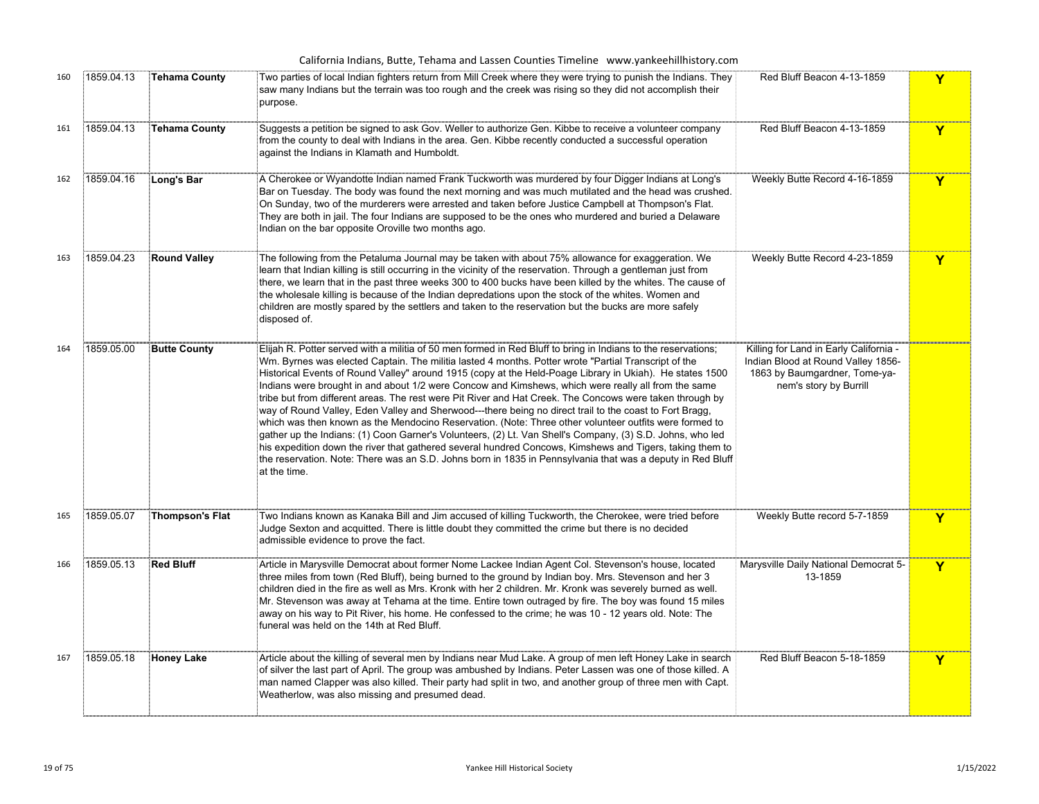|     |            |                        | California Indians, Butte, Tehama and Lassen Counties Timeline www.yankeehillhistory.com                                                                                                                                                                                                                                                                                                                                                                                                                                                                                                                                                                                                                                                                                                                                                                                                                                                                                                                                                                                                                                          |                                                                                                                                         |   |
|-----|------------|------------------------|-----------------------------------------------------------------------------------------------------------------------------------------------------------------------------------------------------------------------------------------------------------------------------------------------------------------------------------------------------------------------------------------------------------------------------------------------------------------------------------------------------------------------------------------------------------------------------------------------------------------------------------------------------------------------------------------------------------------------------------------------------------------------------------------------------------------------------------------------------------------------------------------------------------------------------------------------------------------------------------------------------------------------------------------------------------------------------------------------------------------------------------|-----------------------------------------------------------------------------------------------------------------------------------------|---|
| 160 | 1859.04.13 | <b>Tehama County</b>   | Two parties of local Indian fighters return from Mill Creek where they were trying to punish the Indians. They<br>saw many Indians but the terrain was too rough and the creek was rising so they did not accomplish their<br>purpose.                                                                                                                                                                                                                                                                                                                                                                                                                                                                                                                                                                                                                                                                                                                                                                                                                                                                                            | Red Bluff Beacon 4-13-1859                                                                                                              | Y |
| 161 | 1859.04.13 | <b>Tehama County</b>   | Suggests a petition be signed to ask Gov. Weller to authorize Gen. Kibbe to receive a volunteer company<br>from the county to deal with Indians in the area. Gen. Kibbe recently conducted a successful operation<br>against the Indians in Klamath and Humboldt.                                                                                                                                                                                                                                                                                                                                                                                                                                                                                                                                                                                                                                                                                                                                                                                                                                                                 | Red Bluff Beacon 4-13-1859                                                                                                              | Y |
| 162 | 1859.04.16 | Long's Bar             | A Cherokee or Wyandotte Indian named Frank Tuckworth was murdered by four Digger Indians at Long's<br>Bar on Tuesday. The body was found the next morning and was much mutilated and the head was crushed.<br>On Sunday, two of the murderers were arrested and taken before Justice Campbell at Thompson's Flat.<br>They are both in jail. The four Indians are supposed to be the ones who murdered and buried a Delaware<br>Indian on the bar opposite Oroville two months ago.                                                                                                                                                                                                                                                                                                                                                                                                                                                                                                                                                                                                                                                | Weekly Butte Record 4-16-1859                                                                                                           | Y |
| 163 | 1859.04.23 | <b>Round Valley</b>    | The following from the Petaluma Journal may be taken with about 75% allowance for exaggeration. We<br>learn that Indian killing is still occurring in the vicinity of the reservation. Through a gentleman just from<br>there, we learn that in the past three weeks 300 to 400 bucks have been killed by the whites. The cause of<br>the wholesale killing is because of the Indian depredations upon the stock of the whites. Women and<br>children are mostly spared by the settlers and taken to the reservation but the bucks are more safely<br>disposed of.                                                                                                                                                                                                                                                                                                                                                                                                                                                                                                                                                                | Weekly Butte Record 4-23-1859                                                                                                           | Y |
| 164 | 1859.05.00 | <b>Butte County</b>    | Elijah R. Potter served with a militia of 50 men formed in Red Bluff to bring in Indians to the reservations;<br>Wm. Byrnes was elected Captain. The militia lasted 4 months. Potter wrote "Partial Transcript of the<br>Historical Events of Round Valley" around 1915 (copy at the Held-Poage Library in Ukiah). He states 1500<br>Indians were brought in and about 1/2 were Concow and Kimshews, which were really all from the same<br>tribe but from different areas. The rest were Pit River and Hat Creek. The Concows were taken through by<br>way of Round Valley, Eden Valley and Sherwood---there being no direct trail to the coast to Fort Bragg,<br>which was then known as the Mendocino Reservation. (Note: Three other volunteer outfits were formed to<br>gather up the Indians: (1) Coon Garner's Volunteers, (2) Lt. Van Shell's Company, (3) S.D. Johns, who led<br>his expedition down the river that gathered several hundred Concows, Kimshews and Tigers, taking them to<br>the reservation. Note: There was an S.D. Johns born in 1835 in Pennsylvania that was a deputy in Red Bluff:<br>at the time. | Killing for Land in Early California -<br>Indian Blood at Round Valley 1856-<br>1863 by Baumgardner, Tome-ya-<br>nem's story by Burrill |   |
| 165 | 1859.05.07 | <b>Thompson's Flat</b> | Two Indians known as Kanaka Bill and Jim accused of killing Tuckworth, the Cherokee, were tried before<br>Judge Sexton and acquitted. There is little doubt they committed the crime but there is no decided<br>admissible evidence to prove the fact.                                                                                                                                                                                                                                                                                                                                                                                                                                                                                                                                                                                                                                                                                                                                                                                                                                                                            | Weekly Butte record 5-7-1859                                                                                                            | Y |
| 166 | 1859.05.13 | <b>Red Bluff</b>       | Article in Marysville Democrat about former Nome Lackee Indian Agent Col. Stevenson's house, located<br>three miles from town (Red Bluff), being burned to the ground by Indian boy. Mrs. Stevenson and her 3<br>children died in the fire as well as Mrs. Kronk with her 2 children. Mr. Kronk was severely burned as well.<br>Mr. Stevenson was away at Tehama at the time. Entire town outraged by fire. The boy was found 15 miles<br>away on his way to Pit River, his home. He confessed to the crime; he was 10 - 12 years old. Note: The<br>funeral was held on the 14th at Red Bluff.                                                                                                                                                                                                                                                                                                                                                                                                                                                                                                                                    | Marysville Daily National Democrat 5-<br>13-1859                                                                                        | Y |
| 167 | 1859.05.18 | <b>Honey Lake</b>      | Article about the killing of several men by Indians near Mud Lake. A group of men left Honey Lake in search<br>of silver the last part of April. The group was ambushed by Indians. Peter Lassen was one of those killed. A<br>man named Clapper was also killed. Their party had split in two, and another group of three men with Capt.<br>Weatherlow, was also missing and presumed dead.                                                                                                                                                                                                                                                                                                                                                                                                                                                                                                                                                                                                                                                                                                                                      | Red Bluff Beacon 5-18-1859                                                                                                              | Y |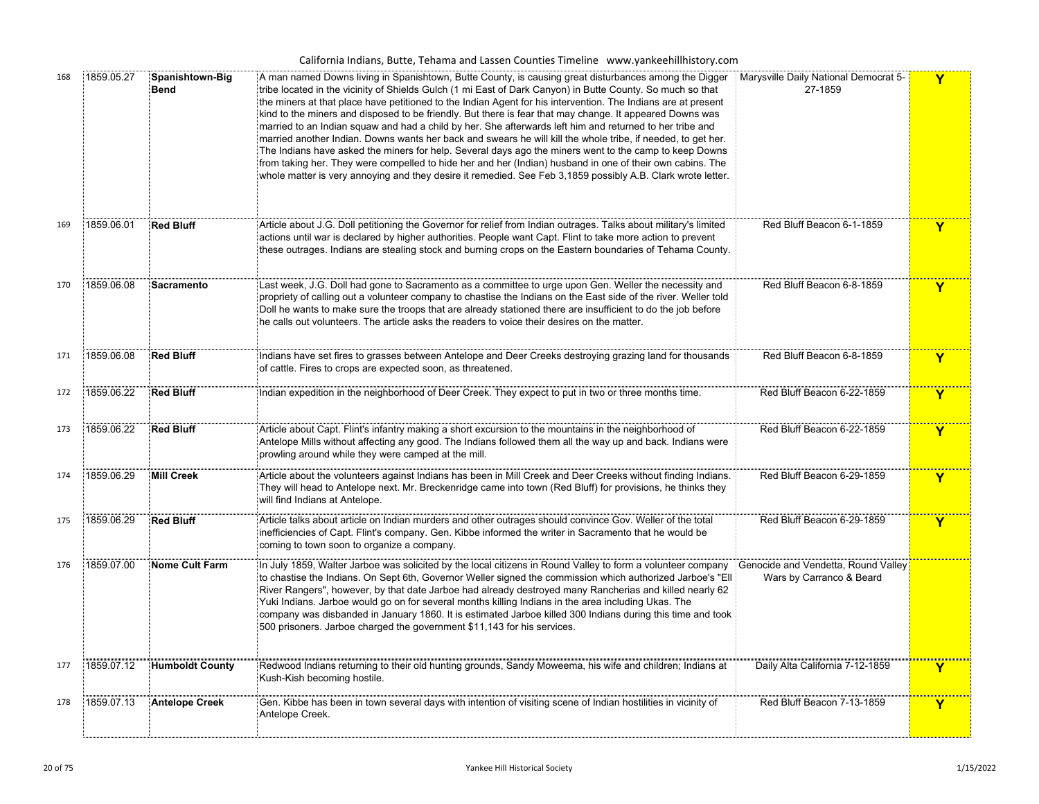| 168 | 1859.05.27 | Spanishtown-Big<br><b>Bend</b> | A man named Downs living in Spanishtown, Butte County, is causing great disturbances among the Digger<br>tribe located in the vicinity of Shields Gulch (1 mi East of Dark Canyon) in Butte County. So much so that<br>the miners at that place have petitioned to the Indian Agent for his intervention. The Indians are at present<br>kind to the miners and disposed to be friendly. But there is fear that may change. It appeared Downs was<br>married to an Indian squaw and had a child by her. She afterwards left him and returned to her tribe and<br>married another Indian. Downs wants her back and swears he will kill the whole tribe, if needed, to get her.<br>The Indians have asked the miners for help. Several days ago the miners went to the camp to keep Downs<br>from taking her. They were compelled to hide her and her (Indian) husband in one of their own cabins. The<br>whole matter is very annoying and they desire it remedied. See Feb 3,1859 possibly A.B. Clark wrote letter. | Marysville Daily National Democrat 5-<br>27-1859                | Y                       |
|-----|------------|--------------------------------|--------------------------------------------------------------------------------------------------------------------------------------------------------------------------------------------------------------------------------------------------------------------------------------------------------------------------------------------------------------------------------------------------------------------------------------------------------------------------------------------------------------------------------------------------------------------------------------------------------------------------------------------------------------------------------------------------------------------------------------------------------------------------------------------------------------------------------------------------------------------------------------------------------------------------------------------------------------------------------------------------------------------|-----------------------------------------------------------------|-------------------------|
| 169 | 1859.06.01 | <b>Red Bluff</b>               | Article about J.G. Doll petitioning the Governor for relief from Indian outrages. Talks about military's limited<br>actions until war is declared by higher authorities. People want Capt. Flint to take more action to prevent<br>these outrages. Indians are stealing stock and burning crops on the Eastern boundaries of Tehama County.                                                                                                                                                                                                                                                                                                                                                                                                                                                                                                                                                                                                                                                                        | Red Bluff Beacon 6-1-1859                                       | Y                       |
| 170 | 1859.06.08 | <b>Sacramento</b>              | Last week, J.G. Doll had gone to Sacramento as a committee to urge upon Gen. Weller the necessity and<br>propriety of calling out a volunteer company to chastise the Indians on the East side of the river. Weller told<br>Doll he wants to make sure the troops that are already stationed there are insufficient to do the job before<br>he calls out volunteers. The article asks the readers to voice their desires on the matter.                                                                                                                                                                                                                                                                                                                                                                                                                                                                                                                                                                            | Red Bluff Beacon 6-8-1859                                       | $\overline{\mathbf{Y}}$ |
| 171 | 1859.06.08 | <b>Red Bluff</b>               | Indians have set fires to grasses between Antelope and Deer Creeks destroying grazing land for thousands<br>of cattle. Fires to crops are expected soon, as threatened.                                                                                                                                                                                                                                                                                                                                                                                                                                                                                                                                                                                                                                                                                                                                                                                                                                            | Red Bluff Beacon 6-8-1859                                       | Y                       |
| 172 | 1859.06.22 | <b>Red Bluff</b>               | Indian expedition in the neighborhood of Deer Creek. They expect to put in two or three months time.                                                                                                                                                                                                                                                                                                                                                                                                                                                                                                                                                                                                                                                                                                                                                                                                                                                                                                               | Red Bluff Beacon 6-22-1859                                      | $\mathbf Y$             |
| 173 | 1859.06.22 | <b>Red Bluff</b>               | Article about Capt. Flint's infantry making a short excursion to the mountains in the neighborhood of<br>Antelope Mills without affecting any good. The Indians followed them all the way up and back. Indians were<br>prowling around while they were camped at the mill.                                                                                                                                                                                                                                                                                                                                                                                                                                                                                                                                                                                                                                                                                                                                         | Red Bluff Beacon 6-22-1859                                      | Y                       |
| 174 | 1859.06.29 | <b>Mill Creek</b>              | Article about the volunteers against Indians has been in Mill Creek and Deer Creeks without finding Indians.<br>They will head to Antelope next. Mr. Breckenridge came into town (Red Bluff) for provisions, he thinks they<br>will find Indians at Antelope.                                                                                                                                                                                                                                                                                                                                                                                                                                                                                                                                                                                                                                                                                                                                                      | Red Bluff Beacon 6-29-1859                                      | Y                       |
| 175 | 1859.06.29 | <b>Red Bluff</b>               | Article talks about article on Indian murders and other outrages should convince Gov. Weller of the total<br>inefficiencies of Capt. Flint's company. Gen. Kibbe informed the writer in Sacramento that he would be<br>coming to town soon to organize a company.                                                                                                                                                                                                                                                                                                                                                                                                                                                                                                                                                                                                                                                                                                                                                  | Red Bluff Beacon 6-29-1859                                      | Y                       |
| 176 | 1859.07.00 | <b>Nome Cult Farm</b>          | In July 1859, Walter Jarboe was solicited by the local citizens in Round Valley to form a volunteer company<br>to chastise the Indians. On Sept 6th, Governor Weller signed the commission which authorized Jarboe's "Ell<br>River Rangers", however, by that date Jarboe had already destroyed many Rancherias and killed nearly 62<br>Yuki Indians. Jarboe would go on for several months killing Indians in the area including Ukas. The<br>company was disbanded in January 1860. It is estimated Jarboe killed 300 Indians during this time and took<br>500 prisoners. Jarboe charged the government \$11,143 for his services.                                                                                                                                                                                                                                                                                                                                                                               | Genocide and Vendetta, Round Valley<br>Wars by Carranco & Beard |                         |
| 177 | 1859.07.12 | <b>Humboldt County</b>         | Redwood Indians returning to their old hunting grounds, Sandy Moweema, his wife and children; Indians at<br>Kush-Kish becoming hostile.                                                                                                                                                                                                                                                                                                                                                                                                                                                                                                                                                                                                                                                                                                                                                                                                                                                                            | Daily Alta California 7-12-1859                                 | Y                       |
| 178 | 1859.07.13 | Antelope Creek                 | Gen. Kibbe has been in town several days with intention of visiting scene of Indian hostilities in vicinity of<br>Antelope Creek.                                                                                                                                                                                                                                                                                                                                                                                                                                                                                                                                                                                                                                                                                                                                                                                                                                                                                  | Red Bluff Beacon 7-13-1859                                      | Y                       |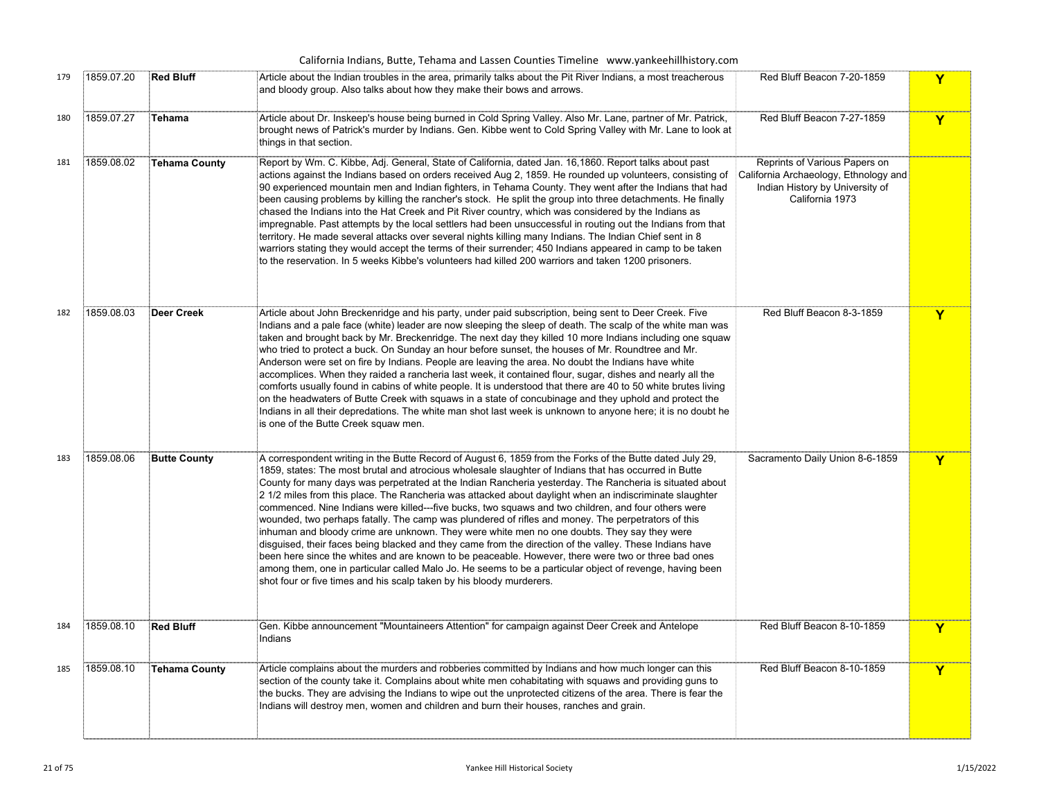| California Indians, Butte, Tehama and Lassen Counties Timeline www.yankeehillhistory.com<br>Red Bluff Beacon 7-20-1859<br>1859.07.20<br><b>Red Bluff</b><br>Article about the Indian troubles in the area, primarily talks about the Pit River Indians, a most treacherous<br>179<br>Y<br>and bloody group. Also talks about how they make their bows and arrows. |            |                      |                                                                                                                                                                                                                                                                                                                                                                                                                                                                                                                                                                                                                                                                                                                                                                                                                                                                                                                                                                                                                                                                                                                                                           |                                                                                                                              |   |  |  |
|-------------------------------------------------------------------------------------------------------------------------------------------------------------------------------------------------------------------------------------------------------------------------------------------------------------------------------------------------------------------|------------|----------------------|-----------------------------------------------------------------------------------------------------------------------------------------------------------------------------------------------------------------------------------------------------------------------------------------------------------------------------------------------------------------------------------------------------------------------------------------------------------------------------------------------------------------------------------------------------------------------------------------------------------------------------------------------------------------------------------------------------------------------------------------------------------------------------------------------------------------------------------------------------------------------------------------------------------------------------------------------------------------------------------------------------------------------------------------------------------------------------------------------------------------------------------------------------------|------------------------------------------------------------------------------------------------------------------------------|---|--|--|
|                                                                                                                                                                                                                                                                                                                                                                   |            |                      |                                                                                                                                                                                                                                                                                                                                                                                                                                                                                                                                                                                                                                                                                                                                                                                                                                                                                                                                                                                                                                                                                                                                                           |                                                                                                                              |   |  |  |
| 180                                                                                                                                                                                                                                                                                                                                                               | 1859.07.27 | Tehama               | Article about Dr. Inskeep's house being burned in Cold Spring Valley. Also Mr. Lane, partner of Mr. Patrick,<br>brought news of Patrick's murder by Indians. Gen. Kibbe went to Cold Spring Valley with Mr. Lane to look at<br>things in that section.                                                                                                                                                                                                                                                                                                                                                                                                                                                                                                                                                                                                                                                                                                                                                                                                                                                                                                    | Red Bluff Beacon 7-27-1859                                                                                                   | Y |  |  |
| 181                                                                                                                                                                                                                                                                                                                                                               | 1859.08.02 | <b>Tehama County</b> | Report by Wm. C. Kibbe, Adj. General, State of California, dated Jan. 16,1860. Report talks about past<br>actions against the Indians based on orders received Aug 2, 1859. He rounded up volunteers, consisting of<br>90 experienced mountain men and Indian fighters, in Tehama County. They went after the Indians that had<br>been causing problems by killing the rancher's stock. He split the group into three detachments. He finally<br>chased the Indians into the Hat Creek and Pit River country, which was considered by the Indians as<br>impregnable. Past attempts by the local settlers had been unsuccessful in routing out the Indians from that<br>territory. He made several attacks over several nights killing many Indians. The Indian Chief sent in 8<br>warriors stating they would accept the terms of their surrender; 450 Indians appeared in camp to be taken<br>to the reservation. In 5 weeks Kibbe's volunteers had killed 200 warriors and taken 1200 prisoners.                                                                                                                                                        | Reprints of Various Papers on<br>California Archaeology, Ethnology and<br>Indian History by University of<br>California 1973 |   |  |  |
| 182                                                                                                                                                                                                                                                                                                                                                               | 1859.08.03 | Deer Creek           | Article about John Breckenridge and his party, under paid subscription, being sent to Deer Creek. Five<br>Indians and a pale face (white) leader are now sleeping the sleep of death. The scalp of the white man was<br>taken and brought back by Mr. Breckenridge. The next day they killed 10 more Indians including one squaw<br>who tried to protect a buck. On Sunday an hour before sunset, the houses of Mr. Roundtree and Mr.<br>Anderson were set on fire by Indians. People are leaving the area. No doubt the Indians have white<br>accomplices. When they raided a rancheria last week, it contained flour, sugar, dishes and nearly all the<br>comforts usually found in cabins of white people. It is understood that there are 40 to 50 white brutes living<br>on the headwaters of Butte Creek with squaws in a state of concubinage and they uphold and protect the<br>Indians in all their depredations. The white man shot last week is unknown to anyone here; it is no doubt he<br>is one of the Butte Creek squaw men.                                                                                                              | Red Bluff Beacon 8-3-1859                                                                                                    | Y |  |  |
| 183                                                                                                                                                                                                                                                                                                                                                               | 1859.08.06 | <b>Butte County</b>  | A correspondent writing in the Butte Record of August 6, 1859 from the Forks of the Butte dated July 29,<br>1859, states: The most brutal and atrocious wholesale slaughter of Indians that has occurred in Butte<br>County for many days was perpetrated at the Indian Rancheria yesterday. The Rancheria is situated about<br>2 1/2 miles from this place. The Rancheria was attacked about daylight when an indiscriminate slaughter<br>commenced. Nine Indians were killed---five bucks, two squaws and two children, and four others were<br>wounded, two perhaps fatally. The camp was plundered of rifles and money. The perpetrators of this<br>inhuman and bloody crime are unknown. They were white men no one doubts. They say they were<br>disguised, their faces being blacked and they came from the direction of the valley. These Indians have<br>been here since the whites and are known to be peaceable. However, there were two or three bad ones<br>among them, one in particular called Malo Jo. He seems to be a particular object of revenge, having been<br>shot four or five times and his scalp taken by his bloody murderers. | Sacramento Daily Union 8-6-1859                                                                                              | Y |  |  |
| 184                                                                                                                                                                                                                                                                                                                                                               | 1859.08.10 | <b>Red Bluff</b>     | Gen. Kibbe announcement "Mountaineers Attention" for campaign against Deer Creek and Antelope<br>Indians                                                                                                                                                                                                                                                                                                                                                                                                                                                                                                                                                                                                                                                                                                                                                                                                                                                                                                                                                                                                                                                  | Red Bluff Beacon 8-10-1859                                                                                                   | Y |  |  |
| 185                                                                                                                                                                                                                                                                                                                                                               | 1859.08.10 | Tehama County        | Article complains about the murders and robberies committed by Indians and how much longer can this<br>section of the county take it. Complains about white men cohabitating with squaws and providing guns to<br>the bucks. They are advising the Indians to wipe out the unprotected citizens of the area. There is fear the<br>Indians will destroy men, women and children and burn their houses, ranches and grain.                                                                                                                                                                                                                                                                                                                                                                                                                                                                                                                                                                                                                                                                                                                                  | Red Bluff Beacon 8-10-1859                                                                                                   | Y |  |  |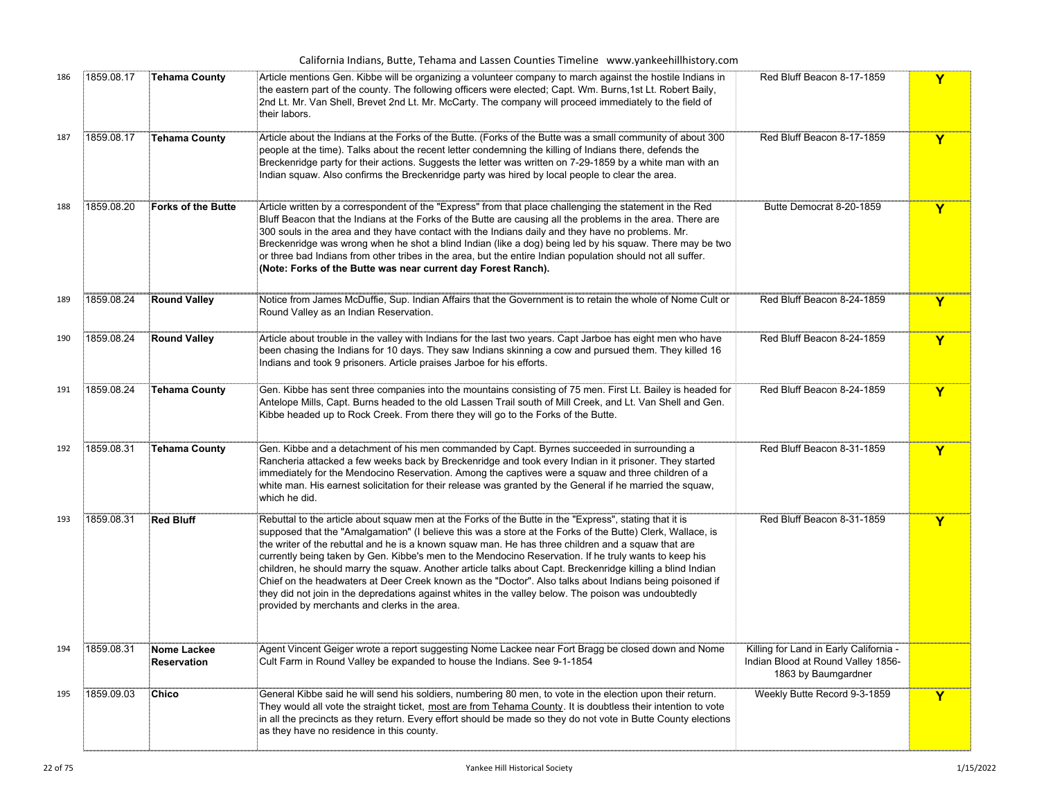| 186 | 1859.08.17 | <b>Tehama County</b>       | Article mentions Gen. Kibbe will be organizing a volunteer company to march against the hostile Indians in<br>the eastern part of the county. The following officers were elected; Capt. Wm. Burns, 1st Lt. Robert Baily,<br>2nd Lt. Mr. Van Shell, Brevet 2nd Lt. Mr. McCarty. The company will proceed immediately to the field of<br>their labors.                                                                                                                                                                                                                                                                                                                                                                                                                                                                 | Red Bluff Beacon 8-17-1859                                                                          | Y                       |
|-----|------------|----------------------------|-----------------------------------------------------------------------------------------------------------------------------------------------------------------------------------------------------------------------------------------------------------------------------------------------------------------------------------------------------------------------------------------------------------------------------------------------------------------------------------------------------------------------------------------------------------------------------------------------------------------------------------------------------------------------------------------------------------------------------------------------------------------------------------------------------------------------|-----------------------------------------------------------------------------------------------------|-------------------------|
| 187 | 1859.08.17 | <b>Tehama County</b>       | Article about the Indians at the Forks of the Butte. (Forks of the Butte was a small community of about 300<br>people at the time). Talks about the recent letter condemning the killing of Indians there, defends the<br>Breckenridge party for their actions. Suggests the letter was written on 7-29-1859 by a white man with an<br>Indian squaw. Also confirms the Breckenridge party was hired by local people to clear the area.                                                                                                                                                                                                                                                                                                                                                                                | Red Bluff Beacon 8-17-1859                                                                          | Y                       |
| 188 | 1859.08.20 | Forks of the Butte         | Article written by a correspondent of the "Express" from that place challenging the statement in the Red<br>Bluff Beacon that the Indians at the Forks of the Butte are causing all the problems in the area. There are<br>300 souls in the area and they have contact with the Indians daily and they have no problems. Mr.<br>Breckenridge was wrong when he shot a blind Indian (like a dog) being led by his squaw. There may be two<br>or three bad Indians from other tribes in the area, but the entire Indian population should not all suffer.<br>(Note: Forks of the Butte was near current day Forest Ranch).                                                                                                                                                                                              | Butte Democrat 8-20-1859                                                                            | Y                       |
| 189 | 1859.08.24 | <b>Round Valley</b>        | Notice from James McDuffie, Sup. Indian Affairs that the Government is to retain the whole of Nome Cult or<br>Round Valley as an Indian Reservation.                                                                                                                                                                                                                                                                                                                                                                                                                                                                                                                                                                                                                                                                  | Red Bluff Beacon 8-24-1859                                                                          | $\overline{\mathbf{Y}}$ |
| 190 | 1859.08.24 | <b>Round Valley</b>        | Article about trouble in the valley with Indians for the last two years. Capt Jarboe has eight men who have<br>been chasing the Indians for 10 days. They saw Indians skinning a cow and pursued them. They killed 16<br>Indians and took 9 prisoners. Article praises Jarboe for his efforts.                                                                                                                                                                                                                                                                                                                                                                                                                                                                                                                        | Red Bluff Beacon 8-24-1859                                                                          | Y                       |
| 191 | 1859.08.24 | Tehama County              | Gen. Kibbe has sent three companies into the mountains consisting of 75 men. First Lt. Bailey is headed for<br>Antelope Mills, Capt. Burns headed to the old Lassen Trail south of Mill Creek, and Lt. Van Shell and Gen.<br>Kibbe headed up to Rock Creek. From there they will go to the Forks of the Butte.                                                                                                                                                                                                                                                                                                                                                                                                                                                                                                        | Red Bluff Beacon 8-24-1859                                                                          | Y                       |
| 192 | 1859.08.31 | Tehama County              | Gen. Kibbe and a detachment of his men commanded by Capt. Byrnes succeeded in surrounding a<br>Rancheria attacked a few weeks back by Breckenridge and took every Indian in it prisoner. They started<br>immediately for the Mendocino Reservation. Among the captives were a squaw and three children of a<br>white man. His earnest solicitation for their release was granted by the General if he married the squaw,<br>which he did.                                                                                                                                                                                                                                                                                                                                                                             | Red Bluff Beacon 8-31-1859                                                                          | Y                       |
| 193 | 1859.08.31 | <b>Red Bluff</b>           | Rebuttal to the article about squaw men at the Forks of the Butte in the "Express", stating that it is<br>supposed that the "Amalgamation" (I believe this was a store at the Forks of the Butte) Clerk, Wallace, is<br>the writer of the rebuttal and he is a known squaw man. He has three children and a squaw that are<br>currently being taken by Gen. Kibbe's men to the Mendocino Reservation. If he truly wants to keep his<br>children, he should marry the squaw. Another article talks about Capt. Breckenridge killing a blind Indian<br>Chief on the headwaters at Deer Creek known as the "Doctor". Also talks about Indians being poisoned if<br>they did not join in the depredations against whites in the valley below. The poison was undoubtedly<br>provided by merchants and clerks in the area. | Red Bluff Beacon 8-31-1859                                                                          | $\mathbf Y$             |
| 194 | 1859.08.31 | Nome Lackee<br>Reservation | Agent Vincent Geiger wrote a report suggesting Nome Lackee near Fort Bragg be closed down and Nome<br>Cult Farm in Round Valley be expanded to house the Indians. See 9-1-1854                                                                                                                                                                                                                                                                                                                                                                                                                                                                                                                                                                                                                                        | Killing for Land in Early California -<br>Indian Blood at Round Valley 1856-<br>1863 by Baumgardner |                         |
| 195 | 1859.09.03 | <b>Chico</b>               | General Kibbe said he will send his soldiers, numbering 80 men, to vote in the election upon their return.<br>They would all vote the straight ticket, most are from Tehama County. It is doubtless their intention to vote<br>in all the precincts as they return. Every effort should be made so they do not vote in Butte County elections<br>as they have no residence in this county.                                                                                                                                                                                                                                                                                                                                                                                                                            | Weekly Butte Record 9-3-1859                                                                        | Y                       |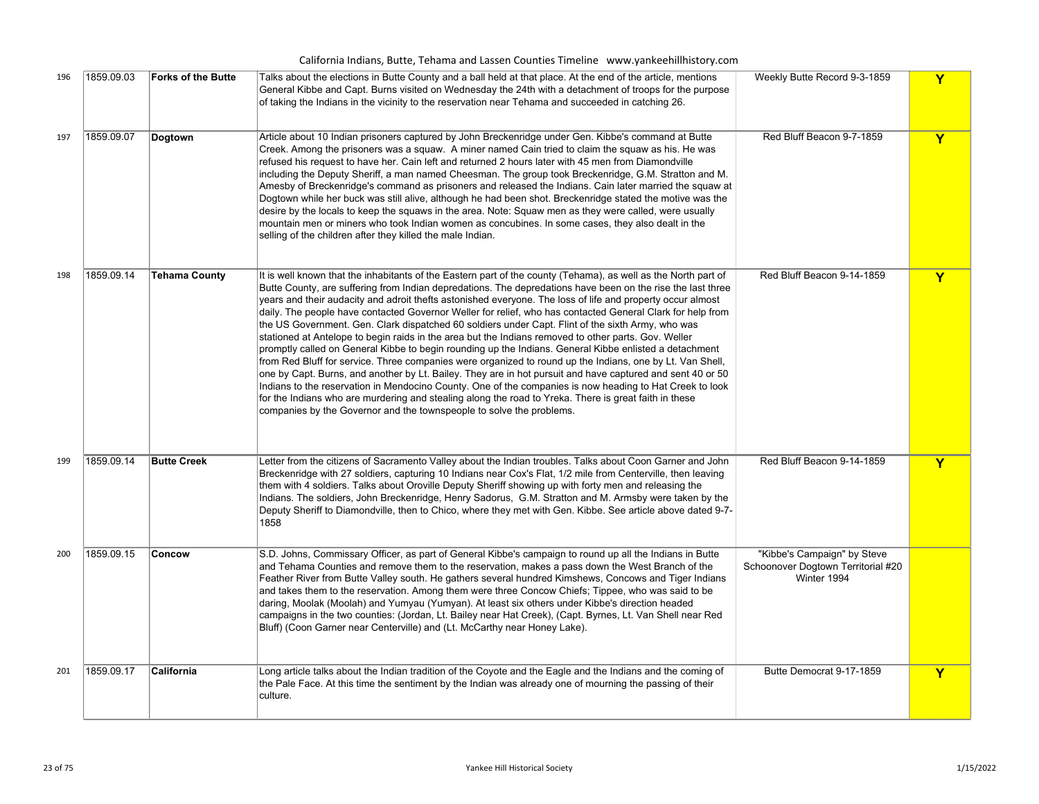| 196 | 1859.09.03 | <b>Forks of the Butte</b> | Talks about the elections in Butte County and a ball held at that place. At the end of the article, mentions<br>General Kibbe and Capt. Burns visited on Wednesday the 24th with a detachment of troops for the purpose<br>of taking the Indians in the vicinity to the reservation near Tehama and succeeded in catching 26.                                                                                                                                                                                                                                                                                                                                                                                                                                                                                                                                                                                                                                                                                                                                                                                                                                                                                                                                                                            | Weekly Butte Record 9-3-1859                                                     | Y |
|-----|------------|---------------------------|----------------------------------------------------------------------------------------------------------------------------------------------------------------------------------------------------------------------------------------------------------------------------------------------------------------------------------------------------------------------------------------------------------------------------------------------------------------------------------------------------------------------------------------------------------------------------------------------------------------------------------------------------------------------------------------------------------------------------------------------------------------------------------------------------------------------------------------------------------------------------------------------------------------------------------------------------------------------------------------------------------------------------------------------------------------------------------------------------------------------------------------------------------------------------------------------------------------------------------------------------------------------------------------------------------|----------------------------------------------------------------------------------|---|
| 197 | 1859.09.07 | Dogtown                   | Article about 10 Indian prisoners captured by John Breckenridge under Gen. Kibbe's command at Butte<br>Creek. Among the prisoners was a squaw. A miner named Cain tried to claim the squaw as his. He was<br>refused his request to have her. Cain left and returned 2 hours later with 45 men from Diamondville<br>including the Deputy Sheriff, a man named Cheesman. The group took Breckenridge, G.M. Stratton and M.<br>Amesby of Breckenridge's command as prisoners and released the Indians. Cain later married the squaw at<br>Dogtown while her buck was still alive, although he had been shot. Breckenridge stated the motive was the<br>desire by the locals to keep the squaws in the area. Note: Squaw men as they were called, were usually<br>mountain men or miners who took Indian women as concubines. In some cases, they also dealt in the<br>selling of the children after they killed the male Indian.                                                                                                                                                                                                                                                                                                                                                                           | Red Bluff Beacon 9-7-1859                                                        | Y |
| 198 | 1859.09.14 | <b>Tehama County</b>      | It is well known that the inhabitants of the Eastern part of the county (Tehama), as well as the North part of<br>Butte County, are suffering from Indian depredations. The depredations have been on the rise the last three<br>years and their audacity and adroit thefts astonished everyone. The loss of life and property occur almost<br>daily. The people have contacted Governor Weller for relief, who has contacted General Clark for help from<br>the US Government. Gen. Clark dispatched 60 soldiers under Capt. Flint of the sixth Army, who was<br>stationed at Antelope to begin raids in the area but the Indians removed to other parts. Gov. Weller<br>promptly called on General Kibbe to begin rounding up the Indians. General Kibbe enlisted a detachment<br>from Red Bluff for service. Three companies were organized to round up the Indians, one by Lt. Van Shell,<br>one by Capt. Burns, and another by Lt. Bailey. They are in hot pursuit and have captured and sent 40 or 50<br>Indians to the reservation in Mendocino County. One of the companies is now heading to Hat Creek to look<br>for the Indians who are murdering and stealing along the road to Yreka. There is great faith in these<br>companies by the Governor and the townspeople to solve the problems. | Red Bluff Beacon 9-14-1859                                                       | Y |
| 199 | 1859.09.14 | <b>Butte Creek</b>        | Letter from the citizens of Sacramento Valley about the Indian troubles. Talks about Coon Garner and John<br>Breckenridge with 27 soldiers, capturing 10 Indians near Cox's Flat, 1/2 mile from Centerville, then leaving<br>them with 4 soldiers. Talks about Oroville Deputy Sheriff showing up with forty men and releasing the<br>Indians. The soldiers, John Breckenridge, Henry Sadorus, G.M. Stratton and M. Armsby were taken by the<br>Deputy Sheriff to Diamondville, then to Chico, where they met with Gen. Kibbe. See article above dated 9-7-<br>1858                                                                                                                                                                                                                                                                                                                                                                                                                                                                                                                                                                                                                                                                                                                                      | Red Bluff Beacon 9-14-1859                                                       | Y |
| 200 | 1859.09.15 | Concow                    | S.D. Johns, Commissary Officer, as part of General Kibbe's campaign to round up all the Indians in Butte<br>and Tehama Counties and remove them to the reservation, makes a pass down the West Branch of the<br>Feather River from Butte Valley south. He gathers several hundred Kimshews, Concows and Tiger Indians<br>and takes them to the reservation. Among them were three Concow Chiefs; Tippee, who was said to be<br>daring, Moolak (Moolah) and Yumyau (Yumyan). At least six others under Kibbe's direction headed<br>campaigns in the two counties: (Jordan, Lt. Bailey near Hat Creek), (Capt. Byrnes, Lt. Van Shell near Red<br>Bluff) (Coon Garner near Centerville) and (Lt. McCarthy near Honey Lake).                                                                                                                                                                                                                                                                                                                                                                                                                                                                                                                                                                                 | "Kibbe's Campaign" by Steve<br>Schoonover Dogtown Territorial #20<br>Winter 1994 |   |
| 201 | 1859.09.17 | California                | Long article talks about the Indian tradition of the Coyote and the Eagle and the Indians and the coming of<br>the Pale Face. At this time the sentiment by the Indian was already one of mourning the passing of their<br>culture.                                                                                                                                                                                                                                                                                                                                                                                                                                                                                                                                                                                                                                                                                                                                                                                                                                                                                                                                                                                                                                                                      | Butte Democrat 9-17-1859                                                         | Y |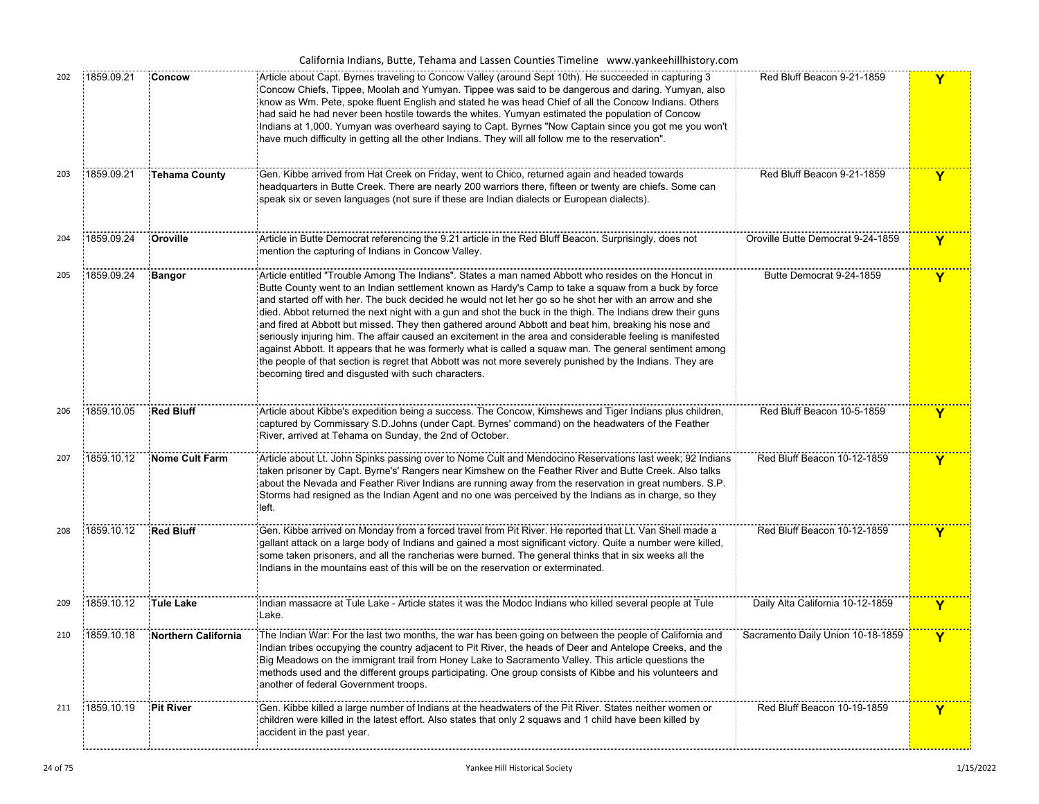|  |  |  |  | California Indians, Butte, Tehama and Lassen Counties Timeline www.yankeehillhistory.com |  |
|--|--|--|--|------------------------------------------------------------------------------------------|--|
|--|--|--|--|------------------------------------------------------------------------------------------|--|

| 202 | 1859.09.21 | Concow                | Article about Capt. Byrnes traveling to Concow Valley (around Sept 10th). He succeeded in capturing 3<br>Concow Chiefs, Tippee, Moolah and Yumyan. Tippee was said to be dangerous and daring. Yumyan, also<br>know as Wm. Pete, spoke fluent English and stated he was head Chief of all the Concow Indians. Others<br>had said he had never been hostile towards the whites. Yumyan estimated the population of Concow<br>Indians at 1,000. Yumyan was overheard saying to Capt. Byrnes "Now Captain since you got me you won't<br>have much difficulty in getting all the other Indians. They will all follow me to the reservation".                                                                                                                                                                                                                                                                                                 | Red Bluff Beacon 9-21-1859        | Y |
|-----|------------|-----------------------|------------------------------------------------------------------------------------------------------------------------------------------------------------------------------------------------------------------------------------------------------------------------------------------------------------------------------------------------------------------------------------------------------------------------------------------------------------------------------------------------------------------------------------------------------------------------------------------------------------------------------------------------------------------------------------------------------------------------------------------------------------------------------------------------------------------------------------------------------------------------------------------------------------------------------------------|-----------------------------------|---|
| 203 | 1859.09.21 | <b>Tehama County</b>  | Gen. Kibbe arrived from Hat Creek on Friday, went to Chico, returned again and headed towards<br>headquarters in Butte Creek. There are nearly 200 warriors there, fifteen or twenty are chiefs. Some can<br>speak six or seven languages (not sure if these are Indian dialects or European dialects).                                                                                                                                                                                                                                                                                                                                                                                                                                                                                                                                                                                                                                  | Red Bluff Beacon 9-21-1859        | Y |
| 204 | 1859.09.24 | Oroville              | Article in Butte Democrat referencing the 9.21 article in the Red Bluff Beacon. Surprisingly, does not<br>mention the capturing of Indians in Concow Valley.                                                                                                                                                                                                                                                                                                                                                                                                                                                                                                                                                                                                                                                                                                                                                                             | Oroville Butte Democrat 9-24-1859 | Y |
| 205 | 1859.09.24 | <b>Bangor</b>         | Article entitled "Trouble Among The Indians". States a man named Abbott who resides on the Honcut in<br>Butte County went to an Indian settlement known as Hardy's Camp to take a squaw from a buck by force<br>and started off with her. The buck decided he would not let her go so he shot her with an arrow and she<br>died. Abbot returned the next night with a gun and shot the buck in the thigh. The Indians drew their guns<br>and fired at Abbott but missed. They then gathered around Abbott and beat him, breaking his nose and<br>seriously injuring him. The affair caused an excitement in the area and considerable feeling is manifested<br>against Abbott. It appears that he was formerly what is called a squaw man. The general sentiment among<br>the people of that section is regret that Abbott was not more severely punished by the Indians. They are<br>becoming tired and disgusted with such characters. | Butte Democrat 9-24-1859          | Y |
| 206 | 1859.10.05 | <b>Red Bluff</b>      | Article about Kibbe's expedition being a success. The Concow, Kimshews and Tiger Indians plus children,<br>captured by Commissary S.D. Johns (under Capt. Byrnes' command) on the headwaters of the Feather<br>River, arrived at Tehama on Sunday, the 2nd of October.                                                                                                                                                                                                                                                                                                                                                                                                                                                                                                                                                                                                                                                                   | Red Bluff Beacon 10-5-1859        | Y |
| 207 | 1859.10.12 | <b>Nome Cult Farm</b> | Article about Lt. John Spinks passing over to Nome Cult and Mendocino Reservations last week; 92 Indians<br>taken prisoner by Capt. Byrne's' Rangers near Kimshew on the Feather River and Butte Creek. Also talks<br>about the Nevada and Feather River Indians are running away from the reservation in great numbers. S.P.<br>Storms had resigned as the Indian Agent and no one was perceived by the Indians as in charge, so they<br>left.                                                                                                                                                                                                                                                                                                                                                                                                                                                                                          | Red Bluff Beacon 10-12-1859       | Y |
| 208 | 1859.10.12 | <b>Red Bluff</b>      | Gen. Kibbe arrived on Monday from a forced travel from Pit River. He reported that Lt. Van Shell made a<br>gallant attack on a large body of Indians and gained a most significant victory. Quite a number were killed,<br>some taken prisoners, and all the rancherias were burned. The general thinks that in six weeks all the<br>Indians in the mountains east of this will be on the reservation or exterminated.                                                                                                                                                                                                                                                                                                                                                                                                                                                                                                                   | Red Bluff Beacon 10-12-1859       | Y |
| 209 | 1859.10.12 | Tule Lake             | Indian massacre at Tule Lake - Article states it was the Modoc Indians who killed several people at Tule<br>Lake.                                                                                                                                                                                                                                                                                                                                                                                                                                                                                                                                                                                                                                                                                                                                                                                                                        | Daily Alta California 10-12-1859  | Y |
| 210 | 1859.10.18 | Northern California   | The Indian War: For the last two months, the war has been going on between the people of California and<br>Indian tribes occupying the country adjacent to Pit River, the heads of Deer and Antelope Creeks, and the<br>Big Meadows on the immigrant trail from Honey Lake to Sacramento Valley. This article questions the<br>methods used and the different groups participating. One group consists of Kibbe and his volunteers and<br>another of federal Government troops.                                                                                                                                                                                                                                                                                                                                                                                                                                                          | Sacramento Daily Union 10-18-1859 | Y |
| 211 | 1859.10.19 | <b>Pit River</b>      | Gen. Kibbe killed a large number of Indians at the headwaters of the Pit River. States neither women or<br>children were killed in the latest effort. Also states that only 2 squaws and 1 child have been killed by<br>accident in the past year.                                                                                                                                                                                                                                                                                                                                                                                                                                                                                                                                                                                                                                                                                       | Red Bluff Beacon 10-19-1859       | Y |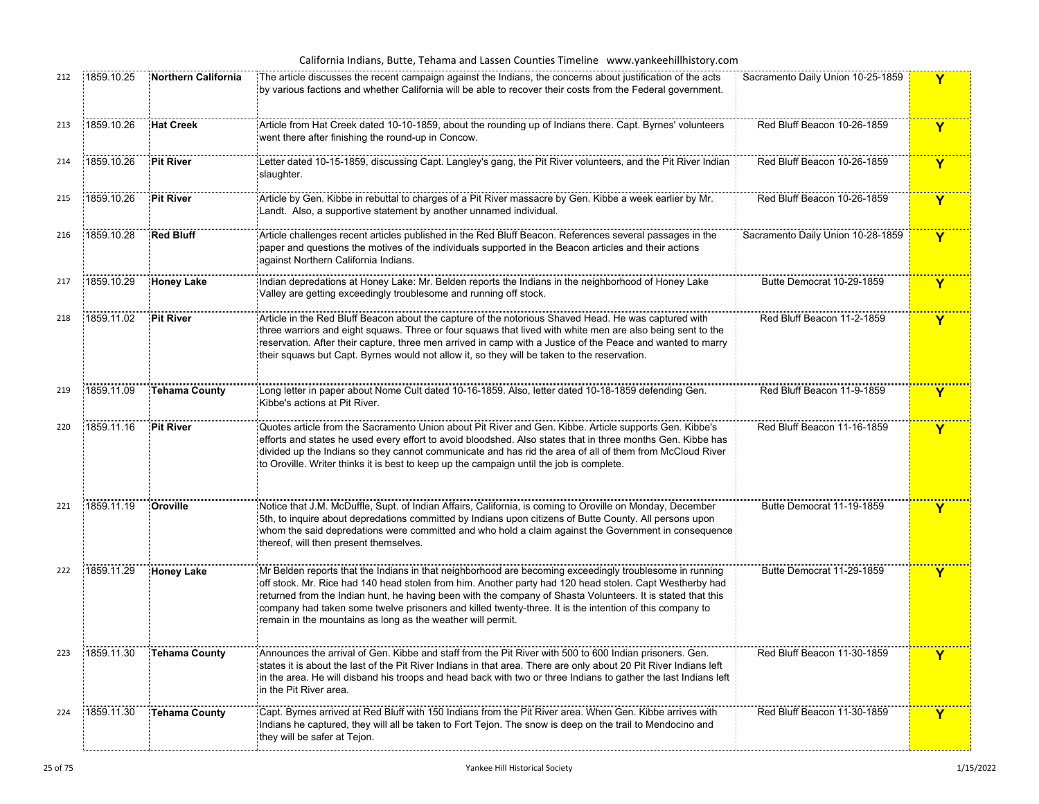| 212 | 1859.10.25 | <b>Northern California</b> | The article discusses the recent campaign against the Indians, the concerns about justification of the acts<br>by various factions and whether California will be able to recover their costs from the Federal government.                                                                                                                                                                                                                                                                                  | Sacramento Daily Union 10-25-1859 | Y            |
|-----|------------|----------------------------|-------------------------------------------------------------------------------------------------------------------------------------------------------------------------------------------------------------------------------------------------------------------------------------------------------------------------------------------------------------------------------------------------------------------------------------------------------------------------------------------------------------|-----------------------------------|--------------|
| 213 | 1859.10.26 | <b>Hat Creek</b>           | Article from Hat Creek dated 10-10-1859, about the rounding up of Indians there. Capt. Byrnes' volunteers<br>went there after finishing the round-up in Concow.                                                                                                                                                                                                                                                                                                                                             | Red Bluff Beacon 10-26-1859       | Y            |
| 214 | 1859.10.26 | Pit River                  | Letter dated 10-15-1859, discussing Capt. Langley's gang, the Pit River volunteers, and the Pit River Indian<br>slaughter.                                                                                                                                                                                                                                                                                                                                                                                  | Red Bluff Beacon 10-26-1859       | Y            |
| 215 | 1859.10.26 | <b>Pit River</b>           | Article by Gen. Kibbe in rebuttal to charges of a Pit River massacre by Gen. Kibbe a week earlier by Mr.<br>Landt. Also, a supportive statement by another unnamed individual.                                                                                                                                                                                                                                                                                                                              | Red Bluff Beacon 10-26-1859       | Y            |
| 216 | 1859.10.28 | <b>Red Bluff</b>           | Article challenges recent articles published in the Red Bluff Beacon. References several passages in the<br>paper and questions the motives of the individuals supported in the Beacon articles and their actions<br>against Northern California Indians.                                                                                                                                                                                                                                                   | Sacramento Daily Union 10-28-1859 | Y            |
| 217 | 1859.10.29 | <b>Honey Lake</b>          | Indian depredations at Honey Lake: Mr. Belden reports the Indians in the neighborhood of Honey Lake<br>Valley are getting exceedingly troublesome and running off stock.                                                                                                                                                                                                                                                                                                                                    | Butte Democrat 10-29-1859         | $\mathbf{Y}$ |
| 218 | 1859.11.02 | <b>Pit River</b>           | Article in the Red Bluff Beacon about the capture of the notorious Shaved Head. He was captured with<br>three warriors and eight squaws. Three or four squaws that lived with white men are also being sent to the<br>reservation. After their capture, three men arrived in camp with a Justice of the Peace and wanted to marry<br>their squaws but Capt. Byrnes would not allow it, so they will be taken to the reservation.                                                                            | Red Bluff Beacon 11-2-1859        | Y            |
| 219 | 1859.11.09 | <b>Tehama County</b>       | Long letter in paper about Nome Cult dated 10-16-1859. Also, letter dated 10-18-1859 defending Gen.<br>Kibbe's actions at Pit River.                                                                                                                                                                                                                                                                                                                                                                        | Red Bluff Beacon 11-9-1859        | Y            |
| 220 | 1859.11.16 | Pit River                  | Quotes article from the Sacramento Union about Pit River and Gen. Kibbe. Article supports Gen. Kibbe's<br>efforts and states he used every effort to avoid bloodshed. Also states that in three months Gen. Kibbe has<br>divided up the Indians so they cannot communicate and has rid the area of all of them from McCloud River<br>to Oroville. Writer thinks it is best to keep up the campaign until the job is complete.                                                                               | Red Bluff Beacon 11-16-1859       | Y            |
| 221 | 1859.11.19 | Oroville                   | Notice that J.M. McDuffle, Supt. of Indian Affairs, California, is coming to Oroville on Monday, December<br>5th, to inquire about depredations committed by Indians upon citizens of Butte County. All persons upon<br>whom the said depredations were committed and who hold a claim against the Government in consequence<br>thereof, will then present themselves.                                                                                                                                      | Butte Democrat 11-19-1859         | Y            |
| 222 | 1859.11.29 | <b>Honey Lake</b>          | Mr Belden reports that the Indians in that neighborhood are becoming exceedingly troublesome in running<br>off stock. Mr. Rice had 140 head stolen from him. Another party had 120 head stolen. Capt Westherby had<br>returned from the Indian hunt, he having been with the company of Shasta Volunteers. It is stated that this<br>company had taken some twelve prisoners and killed twenty-three. It is the intention of this company to<br>remain in the mountains as long as the weather will permit. | Butte Democrat 11-29-1859         | Y            |
| 223 | 1859.11.30 | <b>Tehama County</b>       | Announces the arrival of Gen. Kibbe and staff from the Pit River with 500 to 600 Indian prisoners. Gen.<br>states it is about the last of the Pit River Indians in that area. There are only about 20 Pit River Indians left<br>in the area. He will disband his troops and head back with two or three Indians to gather the last Indians left<br>in the Pit River area.                                                                                                                                   | Red Bluff Beacon 11-30-1859       | Y            |
| 224 | 1859.11.30 | <b>Tehama County</b>       | Capt. Byrnes arrived at Red Bluff with 150 Indians from the Pit River area. When Gen. Kibbe arrives with<br>Indians he captured, they will all be taken to Fort Tejon. The snow is deep on the trail to Mendocino and<br>they will be safer at Tejon.                                                                                                                                                                                                                                                       | Red Bluff Beacon 11-30-1859       | $\mathbf Y$  |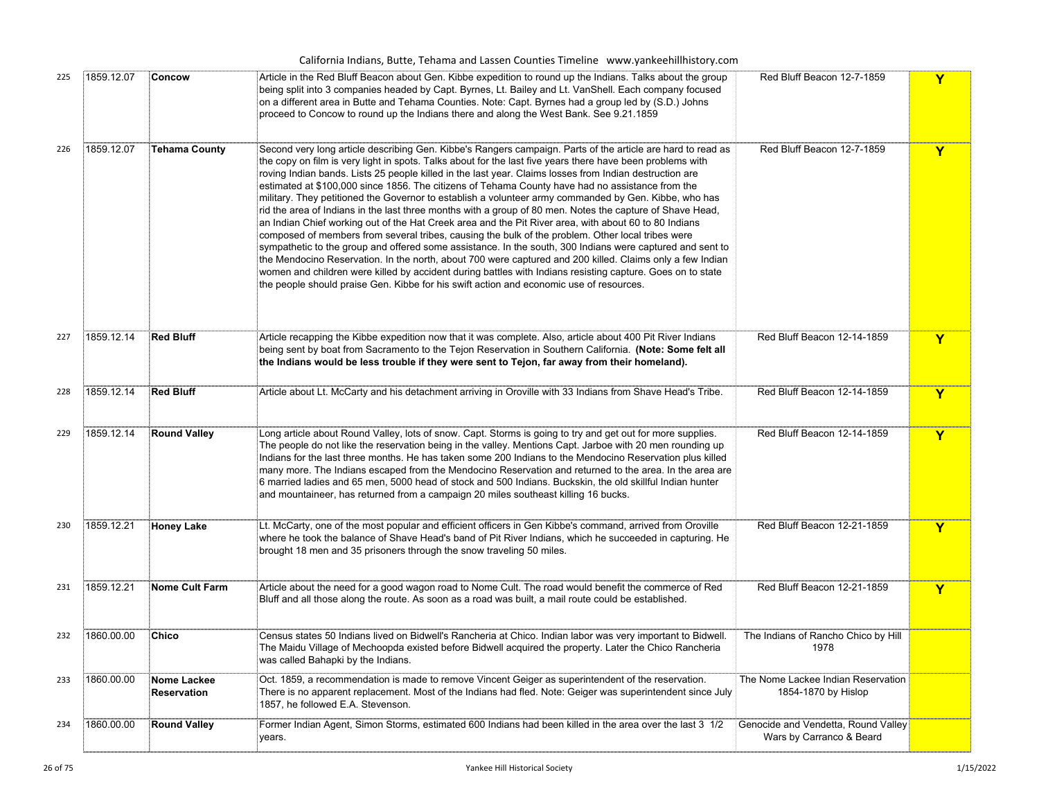|     |            |                                   | California Indians, Butte, Tehama and Lassen Counties Timeline www.yankeehillhistory.com                                                                                                                                                                                                                                                                                                                                                                                                                                                                                                                                                                                                                                                                                                                                                                                                                                                                                                                                                                                                                                                                                                                                                                                                                        |                                                                 |              |
|-----|------------|-----------------------------------|-----------------------------------------------------------------------------------------------------------------------------------------------------------------------------------------------------------------------------------------------------------------------------------------------------------------------------------------------------------------------------------------------------------------------------------------------------------------------------------------------------------------------------------------------------------------------------------------------------------------------------------------------------------------------------------------------------------------------------------------------------------------------------------------------------------------------------------------------------------------------------------------------------------------------------------------------------------------------------------------------------------------------------------------------------------------------------------------------------------------------------------------------------------------------------------------------------------------------------------------------------------------------------------------------------------------|-----------------------------------------------------------------|--------------|
| 225 | 1859.12.07 | Concow                            | Article in the Red Bluff Beacon about Gen. Kibbe expedition to round up the Indians. Talks about the group<br>being split into 3 companies headed by Capt. Byrnes, Lt. Bailey and Lt. VanShell. Each company focused<br>on a different area in Butte and Tehama Counties. Note: Capt. Byrnes had a group led by (S.D.) Johns<br>proceed to Concow to round up the Indians there and along the West Bank. See 9.21.1859                                                                                                                                                                                                                                                                                                                                                                                                                                                                                                                                                                                                                                                                                                                                                                                                                                                                                          | Red Bluff Beacon 12-7-1859                                      | Y            |
| 226 | 1859.12.07 | Tehama County                     | Second very long article describing Gen. Kibbe's Rangers campaign. Parts of the article are hard to read as<br>the copy on film is very light in spots. Talks about for the last five years there have been problems with<br>roving Indian bands. Lists 25 people killed in the last year. Claims losses from Indian destruction are<br>estimated at \$100,000 since 1856. The citizens of Tehama County have had no assistance from the<br>military. They petitioned the Governor to establish a volunteer army commanded by Gen. Kibbe, who has<br>rid the area of Indians in the last three months with a group of 80 men. Notes the capture of Shave Head,<br>an Indian Chief working out of the Hat Creek area and the Pit River area, with about 60 to 80 Indians<br>composed of members from several tribes, causing the bulk of the problem. Other local tribes were<br>sympathetic to the group and offered some assistance. In the south, 300 Indians were captured and sent to<br>the Mendocino Reservation. In the north, about 700 were captured and 200 killed. Claims only a few Indian<br>women and children were killed by accident during battles with Indians resisting capture. Goes on to state<br>the people should praise Gen. Kibbe for his swift action and economic use of resources. | Red Bluff Beacon 12-7-1859                                      | Y            |
| 227 | 1859.12.14 | <b>Red Bluff</b>                  | Article recapping the Kibbe expedition now that it was complete. Also, article about 400 Pit River Indians<br>being sent by boat from Sacramento to the Tejon Reservation in Southern California. (Note: Some felt all<br>the Indians would be less trouble if they were sent to Tejon, far away from their homeland).                                                                                                                                                                                                                                                                                                                                                                                                                                                                                                                                                                                                                                                                                                                                                                                                                                                                                                                                                                                          | Red Bluff Beacon 12-14-1859                                     | Y            |
| 228 | 1859.12.14 | <b>Red Bluff</b>                  | Article about Lt. McCarty and his detachment arriving in Oroville with 33 Indians from Shave Head's Tribe.                                                                                                                                                                                                                                                                                                                                                                                                                                                                                                                                                                                                                                                                                                                                                                                                                                                                                                                                                                                                                                                                                                                                                                                                      | Red Bluff Beacon 12-14-1859                                     | Y            |
| 229 | 1859.12.14 | <b>Round Valley</b>               | Long article about Round Valley, lots of snow. Capt. Storms is going to try and get out for more supplies.<br>The people do not like the reservation being in the valley. Mentions Capt. Jarboe with 20 men rounding up<br>Indians for the last three months. He has taken some 200 Indians to the Mendocino Reservation plus killed<br>many more. The Indians escaped from the Mendocino Reservation and returned to the area. In the area are<br>6 married ladies and 65 men, 5000 head of stock and 500 Indians. Buckskin, the old skillful Indian hunter<br>and mountaineer, has returned from a campaign 20 miles southeast killing 16 bucks.                                                                                                                                                                                                                                                                                                                                                                                                                                                                                                                                                                                                                                                              | Red Bluff Beacon 12-14-1859                                     | Y            |
| 230 | 1859.12.21 | <b>Honey Lake</b>                 | Lt. McCarty, one of the most popular and efficient officers in Gen Kibbe's command, arrived from Oroville<br>where he took the balance of Shave Head's band of Pit River Indians, which he succeeded in capturing. He<br>brought 18 men and 35 prisoners through the snow traveling 50 miles.                                                                                                                                                                                                                                                                                                                                                                                                                                                                                                                                                                                                                                                                                                                                                                                                                                                                                                                                                                                                                   | Red Bluff Beacon 12-21-1859                                     | Y            |
| 231 | 1859.12.21 | <b>Nome Cult Farm</b>             | Article about the need for a good wagon road to Nome Cult. The road would benefit the commerce of Red<br>Bluff and all those along the route. As soon as a road was built, a mail route could be established.                                                                                                                                                                                                                                                                                                                                                                                                                                                                                                                                                                                                                                                                                                                                                                                                                                                                                                                                                                                                                                                                                                   | Red Bluff Beacon 12-21-1859                                     | $\mathbf{Y}$ |
| 232 | 1860.00.00 | Chico                             | Census states 50 Indians lived on Bidwell's Rancheria at Chico. Indian labor was very important to Bidwell.<br>The Maidu Village of Mechoopda existed before Bidwell acquired the property. Later the Chico Rancheria<br>was called Bahapki by the Indians.                                                                                                                                                                                                                                                                                                                                                                                                                                                                                                                                                                                                                                                                                                                                                                                                                                                                                                                                                                                                                                                     | The Indians of Rancho Chico by Hill<br>1978                     |              |
| 233 | 1860.00.00 | <b>Nome Lackee</b><br>Reservation | Oct. 1859, a recommendation is made to remove Vincent Geiger as superintendent of the reservation.<br>There is no apparent replacement. Most of the Indians had fled. Note: Geiger was superintendent since July<br>1857, he followed E.A. Stevenson.                                                                                                                                                                                                                                                                                                                                                                                                                                                                                                                                                                                                                                                                                                                                                                                                                                                                                                                                                                                                                                                           | The Nome Lackee Indian Reservation<br>1854-1870 by Hislop       |              |
| 234 | 1860.00.00 | <b>Round Valley</b>               | Former Indian Agent, Simon Storms, estimated 600 Indians had been killed in the area over the last 3 1/2<br>years.                                                                                                                                                                                                                                                                                                                                                                                                                                                                                                                                                                                                                                                                                                                                                                                                                                                                                                                                                                                                                                                                                                                                                                                              | Genocide and Vendetta, Round Valley<br>Wars by Carranco & Beard |              |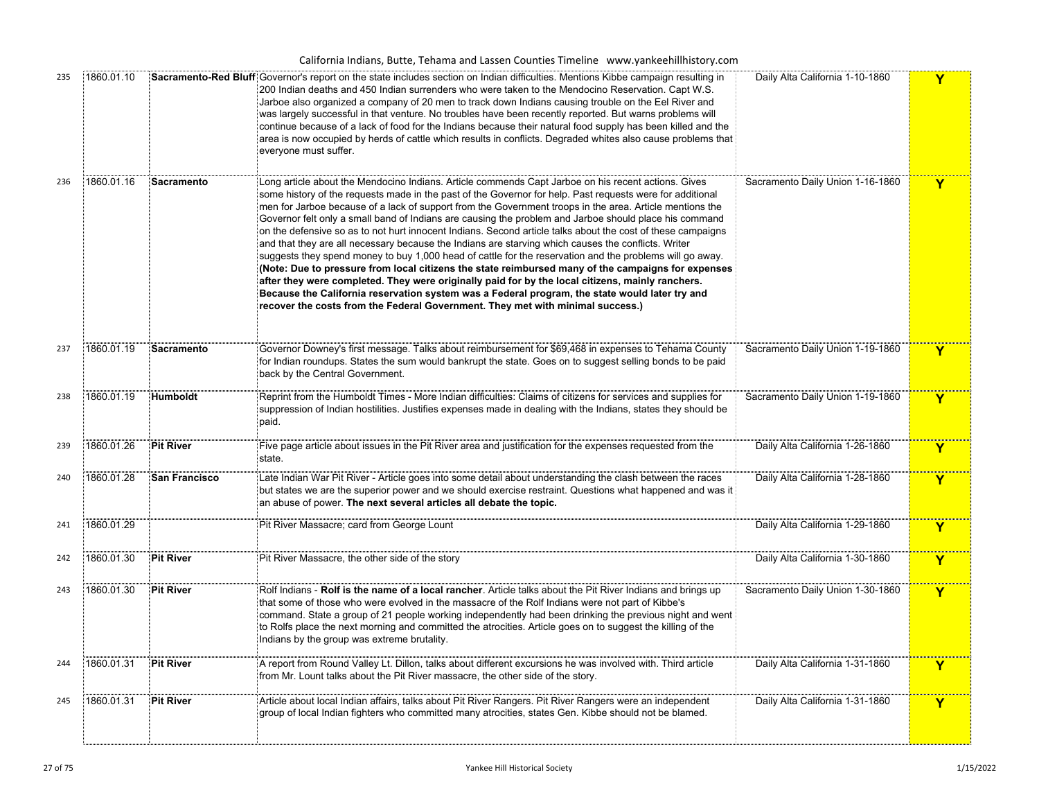| 235 | 1860.01.10 |                   | Sacramento-Red Bluff: Governor's report on the state includes section on Indian difficulties. Mentions Kibbe campaign resulting in<br>200 Indian deaths and 450 Indian surrenders who were taken to the Mendocino Reservation. Capt W.S.<br>Jarboe also organized a company of 20 men to track down Indians causing trouble on the Eel River and<br>was largely successful in that venture. No troubles have been recently reported. But warns problems will®<br>continue because of a lack of food for the Indians because their natural food supply has been killed and the<br>area is now occupied by herds of cattle which results in conflicts. Degraded whites also cause problems that<br>everyone must suffer.                                                                                                                                                                                                                                                                                                                                                                                                                                                 | Daily Alta California 1-10-1860  | Y            |
|-----|------------|-------------------|------------------------------------------------------------------------------------------------------------------------------------------------------------------------------------------------------------------------------------------------------------------------------------------------------------------------------------------------------------------------------------------------------------------------------------------------------------------------------------------------------------------------------------------------------------------------------------------------------------------------------------------------------------------------------------------------------------------------------------------------------------------------------------------------------------------------------------------------------------------------------------------------------------------------------------------------------------------------------------------------------------------------------------------------------------------------------------------------------------------------------------------------------------------------|----------------------------------|--------------|
| 236 | 1860.01.16 | <b>Sacramento</b> | Long article about the Mendocino Indians. Article commends Capt Jarboe on his recent actions. Gives<br>some history of the requests made in the past of the Governor for help. Past requests were for additional<br>men for Jarboe because of a lack of support from the Government troops in the area. Article mentions the<br>Governor felt only a small band of Indians are causing the problem and Jarboe should place his command<br>on the defensive so as to not hurt innocent Indians. Second article talks about the cost of these campaigns<br>and that they are all necessary because the Indians are starving which causes the conflicts. Writer<br>suggests they spend money to buy 1,000 head of cattle for the reservation and the problems will go away.<br>(Note: Due to pressure from local citizens the state reimbursed many of the campaigns for expenses<br>after they were completed. They were originally paid for by the local citizens, mainly ranchers.<br>Because the California reservation system was a Federal program, the state would later try and<br>recover the costs from the Federal Government. They met with minimal success.) | Sacramento Daily Union 1-16-1860 | Y            |
| 237 | 1860.01.19 | Sacramento        | Governor Downey's first message. Talks about reimbursement for \$69,468 in expenses to Tehama County<br>for Indian roundups. States the sum would bankrupt the state. Goes on to suggest selling bonds to be paid<br>back by the Central Government.                                                                                                                                                                                                                                                                                                                                                                                                                                                                                                                                                                                                                                                                                                                                                                                                                                                                                                                   | Sacramento Daily Union 1-19-1860 | $\mathbf{Y}$ |
| 238 | 1860.01.19 | <b>Humboldt</b>   | Reprint from the Humboldt Times - More Indian difficulties: Claims of citizens for services and supplies for<br>suppression of Indian hostilities. Justifies expenses made in dealing with the Indians, states they should be<br>paid.                                                                                                                                                                                                                                                                                                                                                                                                                                                                                                                                                                                                                                                                                                                                                                                                                                                                                                                                 | Sacramento Daily Union 1-19-1860 | $\mathbf Y$  |
| 239 | 1860.01.26 | <b>Pit River</b>  | Five page article about issues in the Pit River area and justification for the expenses requested from the<br>state.                                                                                                                                                                                                                                                                                                                                                                                                                                                                                                                                                                                                                                                                                                                                                                                                                                                                                                                                                                                                                                                   | Daily Alta California 1-26-1860  | $\mathbf Y$  |
| 240 | 1860.01.28 | San Francisco     | Late Indian War Pit River - Article goes into some detail about understanding the clash between the races<br>but states we are the superior power and we should exercise restraint. Questions what happened and was it<br>an abuse of power. The next several articles all debate the topic.                                                                                                                                                                                                                                                                                                                                                                                                                                                                                                                                                                                                                                                                                                                                                                                                                                                                           | Daily Alta California 1-28-1860  | $\mathbf{Y}$ |
| 241 | 1860.01.29 |                   | Pit River Massacre; card from George Lount                                                                                                                                                                                                                                                                                                                                                                                                                                                                                                                                                                                                                                                                                                                                                                                                                                                                                                                                                                                                                                                                                                                             | Daily Alta California 1-29-1860  | Y            |
| 242 | 1860.01.30 | <b>Pit River</b>  | Pit River Massacre, the other side of the story                                                                                                                                                                                                                                                                                                                                                                                                                                                                                                                                                                                                                                                                                                                                                                                                                                                                                                                                                                                                                                                                                                                        | Daily Alta California 1-30-1860  | Y            |
| 243 | 1860.01.30 | <b>Pit River</b>  | Rolf Indians - Rolf is the name of a local rancher. Article talks about the Pit River Indians and brings up<br>that some of those who were evolved in the massacre of the Rolf Indians were not part of Kibbe's<br>command. State a group of 21 people working independently had been drinking the previous night and went<br>to Rolfs place the next morning and committed the atrocities. Article goes on to suggest the killing of the<br>Indians by the group was extreme brutality.                                                                                                                                                                                                                                                                                                                                                                                                                                                                                                                                                                                                                                                                               | Sacramento Daily Union 1-30-1860 | $\mathbf Y$  |
| 244 | 1860.01.31 | <b>Pit River</b>  | A report from Round Valley Lt. Dillon, talks about different excursions he was involved with. Third article<br>from Mr. Lount talks about the Pit River massacre, the other side of the story.                                                                                                                                                                                                                                                                                                                                                                                                                                                                                                                                                                                                                                                                                                                                                                                                                                                                                                                                                                         | Daily Alta California 1-31-1860  | Y            |
| 245 | 1860.01.31 | Pit River         | Article about local Indian affairs, talks about Pit River Rangers. Pit River Rangers were an independent<br>group of local Indian fighters who committed many atrocities, states Gen. Kibbe should not be blamed.                                                                                                                                                                                                                                                                                                                                                                                                                                                                                                                                                                                                                                                                                                                                                                                                                                                                                                                                                      | Daily Alta California 1-31-1860  | Y            |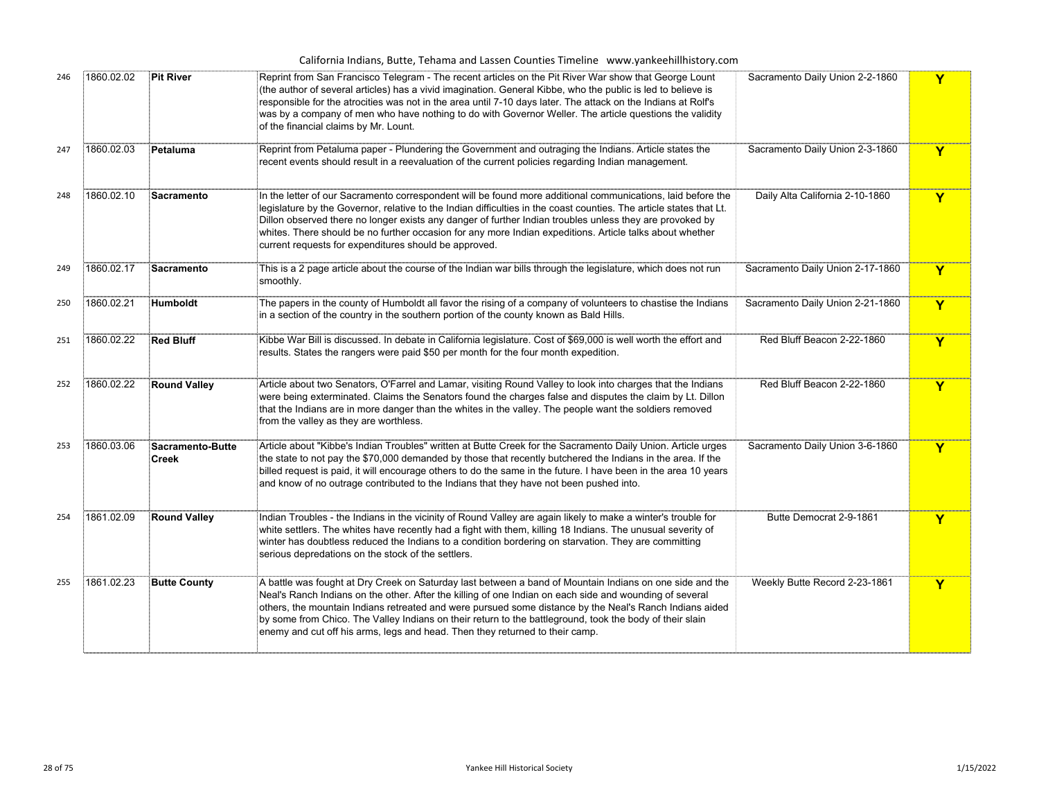| California Indians, Butte, Tehama and Lassen Counties Timeline www.yankeehillhistory.com |  |
|------------------------------------------------------------------------------------------|--|
|------------------------------------------------------------------------------------------|--|

|     |            |                           | $\frac{1}{2}$ batte, renama and eassen counties immented www.yankeemmistery.                                                                                                                                                                                                                                                                                                                                                                                                                                               |                                  |   |
|-----|------------|---------------------------|----------------------------------------------------------------------------------------------------------------------------------------------------------------------------------------------------------------------------------------------------------------------------------------------------------------------------------------------------------------------------------------------------------------------------------------------------------------------------------------------------------------------------|----------------------------------|---|
| 246 | 1860.02.02 | <b>Pit River</b>          | Reprint from San Francisco Telegram - The recent articles on the Pit River War show that George Lount<br>(the author of several articles) has a vivid imagination. General Kibbe, who the public is led to believe is<br>responsible for the atrocities was not in the area until 7-10 days later. The attack on the Indians at Rolf's<br>$\dot{\mathbb{F}}$ was by a company of men who have nothing to do with Governor Weller. The article questions the validity<br>of the financial claims by Mr. Lount.              | Sacramento Daily Union 2-2-1860  | Y |
| 247 | 1860.02.03 | Petaluma                  | Reprint from Petaluma paper - Plundering the Government and outraging the Indians. Article states the<br>recent events should result in a reevaluation of the current policies regarding Indian management.                                                                                                                                                                                                                                                                                                                | Sacramento Daily Union 2-3-1860  | Y |
| 248 | 1860.02.10 | Sacramento                | In the letter of our Sacramento correspondent will be found more additional communications, laid before the<br>.<br>[legislature by the Governor, relative to the Indian difficulties in the coast counties. The article states that Lt.<br>Dillon observed there no longer exists any danger of further Indian troubles unless they are provoked by<br>whites. There should be no further occasion for any more Indian expeditions. Article talks about whether<br>current requests for expenditures should be approved.  | Daily Alta California 2-10-1860  | Y |
| 249 | 1860.02.17 | Sacramento                | This is a 2 page article about the course of the Indian war bills through the legislature, which does not run<br>smoothly.                                                                                                                                                                                                                                                                                                                                                                                                 | Sacramento Daily Union 2-17-1860 | Y |
| 250 | 1860.02.21 | Humboldt                  | The papers in the county of Humboldt all favor the rising of a company of volunteers to chastise the Indians<br>in a section of the country in the southern portion of the county known as Bald Hills.                                                                                                                                                                                                                                                                                                                     | Sacramento Daily Union 2-21-1860 | Y |
| 251 | 1860.02.22 | <b>Red Bluff</b>          | Kibbe War Bill is discussed. In debate in California legislature. Cost of \$69,000 is well worth the effort and<br>results. States the rangers were paid \$50 per month for the four month expedition.                                                                                                                                                                                                                                                                                                                     | Red Bluff Beacon 2-22-1860       | Y |
| 252 | 1860.02.22 | <b>Round Valley</b>       | Article about two Senators, O'Farrel and Lamar, visiting Round Valley to look into charges that the Indians<br>were being exterminated. Claims the Senators found the charges false and disputes the claim by Lt. Dillon<br>that the Indians are in more danger than the whites in the valley. The people want the soldiers removed<br>from the valley as they are worthless.                                                                                                                                              | Red Bluff Beacon 2-22-1860       | Y |
| 253 | 1860.03.06 | Sacramento-Butte<br>Creek | Article about "Kibbe's Indian Troubles" written at Butte Creek for the Sacramento Daily Union. Article urges<br>the state to not pay the \$70,000 demanded by those that recently butchered the Indians in the area. If the<br>billed request is paid, it will encourage others to do the same in the future. I have been in the area 10 years<br>and know of no outrage contributed to the Indians that they have not been pushed into.                                                                                   | Sacramento Daily Union 3-6-1860  | Y |
| 254 | 1861.02.09 | <b>Round Valley</b>       | Indian Troubles - the Indians in the vicinity of Round Valley are again likely to make a winter's trouble for<br>white settlers. The whites have recently had a fight with them, killing 18 Indians. The unusual severity of<br>winter has doubtless reduced the Indians to a condition bordering on starvation. They are committing<br>serious depredations on the stock of the settlers.                                                                                                                                 | Butte Democrat 2-9-1861          | Y |
| 255 | 1861.02.23 | <b>Butte County</b>       | A battle was fought at Dry Creek on Saturday last between a band of Mountain Indians on one side and the<br>Neal's Ranch Indians on the other. After the killing of one Indian on each side and wounding of several<br>others, the mountain Indians retreated and were pursued some distance by the Neal's Ranch Indians aided<br>by some from Chico. The Valley Indians on their return to the battleground, took the body of their slain<br>enemy and cut off his arms, legs and head. Then they returned to their camp. | Weekly Butte Record 2-23-1861    | Y |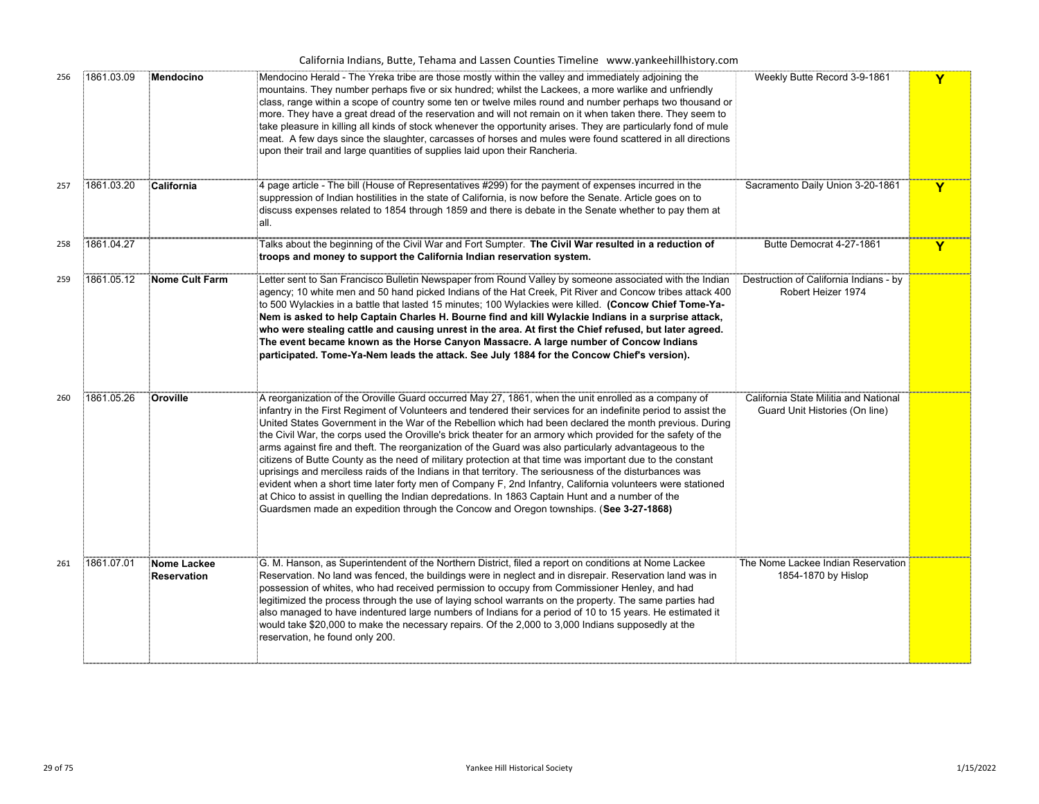| California Indians, Butte, Tehama and Lassen Counties Timeline www.yankeehillhistory.com |  |  |
|------------------------------------------------------------------------------------------|--|--|
|------------------------------------------------------------------------------------------|--|--|

| 256 | 1861.03.09 | Mendocino                         | Mendocino Herald - The Yreka tribe are those mostly within the valley and immediately adjoining the<br>mountains. They number perhaps five or six hundred; whilst the Lackees, a more warlike and unfriendly<br>class, range within a scope of country some ten or twelve miles round and number perhaps two thousand or<br>more. They have a great dread of the reservation and will not remain on it when taken there. They seem to<br>take pleasure in killing all kinds of stock whenever the opportunity arises. They are particularly fond of mule<br>meat. A few days since the slaughter, carcasses of horses and mules were found scattered in all directions<br>upon their trail and large quantities of supplies laid upon their Rancheria.                                                                                                                                                                                                                                                                                                                                            | Weekly Butte Record 3-9-1861                                            | Y           |
|-----|------------|-----------------------------------|---------------------------------------------------------------------------------------------------------------------------------------------------------------------------------------------------------------------------------------------------------------------------------------------------------------------------------------------------------------------------------------------------------------------------------------------------------------------------------------------------------------------------------------------------------------------------------------------------------------------------------------------------------------------------------------------------------------------------------------------------------------------------------------------------------------------------------------------------------------------------------------------------------------------------------------------------------------------------------------------------------------------------------------------------------------------------------------------------|-------------------------------------------------------------------------|-------------|
| 257 | 1861.03.20 | California                        | 4 page article - The bill (House of Representatives #299) for the payment of expenses incurred in the<br>suppression of Indian hostilities in the state of California, is now before the Senate. Article goes on to<br>discuss expenses related to 1854 through 1859 and there is debate in the Senate whether to pay them at<br>all.                                                                                                                                                                                                                                                                                                                                                                                                                                                                                                                                                                                                                                                                                                                                                             | Sacramento Daily Union 3-20-1861                                        | Y           |
| 258 | 1861.04.27 |                                   | Talks about the beginning of the Civil War and Fort Sumpter. The Civil War resulted in a reduction of<br>troops and money to support the California Indian reservation system.                                                                                                                                                                                                                                                                                                                                                                                                                                                                                                                                                                                                                                                                                                                                                                                                                                                                                                                    | Butte Democrat 4-27-1861                                                | $\mathbf Y$ |
| 259 | 1861.05.12 | <b>Nome Cult Farm</b>             | Letter sent to San Francisco Bulletin Newspaper from Round Valley by someone associated with the Indian<br>agency; 10 white men and 50 hand picked Indians of the Hat Creek, Pit River and Concow tribes attack 400ഉ<br>to 500 Wylackies in a battle that lasted 15 minutes; 100 Wylackies were killed. (Concow Chief Tome-Ya-<br>Nem is asked to help Captain Charles H. Bourne find and kill Wylackie Indians in a surprise attack,<br>who were stealing cattle and causing unrest in the area. At first the Chief refused, but later agreed.<br>The event became known as the Horse Canyon Massacre. A large number of Concow Indians<br>participated. Tome-Ya-Nem leads the attack. See July 1884 for the Concow Chief's version).                                                                                                                                                                                                                                                                                                                                                            | Destruction of California Indians - by<br>Robert Heizer 1974            |             |
| 260 | 1861.05.26 | Oroville                          | A reorganization of the Oroville Guard occurred May 27, 1861, when the unit enrolled as a company of<br>infantry in the First Regiment of Volunteers and tendered their services for an indefinite period to assist the<br>United States Government in the War of the Rebellion which had been declared the month previous. During<br>the Civil War, the corps used the Oroville's brick theater for an armory which provided for the safety of the<br>arms against fire and theft. The reorganization of the Guard was also particularly advantageous to the<br>citizens of Butte County as the need of military protection at that time was important due to the constant<br>uprisings and merciless raids of the Indians in that territory. The seriousness of the disturbances was<br>evident when a short time later forty men of Company F, 2nd Infantry, California volunteers were stationed<br>at Chico to assist in quelling the Indian depredations. In 1863 Captain Hunt and a number of the<br>Guardsmen made an expedition through the Concow and Oregon townships. (See 3-27-1868) | California State Militia and National<br>Guard Unit Histories (On line) |             |
| 261 | 1861.07.01 | Nome Lackee<br><b>Reservation</b> | G. M. Hanson, as Superintendent of the Northern District, filed a report on conditions at Nome Lackee<br>Reservation. No land was fenced, the buildings were in neglect and in disrepair. Reservation land was in<br>possession of whites, who had received permission to occupy from Commissioner Henley, and had<br>legitimized the process through the use of laying school warrants on the property. The same parties had<br>also managed to have indentured large numbers of Indians for a period of 10 to 15 years. He estimated it<br>would take \$20,000 to make the necessary repairs. Of the 2,000 to 3,000 Indians supposedly at the<br>reservation, he found only 200.                                                                                                                                                                                                                                                                                                                                                                                                                | The Nome Lackee Indian Reservation<br>1854-1870 by Hislop               |             |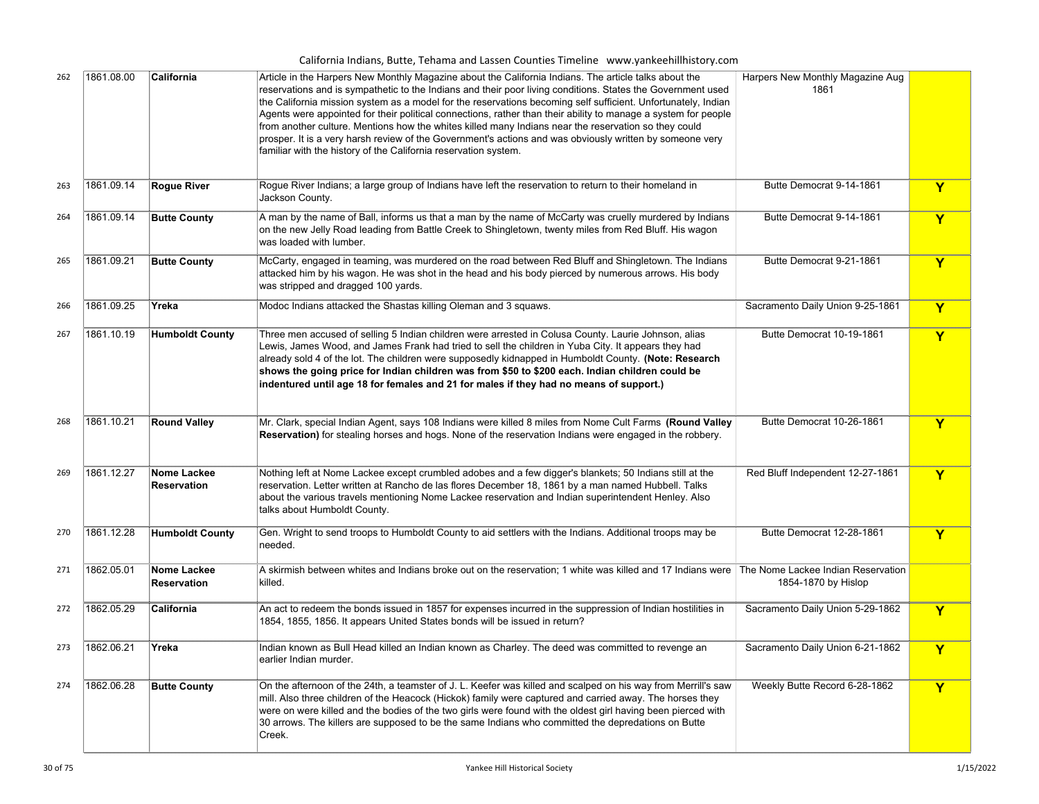| 262 | 1861.08.00 | California                        | Article in the Harpers New Monthly Magazine about the California Indians. The article talks about the<br>reservations and is sympathetic to the Indians and their poor living conditions. States the Government used<br>the California mission system as a model for the reservations becoming self sufficient. Unfortunately, Indian<br>Agents were appointed for their political connections, rather than their ability to manage a system for people<br>from another culture. Mentions how the whites killed many Indians near the reservation so they could<br>prosper. It is a very harsh review of the Government's actions and was obviously written by someone very<br>familiar with the history of the California reservation system. | Harpers New Monthly Magazine Aug<br>1861 |                         |
|-----|------------|-----------------------------------|------------------------------------------------------------------------------------------------------------------------------------------------------------------------------------------------------------------------------------------------------------------------------------------------------------------------------------------------------------------------------------------------------------------------------------------------------------------------------------------------------------------------------------------------------------------------------------------------------------------------------------------------------------------------------------------------------------------------------------------------|------------------------------------------|-------------------------|
| 263 | 1861.09.14 | <b>Rogue River</b>                | Rogue River Indians; a large group of Indians have left the reservation to return to their homeland in<br>Jackson County.                                                                                                                                                                                                                                                                                                                                                                                                                                                                                                                                                                                                                      | Butte Democrat 9-14-1861                 | Y                       |
| 264 | 1861.09.14 | <b>Butte County</b>               | A man by the name of Ball, informs us that a man by the name of McCarty was cruelly murdered by Indians<br>on the new Jelly Road leading from Battle Creek to Shingletown, twenty miles from Red Bluff. His wagon<br>was loaded with lumber.                                                                                                                                                                                                                                                                                                                                                                                                                                                                                                   | Butte Democrat 9-14-1861                 | $\mathbf Y$             |
| 265 | 1861.09.21 | <b>Butte County</b>               | McCarty, engaged in teaming, was murdered on the road between Red Bluff and Shingletown. The Indians<br>attacked him by his wagon. He was shot in the head and his body pierced by numerous arrows. His body<br>was stripped and dragged 100 yards.                                                                                                                                                                                                                                                                                                                                                                                                                                                                                            | Butte Democrat 9-21-1861                 | Y                       |
| 266 | 1861.09.25 | Yreka                             | Modoc Indians attacked the Shastas killing Oleman and 3 squaws.                                                                                                                                                                                                                                                                                                                                                                                                                                                                                                                                                                                                                                                                                | Sacramento Daily Union 9-25-1861         | Y                       |
| 267 | 1861.10.19 | <b>Humboldt County</b>            | Three men accused of selling 5 Indian children were arrested in Colusa County. Laurie Johnson, alias<br>Lewis, James Wood, and James Frank had tried to sell the children in Yuba City. It appears they had<br>already sold 4 of the lot. The children were supposedly kidnapped in Humboldt County. (Note: Research<br>shows the going price for Indian children was from \$50 to \$200 each. Indian children could be<br>indentured until age 18 for females and 21 for males if they had no means of support.)                                                                                                                                                                                                                              | Butte Democrat 10-19-1861                | Y                       |
| 268 | 1861.10.21 | <b>Round Valley</b>               | Mr. Clark, special Indian Agent, says 108 Indians were killed 8 miles from Nome Cult Farms (Round Valley<br>Reservation) for stealing horses and hogs. None of the reservation Indians were engaged in the robbery.                                                                                                                                                                                                                                                                                                                                                                                                                                                                                                                            | Butte Democrat 10-26-1861                | Y                       |
| 269 | 1861.12.27 | Nome Lackee<br>Reservation        | Nothing left at Nome Lackee except crumbled adobes and a few digger's blankets; 50 Indians still at the<br>reservation. Letter written at Rancho de las flores December 18, 1861 by a man named Hubbell. Talks<br>about the various travels mentioning Nome Lackee reservation and Indian superintendent Henley. Also<br>talks about Humboldt County.                                                                                                                                                                                                                                                                                                                                                                                          | Red Bluff Independent 12-27-1861         | $\mathbf Y$             |
| 270 | 1861.12.28 | <b>Humboldt County</b>            | Gen. Wright to send troops to Humboldt County to aid settlers with the Indians. Additional troops may be<br>needed.                                                                                                                                                                                                                                                                                                                                                                                                                                                                                                                                                                                                                            | Butte Democrat 12-28-1861                | Y                       |
| 271 | 1862.05.01 | Nome Lackee<br><b>Reservation</b> | A skirmish between whites and Indians broke out on the reservation; 1 white was killed and 17 Indians were The Nome Lackee Indian Reservation<br>killed.                                                                                                                                                                                                                                                                                                                                                                                                                                                                                                                                                                                       | 1854-1870 by Hislop                      |                         |
| 272 | 1862.05.29 | California                        | An act to redeem the bonds issued in 1857 for expenses incurred in the suppression of Indian hostilities in<br>1854, 1855, 1856. It appears United States bonds will be issued in return?                                                                                                                                                                                                                                                                                                                                                                                                                                                                                                                                                      | Sacramento Daily Union 5-29-1862         | Y                       |
| 273 | 1862.06.21 | Yreka                             | Indian known as Bull Head killed an Indian known as Charley. The deed was committed to revenge an<br>earlier Indian murder.                                                                                                                                                                                                                                                                                                                                                                                                                                                                                                                                                                                                                    | Sacramento Daily Union 6-21-1862         | $\overline{\mathbf{Y}}$ |
| 274 | 1862.06.28 | <b>Butte County</b>               | On the afternoon of the 24th, a teamster of J. L. Keefer was killed and scalped on his way from Merrill's saw<br>mill. Also three children of the Heacock (Hickok) family were captured and carried away. The horses they<br>were on were killed and the bodies of the two girls were found with the oldest girl having been pierced with<br>30 arrows. The killers are supposed to be the same Indians who committed the depredations on Butte<br>Creek.                                                                                                                                                                                                                                                                                      | Weekly Butte Record 6-28-1862            | $\overline{\mathbf{Y}}$ |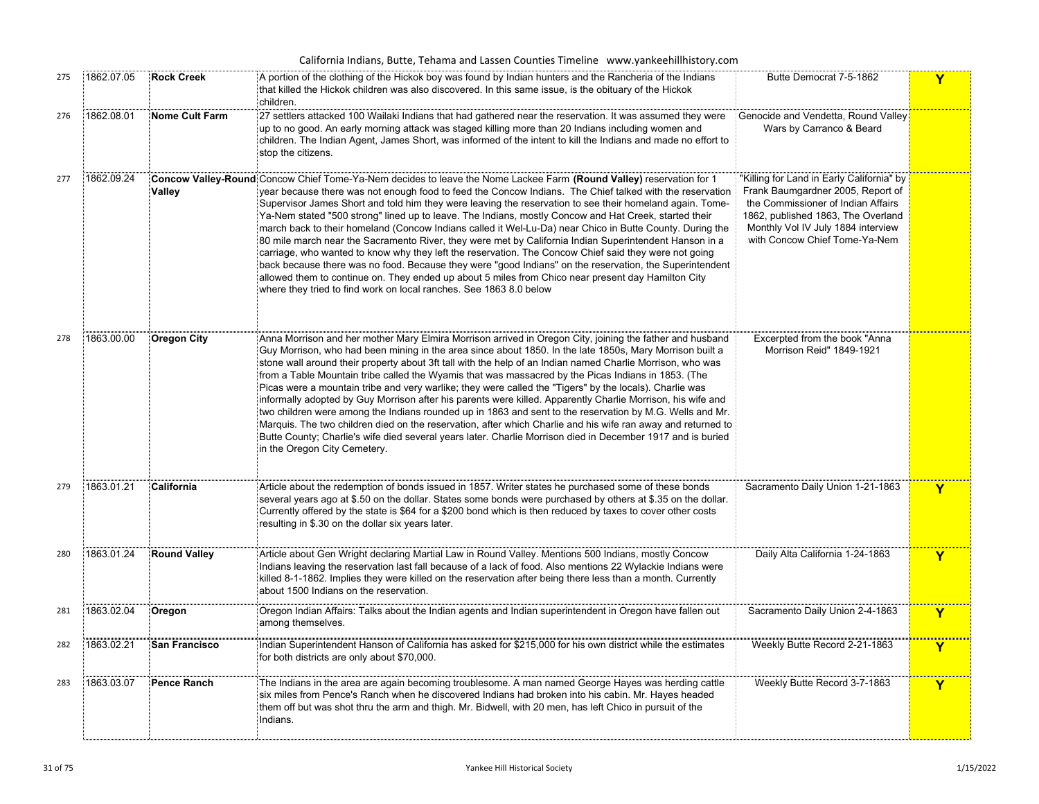|     |            |                      | California Indians, Butte, Tehama and Lassen Counties Timeline www.yankeehillhistory.com                                                                                                                                                                                                                                                                                                                                                                                                                                                                                                                                                                                                                                                                                                                                                                                                                                                                                                                                                                                   |                                                                                                                                                                                                                                   |   |
|-----|------------|----------------------|----------------------------------------------------------------------------------------------------------------------------------------------------------------------------------------------------------------------------------------------------------------------------------------------------------------------------------------------------------------------------------------------------------------------------------------------------------------------------------------------------------------------------------------------------------------------------------------------------------------------------------------------------------------------------------------------------------------------------------------------------------------------------------------------------------------------------------------------------------------------------------------------------------------------------------------------------------------------------------------------------------------------------------------------------------------------------|-----------------------------------------------------------------------------------------------------------------------------------------------------------------------------------------------------------------------------------|---|
| 275 | 1862.07.05 | <b>Rock Creek</b>    | A portion of the clothing of the Hickok boy was found by Indian hunters and the Rancheria of the Indians<br>that killed the Hickok children was also discovered. In this same issue, is the obituary of the Hickok<br>children.                                                                                                                                                                                                                                                                                                                                                                                                                                                                                                                                                                                                                                                                                                                                                                                                                                            | Butte Democrat 7-5-1862                                                                                                                                                                                                           | Y |
| 276 | 1862.08.01 | Nome Cult Farm       | 27 settlers attacked 100 Wailaki Indians that had gathered near the reservation. It was assumed they were<br>up to no good. An early morning attack was staged killing more than 20 Indians including women and<br>children. The Indian Agent, James Short, was informed of the intent to kill the Indians and made no effort to<br>stop the citizens.                                                                                                                                                                                                                                                                                                                                                                                                                                                                                                                                                                                                                                                                                                                     | Genocide and Vendetta, Round Valley<br>Wars by Carranco & Beard                                                                                                                                                                   |   |
| 277 | 1862.09.24 | Valley               | Concow Valley-Round Concow Chief Tome-Ya-Nem decides to leave the Nome Lackee Farm (Round Valley) reservation for 1<br>year because there was not enough food to feed the Concow Indians. The Chief talked with the reservation<br>Supervisor James Short and told him they were leaving the reservation to see their homeland again. Tome-<br>Ya-Nem stated "500 strong" lined up to leave. The Indians, mostly Concow and Hat Creek, started their<br>march back to their homeland (Concow Indians called it Wel-Lu-Da) near Chico in Butte County. During the<br>80 mile march near the Sacramento River, they were met by California Indian Superintendent Hanson in a<br>carriage, who wanted to know why they left the reservation. The Concow Chief said they were not going<br>back because there was no food. Because they were "good Indians" on the reservation, the Superintendent<br>allowed them to continue on. They ended up about 5 miles from Chico near present day Hamilton City<br>where they tried to find work on local ranches. See 1863 8.0 below | "Killing for Land in Early California" by<br>Frank Baumgardner 2005, Report of<br>the Commissioner of Indian Affairs<br>1862, published 1863, The Overland<br>Monthly Vol IV July 1884 interview<br>with Concow Chief Tome-Ya-Nem |   |
| 278 | 1863.00.00 | <b>Oregon City</b>   | Anna Morrison and her mother Mary Elmira Morrison arrived in Oregon City, joining the father and husband<br>Guy Morrison, who had been mining in the area since about 1850. In the late 1850s, Mary Morrison built a<br>stone wall around their property about 3ft tall with the help of an Indian named Charlie Morrison, who was<br>from a Table Mountain tribe called the Wyamis that was massacred by the Picas Indians in 1853. (The<br>Picas were a mountain tribe and very warlike; they were called the "Tigers" by the locals). Charlie was<br>informally adopted by Guy Morrison after his parents were killed. Apparently Charlie Morrison, his wife and<br>two children were among the Indians rounded up in 1863 and sent to the reservation by M.G. Wells and Mr.<br>Marquis. The two children died on the reservation, after which Charlie and his wife ran away and returned to<br>Butte County; Charlie's wife died several years later. Charlie Morrison died in December 1917 and is buried<br>in the Oregon City Cemetery.                             | Excerpted from the book "Anna<br>Morrison Reid" 1849-1921                                                                                                                                                                         |   |
| 279 | 1863.01.21 | California           | Article about the redemption of bonds issued in 1857. Writer states he purchased some of these bonds<br>several years ago at \$.50 on the dollar. States some bonds were purchased by others at \$.35 on the dollar.<br>Currently offered by the state is \$64 for a \$200 bond which is then reduced by taxes to cover other costs<br>resulting in \$.30 on the dollar six years later.                                                                                                                                                                                                                                                                                                                                                                                                                                                                                                                                                                                                                                                                                   | Sacramento Daily Union 1-21-1863                                                                                                                                                                                                  | Y |
| 280 | 1863.01.24 | <b>Round Valley</b>  | Article about Gen Wright declaring Martial Law in Round Valley. Mentions 500 Indians, mostly Concow<br>Indians leaving the reservation last fall because of a lack of food. Also mentions 22 Wylackie Indians were<br>killed 8-1-1862. Implies they were killed on the reservation after being there less than a month. Currently<br>about 1500 Indians on the reservation.                                                                                                                                                                                                                                                                                                                                                                                                                                                                                                                                                                                                                                                                                                | Daily Alta California 1-24-1863                                                                                                                                                                                                   | Y |
| 281 | 1863.02.04 | Oregon               | Oregon Indian Affairs: Talks about the Indian agents and Indian superintendent in Oregon have fallen out<br>among themselves.                                                                                                                                                                                                                                                                                                                                                                                                                                                                                                                                                                                                                                                                                                                                                                                                                                                                                                                                              | Sacramento Daily Union 2-4-1863                                                                                                                                                                                                   | Y |
| 282 | 1863.02.21 | <b>San Francisco</b> | Indian Superintendent Hanson of California has asked for \$215,000 for his own district while the estimates<br>for both districts are only about \$70,000.                                                                                                                                                                                                                                                                                                                                                                                                                                                                                                                                                                                                                                                                                                                                                                                                                                                                                                                 | Weekly Butte Record 2-21-1863                                                                                                                                                                                                     | Y |
| 283 | 1863.03.07 | Pence Ranch          | The Indians in the area are again becoming troublesome. A man named George Hayes was herding cattle<br>six miles from Pence's Ranch when he discovered Indians had broken into his cabin. Mr. Hayes headed<br>them off but was shot thru the arm and thigh. Mr. Bidwell, with 20 men, has left Chico in pursuit of the<br>Indians.                                                                                                                                                                                                                                                                                                                                                                                                                                                                                                                                                                                                                                                                                                                                         | Weekly Butte Record 3-7-1863                                                                                                                                                                                                      | Y |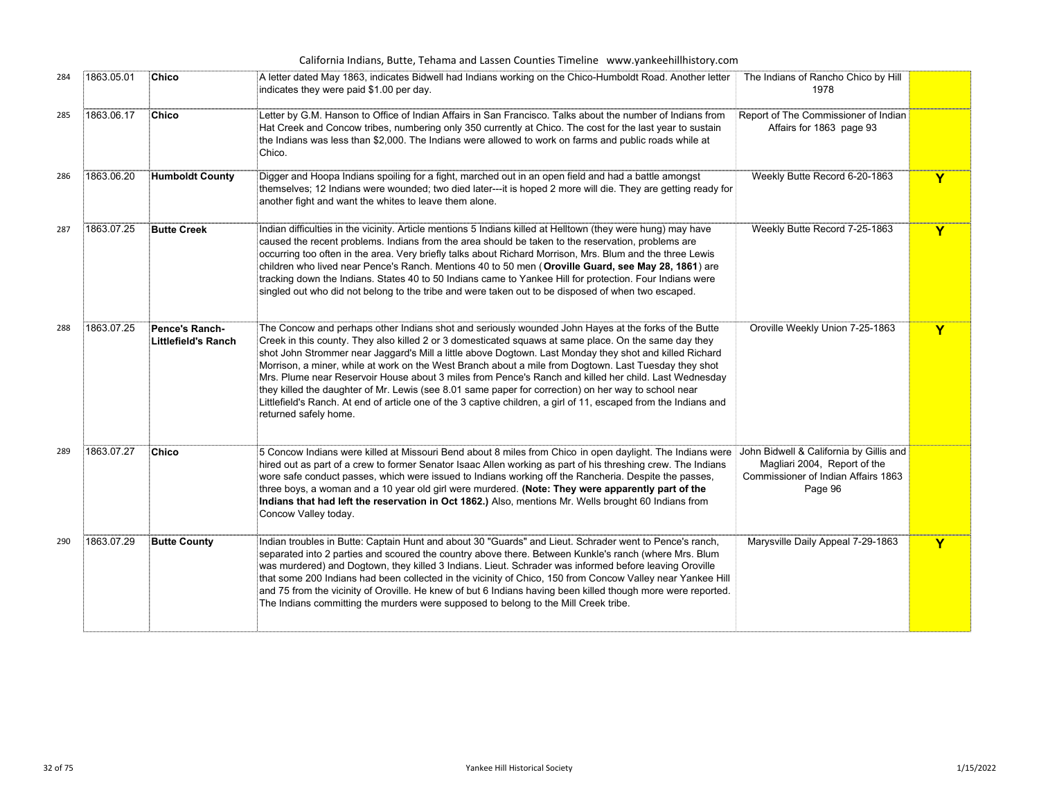|     |            |                                              | California Indians, Butte, Tehama and Lassen Counties Timeline www.yankeehillhistory.com                                                                                                                                                                                                                                                                                                                                                                                                                                                                                                                                                                                                                                                                                                        |                                                                                                                           |   |
|-----|------------|----------------------------------------------|-------------------------------------------------------------------------------------------------------------------------------------------------------------------------------------------------------------------------------------------------------------------------------------------------------------------------------------------------------------------------------------------------------------------------------------------------------------------------------------------------------------------------------------------------------------------------------------------------------------------------------------------------------------------------------------------------------------------------------------------------------------------------------------------------|---------------------------------------------------------------------------------------------------------------------------|---|
| 284 | 1863.05.01 | Chico                                        | A letter dated May 1863, indicates Bidwell had Indians working on the Chico-Humboldt Road. Another letter<br>indicates they were paid \$1.00 per day.                                                                                                                                                                                                                                                                                                                                                                                                                                                                                                                                                                                                                                           | The Indians of Rancho Chico by Hill<br>1978                                                                               |   |
| 285 | 1863.06.17 | Chico                                        | Letter by G.M. Hanson to Office of Indian Affairs in San Francisco. Talks about the number of Indians from<br>Hat Creek and Concow tribes, numbering only 350 currently at Chico. The cost for the last year to sustain<br>the Indians was less than \$2,000. The Indians were allowed to work on farms and public roads while at<br>Chico.                                                                                                                                                                                                                                                                                                                                                                                                                                                     | Report of The Commissioner of Indian<br>Affairs for 1863 page 93                                                          |   |
| 286 | 1863.06.20 | <b>Humboldt County</b>                       | Digger and Hoopa Indians spoiling for a fight, marched out in an open field and had a battle amongst<br>themselves; 12 Indians were wounded; two died later---it is hoped 2 more will die. They are getting ready for<br>another fight and want the whites to leave them alone.                                                                                                                                                                                                                                                                                                                                                                                                                                                                                                                 | Weekly Butte Record 6-20-1863                                                                                             | Y |
| 287 | 1863.07.25 | <b>Butte Creek</b>                           | Indian difficulties in the vicinity. Article mentions 5 Indians killed at Helltown (they were hung) may have<br>caused the recent problems. Indians from the area should be taken to the reservation, problems are<br>occurring too often in the area. Very briefly talks about Richard Morrison, Mrs. Blum and the three Lewis<br>children who lived near Pence's Ranch. Mentions 40 to 50 men (Oroville Guard, see May 28, 1861) are<br>tracking down the Indians. States 40 to 50 Indians came to Yankee Hill for protection. Four Indians were<br>singled out who did not belong to the tribe and were taken out to be disposed of when two escaped.                                                                                                                                        | Weekly Butte Record 7-25-1863                                                                                             | Y |
| 288 | 1863.07.25 | <b>Pence's Ranch-</b><br>Littlefield's Ranch | The Concow and perhaps other Indians shot and seriously wounded John Hayes at the forks of the Butte<br>Creek in this county. They also killed 2 or 3 domesticated squaws at same place. On the same day they<br>shot John Strommer near Jaggard's Mill a little above Dogtown. Last Monday they shot and killed Richard<br>Morrison, a miner, while at work on the West Branch about a mile from Dogtown. Last Tuesday they shot<br>Mrs. Plume near Reservoir House about 3 miles from Pence's Ranch and killed her child. Last Wednesday<br>they killed the daughter of Mr. Lewis (see 8.01 same paper for correction) on her way to school near<br>Littlefield's Ranch. At end of article one of the 3 captive children, a girl of 11, escaped from the Indians and<br>returned safely home. | Oroville Weekly Union 7-25-1863                                                                                           | Y |
| 289 | 1863.07.27 | Chico                                        | 5 Concow Indians were killed at Missouri Bend about 8 miles from Chico in open daylight. The Indians were<br>hired out as part of a crew to former Senator Isaac Allen working as part of his threshing crew. The Indians<br>wore safe conduct passes, which were issued to Indians working off the Rancheria. Despite the passes,<br>three boys, a woman and a 10 year old girl were murdered. (Note: They were apparently part of the<br>Indians that had left the reservation in Oct 1862.) Also, mentions Mr. Wells brought 60 Indians from<br>Concow Valley today.                                                                                                                                                                                                                         | John Bidwell & California by Gillis and<br>Magliari 2004, Report of the<br>Commissioner of Indian Affairs 1863<br>Page 96 |   |
| 290 | 1863.07.29 | <b>Butte County</b>                          | Indian troubles in Butte: Captain Hunt and about 30 "Guards" and Lieut. Schrader went to Pence's ranch,<br>separated into 2 parties and scoured the country above there. Between Kunkle's ranch (where Mrs. Blum<br>was murdered) and Dogtown, they killed 3 Indians. Lieut. Schrader was informed before leaving Oroville<br>that some 200 Indians had been collected in the vicinity of Chico, 150 from Concow Valley near Yankee Hill<br>and 75 from the vicinity of Oroville. He knew of but 6 Indians having been killed though more were reported.<br>The Indians committing the murders were supposed to belong to the Mill Creek tribe.                                                                                                                                                 | Marysville Daily Appeal 7-29-1863                                                                                         | Y |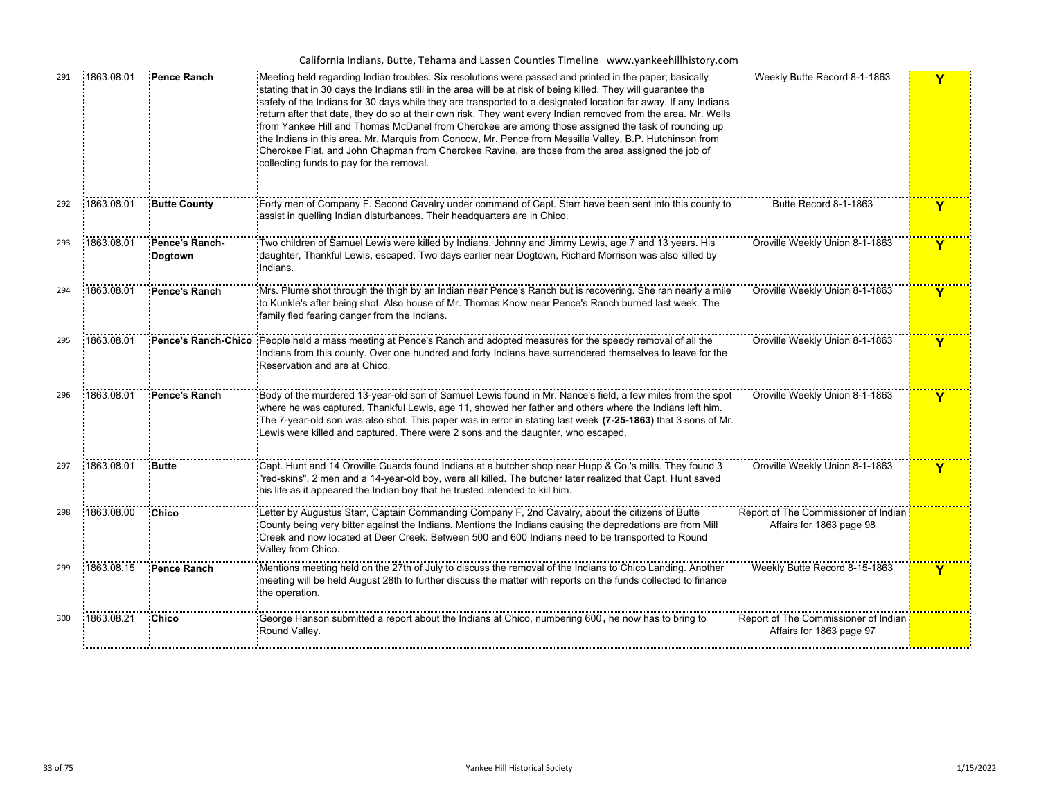|  | California Indians, Butte, Tehama and Lassen Counties Timeline www.yankeehillhistory.com |  |  |
|--|------------------------------------------------------------------------------------------|--|--|
|--|------------------------------------------------------------------------------------------|--|--|

| 291 | 1863.08.01 | <b>Pence Ranch</b>               | Meeting held regarding Indian troubles. Six resolutions were passed and printed in the paper; basically<br>stating that in 30 days the Indians still in the area will be at risk of being killed. They will guarantee the<br>safety of the Indians for 30 days while they are transported to a designated location far away. If any Indians<br>return after that date, they do so at their own risk. They want every Indian removed from the area. Mr. Wells<br>from Yankee Hill and Thomas McDanel from Cherokee are among those assigned the task of rounding up<br>the Indians in this area. Mr. Marquis from Concow, Mr. Pence from Messilla Valley, B.P. Hutchinson from<br>Cherokee Flat, and John Chapman from Cherokee Ravine, are those from the area assigned the job of<br>collecting funds to pay for the removal. | Weekly Butte Record 8-1-1863                                     |   |
|-----|------------|----------------------------------|--------------------------------------------------------------------------------------------------------------------------------------------------------------------------------------------------------------------------------------------------------------------------------------------------------------------------------------------------------------------------------------------------------------------------------------------------------------------------------------------------------------------------------------------------------------------------------------------------------------------------------------------------------------------------------------------------------------------------------------------------------------------------------------------------------------------------------|------------------------------------------------------------------|---|
| 292 | 1863.08.01 | <b>Butte County</b>              | Forty men of Company F. Second Cavalry under command of Capt. Starr have been sent into this county to<br>assist in quelling Indian disturbances. Their headquarters are in Chico.                                                                                                                                                                                                                                                                                                                                                                                                                                                                                                                                                                                                                                             | Butte Record 8-1-1863                                            | Y |
| 293 | 1863.08.01 | Pence's Ranch-<br><b>Dogtown</b> | Two children of Samuel Lewis were killed by Indians, Johnny and Jimmy Lewis, age 7 and 13 years. His<br>daughter, Thankful Lewis, escaped. Two days earlier near Dogtown, Richard Morrison was also killed by<br>Indians.                                                                                                                                                                                                                                                                                                                                                                                                                                                                                                                                                                                                      | Oroville Weekly Union 8-1-1863                                   | Y |
| 294 | 1863.08.01 | Pence's Ranch                    | Mrs. Plume shot through the thigh by an Indian near Pence's Ranch but is recovering. She ran nearly a mile<br>to Kunkle's after being shot. Also house of Mr. Thomas Know near Pence's Ranch burned last week. The<br>family fled fearing danger from the Indians.                                                                                                                                                                                                                                                                                                                                                                                                                                                                                                                                                             | Oroville Weekly Union 8-1-1863                                   | Y |
| 295 | 1863.08.01 | <b>Pence's Ranch-Chico</b>       | People held a mass meeting at Pence's Ranch and adopted measures for the speedy removal of all the<br>Indians from this county. Over one hundred and forty Indians have surrendered themselves to leave for the<br>Reservation and are at Chico.                                                                                                                                                                                                                                                                                                                                                                                                                                                                                                                                                                               | Oroville Weekly Union 8-1-1863                                   | Y |
| 296 | 1863.08.01 | Pence's Ranch                    | Body of the murdered 13-year-old son of Samuel Lewis found in Mr. Nance's field, a few miles from the spot<br>$\dot{\bar{\xi}}$ where he was captured. Thankful Lewis, age 11, showed her father and others where the Indians left him.<br>The 7-year-old son was also shot. This paper was in error in stating last week (7-25-1863) that 3 sons of Mr.<br>Lewis were killed and captured. There were 2 sons and the daughter, who escaped.                                                                                                                                                                                                                                                                                                                                                                                   | Oroville Weekly Union 8-1-1863                                   | Y |
| 297 | 1863.08.01 | <b>Butte</b>                     | Capt. Hunt and 14 Oroville Guards found Indians at a butcher shop near Hupp & Co.'s mills. They found 3<br>"red-skins", 2 men and a 14-year-old boy, were all killed. The butcher later realized that Capt. Hunt saved<br>his life as it appeared the Indian boy that he trusted intended to kill him.                                                                                                                                                                                                                                                                                                                                                                                                                                                                                                                         | Oroville Weekly Union 8-1-1863                                   | Y |
| 298 | 1863.08.00 | <b>Chico</b>                     | Letter by Augustus Starr, Captain Commanding Company F, 2nd Cavalry, about the citizens of Butte<br>County being very bitter against the Indians. Mentions the Indians causing the depredations are from Mill<br>Creek and now located at Deer Creek. Between 500 and 600 Indians need to be transported to Round<br>Valley from Chico.                                                                                                                                                                                                                                                                                                                                                                                                                                                                                        | Report of The Commissioner of Indian<br>Affairs for 1863 page 98 |   |
| 299 | 1863.08.15 | <b>Pence Ranch</b>               | Mentions meeting held on the 27th of July to discuss the removal of the Indians to Chico Landing. Another<br>meeting will be held August 28th to further discuss the matter with reports on the funds collected to finance<br>the operation.                                                                                                                                                                                                                                                                                                                                                                                                                                                                                                                                                                                   | Weekly Butte Record 8-15-1863                                    | Y |
| 300 | 1863.08.21 | Chico                            | George Hanson submitted a report about the Indians at Chico, numbering 600, he now has to bring to<br>Round Valley.                                                                                                                                                                                                                                                                                                                                                                                                                                                                                                                                                                                                                                                                                                            | Report of The Commissioner of Indian<br>Affairs for 1863 page 97 |   |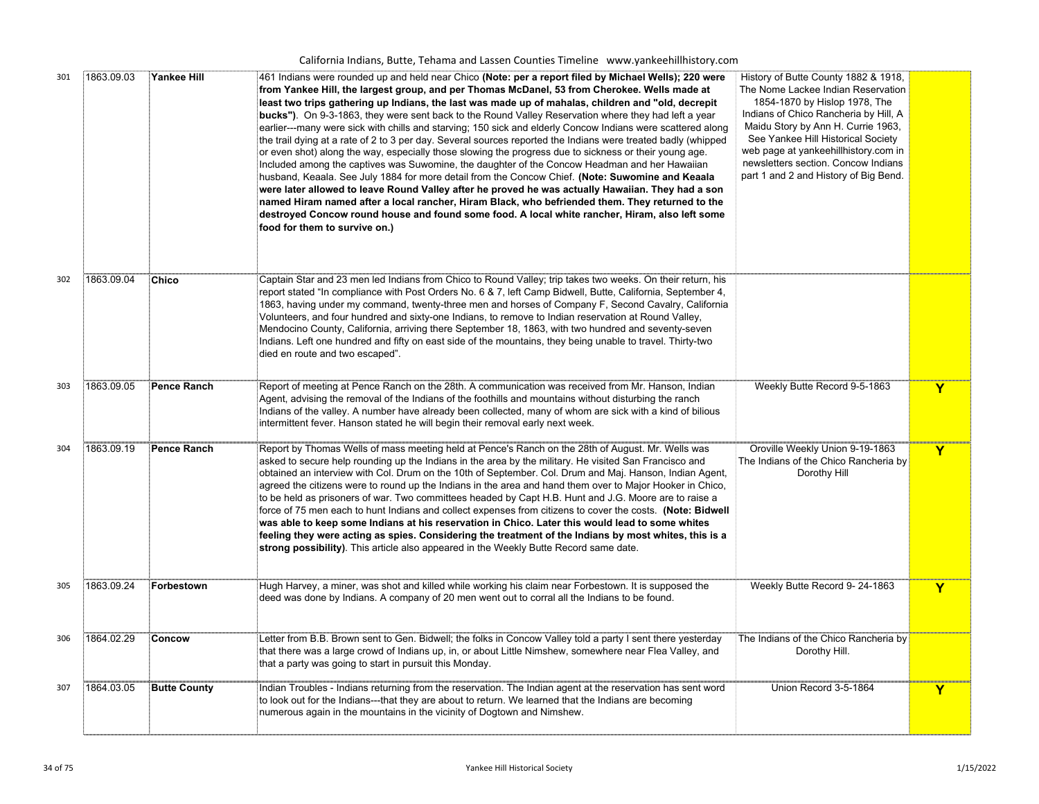| 301 | 1863.09.03 | <b>Yankee Hill</b>  | 461 Indians were rounded up and held near Chico (Note: per a report filed by Michael Wells); 220 were<br>from Yankee Hill, the largest group, and per Thomas McDanel, 53 from Cherokee. Wells made at<br>least two trips gathering up Indians, the last was made up of mahalas, children and "old, decrepit<br><b>bucks")</b> . On 9-3-1863, they were sent back to the Round Valley Reservation where they had left a year<br>earlier---many were sick with chills and starving; 150 sick and elderly Concow Indians were scattered along<br>the trail dying at a rate of 2 to 3 per day. Several sources reported the Indians were treated badly (whipped<br>or even shot) along the way, especially those slowing the progress due to sickness or their young age.<br>Included among the captives was Suwomine, the daughter of the Concow Headman and her Hawaiian<br>husband, Keaala. See July 1884 for more detail from the Concow Chief. (Note: Suwomine and Keaala<br>were later allowed to leave Round Valley after he proved he was actually Hawaiian. They had a son<br>named Hiram named after a local rancher, Hiram Black, who befriended them. They returned to the<br>destroyed Concow round house and found some food. A local white rancher, Hiram, also left some<br>food for them to survive on.) | History of Butte County 1882 & 1918,<br>The Nome Lackee Indian Reservation<br>1854-1870 by Hislop 1978, The<br>Indians of Chico Rancheria by Hill, A<br>Maidu Story by Ann H. Currie 1963,<br>See Yankee Hill Historical Society<br>web page at yankeehillhistory.com in<br>newsletters section. Concow Indians<br>part 1 and 2 and History of Big Bend. |   |
|-----|------------|---------------------|-----------------------------------------------------------------------------------------------------------------------------------------------------------------------------------------------------------------------------------------------------------------------------------------------------------------------------------------------------------------------------------------------------------------------------------------------------------------------------------------------------------------------------------------------------------------------------------------------------------------------------------------------------------------------------------------------------------------------------------------------------------------------------------------------------------------------------------------------------------------------------------------------------------------------------------------------------------------------------------------------------------------------------------------------------------------------------------------------------------------------------------------------------------------------------------------------------------------------------------------------------------------------------------------------------------------------|----------------------------------------------------------------------------------------------------------------------------------------------------------------------------------------------------------------------------------------------------------------------------------------------------------------------------------------------------------|---|
| 302 | 1863.09.04 | <b>Chico</b>        | Captain Star and 23 men led Indians from Chico to Round Valley; trip takes two weeks. On their return, his<br>report stated "In compliance with Post Orders No. 6 & 7, left Camp Bidwell, Butte, California, September 4,<br>1863, having under my command, twenty-three men and horses of Company F, Second Cavalry, California<br>Volunteers, and four hundred and sixty-one Indians, to remove to Indian reservation at Round Valley,<br>Mendocino County, California, arriving there September 18, 1863, with two hundred and seventy-seven<br>Indians. Left one hundred and fifty on east side of the mountains, they being unable to travel. Thirty-two<br>died en route and two escaped".                                                                                                                                                                                                                                                                                                                                                                                                                                                                                                                                                                                                                      |                                                                                                                                                                                                                                                                                                                                                          |   |
| 303 | 1863.09.05 | <b>Pence Ranch</b>  | Report of meeting at Pence Ranch on the 28th. A communication was received from Mr. Hanson, Indian<br>Agent, advising the removal of the Indians of the foothills and mountains without disturbing the ranch<br>Indians of the valley. A number have already been collected, many of whom are sick with a kind of bilious<br>intermittent fever. Hanson stated he will begin their removal early next week.                                                                                                                                                                                                                                                                                                                                                                                                                                                                                                                                                                                                                                                                                                                                                                                                                                                                                                           | Weekly Butte Record 9-5-1863                                                                                                                                                                                                                                                                                                                             | Y |
| 304 | 1863.09.19 | Pence Ranch         | Report by Thomas Wells of mass meeting held at Pence's Ranch on the 28th of August. Mr. Wells was<br>asked to secure help rounding up the Indians in the area by the military. He visited San Francisco and<br>obtained an interview with Col. Drum on the 10th of September. Col. Drum and Maj. Hanson, Indian Agent,<br>agreed the citizens were to round up the Indians in the area and hand them over to Major Hooker in Chico,<br>to be held as prisoners of war. Two committees headed by Capt H.B. Hunt and J.G. Moore are to raise a<br>force of 75 men each to hunt Indians and collect expenses from citizens to cover the costs. (Note: Bidwell<br>was able to keep some Indians at his reservation in Chico. Later this would lead to some whites<br>feeling they were acting as spies. Considering the treatment of the Indians by most whites, this is a<br>strong possibility). This article also appeared in the Weekly Butte Record same date.                                                                                                                                                                                                                                                                                                                                                       | Oroville Weekly Union 9-19-1863<br>The Indians of the Chico Rancheria by<br>Dorothy Hill                                                                                                                                                                                                                                                                 | Y |
| 305 | 1863.09.24 | Forbestown          | Hugh Harvey, a miner, was shot and killed while working his claim near Forbestown. It is supposed the<br>deed was done by Indians. A company of 20 men went out to corral all the Indians to be found.                                                                                                                                                                                                                                                                                                                                                                                                                                                                                                                                                                                                                                                                                                                                                                                                                                                                                                                                                                                                                                                                                                                | Weekly Butte Record 9-24-1863                                                                                                                                                                                                                                                                                                                            | Y |
| 306 | 1864.02.29 | Concow              | Letter from B.B. Brown sent to Gen. Bidwell; the folks in Concow Valley told a party I sent there yesterday<br>that there was a large crowd of Indians up, in, or about Little Nimshew, somewhere near Flea Valley, and<br>that a party was going to start in pursuit this Monday.                                                                                                                                                                                                                                                                                                                                                                                                                                                                                                                                                                                                                                                                                                                                                                                                                                                                                                                                                                                                                                    | The Indians of the Chico Rancheria by<br>Dorothy Hill.                                                                                                                                                                                                                                                                                                   |   |
| 307 | 1864.03.05 | <b>Butte County</b> | Indian Troubles - Indians returning from the reservation. The Indian agent at the reservation has sent word<br>to look out for the Indians---that they are about to return. We learned that the Indians are becoming<br>numerous again in the mountains in the vicinity of Dogtown and Nimshew.                                                                                                                                                                                                                                                                                                                                                                                                                                                                                                                                                                                                                                                                                                                                                                                                                                                                                                                                                                                                                       | Union Record 3-5-1864                                                                                                                                                                                                                                                                                                                                    | Y |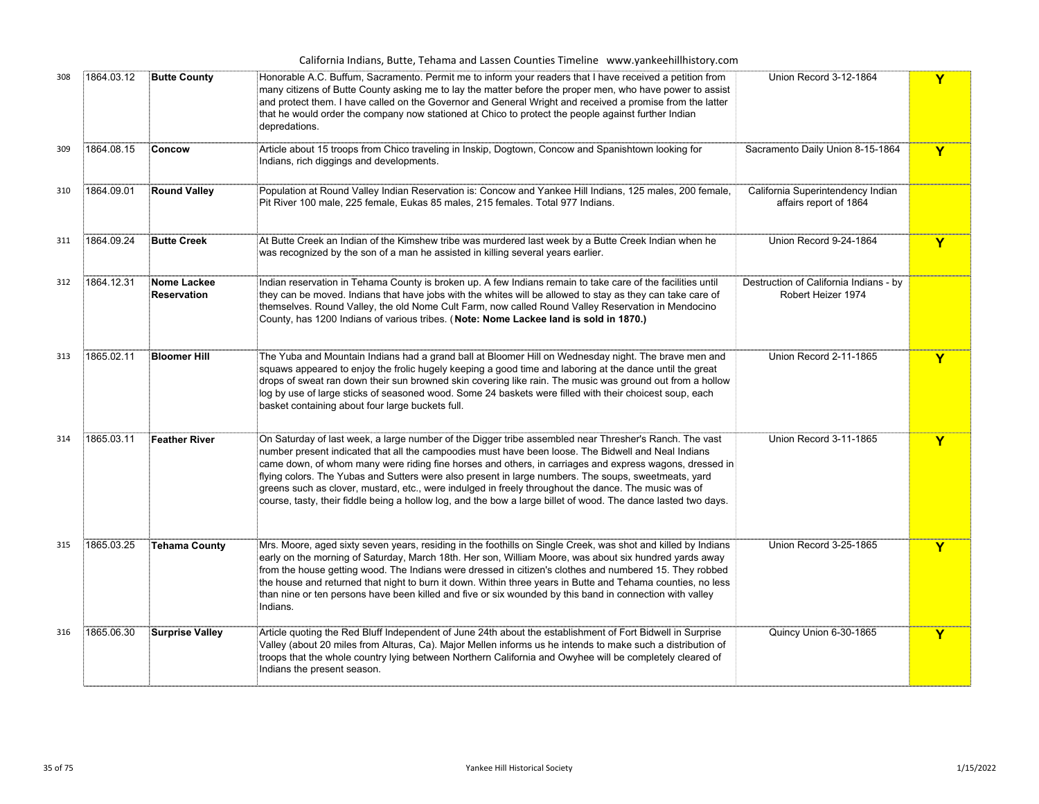|     |            |                            | California Indians, Butte, Tehama and Lassen Counties Timeline www.yankeehillhistory.com                                                                                                                                                                                                                                                                                                                                                                                                                                                                                                                                                                                     |                                                              |   |
|-----|------------|----------------------------|------------------------------------------------------------------------------------------------------------------------------------------------------------------------------------------------------------------------------------------------------------------------------------------------------------------------------------------------------------------------------------------------------------------------------------------------------------------------------------------------------------------------------------------------------------------------------------------------------------------------------------------------------------------------------|--------------------------------------------------------------|---|
| 308 | 1864.03.12 | <b>Butte County</b>        | Honorable A.C. Buffum, Sacramento. Permit me to inform your readers that I have received a petition from<br>many citizens of Butte County asking me to lay the matter before the proper men, who have power to assist<br>and protect them. I have called on the Governor and General Wright and received a promise from the latter<br>that he would order the company now stationed at Chico to protect the people against further Indian<br>depredations.                                                                                                                                                                                                                   | Union Record 3-12-1864                                       | Y |
| 309 | 1864.08.15 | Concow                     | Article about 15 troops from Chico traveling in Inskip, Dogtown, Concow and Spanishtown looking for<br>Indians, rich diggings and developments.                                                                                                                                                                                                                                                                                                                                                                                                                                                                                                                              | Sacramento Daily Union 8-15-1864                             | Y |
| 310 | 1864.09.01 | <b>Round Valley</b>        | Population at Round Valley Indian Reservation is: Concow and Yankee Hill Indians, 125 males, 200 female,<br>Pit River 100 male, 225 female, Eukas 85 males, 215 females. Total 977 Indians.                                                                                                                                                                                                                                                                                                                                                                                                                                                                                  | California Superintendency Indian<br>affairs report of 1864  |   |
| 311 | 1864.09.24 | <b>Butte Creek</b>         | At Butte Creek an Indian of the Kimshew tribe was murdered last week by a Butte Creek Indian when he<br>was recognized by the son of a man he assisted in killing several years earlier.                                                                                                                                                                                                                                                                                                                                                                                                                                                                                     | Union Record 9-24-1864                                       | Y |
| 312 | 1864.12.31 | Nome Lackee<br>Reservation | Indian reservation in Tehama County is broken up. A few Indians remain to take care of the facilities until<br>they can be moved. Indians that have jobs with the whites will be allowed to stay as they can take care of<br>themselves. Round Valley, the old Nome Cult Farm, now called Round Valley Reservation in Mendocino<br>County, has 1200 Indians of various tribes. (Note: Nome Lackee land is sold in 1870.)                                                                                                                                                                                                                                                     | Destruction of California Indians - by<br>Robert Heizer 1974 |   |
| 313 | 1865.02.11 | <b>Bloomer Hill</b>        | The Yuba and Mountain Indians had a grand ball at Bloomer Hill on Wednesday night. The brave men and<br>squaws appeared to enjoy the frolic hugely keeping a good time and laboring at the dance until the great<br>drops of sweat ran down their sun browned skin covering like rain. The music was ground out from a hollow<br>og by use of large sticks of seasoned wood. Some 24 baskets were filled with their choicest soup, each<br>basket containing about four large buckets full.                                                                                                                                                                                  | Union Record 2-11-1865                                       | Y |
| 314 | 1865.03.11 | <b>Feather River</b>       | On Saturday of last week, a large number of the Digger tribe assembled near Thresher's Ranch. The vast<br>number present indicated that all the campoodies must have been loose. The Bidwell and Neal Indians<br>came down, of whom many were riding fine horses and others, in carriages and express wagons, dressed in<br>flying colors. The Yubas and Sutters were also present in large numbers. The soups, sweetmeats, yard<br>greens such as clover, mustard, etc., were indulged in freely throughout the dance. The music was of<br>.<br><sub>E</sub> course, tasty, their fiddle being a hollow log, and the bow a large billet of wood. The dance lasted two days. | Union Record 3-11-1865                                       | Y |
| 315 | 1865.03.25 | <b>Tehama County</b>       | Mrs. Moore, aged sixty seven years, residing in the foothills on Single Creek, was shot and killed by Indians<br>early on the morning of Saturday, March 18th. Her son, William Moore, was about six hundred yards away<br>from the house getting wood. The Indians were dressed in citizen's clothes and numbered 15. They robbed<br>the house and returned that night to burn it down. Within three years in Butte and Tehama counties, no less<br>than nine or ten persons have been killed and five or six wounded by this band in connection with valley<br>Indians.                                                                                                    | Union Record 3-25-1865                                       | Y |
| 316 | 1865.06.30 | <b>Surprise Valley</b>     | Article quoting the Red Bluff Independent of June 24th about the establishment of Fort Bidwell in Surprise<br>Valley (about 20 miles from Alturas, Ca). Major Mellen informs us he intends to make such a distribution of<br>troops that the whole country lying between Northern California and Owyhee will be completely cleared of<br>Indians the present season.                                                                                                                                                                                                                                                                                                         | Quincy Union 6-30-1865                                       | Y |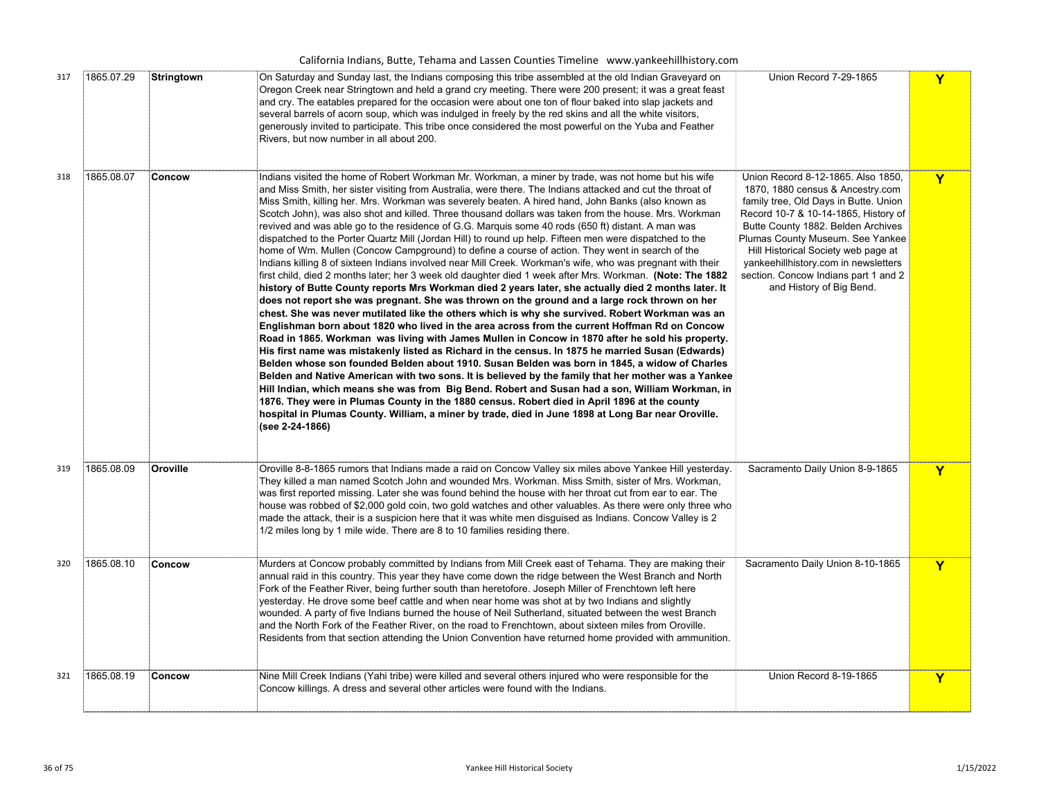| Union Record 7-29-1865<br>1865.07.29<br>On Saturday and Sunday last, the Indians composing this tribe assembled at the old Indian Graveyard on<br>Stringtown<br>317<br>Oregon Creek near Stringtown and held a grand cry meeting. There were 200 present; it was a great feast<br>and cry. The eatables prepared for the occasion were about one ton of flour baked into slap jackets and<br>several barrels of acorn soup, which was indulged in freely by the red skins and all the white visitors,<br>generously invited to participate. This tribe once considered the most powerful on the Yuba and Feather<br>Rivers, but now number in all about 200.<br>1865.08.07<br>Concow<br>Union Record 8-12-1865. Also 1850,<br>318<br>Indians visited the home of Robert Workman Mr. Workman, a miner by trade, was not home but his wife<br>and Miss Smith, her sister visiting from Australia, were there. The Indians attacked and cut the throat of<br>1870, 1880 census & Ancestry.com<br>Miss Smith, killing her. Mrs. Workman was severely beaten. A hired hand, John Banks (also known as<br>family tree, Old Days in Butte. Union<br>Scotch John), was also shot and killed. Three thousand dollars was taken from the house. Mrs. Workman<br>Record 10-7 & 10-14-1865, History of<br>revived and was able go to the residence of G.G. Marquis some 40 rods (650 ft) distant. A man was<br>Butte County 1882. Belden Archives<br>dispatched to the Porter Quartz Mill (Jordan Hill) to round up help. Fifteen men were dispatched to the<br>Plumas County Museum. See Yankee<br>Hill Historical Society web page at<br>home of Wm. Mullen (Concow Campground) to define a course of action. They went in search of the<br>Indians killing 8 of sixteen Indians involved near Mill Creek. Workman's wife, who was pregnant with their<br>yankeehillhistory.com in newsletters<br>section. Concow Indians part 1 and 2<br>first child, died 2 months later; her 3 week old daughter died 1 week after Mrs. Workman. (Note: The 1882<br>and History of Big Bend.<br>history of Butte County reports Mrs Workman died 2 years later, she actually died 2 months later. It<br>does not report she was pregnant. She was thrown on the ground and a large rock thrown on her<br>chest. She was never mutilated like the others which is why she survived. Robert Workman was an<br>Englishman born about 1820 who lived in the area across from the current Hoffman Rd on Concow<br>Road in 1865. Workman was living with James Mullen in Concow in 1870 after he sold his property.<br>His first name was mistakenly listed as Richard in the census. In 1875 he married Susan (Edwards)<br>Belden whose son founded Belden about 1910. Susan Belden was born in 1845, a widow of Charles<br>Belden and Native American with two sons. It is believed by the family that her mother was a Yankee<br>Hill Indian, which means she was from Big Bend. Robert and Susan had a son, William Workman, in<br>1876. They were in Plumas County in the 1880 census. Robert died in April 1896 at the county<br>hospital in Plumas County. William, a miner by trade, died in June 1898 at Long Bar near Oroville.<br>(see 2-24-1866)<br>1865.08.09<br>Oroville 8-8-1865 rumors that Indians made a raid on Concow Valley six miles above Yankee Hill yesterday.<br>Sacramento Daily Union 8-9-1865<br>Oroville<br>319<br>They killed a man named Scotch John and wounded Mrs. Workman. Miss Smith, sister of Mrs. Workman,<br>was first reported missing. Later she was found behind the house with her throat cut from ear to ear. The<br>house was robbed of \$2,000 gold coin, two gold watches and other valuables. As there were only three who<br>made the attack, their is a suspicion here that it was white men disguised as Indians. Concow Valley is 2<br>1/2 miles long by 1 mile wide. There are 8 to 10 families residing there.<br>1865.08.10<br>Murders at Concow probably committed by Indians from Mill Creek east of Tehama. They are making their<br>Sacramento Daily Union 8-10-1865<br>Concow<br>320<br>annual raid in this country. This year they have come down the ridge between the West Branch and North<br>Fork of the Feather River, being further south than heretofore. Joseph Miller of Frenchtown left here<br>yesterday. He drove some beef cattle and when near home was shot at by two Indians and slightly<br>wounded. A party of five Indians burned the house of Neil Sutherland, situated between the west Branch<br>and the North Fork of the Feather River, on the road to Frenchtown, about sixteen miles from Oroville.<br>Residents from that section attending the Union Convention have returned home provided with ammunition.<br>1865.08.19<br>321<br>Concow<br>Nine Mill Creek Indians (Yahi tribe) were killed and several others injured who were responsible for the<br>Union Record 8-19-1865<br>Concow killings. A dress and several other articles were found with the Indians. |  | California Indians, Butte, Tehama and Lassen Counties Timeline www.yankeehillhistory.com |   |
|-------------------------------------------------------------------------------------------------------------------------------------------------------------------------------------------------------------------------------------------------------------------------------------------------------------------------------------------------------------------------------------------------------------------------------------------------------------------------------------------------------------------------------------------------------------------------------------------------------------------------------------------------------------------------------------------------------------------------------------------------------------------------------------------------------------------------------------------------------------------------------------------------------------------------------------------------------------------------------------------------------------------------------------------------------------------------------------------------------------------------------------------------------------------------------------------------------------------------------------------------------------------------------------------------------------------------------------------------------------------------------------------------------------------------------------------------------------------------------------------------------------------------------------------------------------------------------------------------------------------------------------------------------------------------------------------------------------------------------------------------------------------------------------------------------------------------------------------------------------------------------------------------------------------------------------------------------------------------------------------------------------------------------------------------------------------------------------------------------------------------------------------------------------------------------------------------------------------------------------------------------------------------------------------------------------------------------------------------------------------------------------------------------------------------------------------------------------------------------------------------------------------------------------------------------------------------------------------------------------------------------------------------------------------------------------------------------------------------------------------------------------------------------------------------------------------------------------------------------------------------------------------------------------------------------------------------------------------------------------------------------------------------------------------------------------------------------------------------------------------------------------------------------------------------------------------------------------------------------------------------------------------------------------------------------------------------------------------------------------------------------------------------------------------------------------------------------------------------------------------------------------------------------------------------------------------------------------------------------------------------------------------------------------------------------------------------------------------------------------------------------------------------------------------------------------------------------------------------------------------------------------------------------------------------------------------------------------------------------------------------------------------------------------------------------------------------------------------------------------------------------------------------------------------------------------------------------------------------------------------------------------------------------------------------------------------------------------------------------------------------------------------------------------------------------------------------------------------------------------------------------------------------------------------------------------------------------------------------------------------------------------------------------------------------------------------------------------------------------------------------------------------------------------------------------------------------------------------------------------------------------------------------------------------------------------------------------------------------------------------------------------------------------------|--|------------------------------------------------------------------------------------------|---|
|                                                                                                                                                                                                                                                                                                                                                                                                                                                                                                                                                                                                                                                                                                                                                                                                                                                                                                                                                                                                                                                                                                                                                                                                                                                                                                                                                                                                                                                                                                                                                                                                                                                                                                                                                                                                                                                                                                                                                                                                                                                                                                                                                                                                                                                                                                                                                                                                                                                                                                                                                                                                                                                                                                                                                                                                                                                                                                                                                                                                                                                                                                                                                                                                                                                                                                                                                                                                                                                                                                                                                                                                                                                                                                                                                                                                                                                                                                                                                                                                                                                                                                                                                                                                                                                                                                                                                                                                                                                                                                                                                                                                                                                                                                                                                                                                                                                                                                                                                                                                                                     |  |                                                                                          | Y |
|                                                                                                                                                                                                                                                                                                                                                                                                                                                                                                                                                                                                                                                                                                                                                                                                                                                                                                                                                                                                                                                                                                                                                                                                                                                                                                                                                                                                                                                                                                                                                                                                                                                                                                                                                                                                                                                                                                                                                                                                                                                                                                                                                                                                                                                                                                                                                                                                                                                                                                                                                                                                                                                                                                                                                                                                                                                                                                                                                                                                                                                                                                                                                                                                                                                                                                                                                                                                                                                                                                                                                                                                                                                                                                                                                                                                                                                                                                                                                                                                                                                                                                                                                                                                                                                                                                                                                                                                                                                                                                                                                                                                                                                                                                                                                                                                                                                                                                                                                                                                                                     |  |                                                                                          | Y |
|                                                                                                                                                                                                                                                                                                                                                                                                                                                                                                                                                                                                                                                                                                                                                                                                                                                                                                                                                                                                                                                                                                                                                                                                                                                                                                                                                                                                                                                                                                                                                                                                                                                                                                                                                                                                                                                                                                                                                                                                                                                                                                                                                                                                                                                                                                                                                                                                                                                                                                                                                                                                                                                                                                                                                                                                                                                                                                                                                                                                                                                                                                                                                                                                                                                                                                                                                                                                                                                                                                                                                                                                                                                                                                                                                                                                                                                                                                                                                                                                                                                                                                                                                                                                                                                                                                                                                                                                                                                                                                                                                                                                                                                                                                                                                                                                                                                                                                                                                                                                                                     |  |                                                                                          | Y |
|                                                                                                                                                                                                                                                                                                                                                                                                                                                                                                                                                                                                                                                                                                                                                                                                                                                                                                                                                                                                                                                                                                                                                                                                                                                                                                                                                                                                                                                                                                                                                                                                                                                                                                                                                                                                                                                                                                                                                                                                                                                                                                                                                                                                                                                                                                                                                                                                                                                                                                                                                                                                                                                                                                                                                                                                                                                                                                                                                                                                                                                                                                                                                                                                                                                                                                                                                                                                                                                                                                                                                                                                                                                                                                                                                                                                                                                                                                                                                                                                                                                                                                                                                                                                                                                                                                                                                                                                                                                                                                                                                                                                                                                                                                                                                                                                                                                                                                                                                                                                                                     |  |                                                                                          | Y |
|                                                                                                                                                                                                                                                                                                                                                                                                                                                                                                                                                                                                                                                                                                                                                                                                                                                                                                                                                                                                                                                                                                                                                                                                                                                                                                                                                                                                                                                                                                                                                                                                                                                                                                                                                                                                                                                                                                                                                                                                                                                                                                                                                                                                                                                                                                                                                                                                                                                                                                                                                                                                                                                                                                                                                                                                                                                                                                                                                                                                                                                                                                                                                                                                                                                                                                                                                                                                                                                                                                                                                                                                                                                                                                                                                                                                                                                                                                                                                                                                                                                                                                                                                                                                                                                                                                                                                                                                                                                                                                                                                                                                                                                                                                                                                                                                                                                                                                                                                                                                                                     |  |                                                                                          | Y |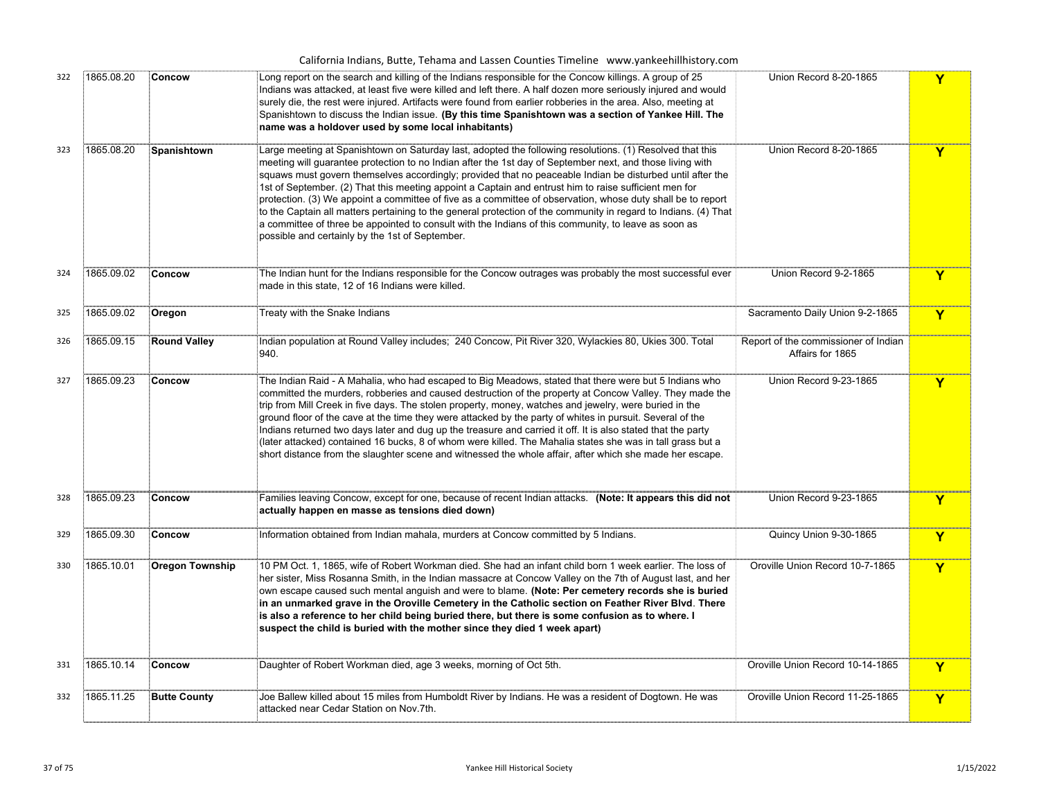|     |            |                        | California Indians, Butte, Tehama and Lassen Counties Timeline www.yankeehillhistory.com                                                                                                                                                                                                                                                                                                                                                                                                                                                                                                                                                                                                                                                                                                                                                 |                                                          |              |
|-----|------------|------------------------|------------------------------------------------------------------------------------------------------------------------------------------------------------------------------------------------------------------------------------------------------------------------------------------------------------------------------------------------------------------------------------------------------------------------------------------------------------------------------------------------------------------------------------------------------------------------------------------------------------------------------------------------------------------------------------------------------------------------------------------------------------------------------------------------------------------------------------------|----------------------------------------------------------|--------------|
| 322 | 1865.08.20 | Concow                 | Long report on the search and killing of the Indians responsible for the Concow killings. A group of 25<br>Indians was attacked, at least five were killed and left there. A half dozen more seriously injured and would<br>surely die, the rest were injured. Artifacts were found from earlier robberies in the area. Also, meeting at<br>Spanishtown to discuss the Indian issue. (By this time Spanishtown was a section of Yankee Hill. The<br>name was a holdover used by some local inhabitants)                                                                                                                                                                                                                                                                                                                                  | Union Record 8-20-1865                                   | Y            |
| 323 | 1865.08.20 | Spanishtown            | Large meeting at Spanishtown on Saturday last, adopted the following resolutions. (1) Resolved that this<br>meeting will guarantee protection to no Indian after the 1st day of September next, and those living with<br>squaws must govern themselves accordingly; provided that no peaceable Indian be disturbed until after the<br>1st of September. (2) That this meeting appoint a Captain and entrust him to raise sufficient men for<br>protection. (3) We appoint a committee of five as a committee of observation, whose duty shall be to report<br>to the Captain all matters pertaining to the general protection of the community in regard to Indians. (4) That<br>a committee of three be appointed to consult with the Indians of this community, to leave as soon as<br>possible and certainly by the 1st of September. | Union Record 8-20-1865                                   | Y            |
| 324 | 1865.09.02 | Concow                 | The Indian hunt for the Indians responsible for the Concow outrages was probably the most successful ever<br>made in this state, 12 of 16 Indians were killed.                                                                                                                                                                                                                                                                                                                                                                                                                                                                                                                                                                                                                                                                           | Union Record 9-2-1865                                    | Y            |
| 325 | 1865.09.02 | Oregon                 | Treaty with the Snake Indians                                                                                                                                                                                                                                                                                                                                                                                                                                                                                                                                                                                                                                                                                                                                                                                                            | Sacramento Daily Union 9-2-1865                          | Y            |
| 326 | 1865.09.15 | <b>Round Valley</b>    | Indian population at Round Valley includes; 240 Concow, Pit River 320, Wylackies 80, Ukies 300. Total<br>940.                                                                                                                                                                                                                                                                                                                                                                                                                                                                                                                                                                                                                                                                                                                            | Report of the commissioner of Indian<br>Affairs for 1865 |              |
| 327 | 1865.09.23 | Concow                 | The Indian Raid - A Mahalia, who had escaped to Big Meadows, stated that there were but 5 Indians who<br>committed the murders, robberies and caused destruction of the property at Concow Valley. They made the<br>trip from Mill Creek in five days. The stolen property, money, watches and jewelry, were buried in the<br>ground floor of the cave at the time they were attacked by the party of whites in pursuit. Several of the<br>Indians returned two days later and dug up the treasure and carried it off. It is also stated that the party<br>(later attacked) contained 16 bucks, 8 of whom were killed. The Mahalia states she was in tall grass but a<br>short distance from the slaughter scene and witnessed the whole affair, after which she made her escape.                                                        | Union Record 9-23-1865                                   | Y            |
| 328 | 1865.09.23 | Concow                 | Families leaving Concow, except for one, because of recent Indian attacks. (Note: It appears this did not<br>actually happen en masse as tensions died down)                                                                                                                                                                                                                                                                                                                                                                                                                                                                                                                                                                                                                                                                             | Union Record 9-23-1865                                   | Y            |
| 329 | 1865.09.30 | Concow                 | Information obtained from Indian mahala, murders at Concow committed by 5 Indians.                                                                                                                                                                                                                                                                                                                                                                                                                                                                                                                                                                                                                                                                                                                                                       | Quincy Union 9-30-1865                                   | Y            |
| 330 | 1865.10.01 | <b>Oregon Township</b> | 10 PM Oct. 1, 1865, wife of Robert Workman died. She had an infant child born 1 week earlier. The loss of<br>her sister, Miss Rosanna Smith, in the Indian massacre at Concow Valley on the 7th of August last, and her<br>own escape caused such mental anguish and were to blame. (Note: Per cemetery records she is buried<br>in an unmarked grave in the Oroville Cemetery in the Catholic section on Feather River Blvd. There<br>Is also a reference to her child being buried there, but there is some confusion as to where. I<br>suspect the child is buried with the mother since they died 1 week apart)                                                                                                                                                                                                                      | Oroville Union Record 10-7-1865                          | $\mathbf{Y}$ |
| 331 | 1865.10.14 | Concow                 | Daughter of Robert Workman died, age 3 weeks, morning of Oct 5th.                                                                                                                                                                                                                                                                                                                                                                                                                                                                                                                                                                                                                                                                                                                                                                        | Oroville Union Record 10-14-1865                         | Y            |
| 332 | 1865.11.25 | <b>Butte County</b>    | Joe Ballew killed about 15 miles from Humboldt River by Indians. He was a resident of Dogtown. He was<br>attacked near Cedar Station on Nov.7th.                                                                                                                                                                                                                                                                                                                                                                                                                                                                                                                                                                                                                                                                                         | Oroville Union Record 11-25-1865                         | Y            |
|     |            |                        |                                                                                                                                                                                                                                                                                                                                                                                                                                                                                                                                                                                                                                                                                                                                                                                                                                          |                                                          |              |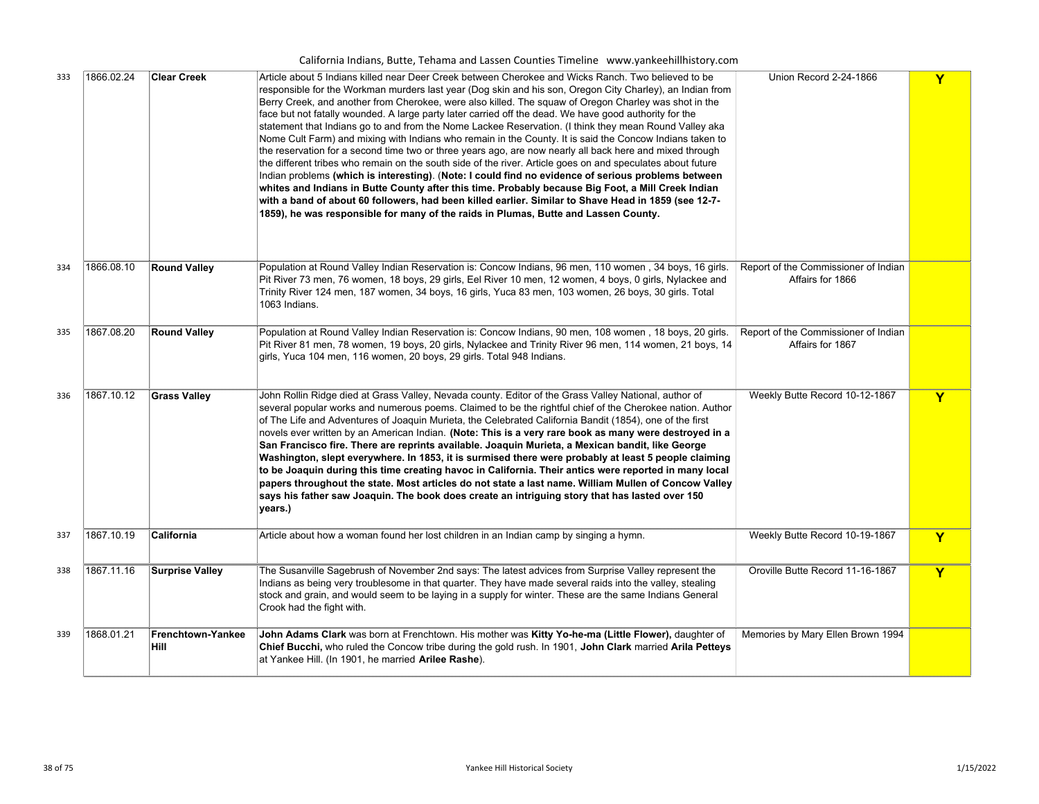| California Indians, Butte, Tehama and Lassen Counties Timeline www.yankeehillhistory.com |  |  |  |  |  |  |  |  |  |
|------------------------------------------------------------------------------------------|--|--|--|--|--|--|--|--|--|
|------------------------------------------------------------------------------------------|--|--|--|--|--|--|--|--|--|

| 333 | 1866.02.24 | <b>Clear Creek</b>        | Article about 5 Indians killed near Deer Creek between Cherokee and Wicks Ranch. Two believed to be<br>responsible for the Workman murders last year (Dog skin and his son, Oregon City Charley), an Indian from<br>Berry Creek, and another from Cherokee, were also killed. The squaw of Oregon Charley was shot in the<br>face but not fatally wounded. A large party later carried off the dead. We have good authority for the<br>statement that Indians go to and from the Nome Lackee Reservation. (I think they mean Round Valley aka<br>Nome Cult Farm) and mixing with Indians who remain in the County. It is said the Concow Indians taken to<br>the reservation for a second time two or three years ago, are now nearly all back here and mixed through<br>the different tribes who remain on the south side of the river. Article goes on and speculates about future<br>Indian problems (which is interesting). (Note: I could find no evidence of serious problems between<br>whites and Indians in Butte County after this time. Probably because Big Foot, a Mill Creek Indian<br>-7-12 with a band of about 60 followers, had been killed earlier. Similar to Shave Head in 1859<br>1859), he was responsible for many of the raids in Plumas, Butte and Lassen County. | Union Record 2-24-1866                                   | Y |
|-----|------------|---------------------------|---------------------------------------------------------------------------------------------------------------------------------------------------------------------------------------------------------------------------------------------------------------------------------------------------------------------------------------------------------------------------------------------------------------------------------------------------------------------------------------------------------------------------------------------------------------------------------------------------------------------------------------------------------------------------------------------------------------------------------------------------------------------------------------------------------------------------------------------------------------------------------------------------------------------------------------------------------------------------------------------------------------------------------------------------------------------------------------------------------------------------------------------------------------------------------------------------------------------------------------------------------------------------------------------|----------------------------------------------------------|---|
| 334 | 1866.08.10 | <b>Round Valley</b>       | Population at Round Valley Indian Reservation is: Concow Indians, 96 men, 110 women, 34 boys, 16 girls.<br>Pit River 73 men, 76 women, 18 boys, 29 girls, Eel River 10 men, 12 women, 4 boys, 0 girls, Nylackee and<br>Trinity River 124 men, 187 women, 34 boys, 16 girls, Yuca 83 men, 103 women, 26 boys, 30 girls. Total<br>1063 Indians.                                                                                                                                                                                                                                                                                                                                                                                                                                                                                                                                                                                                                                                                                                                                                                                                                                                                                                                                               | Report of the Commissioner of Indian<br>Affairs for 1866 |   |
| 335 | 1867.08.20 | <b>Round Valley</b>       | Population at Round Valley Indian Reservation is: Concow Indians, 90 men, 108 women, 18 boys, 20 girls. [Report of the Commissioner of Indian<br>Pit River 81 men, 78 women, 19 boys, 20 girls, Nylackee and Trinity River 96 men, 114 women, 21 boys, 14<br>girls, Yuca 104 men, 116 women, 20 boys, 29 girls. Total 948 Indians.                                                                                                                                                                                                                                                                                                                                                                                                                                                                                                                                                                                                                                                                                                                                                                                                                                                                                                                                                          | Affairs for 1867                                         |   |
| 336 | 1867.10.12 | <b>Grass Valley</b>       | John Rollin Ridge died at Grass Valley, Nevada county. Editor of the Grass Valley National, author of<br>several popular works and numerous poems. Claimed to be the rightful chief of the Cherokee nation. Author<br>of The Life and Adventures of Joaquin Murieta, the Celebrated California Bandit (1854), one of the first<br>novels ever written by an American Indian. (Note: This is a very rare book as many were destroyed in a<br>San Francisco fire. There are reprints available. Joaquin Murieta, a Mexican bandit, like George<br>Washington, slept everywhere. In 1853, it is surmised there were probably at least 5 people claiming<br>to be Joaquin during this time creating havoc in California. Their antics were reported in many local<br>papers throughout the state. Most articles do not state a last name. William Mullen of Concow Valley<br>says his father saw Joaquin. The book does create an intriguing story that has lasted over 150<br>years.)                                                                                                                                                                                                                                                                                                          | Weekly Butte Record 10-12-1867                           | Y |
| 337 | 1867.10.19 | California                | Article about how a woman found her lost children in an Indian camp by singing a hymn.                                                                                                                                                                                                                                                                                                                                                                                                                                                                                                                                                                                                                                                                                                                                                                                                                                                                                                                                                                                                                                                                                                                                                                                                      | Weekly Butte Record 10-19-1867                           | Y |
| 338 | 1867.11.16 | Surprise Valley           | The Susanville Sagebrush of November 2nd says: The latest advices from Surprise Valley represent the<br>Indians as being very troublesome in that quarter. They have made several raids into the valley, stealing<br>stock and grain, and would seem to be laying in a supply for winter. These are the same Indians General<br>Crook had the fight with.                                                                                                                                                                                                                                                                                                                                                                                                                                                                                                                                                                                                                                                                                                                                                                                                                                                                                                                                   | Oroville Butte Record 11-16-1867                         | Y |
| 339 | 1868.01.21 | Frenchtown-Yankee<br>Hill | John Adams Clark was born at Frenchtown. His mother was Kitty Yo-he-ma (Little Flower), daughter of<br>Chief Bucchi, who ruled the Concow tribe during the gold rush. In 1901, John Clark married Arila Petteys<br>at Yankee Hill. (In 1901, he married Arilee Rashe).                                                                                                                                                                                                                                                                                                                                                                                                                                                                                                                                                                                                                                                                                                                                                                                                                                                                                                                                                                                                                      | Memories by Mary Ellen Brown 1994                        |   |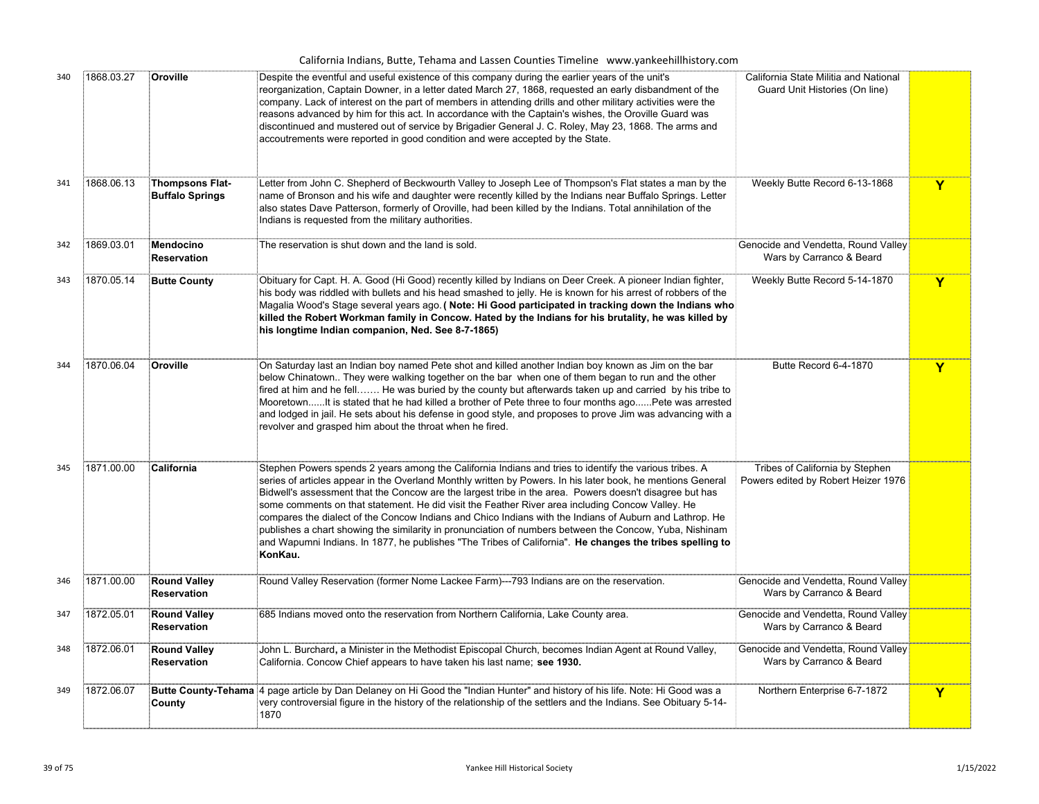|  |  |  |  | California Indians, Butte, Tehama and Lassen Counties Timeline www.yankeehillhistory.com |
|--|--|--|--|------------------------------------------------------------------------------------------|
|--|--|--|--|------------------------------------------------------------------------------------------|

| 340 | 1868.03.27 | Oroville                                         | Despite the eventful and useful existence of this company during the earlier years of the unit's<br>reorganization, Captain Downer, in a letter dated March 27, 1868, requested an early disbandment of the<br>company. Lack of interest on the part of members in attending drills and other military activities were the<br>reasons advanced by him for this act. In accordance with the Captain's wishes, the Oroville Guard was<br>discontinued and mustered out of service by Brigadier General J. C. Roley, May 23, 1868. The arms and<br>accoutrements were reported in good condition and were accepted by the State.                                                                                                                                                     | California State Militia and National<br>Guard Unit Histories (On line) |             |
|-----|------------|--------------------------------------------------|-----------------------------------------------------------------------------------------------------------------------------------------------------------------------------------------------------------------------------------------------------------------------------------------------------------------------------------------------------------------------------------------------------------------------------------------------------------------------------------------------------------------------------------------------------------------------------------------------------------------------------------------------------------------------------------------------------------------------------------------------------------------------------------|-------------------------------------------------------------------------|-------------|
| 341 | 1868.06.13 | <b>Thompsons Flat-</b><br><b>Buffalo Springs</b> | Letter from John C. Shepherd of Beckwourth Valley to Joseph Lee of Thompson's Flat states a man by the<br>name of Bronson and his wife and daughter were recently killed by the Indians near Buffalo Springs. Letter<br>also states Dave Patterson, formerly of Oroville, had been killed by the Indians. Total annihilation of the<br>Indians is requested from the military authorities.                                                                                                                                                                                                                                                                                                                                                                                        | Weekly Butte Record 6-13-1868                                           | $\mathbf Y$ |
| 342 | 1869.03.01 | Mendocino<br><b>Reservation</b>                  | The reservation is shut down and the land is sold.                                                                                                                                                                                                                                                                                                                                                                                                                                                                                                                                                                                                                                                                                                                                | Genocide and Vendetta, Round Valley<br>Wars by Carranco & Beard         |             |
| 343 | 1870.05.14 | <b>Butte County</b>                              | Obituary for Capt. H. A. Good (Hi Good) recently killed by Indians on Deer Creek. A pioneer Indian fighter,<br>his body was riddled with bullets and his head smashed to jelly. He is known for his arrest of robbers of the<br>Magalia Wood's Stage several years ago. (Note: Hi Good participated in tracking down the Indians who<br>killed the Robert Workman family in Concow. Hated by the Indians for his brutality, he was killed by<br>his longtime Indian companion, Ned. See 8-7-1865)                                                                                                                                                                                                                                                                                 | Weekly Butte Record 5-14-1870                                           | Y           |
| 344 | 1870.06.04 | Oroville                                         | On Saturday last an Indian boy named Pete shot and killed another Indian boy known as Jim on the bar<br>below Chinatown They were walking together on the bar when one of them began to run and the other<br>fired at him and he fell He was buried by the county but afterwards taken up and carried by his tribe to<br>MooretownIt is stated that he had killed a brother of Pete three to four months agoPete was arrested<br>and lodged in jail. He sets about his defense in good style, and proposes to prove Jim was advancing with a<br>revolver and grasped him about the throat when he fired.                                                                                                                                                                          | Butte Record 6-4-1870                                                   | $\mathbf Y$ |
| 345 | 1871.00.00 | California                                       | Stephen Powers spends 2 years among the California Indians and tries to identify the various tribes. A<br>series of articles appear in the Overland Monthly written by Powers. In his later book, he mentions General<br>Bidwell's assessment that the Concow are the largest tribe in the area. Powers doesn't disagree but has<br>some comments on that statement. He did visit the Feather River area including Concow Valley. He<br>compares the dialect of the Concow Indians and Chico Indians with the Indians of Auburn and Lathrop. He<br>publishes a chart showing the similarity in pronunciation of numbers between the Concow, Yuba, Nishinam<br>and Wapumni Indians. In 1877, he publishes "The Tribes of California". He changes the tribes spelling to<br>KonKau. | Tribes of California by Stephen<br>Powers edited by Robert Heizer 1976  |             |
| 346 | 1871.00.00 | <b>Round Valley</b><br><b>Reservation</b>        | Round Valley Reservation (former Nome Lackee Farm)---793 Indians are on the reservation.                                                                                                                                                                                                                                                                                                                                                                                                                                                                                                                                                                                                                                                                                          | Genocide and Vendetta, Round Valley<br>Wars by Carranco & Beard         |             |
| 347 | 1872.05.01 | <b>Round Valley</b><br><b>Reservation</b>        | 685 Indians moved onto the reservation from Northern California, Lake County area.                                                                                                                                                                                                                                                                                                                                                                                                                                                                                                                                                                                                                                                                                                | Genocide and Vendetta, Round Valley<br>Wars by Carranco & Beard         |             |
| 348 | 1872.06.01 | <b>Round Valley</b><br><b>Reservation</b>        | John L. Burchard, a Minister in the Methodist Episcopal Church, becomes Indian Agent at Round Valley,<br>California. Concow Chief appears to have taken his last name; see 1930.                                                                                                                                                                                                                                                                                                                                                                                                                                                                                                                                                                                                  | Genocide and Vendetta, Round Valley<br>Wars by Carranco & Beard         |             |
| 349 | 1872.06.07 | County                                           | Butte County-Tehama 4 page article by Dan Delaney on Hi Good the "Indian Hunter" and history of his life. Note: Hi Good was a<br>very controversial figure in the history of the relationship of the settlers and the Indians. See Obituary 5-14-<br>1870                                                                                                                                                                                                                                                                                                                                                                                                                                                                                                                         | Northern Enterprise 6-7-1872                                            | Y           |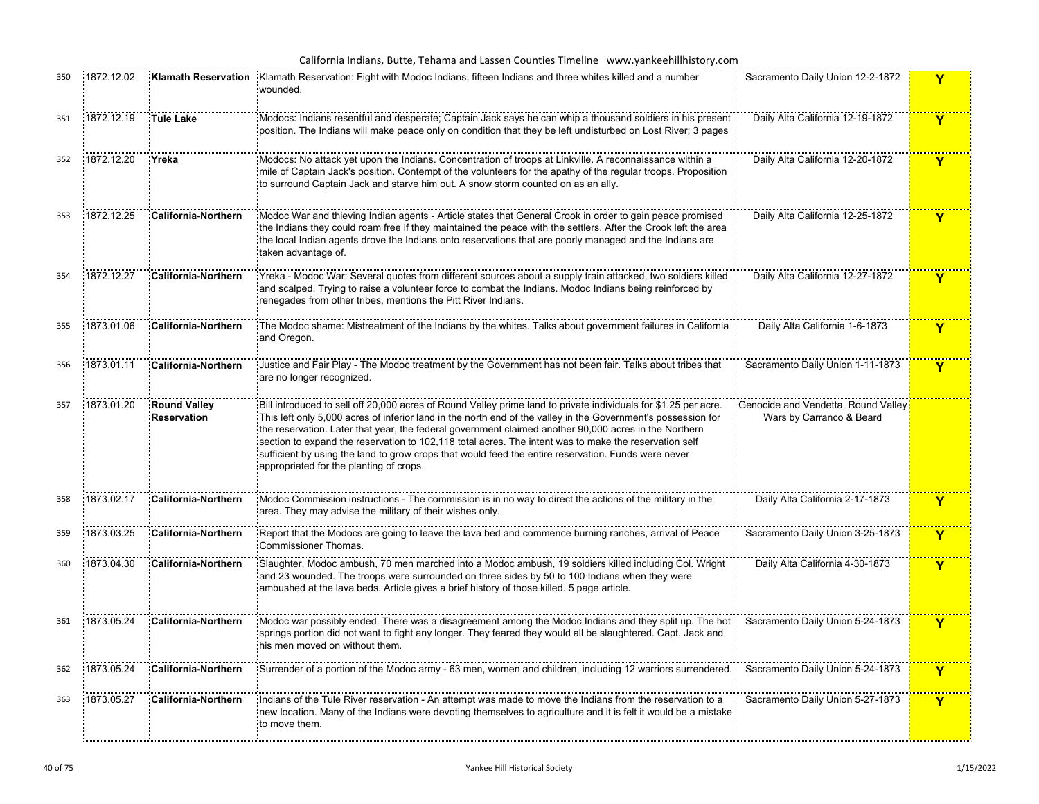| 350 | 1872.12.02 | <b>Klamath Reservation</b>                | Klamath Reservation: Fight with Modoc Indians, fifteen Indians and three whites killed and a number<br>wounded.                                                                                                                                                                                                                                                                                                                                                                                                                                                                                      | Sacramento Daily Union 12-2-1872                                | Y |
|-----|------------|-------------------------------------------|------------------------------------------------------------------------------------------------------------------------------------------------------------------------------------------------------------------------------------------------------------------------------------------------------------------------------------------------------------------------------------------------------------------------------------------------------------------------------------------------------------------------------------------------------------------------------------------------------|-----------------------------------------------------------------|---|
| 351 | 1872.12.19 | Tule Lake                                 | Modocs: Indians resentful and desperate; Captain Jack says he can whip a thousand soldiers in his present<br>position. The Indians will make peace only on condition that they be left undisturbed on Lost River; 3 pages                                                                                                                                                                                                                                                                                                                                                                            | Daily Alta California 12-19-1872                                | Y |
| 352 | 1872.12.20 | Yreka                                     | Modocs: No attack yet upon the Indians. Concentration of troops at Linkville. A reconnaissance within a<br>mile of Captain Jack's position. Contempt of the volunteers for the apathy of the regular troops. Proposition<br>to surround Captain Jack and starve him out. A snow storm counted on as an ally.                                                                                                                                                                                                                                                                                         | Daily Alta California 12-20-1872                                | Y |
| 353 | 1872.12.25 | <b>California-Northern</b>                | Modoc War and thieving Indian agents - Article states that General Crook in order to gain peace promised<br>the Indians they could roam free if they maintained the peace with the settlers. After the Crook left the area<br>the local Indian agents drove the Indians onto reservations that are poorly managed and the Indians are<br>taken advantage of.                                                                                                                                                                                                                                         | Daily Alta California 12-25-1872                                | Y |
| 354 | 1872.12.27 | <b>California-Northern</b>                | Yreka - Modoc War: Several quotes from different sources about a supply train attacked, two soldiers killed<br>and scalped. Trying to raise a volunteer force to combat the Indians. Modoc Indians being reinforced by<br>renegades from other tribes, mentions the Pitt River Indians.                                                                                                                                                                                                                                                                                                              | Daily Alta California 12-27-1872                                | Y |
| 355 | 1873.01.06 | <b>California-Northern</b>                | The Modoc shame: Mistreatment of the Indians by the whites. Talks about government failures in California<br>and Oregon.                                                                                                                                                                                                                                                                                                                                                                                                                                                                             | Daily Alta California 1-6-1873                                  | Y |
| 356 | 1873.01.11 | <b>California-Northern</b>                | Justice and Fair Play - The Modoc treatment by the Government has not been fair. Talks about tribes that<br>are no longer recognized.                                                                                                                                                                                                                                                                                                                                                                                                                                                                | Sacramento Daily Union 1-11-1873                                | Y |
| 357 | 1873.01.20 | <b>Round Valley</b><br><b>Reservation</b> | Bill introduced to sell off 20,000 acres of Round Valley prime land to private individuals for \$1.25 per acre.<br>This left only 5,000 acres of inferior land in the north end of the valley in the Government's possession for<br>the reservation. Later that year, the federal government claimed another 90,000 acres in the Northern<br>section to expand the reservation to 102,118 total acres. The intent was to make the reservation self<br>sufficient by using the land to grow crops that would feed the entire reservation. Funds were never<br>appropriated for the planting of crops. | Genocide and Vendetta, Round Valley<br>Wars by Carranco & Beard |   |
| 358 | 1873.02.17 | <b>California-Northern</b>                | Modoc Commission instructions - The commission is in no way to direct the actions of the military in the<br>area. They may advise the military of their wishes only.                                                                                                                                                                                                                                                                                                                                                                                                                                 | Daily Alta California 2-17-1873                                 | Y |
| 359 | 1873.03.25 | <b>California-Northern</b>                | Report that the Modocs are going to leave the lava bed and commence burning ranches, arrival of Peace<br><b>Commissioner Thomas.</b>                                                                                                                                                                                                                                                                                                                                                                                                                                                                 | Sacramento Daily Union 3-25-1873                                | Y |
| 360 | 1873.04.30 | <b>California-Northern</b>                | Slaughter, Modoc ambush, 70 men marched into a Modoc ambush, 19 soldiers killed including Col. Wright<br>and 23 wounded. The troops were surrounded on three sides by 50 to 100 Indians when they were<br>ambushed at the lava beds. Article gives a brief history of those killed. 5 page article.                                                                                                                                                                                                                                                                                                  | Daily Alta California 4-30-1873                                 | Y |
| 361 | 1873.05.24 | <b>California-Northern</b>                | Modoc war possibly ended. There was a disagreement among the Modoc Indians and they split up. The hot<br>springs portion did not want to fight any longer. They feared they would all be slaughtered. Capt. Jack and<br>his men moved on without them.                                                                                                                                                                                                                                                                                                                                               | Sacramento Daily Union 5-24-1873                                | Y |
| 362 | 1873.05.24 | <b>California-Northern</b>                | Surrender of a portion of the Modoc army - 63 men, women and children, including 12 warriors surrendered.                                                                                                                                                                                                                                                                                                                                                                                                                                                                                            | Sacramento Daily Union 5-24-1873                                | Y |
| 363 | 1873.05.27 | <b>California-Northern</b>                | Indians of the Tule River reservation - An attempt was made to move the Indians from the reservation to a<br>new location. Many of the Indians were devoting themselves to agriculture and it is felt it would be a mistake<br>to move them.                                                                                                                                                                                                                                                                                                                                                         | Sacramento Daily Union 5-27-1873                                | Y |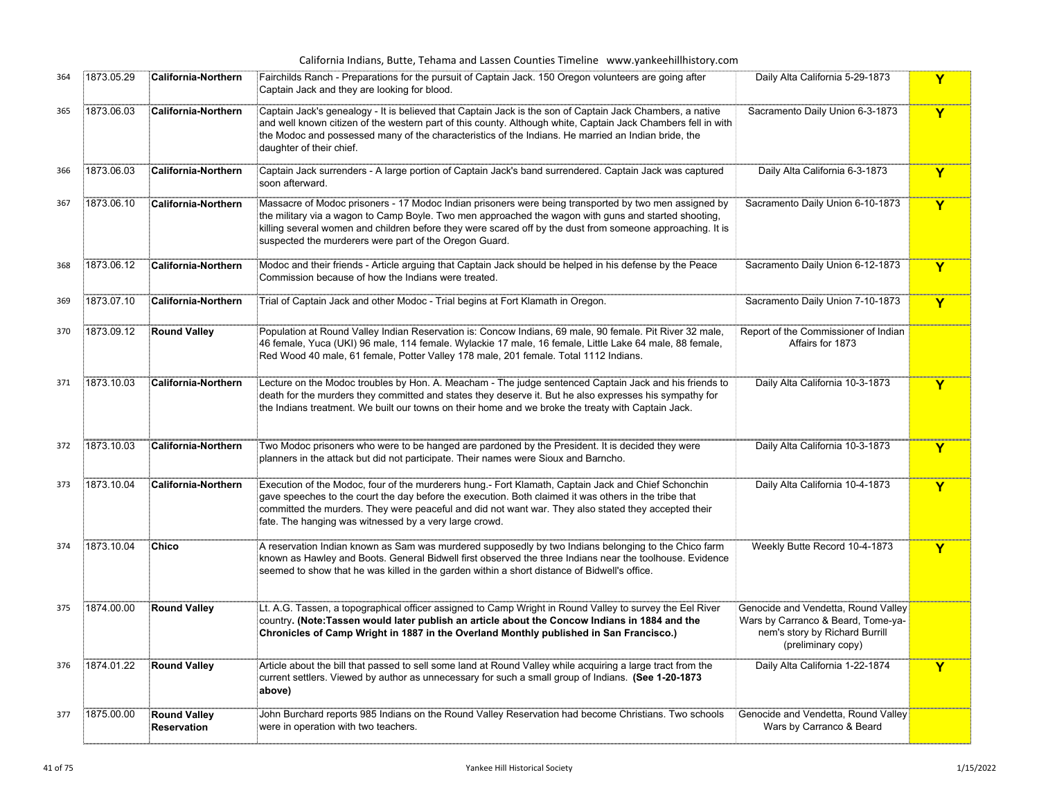| 364 | 1873.05.29 | <b>California-Northern</b>                | Fairchilds Ranch - Preparations for the pursuit of Captain Jack. 150 Oregon volunteers are going after<br>Captain Jack and they are looking for blood.                                                                                                                                                                                                                                | Daily Alta California 5-29-1873                                                                                                   | Y            |
|-----|------------|-------------------------------------------|---------------------------------------------------------------------------------------------------------------------------------------------------------------------------------------------------------------------------------------------------------------------------------------------------------------------------------------------------------------------------------------|-----------------------------------------------------------------------------------------------------------------------------------|--------------|
| 365 | 1873.06.03 | California-Northern                       | Ecaptain Jack's genealogy - It is believed that Captain Jack is the son of Captain Jack Chambers, a native<br>and well known citizen of the western part of this county. Although white, Captain Jack Chambers fell in with<br>the Modoc and possessed many of the characteristics of the Indians. He married an Indian bride, the<br>daughter of their chief.                        | Sacramento Daily Union 6-3-1873                                                                                                   | Y            |
| 366 | 1873.06.03 | <b>California-Northern</b>                | Captain Jack surrenders - A large portion of Captain Jack's band surrendered. Captain Jack was captured<br>soon afterward.                                                                                                                                                                                                                                                            | Daily Alta California 6-3-1873                                                                                                    | $\mathbf{Y}$ |
| 367 | 1873.06.10 | <b>California-Northern</b>                | Massacre of Modoc prisoners - 17 Modoc Indian prisoners were being transported by two men assigned by<br>the military via a wagon to Camp Boyle. Two men approached the wagon with guns and started shooting,<br>killing several women and children before they were scared off by the dust from someone approaching. It is<br>suspected the murderers were part of the Oregon Guard. | Sacramento Daily Union 6-10-1873                                                                                                  | Y            |
| 368 | 1873.06.12 | <b>California-Northern</b>                | Modoc and their friends - Article arguing that Captain Jack should be helped in his defense by the Peace<br>Commission because of how the Indians were treated.                                                                                                                                                                                                                       | Sacramento Daily Union 6-12-1873                                                                                                  | Y            |
| 369 | 1873.07.10 | <b>California-Northern</b>                | Trial of Captain Jack and other Modoc - Trial begins at Fort Klamath in Oregon.                                                                                                                                                                                                                                                                                                       | Sacramento Daily Union 7-10-1873                                                                                                  | Y            |
| 370 | 1873.09.12 | <b>Round Valley</b>                       | Population at Round Valley Indian Reservation is: Concow Indians, 69 male, 90 female. Pit River 32 male,<br>46 female, Yuca (UKI) 96 male, 114 female. Wylackie 17 male, 16 female, Little Lake 64 male, 88 female,<br>Red Wood 40 male, 61 female, Potter Valley 178 male, 201 female. Total 1112 Indians.                                                                           | Report of the Commissioner of Indian<br>Affairs for 1873                                                                          |              |
| 371 | 1873.10.03 | California-Northern                       | Lecture on the Modoc troubles by Hon. A. Meacham - The judge sentenced Captain Jack and his friends to<br>death for the murders they committed and states they deserve it. But he also expresses his sympathy for<br>the Indians treatment. We built our towns on their home and we broke the treaty with Captain Jack.                                                               | Daily Alta California 10-3-1873                                                                                                   | Y            |
| 372 | 1873.10.03 | <b>California-Northern</b>                | Two Modoc prisoners who were to be hanged are pardoned by the President. It is decided they were<br>planners in the attack but did not participate. Their names were Sioux and Barncho.                                                                                                                                                                                               | Daily Alta California 10-3-1873                                                                                                   | Y            |
| 373 | 1873.10.04 | <b>California-Northern</b>                | Execution of the Modoc, four of the murderers hung.- Fort Klamath, Captain Jack and Chief Schonchin<br>gave speeches to the court the day before the execution. Both claimed it was others in the tribe that<br>committed the murders. They were peaceful and did not want war. They also stated they accepted their<br>fate. The hanging was witnessed by a very large crowd.        | Daily Alta California 10-4-1873                                                                                                   | $\mathbf Y$  |
| 374 | 1873.10.04 | Chico                                     | A reservation Indian known as Sam was murdered supposedly by two Indians belonging to the Chico farm<br>known as Hawley and Boots. General Bidwell first observed the three Indians near the toolhouse. Evidence<br>$\frac{1}{3}$ seemed to show that he was killed in the garden within a short distance of Bidwell's office.                                                        | Weekly Butte Record 10-4-1873                                                                                                     | $\mathbf Y$  |
| 375 | 1874.00.00 | <b>Round Valley</b>                       | Lt. A.G. Tassen, a topographical officer assigned to Camp Wright in Round Valley to survey the Eel River<br>country. (Note:Tassen would later publish an article about the Concow Indians in 1884 and the<br>Chronicles of Camp Wright in 1887 in the Overland Monthly published in San Francisco.)                                                                                   | Genocide and Vendetta, Round Valley<br>Wars by Carranco & Beard, Tome-ya-<br>nem's story by Richard Burrill<br>(preliminary copy) |              |
| 376 | 1874.01.22 | <b>Round Valley</b>                       | Article about the bill that passed to sell some land at Round Valley while acquiring a large tract from the<br>current settlers. Viewed by author as unnecessary for such a small group of Indians. (See 1-20-1873<br>above)                                                                                                                                                          | Daily Alta California 1-22-1874                                                                                                   | Y            |
| 377 | 1875.00.00 | <b>Round Valley</b><br><b>Reservation</b> | John Burchard reports 985 Indians on the Round Valley Reservation had become Christians. Two schools<br>were in operation with two teachers.                                                                                                                                                                                                                                          | Genocide and Vendetta, Round Valley<br>Wars by Carranco & Beard                                                                   |              |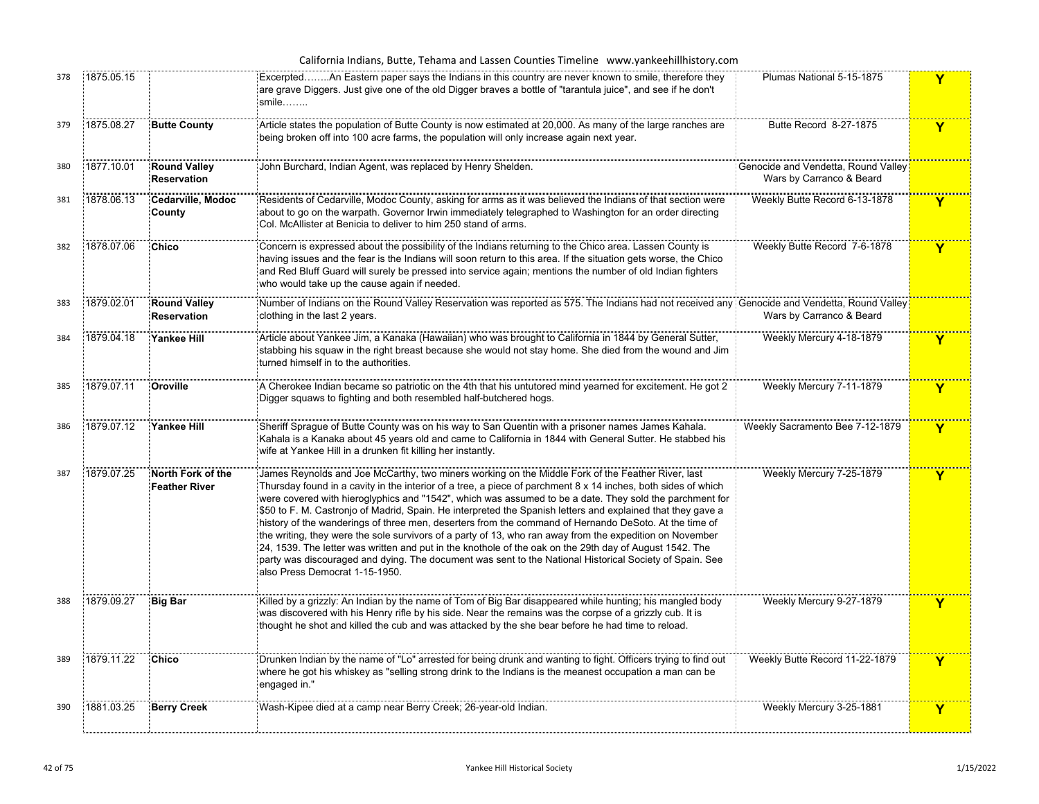|     |            |                                           | California Indians, Butte, Tehama and Lassen Counties Timeline www.yankeehillhistory.com                                                                                                                                                                                                                                                                                                                                                                                                                                                                                                                                                                                                                                                                                                                                                                                                                                  |                                                                 |              |
|-----|------------|-------------------------------------------|---------------------------------------------------------------------------------------------------------------------------------------------------------------------------------------------------------------------------------------------------------------------------------------------------------------------------------------------------------------------------------------------------------------------------------------------------------------------------------------------------------------------------------------------------------------------------------------------------------------------------------------------------------------------------------------------------------------------------------------------------------------------------------------------------------------------------------------------------------------------------------------------------------------------------|-----------------------------------------------------------------|--------------|
| 378 | 1875.05.15 |                                           | ExcerptedAn Eastern paper says the Indians in this country are never known to smile, therefore they<br>are grave Diggers. Just give one of the old Digger braves a bottle of "tarantula juice", and see if he don't<br>$smile$                                                                                                                                                                                                                                                                                                                                                                                                                                                                                                                                                                                                                                                                                            | Plumas National 5-15-1875                                       | Y            |
| 379 | 1875.08.27 | <b>Butte County</b>                       | Article states the population of Butte County is now estimated at 20,000. As many of the large ranches are<br>being broken off into 100 acre farms, the population will only increase again next year.                                                                                                                                                                                                                                                                                                                                                                                                                                                                                                                                                                                                                                                                                                                    | Butte Record 8-27-1875                                          | Y            |
| 380 | 1877.10.01 | <b>Round Valley</b><br><b>Reservation</b> | John Burchard, Indian Agent, was replaced by Henry Shelden.                                                                                                                                                                                                                                                                                                                                                                                                                                                                                                                                                                                                                                                                                                                                                                                                                                                               | Genocide and Vendetta, Round Valley<br>Wars by Carranco & Beard |              |
| 381 | 1878.06.13 | Cedarville, Modoc<br>County               | Residents of Cedarville, Modoc County, asking for arms as it was believed the Indians of that section were<br>about to go on the warpath. Governor Irwin immediately telegraphed to Washington for an order directing<br>Col. McAllister at Benicia to deliver to him 250 stand of arms.                                                                                                                                                                                                                                                                                                                                                                                                                                                                                                                                                                                                                                  | Weekly Butte Record 6-13-1878                                   | $\mathbf Y$  |
| 382 | 1878.07.06 | Chico                                     | Concern is expressed about the possibility of the Indians returning to the Chico area. Lassen County is<br>having issues and the fear is the Indians will soon return to this area. If the situation gets worse, the Chico<br>and Red Bluff Guard will surely be pressed into service again; mentions the number of old Indian fighters<br>who would take up the cause again if needed.                                                                                                                                                                                                                                                                                                                                                                                                                                                                                                                                   | Weekly Butte Record 7-6-1878                                    | $\mathbf Y$  |
| 383 | 1879.02.01 | <b>Round Valley</b><br>Reservation        | Number of Indians on the Round Valley Reservation was reported as 575. The Indians had not received any Genocide and Vendetta, Round Valley<br>clothing in the last 2 years.                                                                                                                                                                                                                                                                                                                                                                                                                                                                                                                                                                                                                                                                                                                                              | Wars by Carranco & Beard                                        |              |
| 384 | 1879.04.18 | <b>Yankee Hill</b>                        | Article about Yankee Jim, a Kanaka (Hawaiian) who was brought to California in 1844 by General Sutter,<br>stabbing his squaw in the right breast because she would not stay home. She died from the wound and Jim<br>turned himself in to the authorities.                                                                                                                                                                                                                                                                                                                                                                                                                                                                                                                                                                                                                                                                | Weekly Mercury 4-18-1879                                        | $\mathbf Y$  |
| 385 | 1879.07.11 | Oroville                                  | A Cherokee Indian became so patriotic on the 4th that his untutored mind yearned for excitement. He got 2<br>Digger squaws to fighting and both resembled half-butchered hogs.                                                                                                                                                                                                                                                                                                                                                                                                                                                                                                                                                                                                                                                                                                                                            | Weekly Mercury 7-11-1879                                        | $\mathbf{Y}$ |
| 386 | 1879.07.12 | Yankee Hill                               | Sheriff Sprague of Butte County was on his way to San Quentin with a prisoner names James Kahala.<br>Kahala is a Kanaka about 45 years old and came to California in 1844 with General Sutter. He stabbed his<br>wife at Yankee Hill in a drunken fit killing her instantly.                                                                                                                                                                                                                                                                                                                                                                                                                                                                                                                                                                                                                                              | Weekly Sacramento Bee 7-12-1879                                 | Y            |
| 387 | 1879.07.25 | North Fork of the<br><b>Feather River</b> | James Reynolds and Joe McCarthy, two miners working on the Middle Fork of the Feather River, last<br>Thursday found in a cavity in the interior of a tree, a piece of parchment 8 x 14 inches, both sides of which<br>were covered with hieroglyphics and "1542", which was assumed to be a date. They sold the parchment for<br>\$50 to F. M. Castronjo of Madrid, Spain. He interpreted the Spanish letters and explained that they gave a<br>history of the wanderings of three men, deserters from the command of Hernando DeSoto. At the time of<br>the writing, they were the sole survivors of a party of 13, who ran away from the expedition on November<br>24, 1539. The letter was written and put in the knothole of the oak on the 29th day of August 1542. The<br>party was discouraged and dying. The document was sent to the National Historical Society of Spain. See<br>also Press Democrat 1-15-1950. | Weekly Mercury 7-25-1879                                        | Y            |
| 388 | 1879.09.27 | <b>Big Bar</b>                            | Killed by a grizzly: An Indian by the name of Tom of Big Bar disappeared while hunting; his mangled body<br>was discovered with his Henry rifle by his side. Near the remains was the corpse of a grizzly cub. It is<br>thought he shot and killed the cub and was attacked by the she bear before he had time to reload.                                                                                                                                                                                                                                                                                                                                                                                                                                                                                                                                                                                                 | Weekly Mercury 9-27-1879                                        | Y            |
| 389 | 1879.11.22 | Chico                                     | iDrunken Indian by the name of "Lo" arrested for being drunk and wanting to fight. Officers trying to find out<br>where he got his whiskey as "selling strong drink to the Indians is the meanest occupation a man can be<br>engaged in."                                                                                                                                                                                                                                                                                                                                                                                                                                                                                                                                                                                                                                                                                 | Weekly Butte Record 11-22-1879                                  | $\mathbf Y$  |
| 390 | 1881.03.25 | <b>Berry Creek</b>                        | Wash-Kipee died at a camp near Berry Creek; 26-year-old Indian.                                                                                                                                                                                                                                                                                                                                                                                                                                                                                                                                                                                                                                                                                                                                                                                                                                                           | Weekly Mercury 3-25-1881                                        | Y            |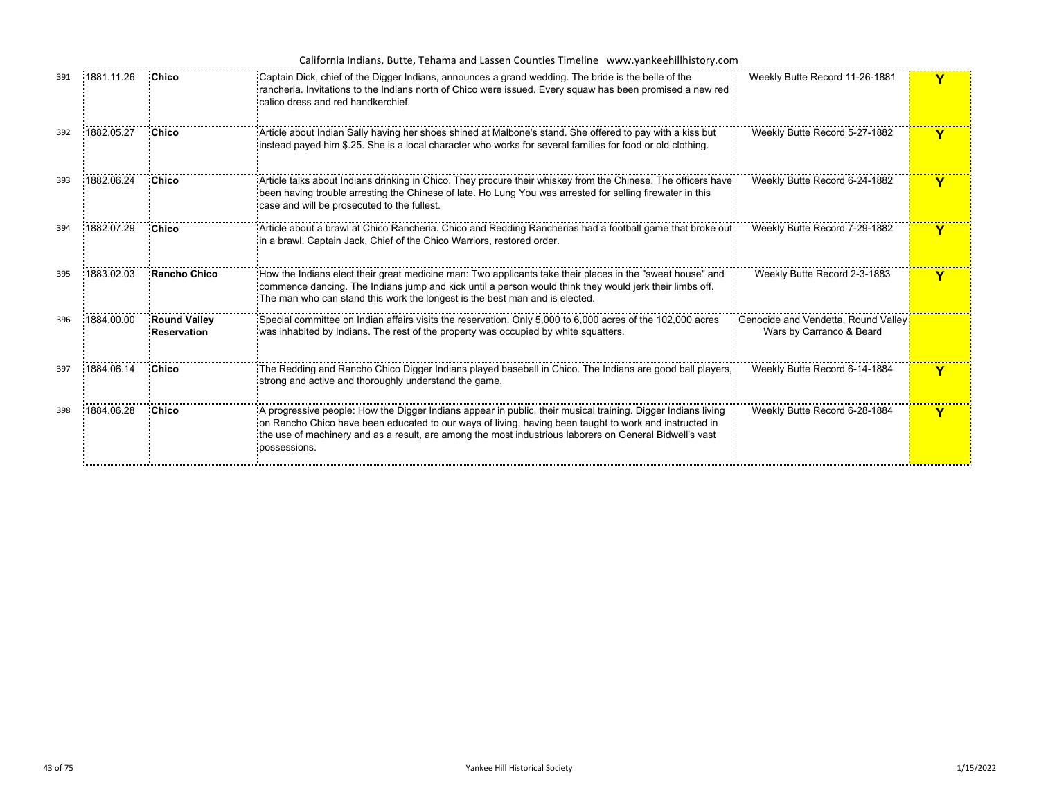|     |            |                                           | California Indians, Butte, Tehama and Lassen Counties Timeline www.yankeehillhistory.com                                                                                                                                                                                                                                                          |                                                                 |   |
|-----|------------|-------------------------------------------|---------------------------------------------------------------------------------------------------------------------------------------------------------------------------------------------------------------------------------------------------------------------------------------------------------------------------------------------------|-----------------------------------------------------------------|---|
| 391 | 1881.11.26 | Chico                                     | Captain Dick, chief of the Digger Indians, announces a grand wedding. The bride is the belle of the<br>rancheria. Invitations to the Indians north of Chico were issued. Every squaw has been promised a new red<br>calico dress and red handkerchief.                                                                                            | Weekly Butte Record 11-26-1881                                  |   |
| 392 | 1882.05.27 | <b>Chico</b>                              | Article about Indian Sally having her shoes shined at Malbone's stand. She offered to pay with a kiss but<br>instead payed him \$.25. She is a local character who works for several families for food or old clothing.                                                                                                                           | Weekly Butte Record 5-27-1882                                   | Y |
| 393 | 1882.06.24 | <b>Chico</b>                              | Article talks about Indians drinking in Chico. They procure their whiskey from the Chinese. The officers have<br>been having trouble arresting the Chinese of late. Ho Lung You was arrested for selling firewater in this<br>case and will be prosecuted to the fullest.                                                                         | Weekly Butte Record 6-24-1882                                   | v |
| 394 | 1882.07.29 | Chico                                     | Article about a brawl at Chico Rancheria. Chico and Redding Rancherias had a football game that broke out<br>in a brawl. Captain Jack, Chief of the Chico Warriors, restored order.                                                                                                                                                               | Weekly Butte Record 7-29-1882                                   | Y |
| 395 | 1883.02.03 | <b>Rancho Chico</b>                       | How the Indians elect their great medicine man: Two applicants take their places in the "sweat house" and<br>commence dancing. The Indians jump and kick until a person would think they would jerk their limbs off.<br>The man who can stand this work the longest is the best man and is elected.                                               | Weekly Butte Record 2-3-1883                                    | Y |
| 396 | 1884.00.00 | <b>Round Valley</b><br><b>Reservation</b> | Special committee on Indian affairs visits the reservation. Only 5,000 to 6,000 acres of the 102,000 acres<br>was inhabited by Indians. The rest of the property was occupied by white squatters.                                                                                                                                                 | Genocide and Vendetta, Round Valley<br>Wars by Carranco & Beard |   |
| 397 | 1884.06.14 | <b>Chico</b>                              | The Redding and Rancho Chico Digger Indians played baseball in Chico. The Indians are good ball players,<br>strong and active and thoroughly understand the game.                                                                                                                                                                                 | Weekly Butte Record 6-14-1884                                   |   |
| 398 | 1884.06.28 | <b>Chico</b>                              | A progressive people: How the Digger Indians appear in public, their musical training. Digger Indians living<br>on Rancho Chico have been educated to our ways of living, having been taught to work and instructed in<br>the use of machinery and as a result, are among the most industrious laborers on General Bidwell's vast<br>possessions. | Weekly Butte Record 6-28-1884                                   | Y |
|     |            |                                           |                                                                                                                                                                                                                                                                                                                                                   |                                                                 |   |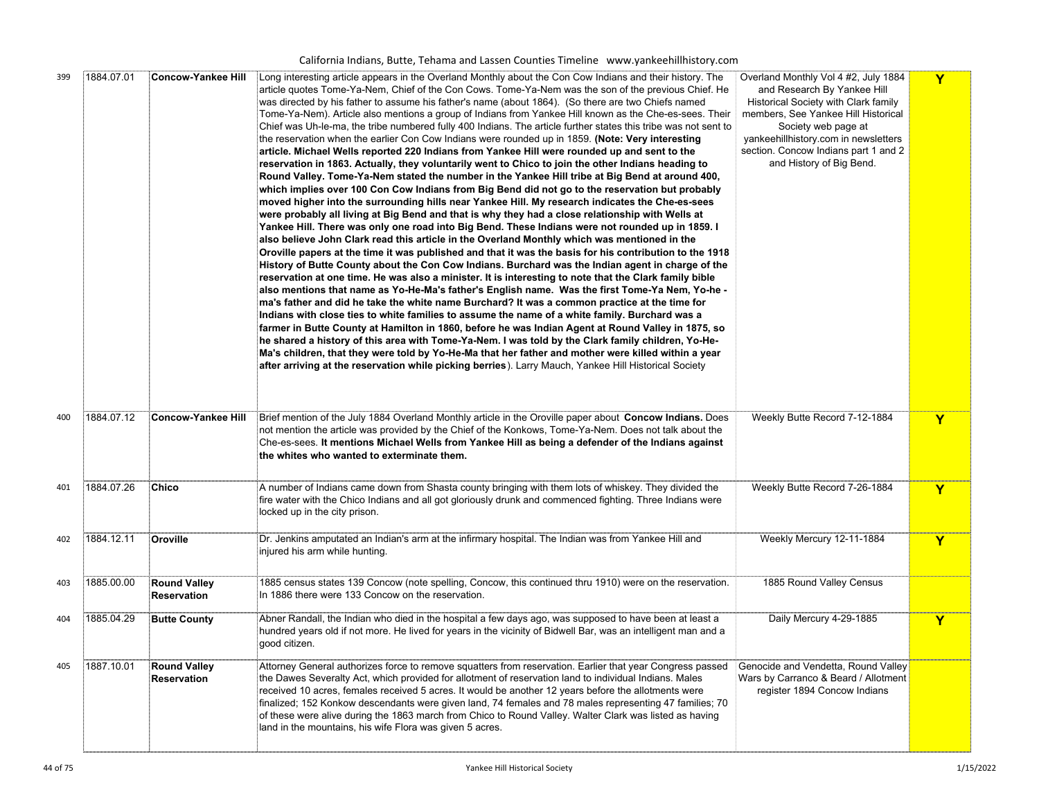California Indians, Butte, Tehama and Lassen Counties Timeline www.yankeehillhistory.com

| 399 | 1884.07.01 | <b>Concow-Yankee Hill</b>                 | Long interesting article appears in the Overland Monthly about the Con Cow Indians and their history. The<br>article quotes Tome-Ya-Nem, Chief of the Con Cows. Tome-Ya-Nem was the son of the previous Chief. He<br>was directed by his father to assume his father's name (about 1864). (So there are two Chiefs named<br>Tome-Ya-Nem). Article also mentions a group of Indians from Yankee Hill known as the Che-es-sees. Their<br>Chief was Uh-le-ma, the tribe numbered fully 400 Indians. The article further states this tribe was not sent to<br>the reservation when the earlier Con Cow Indians were rounded up in 1859. (Note: Very interesting<br>article. Michael Wells reported 220 Indians from Yankee Hill were rounded up and sent to the<br>reservation in 1863. Actually, they voluntarily went to Chico to join the other Indians heading to<br>Round Valley. Tome-Ya-Nem stated the number in the Yankee Hill tribe at Big Bend at around 400,<br>which implies over 100 Con Cow Indians from Big Bend did not go to the reservation but probably<br>moved higher into the surrounding hills near Yankee Hill. My research indicates the Che-es-sees<br>were probably all living at Big Bend and that is why they had a close relationship with Wells at<br>Yankee Hill. There was only one road into Big Bend. These Indians were not rounded up in 1859. I<br>also believe John Clark read this article in the Overland Monthly which was mentioned in the<br>Oroville papers at the time it was published and that it was the basis for his contribution to the 1918<br>History of Butte County about the Con Cow Indians. Burchard was the Indian agent in charge of the<br>reservation at one time. He was also a minister. It is interesting to note that the Clark family bible<br>also mentions that name as Yo-He-Ma's father's English name. Was the first Tome-Ya Nem, Yo-he -<br>ma's father and did he take the white name Burchard? It was a common practice at the time for<br>Indians with close ties to white families to assume the name of a white family. Burchard was a<br>farmer in Butte County at Hamilton in 1860, before he was Indian Agent at Round Valley in 1875, so<br>he shared a history of this area with Tome-Ya-Nem. I was told by the Clark family children, Yo-He-<br>Ma's children, that they were told by Yo-He-Ma that her father and mother were killed within a year<br>after arriving at the reservation while picking berries). Larry Mauch, Yankee Hill Historical Society | Overland Monthly Vol 4 #2, July 1884<br>and Research By Yankee Hill<br>Historical Society with Clark family<br>members, See Yankee Hill Historical<br>Society web page at<br>yankeehillhistory.com in newsletters<br>section. Concow Indians part 1 and 2<br>and History of Big Bend. | Y           |
|-----|------------|-------------------------------------------|------------------------------------------------------------------------------------------------------------------------------------------------------------------------------------------------------------------------------------------------------------------------------------------------------------------------------------------------------------------------------------------------------------------------------------------------------------------------------------------------------------------------------------------------------------------------------------------------------------------------------------------------------------------------------------------------------------------------------------------------------------------------------------------------------------------------------------------------------------------------------------------------------------------------------------------------------------------------------------------------------------------------------------------------------------------------------------------------------------------------------------------------------------------------------------------------------------------------------------------------------------------------------------------------------------------------------------------------------------------------------------------------------------------------------------------------------------------------------------------------------------------------------------------------------------------------------------------------------------------------------------------------------------------------------------------------------------------------------------------------------------------------------------------------------------------------------------------------------------------------------------------------------------------------------------------------------------------------------------------------------------------------------------------------------------------------------------------------------------------------------------------------------------------------------------------------------------------------------------------------------------------------------------------------------------------------------------------------------------------------------------------------------------------------------------------------------------------------------------------------------------------------------------------------|---------------------------------------------------------------------------------------------------------------------------------------------------------------------------------------------------------------------------------------------------------------------------------------|-------------|
| 400 | 1884.07.12 | Concow-Yankee Hill                        | Brief mention of the July 1884 Overland Monthly article in the Oroville paper about Concow Indians. Does<br>not mention the article was provided by the Chief of the Konkows, Tome-Ya-Nem. Does not talk about the<br>Che-es-sees. It mentions Michael Wells from Yankee Hill as being a defender of the Indians against<br>the whites who wanted to exterminate them.                                                                                                                                                                                                                                                                                                                                                                                                                                                                                                                                                                                                                                                                                                                                                                                                                                                                                                                                                                                                                                                                                                                                                                                                                                                                                                                                                                                                                                                                                                                                                                                                                                                                                                                                                                                                                                                                                                                                                                                                                                                                                                                                                                         | Weekly Butte Record 7-12-1884                                                                                                                                                                                                                                                         | Y           |
| 401 | 1884.07.26 | <b>Chico</b>                              | A number of Indians came down from Shasta county bringing with them lots of whiskey. They divided the<br>fire water with the Chico Indians and all got gloriously drunk and commenced fighting. Three Indians were<br>locked up in the city prison.                                                                                                                                                                                                                                                                                                                                                                                                                                                                                                                                                                                                                                                                                                                                                                                                                                                                                                                                                                                                                                                                                                                                                                                                                                                                                                                                                                                                                                                                                                                                                                                                                                                                                                                                                                                                                                                                                                                                                                                                                                                                                                                                                                                                                                                                                            | Weekly Butte Record 7-26-1884                                                                                                                                                                                                                                                         | Y           |
| 402 | 1884.12.11 | Oroville                                  | Dr. Jenkins amputated an Indian's arm at the infirmary hospital. The Indian was from Yankee Hill and<br>injured his arm while hunting.                                                                                                                                                                                                                                                                                                                                                                                                                                                                                                                                                                                                                                                                                                                                                                                                                                                                                                                                                                                                                                                                                                                                                                                                                                                                                                                                                                                                                                                                                                                                                                                                                                                                                                                                                                                                                                                                                                                                                                                                                                                                                                                                                                                                                                                                                                                                                                                                         | Weekly Mercury 12-11-1884                                                                                                                                                                                                                                                             | $\mathbf Y$ |
| 403 | 1885.00.00 | <b>Round Valley</b><br><b>Reservation</b> | 1885 census states 139 Concow (note spelling, Concow, this continued thru 1910) were on the reservation.<br>In 1886 there were 133 Concow on the reservation.                                                                                                                                                                                                                                                                                                                                                                                                                                                                                                                                                                                                                                                                                                                                                                                                                                                                                                                                                                                                                                                                                                                                                                                                                                                                                                                                                                                                                                                                                                                                                                                                                                                                                                                                                                                                                                                                                                                                                                                                                                                                                                                                                                                                                                                                                                                                                                                  | 1885 Round Valley Census                                                                                                                                                                                                                                                              |             |
| 404 | 1885.04.29 | <b>Butte County</b>                       | Abner Randall, the Indian who died in the hospital a few days ago, was supposed to have been at least a<br>hundred years old if not more. He lived for years in the vicinity of Bidwell Bar, was an intelligent man and a<br>good citizen.                                                                                                                                                                                                                                                                                                                                                                                                                                                                                                                                                                                                                                                                                                                                                                                                                                                                                                                                                                                                                                                                                                                                                                                                                                                                                                                                                                                                                                                                                                                                                                                                                                                                                                                                                                                                                                                                                                                                                                                                                                                                                                                                                                                                                                                                                                     | Daily Mercury 4-29-1885                                                                                                                                                                                                                                                               | $\mathbf Y$ |
| 405 | 1887.10.01 | <b>Round Valley</b><br><b>Reservation</b> | Attorney General authorizes force to remove squatters from reservation. Earlier that year Congress passed<br>the Dawes Severalty Act, which provided for allotment of reservation land to individual Indians. Males<br>received 10 acres, females received 5 acres. It would be another 12 years before the allotments were<br>finalized; 152 Konkow descendants were given land, 74 females and 78 males representing 47 families; 70<br>of these were alive during the 1863 march from Chico to Round Valley. Walter Clark was listed as having<br>land in the mountains, his wife Flora was given 5 acres.                                                                                                                                                                                                                                                                                                                                                                                                                                                                                                                                                                                                                                                                                                                                                                                                                                                                                                                                                                                                                                                                                                                                                                                                                                                                                                                                                                                                                                                                                                                                                                                                                                                                                                                                                                                                                                                                                                                                  | Genocide and Vendetta, Round Valley<br>Wars by Carranco & Beard / Allotment<br>register 1894 Concow Indians                                                                                                                                                                           |             |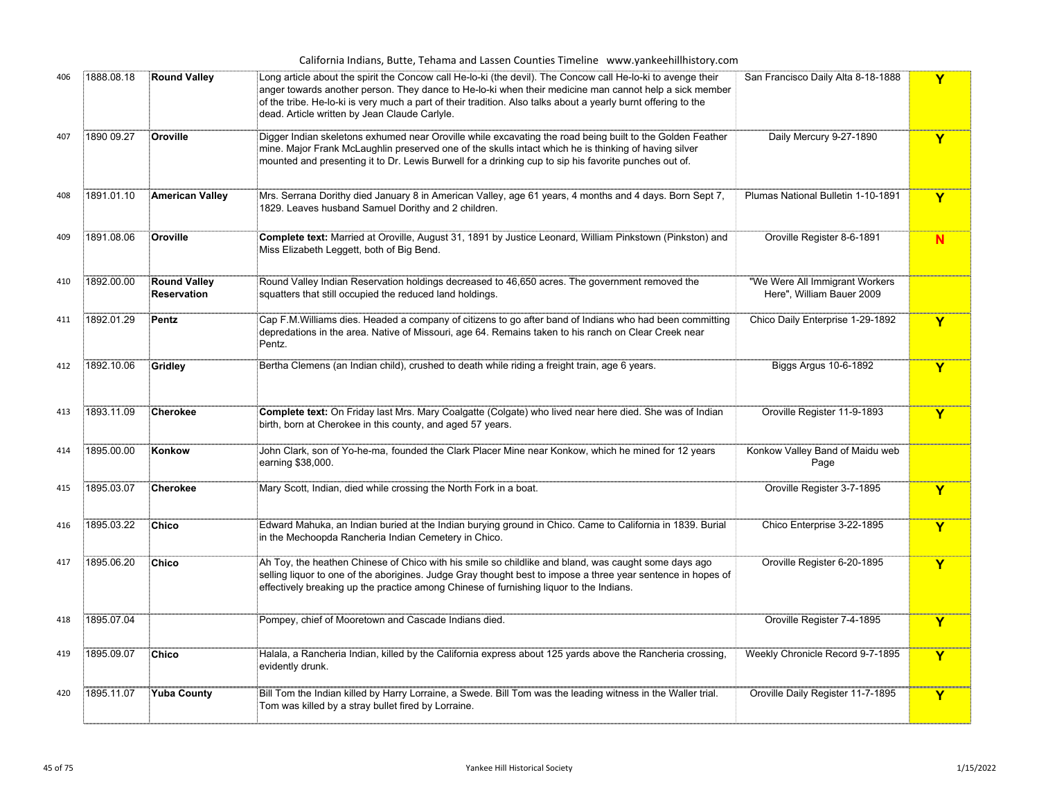|     |            |                                           | California Indians, Butte, Tehama and Lassen Counties Timeline www.yankeehillhistory.com                                                                                                                                                                                                                                                                                                  |                                                             |             |
|-----|------------|-------------------------------------------|-------------------------------------------------------------------------------------------------------------------------------------------------------------------------------------------------------------------------------------------------------------------------------------------------------------------------------------------------------------------------------------------|-------------------------------------------------------------|-------------|
| 406 | 1888.08.18 | <b>Round Valley</b>                       | Long article about the spirit the Concow call He-lo-ki (the devil). The Concow call He-lo-ki to avenge their<br>anger towards another person. They dance to He-lo-ki when their medicine man cannot help a sick member<br>of the tribe. He-lo-ki is very much a part of their tradition. Also talks about a yearly burnt offering to the<br>dead. Article written by Jean Claude Carlyle. | San Francisco Daily Alta 8-18-1888                          | Y           |
| 407 | 1890 09.27 | Oroville                                  | Digger Indian skeletons exhumed near Oroville while excavating the road being built to the Golden Feather<br>mine. Major Frank McLaughlin preserved one of the skulls intact which he is thinking of having silver<br>mounted and presenting it to Dr. Lewis Burwell for a drinking cup to sip his favorite punches out of.                                                               | Daily Mercury 9-27-1890                                     | Y           |
| 408 | 1891.01.10 | <b>American Valley</b>                    | Mrs. Serrana Dorithy died January 8 in American Valley, age 61 years, 4 months and 4 days. Born Sept 7,<br>1829. Leaves husband Samuel Dorithy and 2 children.                                                                                                                                                                                                                            | Plumas National Bulletin 1-10-1891                          | Y           |
| 409 | 1891.08.06 | Oroville                                  | Complete text: Married at Oroville, August 31, 1891 by Justice Leonard, William Pinkstown (Pinkston) and<br>Miss Elizabeth Leggett, both of Big Bend.                                                                                                                                                                                                                                     | Oroville Register 8-6-1891                                  | N           |
| 410 | 1892.00.00 | <b>Round Valley</b><br><b>Reservation</b> | Round Valley Indian Reservation holdings decreased to 46,650 acres. The government removed the<br>squatters that still occupied the reduced land holdings.                                                                                                                                                                                                                                | "We Were All Immigrant Workers<br>Here", William Bauer 2009 |             |
| 411 | 1892.01.29 | Pentz                                     | Cap F.M.Williams dies. Headed a company of citizens to go after band of Indians who had been committing<br>depredations in the area. Native of Missouri, age 64. Remains taken to his ranch on Clear Creek near<br>Pentz.                                                                                                                                                                 | Chico Daily Enterprise 1-29-1892                            | Y           |
| 412 | 1892.10.06 | Gridley                                   | Bertha Clemens (an Indian child), crushed to death while riding a freight train, age 6 years.                                                                                                                                                                                                                                                                                             | Biggs Argus 10-6-1892                                       | Y           |
| 413 | 1893.11.09 | <b>Cherokee</b>                           | Complete text: On Friday last Mrs. Mary Coalgatte (Colgate) who lived near here died. She was of Indian<br>birth, born at Cherokee in this county, and aged 57 years.                                                                                                                                                                                                                     | Oroville Register 11-9-1893                                 | Y           |
| 414 | 1895.00.00 | Konkow                                    | John Clark, son of Yo-he-ma, founded the Clark Placer Mine near Konkow, which he mined for 12 years<br>earning \$38,000.                                                                                                                                                                                                                                                                  | Konkow Valley Band of Maidu web<br>Page                     |             |
| 415 | 1895.03.07 | <b>Cherokee</b>                           | Mary Scott, Indian, died while crossing the North Fork in a boat.                                                                                                                                                                                                                                                                                                                         | Oroville Register 3-7-1895                                  | Y           |
| 416 | 1895.03.22 | <b>Chico</b>                              | Edward Mahuka, an Indian buried at the Indian burying ground in Chico. Came to California in 1839. Burial<br>in the Mechoopda Rancheria Indian Cemetery in Chico.                                                                                                                                                                                                                         | Chico Enterprise 3-22-1895                                  | Y           |
| 417 | 1895.06.20 | Chico                                     | Ah Toy, the heathen Chinese of Chico with his smile so childlike and bland, was caught some days ago<br>selling liquor to one of the aborigines. Judge Gray thought best to impose a three year sentence in hopes of<br>effectively breaking up the practice among Chinese of furnishing liquor to the Indians.                                                                           | Oroville Register 6-20-1895                                 | Y           |
| 418 | 1895.07.04 |                                           | Pompey, chief of Mooretown and Cascade Indians died.                                                                                                                                                                                                                                                                                                                                      | Oroville Register 7-4-1895                                  | Y           |
| 419 | 1895.09.07 | Chico                                     | Halala, a Rancheria Indian, killed by the California express about 125 yards above the Rancheria crossing,<br>evidently drunk.                                                                                                                                                                                                                                                            | Weekly Chronicle Record 9-7-1895                            | Y           |
| 420 | 1895.11.07 | <b>Yuba County</b>                        | Bill Tom the Indian killed by Harry Lorraine, a Swede. Bill Tom was the leading witness in the Waller trial.<br>Tom was killed by a stray bullet fired by Lorraine.                                                                                                                                                                                                                       | Oroville Daily Register 11-7-1895                           | $\mathbf Y$ |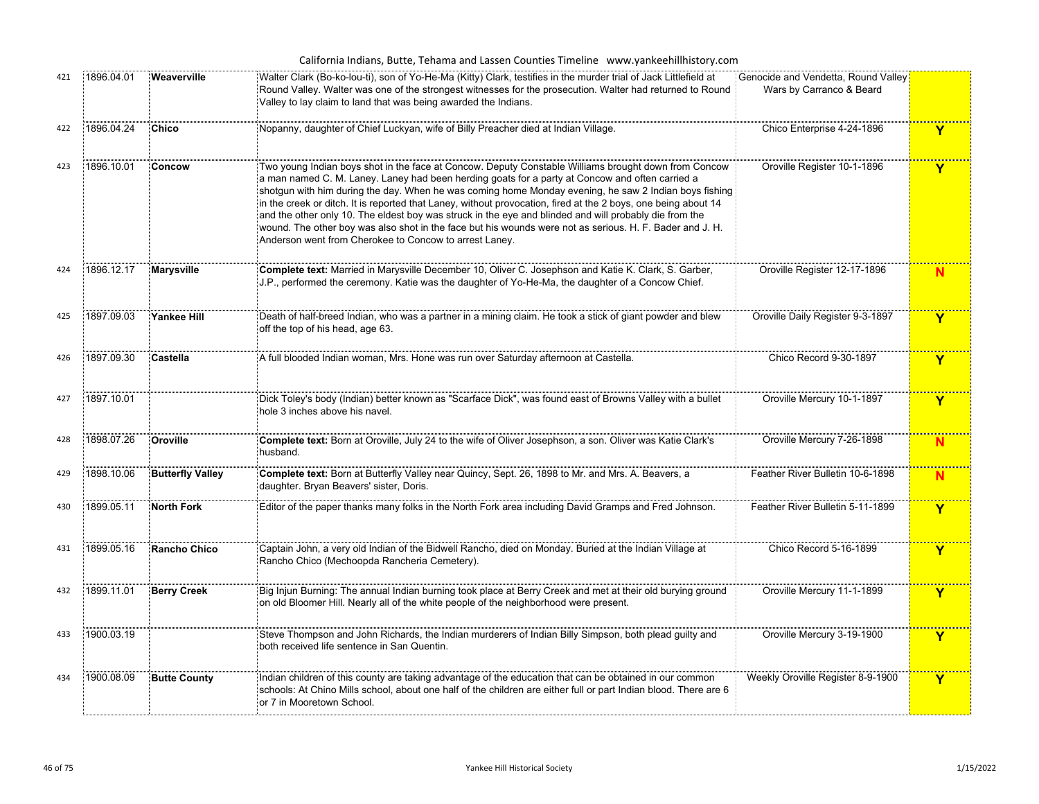|     |            |                         | California Indians, Butte, Tehama and Lassen Counties Timeline www.yankeehillhistory.com                                                                                                                                                                                                                                                                                                                                                                                                                                                                                                                                                                                                                           |                                                                 |   |
|-----|------------|-------------------------|--------------------------------------------------------------------------------------------------------------------------------------------------------------------------------------------------------------------------------------------------------------------------------------------------------------------------------------------------------------------------------------------------------------------------------------------------------------------------------------------------------------------------------------------------------------------------------------------------------------------------------------------------------------------------------------------------------------------|-----------------------------------------------------------------|---|
| 421 | 1896.04.01 | Weaverville             | Walter Clark (Bo-ko-lou-ti), son of Yo-He-Ma (Kitty) Clark, testifies in the murder trial of Jack Littlefield at<br>Round Valley. Walter was one of the strongest witnesses for the prosecution. Walter had returned to Round<br>Valley to lay claim to land that was being awarded the Indians.                                                                                                                                                                                                                                                                                                                                                                                                                   | Genocide and Vendetta, Round Valley<br>Wars by Carranco & Beard |   |
| 422 | 1896.04.24 | Chico                   | Nopanny, daughter of Chief Luckyan, wife of Billy Preacher died at Indian Village.                                                                                                                                                                                                                                                                                                                                                                                                                                                                                                                                                                                                                                 | Chico Enterprise 4-24-1896                                      | Y |
| 423 | 1896.10.01 | Concow                  | Two young Indian boys shot in the face at Concow. Deputy Constable Williams brought down from Concow<br>a man named C. M. Laney. Laney had been herding goats for a party at Concow and often carried a<br>shotgun with him during the day. When he was coming home Monday evening, he saw 2 Indian boys fishing<br>in the creek or ditch. It is reported that Laney, without provocation, fired at the 2 boys, one being about 14<br>and the other only 10. The eldest boy was struck in the eye and blinded and will probably die from the<br>wound. The other boy was also shot in the face but his wounds were not as serious. H. F. Bader and J. H.<br>Anderson went from Cherokee to Concow to arrest Laney. | Oroville Register 10-1-1896                                     | Y |
| 424 | 1896.12.17 | Marysville              | Complete text: Married in Marysville December 10, Oliver C. Josephson and Katie K. Clark, S. Garber,<br>.J.P., performed the ceremony. Katie was the daughter of Yo-He-Ma, the daughter of a Concow Chief.                                                                                                                                                                                                                                                                                                                                                                                                                                                                                                         | Oroville Register 12-17-1896                                    | N |
| 425 | 1897.09.03 | Yankee Hill             | Death of half-breed Indian, who was a partner in a mining claim. He took a stick of giant powder and blew<br>off the top of his head, age 63.                                                                                                                                                                                                                                                                                                                                                                                                                                                                                                                                                                      | Oroville Daily Register 9-3-1897                                | Y |
| 426 | 1897.09.30 | Castella                | A full blooded Indian woman, Mrs. Hone was run over Saturday afternoon at Castella.                                                                                                                                                                                                                                                                                                                                                                                                                                                                                                                                                                                                                                | Chico Record 9-30-1897                                          | Y |
| 427 | 1897.10.01 |                         | EDick Toley's body (Indian) better known as "Scarface Dick", was found east of Browns Valley with a bullet<br>hole 3 inches above his navel.                                                                                                                                                                                                                                                                                                                                                                                                                                                                                                                                                                       | Oroville Mercury 10-1-1897                                      | Y |
| 428 | 1898.07.26 | Oroville                | Complete text: Born at Oroville, July 24 to the wife of Oliver Josephson, a son. Oliver was Katie Clark's<br>husband.                                                                                                                                                                                                                                                                                                                                                                                                                                                                                                                                                                                              | Oroville Mercury 7-26-1898                                      | N |
| 429 | 1898.10.06 | <b>Butterfly Valley</b> | Complete text: Born at Butterfly Valley near Quincy, Sept. 26, 1898 to Mr. and Mrs. A. Beavers, a<br>daughter. Bryan Beavers' sister, Doris.                                                                                                                                                                                                                                                                                                                                                                                                                                                                                                                                                                       | Feather River Bulletin 10-6-1898                                | N |
| 430 | 1899.05.11 | <b>North Fork</b>       | Editor of the paper thanks many folks in the North Fork area including David Gramps and Fred Johnson.                                                                                                                                                                                                                                                                                                                                                                                                                                                                                                                                                                                                              | Feather River Bulletin 5-11-1899                                | Y |
| 431 | 1899.05.16 | Rancho Chico            | Captain John, a very old Indian of the Bidwell Rancho, died on Monday. Buried at the Indian Village at<br>Rancho Chico (Mechoopda Rancheria Cemetery).                                                                                                                                                                                                                                                                                                                                                                                                                                                                                                                                                             | Chico Record 5-16-1899                                          | Y |
| 432 | 1899.11.01 | <b>Berry Creek</b>      | Big Injun Burning: The annual Indian burning took place at Berry Creek and met at their old burying ground<br>on old Bloomer Hill. Nearly all of the white people of the neighborhood were present.                                                                                                                                                                                                                                                                                                                                                                                                                                                                                                                | Oroville Mercury 11-1-1899                                      | Y |
| 433 | 1900.03.19 |                         | Steve Thompson and John Richards, the Indian murderers of Indian Billy Simpson, both plead guilty and<br>both received life sentence in San Quentin.                                                                                                                                                                                                                                                                                                                                                                                                                                                                                                                                                               | Oroville Mercury 3-19-1900                                      | Y |
| 434 | 1900.08.09 | <b>Butte County</b>     | Indian children of this county are taking advantage of the education that can be obtained in our common<br>schools: At Chino Mills school, about one half of the children are either full or part Indian blood. There are 6<br>or 7 in Mooretown School.                                                                                                                                                                                                                                                                                                                                                                                                                                                           | Weekly Oroville Register 8-9-1900                               | Y |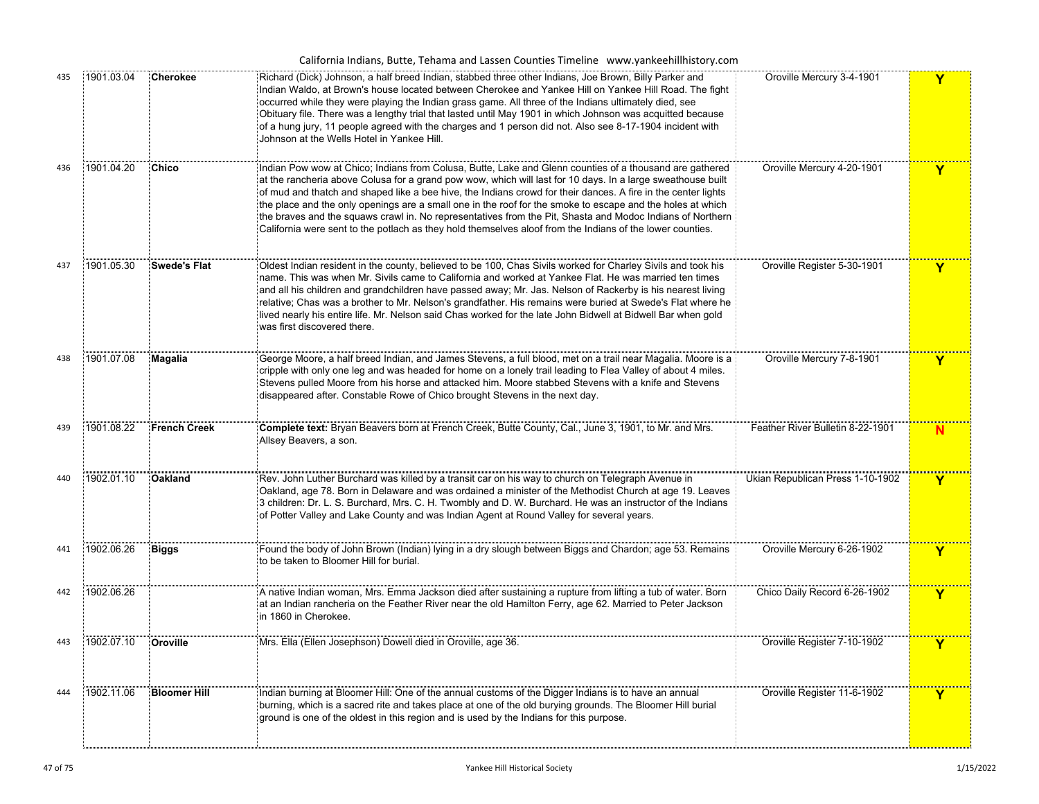|     |            |                     | California Indians, Butte, Tehama and Lassen Counties Timeline www.yankeehillhistory.com                                                                                                                                                                                                                                                                                                                                                                                                                                                                                                                                                                                        |                                  |              |
|-----|------------|---------------------|---------------------------------------------------------------------------------------------------------------------------------------------------------------------------------------------------------------------------------------------------------------------------------------------------------------------------------------------------------------------------------------------------------------------------------------------------------------------------------------------------------------------------------------------------------------------------------------------------------------------------------------------------------------------------------|----------------------------------|--------------|
| 435 | 1901.03.04 | <b>Cherokee</b>     | Richard (Dick) Johnson, a half breed Indian, stabbed three other Indians, Joe Brown, Billy Parker and<br>Indian Waldo, at Brown's house located between Cherokee and Yankee Hill on Yankee Hill Road. The fight<br>ccurred while they were playing the Indian grass game. All three of the Indians ultimately died, see<br>Obituary file. There was a lengthy trial that lasted until May 1901 in which Johnson was acquitted because<br>of a hung jury, 11 people agreed with the charges and 1 person did not. Also see 8-17-1904 incident with<br>Johnson at the Wells Hotel in Yankee Hill.                                                                                 | Oroville Mercury 3-4-1901        | Y            |
| 436 | 1901.04.20 | Chico               | Indian Pow wow at Chico; Indians from Colusa, Butte, Lake and Glenn counties of a thousand are gathered<br>at the rancheria above Colusa for a grand pow wow, which will last for 10 days. In a large sweathouse built<br>of mud and thatch and shaped like a bee hive, the Indians crowd for their dances. A fire in the center lights<br>the place and the only openings are a small one in the roof for the smoke to escape and the holes at which<br>the braves and the squaws crawl in. No representatives from the Pit, Shasta and Modoc Indians of Northern<br>California were sent to the potlach as they hold themselves aloof from the Indians of the lower counties. | Oroville Mercury 4-20-1901       | Y            |
| 437 | 1901.05.30 | <b>Swede's Flat</b> | Oldest Indian resident in the county, believed to be 100, Chas Sivils worked for Charley Sivils and took his<br>name. This was when Mr. Sivils came to California and worked at Yankee Flat. He was married ten times<br>and all his children and grandchildren have passed away; Mr. Jas. Nelson of Rackerby is his nearest living<br>็relative; Chas was a brother to Mr. Nelson's grandfather. His remains were buried at Swede's Flat where he<br>lived nearly his entire life. Mr. Nelson said Chas worked for the late John Bidwell at Bidwell Bar when gold ْ<br>was first discovered there.                                                                             | Oroville Register 5-30-1901      | Y            |
| 438 | 1901.07.08 | Magalia             | .<br>[George Moore, a half breed Indian, and James Stevens, a full blood, met on a trail near Magalia. Moore is a<br>ٍأَcripple with only one leg and was headed for home on a lonely trail leading to Flea Valley of about 4 miles.<br>Stevens pulled Moore from his horse and attacked him. Moore stabbed Stevens with a knife and Stevens<br>disappeared after. Constable Rowe of Chico brought Stevens in the next day.                                                                                                                                                                                                                                                     | Oroville Mercury 7-8-1901        | Y            |
| 439 | 1901.08.22 | <b>French Creek</b> | Complete text: Bryan Beavers born at French Creek, Butte County, Cal., June 3, 1901, to Mr. and Mrs.<br>Allsey Beavers, a son.                                                                                                                                                                                                                                                                                                                                                                                                                                                                                                                                                  | Feather River Bulletin 8-22-1901 | N            |
| 440 | 1902.01.10 | <b>Oakland</b>      | Rev. John Luther Burchard was killed by a transit car on his way to church on Telegraph Avenue in<br>Oakland, age 78. Born in Delaware and was ordained a minister of the Methodist Church at age 19. Leaves<br>3 children: Dr. L. S. Burchard, Mrs. C. H. Twombly and D. W. Burchard. He was an instructor of the Indians<br>of Potter Valley and Lake County and was Indian Agent at Round Valley for several years.                                                                                                                                                                                                                                                          | Ukian Republican Press 1-10-1902 | $\mathbf{Y}$ |
| 441 | 1902.06.26 | <b>Biggs</b>        | Found the body of John Brown (Indian) lying in a dry slough between Biggs and Chardon; age 53. Remains<br>to be taken to Bloomer Hill for burial.                                                                                                                                                                                                                                                                                                                                                                                                                                                                                                                               | Oroville Mercury 6-26-1902       | Y            |
| 442 | 1902.06.26 |                     | A native Indian woman, Mrs. Emma Jackson died after sustaining a rupture from lifting a tub of water. Born<br>at an Indian rancheria on the Feather River near the old Hamilton Ferry, age 62. Married to Peter Jackson<br>in 1860 in Cherokee.                                                                                                                                                                                                                                                                                                                                                                                                                                 | Chico Daily Record 6-26-1902     | Y            |
| 443 | 1902.07.10 | Oroville            | Mrs. Ella (Ellen Josephson) Dowell died in Oroville, age 36.                                                                                                                                                                                                                                                                                                                                                                                                                                                                                                                                                                                                                    | Oroville Register 7-10-1902      | Y            |
| 444 | 1902.11.06 | <b>Bloomer Hill</b> | Indian burning at Bloomer Hill: One of the annual customs of the Digger Indians is to have an annual<br>burning, which is a sacred rite and takes place at one of the old burying grounds. The Bloomer Hill burial<br>ground is one of the oldest in this region and is used by the Indians for this purpose.                                                                                                                                                                                                                                                                                                                                                                   | Oroville Register 11-6-1902      | Y            |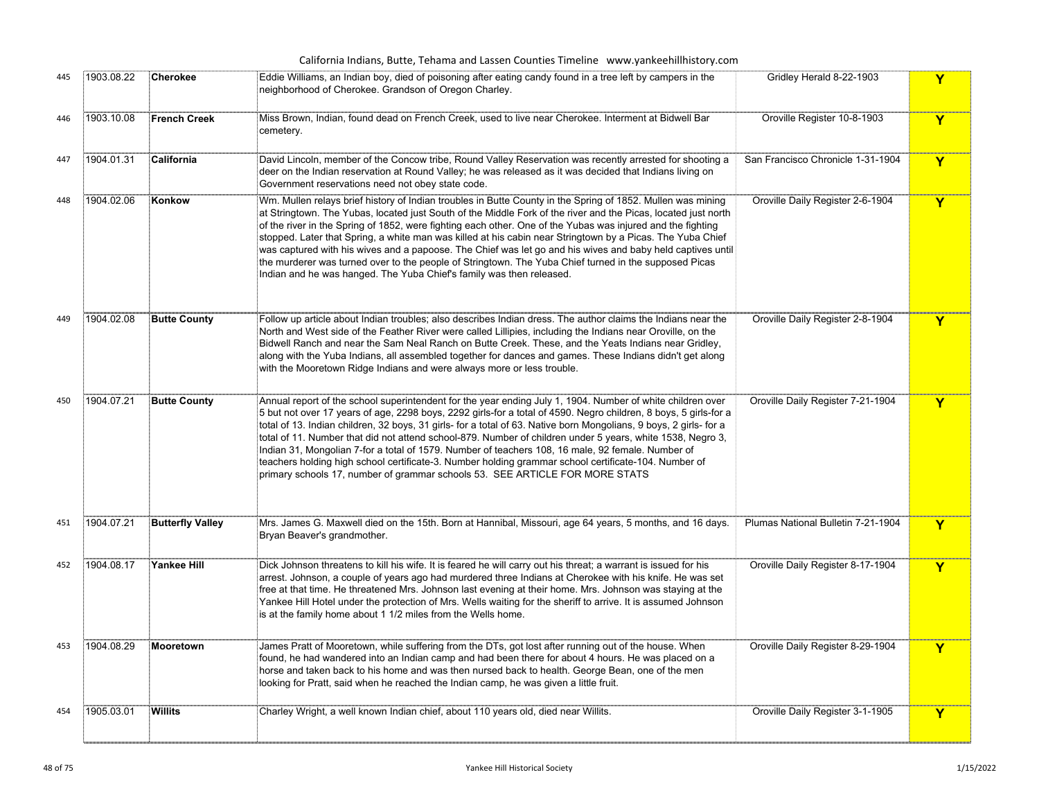|     |            |                         | California Indians, Butte, Tehama and Lassen Counties Timeline www.yankeehillhistory.com                                                                                                                                                                                                                                                                                                                                                                                                                                                                                                                                                                                                                                                                        |                                    |             |
|-----|------------|-------------------------|-----------------------------------------------------------------------------------------------------------------------------------------------------------------------------------------------------------------------------------------------------------------------------------------------------------------------------------------------------------------------------------------------------------------------------------------------------------------------------------------------------------------------------------------------------------------------------------------------------------------------------------------------------------------------------------------------------------------------------------------------------------------|------------------------------------|-------------|
| 445 | 1903.08.22 | Cherokee                | Eddie Williams, an Indian boy, died of poisoning after eating candy found in a tree left by campers in the<br>neighborhood of Cherokee. Grandson of Oregon Charley.                                                                                                                                                                                                                                                                                                                                                                                                                                                                                                                                                                                             | Gridley Herald 8-22-1903           | Y           |
| 446 | 1903.10.08 | <b>French Creek</b>     | Miss Brown, Indian, found dead on French Creek, used to live near Cherokee. Interment at Bidwell Bar<br>cemetery.                                                                                                                                                                                                                                                                                                                                                                                                                                                                                                                                                                                                                                               | Oroville Register 10-8-1903        | Y           |
| 447 | 1904.01.31 | California              | David Lincoln, member of the Concow tribe, Round Valley Reservation was recently arrested for shooting a<br>deer on the Indian reservation at Round Valley; he was released as it was decided that Indians living on<br>Government reservations need not obey state code.                                                                                                                                                                                                                                                                                                                                                                                                                                                                                       | San Francisco Chronicle 1-31-1904  | Y           |
| 448 | 1904.02.06 | Konkow                  | Wm. Mullen relays brief history of Indian troubles in Butte County in the Spring of 1852. Mullen was mining<br>at Stringtown. The Yubas, located just South of the Middle Fork of the river and the Picas, located just north<br>of the river in the Spring of 1852, were fighting each other. One of the Yubas was injured and the fighting<br>stopped. Later that Spring, a white man was killed at his cabin near Stringtown by a Picas. The Yuba Chief<br>was captured with his wives and a papoose. The Chief was let go and his wives and baby held captives until<br>the murderer was turned over to the people of Stringtown. The Yuba Chief turned in the supposed Picas<br>Indian and he was hanged. The Yuba Chief's family was then released.       | Oroville Daily Register 2-6-1904   | Y           |
| 449 | 1904.02.08 | <b>Butte County</b>     | Follow up article about Indian troubles; also describes Indian dress. The author claims the Indians near the<br>North and West side of the Feather River were called Lillipies, including the Indians near Oroville, on the<br>Bidwell Ranch and near the Sam Neal Ranch on Butte Creek. These, and the Yeats Indians near Gridley,<br>along with the Yuba Indians, all assembled together for dances and games. These Indians didn't get along<br>with the Mooretown Ridge Indians and were always more or less trouble.                                                                                                                                                                                                                                       | Oroville Daily Register 2-8-1904   | Y           |
| 450 | 1904.07.21 | <b>Butte County</b>     | Annual report of the school superintendent for the year ending July 1, 1904. Number of white children over<br>5 but not over 17 years of age, 2298 boys, 2292 girls-for a total of 4590. Negro children, 8 boys, 5 girls-for a<br>total of 13. Indian children, 32 boys, 31 girls- for a total of 63. Native born Mongolians, 9 boys, 2 girls- for a<br>total of 11. Number that did not attend school-879. Number of children under 5 years, white 1538, Negro 3,<br>Indian 31, Mongolian 7-for a total of 1579. Number of teachers 108, 16 male, 92 female. Number of<br>teachers holding high school certificate-3. Number holding grammar school certificate-104. Number of<br>primary schools 17, number of grammar schools 53. SEE ARTICLE FOR MORE STATS | Oroville Daily Register 7-21-1904  | Y           |
| 451 | 1904.07.21 | <b>Butterfly Valley</b> | Mrs. James G. Maxwell died on the 15th. Born at Hannibal, Missouri, age 64 years, 5 months, and 16 days.<br>Bryan Beaver's grandmother.                                                                                                                                                                                                                                                                                                                                                                                                                                                                                                                                                                                                                         | Plumas National Bulletin 7-21-1904 | Y           |
| 452 | 1904.08.17 | Yankee Hill             | Dick Johnson threatens to kill his wife. It is feared he will carry out his threat; a warrant is issued for his<br>arrest. Johnson, a couple of years ago had murdered three Indians at Cherokee with his knife. He was set<br>free at that time. He threatened Mrs. Johnson last evening at their home. Mrs. Johnson was staying at the<br>Yankee Hill Hotel under the protection of Mrs. Wells waiting for the sheriff to arrive. It is assumed Johnson<br>is at the family home about 1 1/2 miles from the Wells home.                                                                                                                                                                                                                                       | Oroville Daily Register 8-17-1904  | Y           |
| 453 | 1904.08.29 | Mooretown               | James Pratt of Mooretown, while suffering from the DTs, got lost after running out of the house. When<br>found, he had wandered into an Indian camp and had been there for about 4 hours. He was placed on a<br>horse and taken back to his home and was then nursed back to health. George Bean, one of the men<br>looking for Pratt, said when he reached the Indian camp, he was given a little fruit.                                                                                                                                                                                                                                                                                                                                                       | Oroville Daily Register 8-29-1904  | Y           |
| 454 | 1905.03.01 | Willits                 | Charley Wright, a well known Indian chief, about 110 years old, died near Willits.                                                                                                                                                                                                                                                                                                                                                                                                                                                                                                                                                                                                                                                                              | Oroville Daily Register 3-1-1905   | $\mathbf Y$ |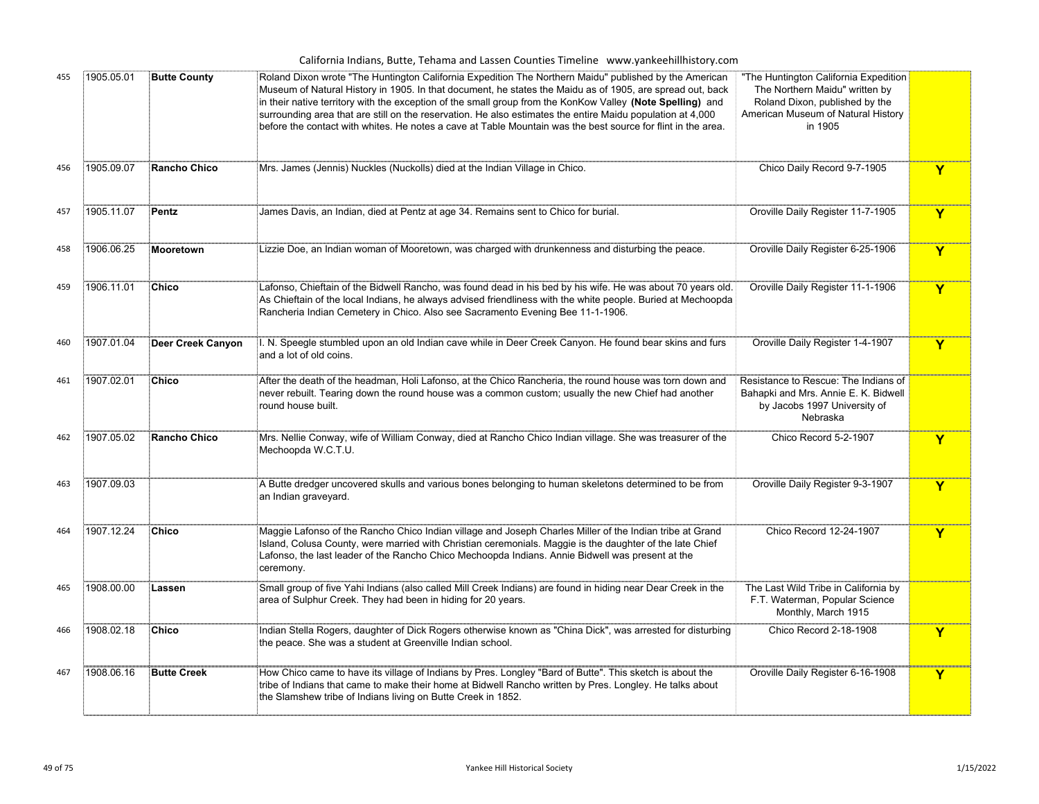|  | California Indians, Butte, Tehama and Lassen Counties Timeline www.yankeehillhistory.com |  |  |  |  |  |  |  |  |
|--|------------------------------------------------------------------------------------------|--|--|--|--|--|--|--|--|
|--|------------------------------------------------------------------------------------------|--|--|--|--|--|--|--|--|

| 455 | 1905.05.01 | <b>Butte County</b> | Roland Dixon wrote "The Huntington California Expedition The Northern Maidu" published by the American<br>Museum of Natural History in 1905. In that document, he states the Maidu as of 1905, are spread out, back<br>in their native territory with the exception of the small group from the KonKow Valley (Note Spelling) and<br>surrounding area that are still on the reservation. He also estimates the entire Maidu population at 4,000<br>before the contact with whites. He notes a cave at Table Mountain was the best source for flint in the area. | "The Huntington California Expedition<br>The Northern Maidu" written by<br>Roland Dixon, published by the<br>American Museum of Natural History<br>in 1905 |   |
|-----|------------|---------------------|-----------------------------------------------------------------------------------------------------------------------------------------------------------------------------------------------------------------------------------------------------------------------------------------------------------------------------------------------------------------------------------------------------------------------------------------------------------------------------------------------------------------------------------------------------------------|------------------------------------------------------------------------------------------------------------------------------------------------------------|---|
| 456 | 1905.09.07 | Rancho Chico        | Mrs. James (Jennis) Nuckles (Nuckolls) died at the Indian Village in Chico.                                                                                                                                                                                                                                                                                                                                                                                                                                                                                     | Chico Daily Record 9-7-1905                                                                                                                                | Y |
| 457 | 1905.11.07 | Pentz               | James Davis, an Indian, died at Pentz at age 34. Remains sent to Chico for burial.                                                                                                                                                                                                                                                                                                                                                                                                                                                                              | Oroville Daily Register 11-7-1905                                                                                                                          | Y |
| 458 | 1906.06.25 | Mooretown           | Lizzie Doe, an Indian woman of Mooretown, was charged with drunkenness and disturbing the peace.                                                                                                                                                                                                                                                                                                                                                                                                                                                                | Oroville Daily Register 6-25-1906                                                                                                                          | Y |
| 459 | 1906.11.01 | Chico               | Lafonso, Chieftain of the Bidwell Rancho, was found dead in his bed by his wife. He was about 70 years old.<br>As Chieftain of the local Indians, he always advised friendliness with the white people. Buried at Mechoopda<br>Rancheria Indian Cemetery in Chico. Also see Sacramento Evening Bee 11-1-1906.                                                                                                                                                                                                                                                   | Oroville Daily Register 11-1-1906                                                                                                                          | Y |
| 460 | 1907.01.04 | Deer Creek Canyon   | l. N. Speegle stumbled upon an old Indian cave while in Deer Creek Canyon. He found bear skins and furs<br>and a lot of old coins.                                                                                                                                                                                                                                                                                                                                                                                                                              | Oroville Daily Register 1-4-1907                                                                                                                           | Y |
| 461 | 1907.02.01 | Chico               | After the death of the headman, Holi Lafonso, at the Chico Rancheria, the round house was torn down and<br>never rebuilt. Tearing down the round house was a common custom; usually the new Chief had another<br>round house built.                                                                                                                                                                                                                                                                                                                             | Resistance to Rescue: The Indians of<br>Bahapki and Mrs. Annie E. K. Bidwell<br>by Jacobs 1997 University of<br>Nebraska                                   |   |
| 462 | 1907.05.02 | Rancho Chico        | Mrs. Nellie Conway, wife of William Conway, died at Rancho Chico Indian village. She was treasurer of the<br>Mechoopda W.C.T.U.                                                                                                                                                                                                                                                                                                                                                                                                                                 | Chico Record 5-2-1907                                                                                                                                      | Y |
| 463 | 1907.09.03 |                     | A Butte dredger uncovered skulls and various bones belonging to human skeletons determined to be from<br>an Indian graveyard.                                                                                                                                                                                                                                                                                                                                                                                                                                   | Oroville Daily Register 9-3-1907                                                                                                                           | Y |
| 464 | 1907.12.24 | Chico               | Maggie Lafonso of the Rancho Chico Indian village and Joseph Charles Miller of the Indian tribe at Grand<br>Island, Colusa County, were married with Christian ceremonials. Maggie is the daughter of the late Chief<br>Lafonso, the last leader of the Rancho Chico Mechoopda Indians. Annie Bidwell was present at the<br>ceremony.                                                                                                                                                                                                                           | Chico Record 12-24-1907                                                                                                                                    | Y |
| 465 | 1908.00.00 | Lassen              | Small group of five Yahi Indians (also called Mill Creek Indians) are found in hiding near Dear Creek in the<br>area of Sulphur Creek. They had been in hiding for 20 years.                                                                                                                                                                                                                                                                                                                                                                                    | The Last Wild Tribe in California by<br>F.T. Waterman, Popular Science<br>Monthly, March 1915                                                              |   |
| 466 | 1908.02.18 | Chico               | Indian Stella Rogers, daughter of Dick Rogers otherwise known as "China Dick", was arrested for disturbing<br>the peace. She was a student at Greenville Indian school.                                                                                                                                                                                                                                                                                                                                                                                         | Chico Record 2-18-1908                                                                                                                                     | Y |
| 467 | 1908.06.16 | <b>Butte Creek</b>  | How Chico came to have its village of Indians by Pres. Longley "Bard of Butte". This sketch is about the<br>tribe of Indians that came to make their home at Bidwell Rancho written by Pres. Longley. He talks about<br>the Slamshew tribe of Indians living on Butte Creek in 1852.                                                                                                                                                                                                                                                                            | Oroville Daily Register 6-16-1908                                                                                                                          | Y |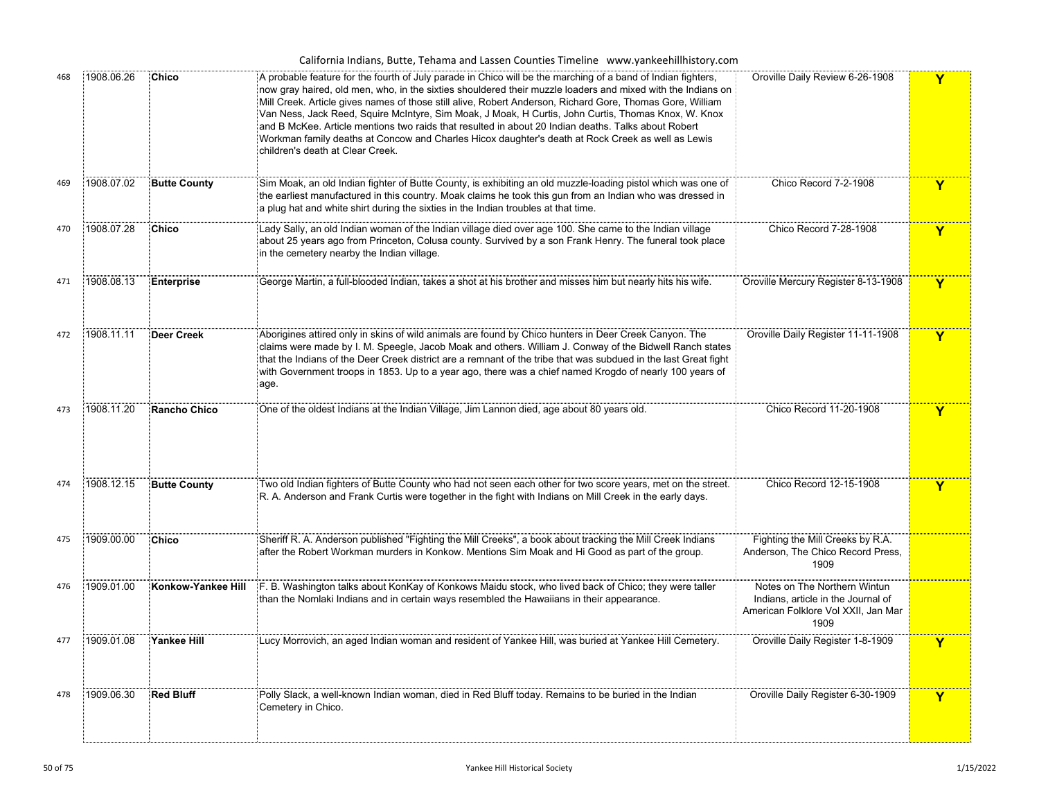|     |            |                     | California Indians, Butte, Tehama and Lassen Counties Timeline www.yankeehillhistory.com                                                                                                                                                                                                                                                                                                                                                                                                                                                                                                                                                                                                                     |                                                                                                                   |              |
|-----|------------|---------------------|--------------------------------------------------------------------------------------------------------------------------------------------------------------------------------------------------------------------------------------------------------------------------------------------------------------------------------------------------------------------------------------------------------------------------------------------------------------------------------------------------------------------------------------------------------------------------------------------------------------------------------------------------------------------------------------------------------------|-------------------------------------------------------------------------------------------------------------------|--------------|
| 468 | 1908.06.26 | Chico               | A probable feature for the fourth of July parade in Chico will be the marching of a band of Indian fighters,<br>now gray haired, old men, who, in the sixties shouldered their muzzle loaders and mixed with the Indians on<br>Mill Creek. Article gives names of those still alive, Robert Anderson, Richard Gore, Thomas Gore, William<br>Van Ness, Jack Reed, Squire McIntyre, Sim Moak, J Moak, H Curtis, John Curtis, Thomas Knox, W. Knox<br>and B McKee. Article mentions two raids that resulted in about 20 Indian deaths. Talks about Robert<br>Workman family deaths at Concow and Charles Hicox daughter's death at Rock Creek as well as Lewis <sup>?</sup><br>children's death at Clear Creek. | Oroville Daily Review 6-26-1908                                                                                   | Y            |
| 469 | 1908.07.02 | <b>Butte County</b> | Sim Moak, an old Indian fighter of Butte County, is exhibiting an old muzzle-loading pistol which was one of<br>the earliest manufactured in this country. Moak claims he took this gun from an Indian who was dressed in<br>a plug hat and white shirt during the sixties in the Indian troubles at that time.                                                                                                                                                                                                                                                                                                                                                                                              | Chico Record 7-2-1908                                                                                             | Y            |
| 470 | 1908.07.28 | Chico               | Lady Sally, an old Indian woman of the Indian village died over age 100. She came to the Indian village<br>about 25 years ago from Princeton, Colusa county. Survived by a son Frank Henry. The funeral took place<br>in the cemetery nearby the Indian village.                                                                                                                                                                                                                                                                                                                                                                                                                                             | Chico Record 7-28-1908                                                                                            | Y            |
| 471 | 1908.08.13 | Enterprise          | George Martin, a full-blooded Indian, takes a shot at his brother and misses him but nearly hits his wife.                                                                                                                                                                                                                                                                                                                                                                                                                                                                                                                                                                                                   | Oroville Mercury Register 8-13-1908                                                                               | Y            |
| 472 | 1908.11.11 | Deer Creek          | Aborigines attired only in skins of wild animals are found by Chico hunters in Deer Creek Canyon. The<br>claims were made by I. M. Speegle, Jacob Moak and others. William J. Conway of the Bidwell Ranch states<br>that the Indians of the Deer Creek district are a remnant of the tribe that was subdued in the last Great fight<br>with Government troops in 1853. Up to a year ago, there was a chief named Krogdo of nearly 100 years of<br>age.                                                                                                                                                                                                                                                       | Oroville Daily Register 11-11-1908                                                                                | $\mathbf{Y}$ |
| 473 | 1908.11.20 | <b>Rancho Chico</b> | One of the oldest Indians at the Indian Village, Jim Lannon died, age about 80 years old.                                                                                                                                                                                                                                                                                                                                                                                                                                                                                                                                                                                                                    | Chico Record 11-20-1908                                                                                           | Y            |
| 474 | 1908.12.15 | <b>Butte County</b> | Two old Indian fighters of Butte County who had not seen each other for two score years, met on the street.<br>R. A. Anderson and Frank Curtis were together in the fight with Indians on Mill Creek in the early days.                                                                                                                                                                                                                                                                                                                                                                                                                                                                                      | Chico Record 12-15-1908                                                                                           | Y            |
| 475 | 1909.00.00 | <b>Chico</b>        | Sheriff R. A. Anderson published "Fighting the Mill Creeks", a book about tracking the Mill Creek Indians<br>after the Robert Workman murders in Konkow. Mentions Sim Moak and Hi Good as part of the group.                                                                                                                                                                                                                                                                                                                                                                                                                                                                                                 | Fighting the Mill Creeks by R.A.<br>Anderson, The Chico Record Press,<br>1909                                     |              |
| 476 | 1909.01.00 | Konkow-Yankee Hill  | F. B. Washington talks about KonKay of Konkows Maidu stock, who lived back of Chico; they were taller<br>than the Nomlaki Indians and in certain ways resembled the Hawaiians in their appearance.                                                                                                                                                                                                                                                                                                                                                                                                                                                                                                           | Notes on The Northern Wintun<br>Indians, article in the Journal of<br>American Folklore Vol XXII, Jan Mar<br>1909 |              |
| 477 | 1909.01.08 | Yankee Hill         | Lucy Morrovich, an aged Indian woman and resident of Yankee Hill, was buried at Yankee Hill Cemetery                                                                                                                                                                                                                                                                                                                                                                                                                                                                                                                                                                                                         | Oroville Daily Register 1-8-1909                                                                                  |              |
| 478 | 1909.06.30 | <b>Red Bluff</b>    | Polly Slack, a well-known Indian woman, died in Red Bluff today. Remains to be buried in the Indian<br>Cemetery in Chico.                                                                                                                                                                                                                                                                                                                                                                                                                                                                                                                                                                                    | Oroville Daily Register 6-30-1909                                                                                 | Y            |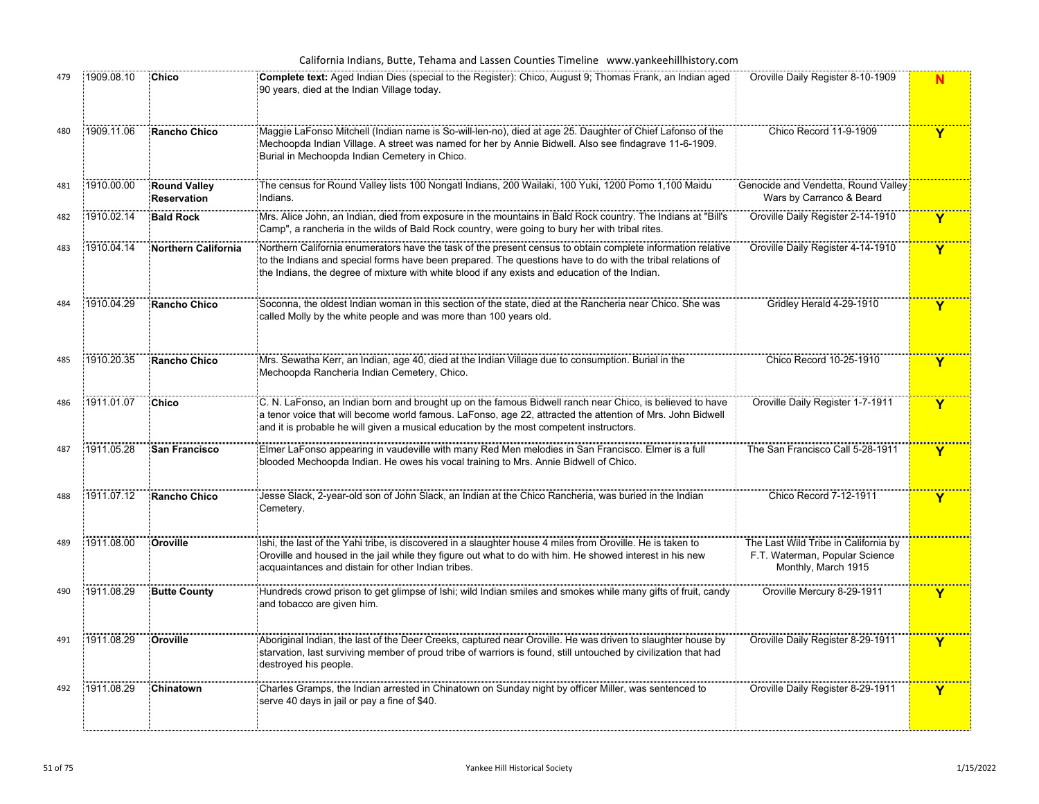|     |            |                                    | California Indians, Butte, Tehama and Lassen Counties Timeline www.yankeehillhistory.com                                                                                                                                                                                                                                    |                                                                                               |   |
|-----|------------|------------------------------------|-----------------------------------------------------------------------------------------------------------------------------------------------------------------------------------------------------------------------------------------------------------------------------------------------------------------------------|-----------------------------------------------------------------------------------------------|---|
| 479 | 1909.08.10 | <b>Chico</b>                       | Complete text: Aged Indian Dies (special to the Register): Chico, August 9; Thomas Frank, an Indian aged<br>90 years, died at the Indian Village today.                                                                                                                                                                     | Oroville Daily Register 8-10-1909                                                             | N |
| 480 | 1909.11.06 | Rancho Chico                       | Maggie LaFonso Mitchell (Indian name is So-will-len-no), died at age 25. Daughter of Chief Lafonso of the<br>Mechoopda Indian Village. A street was named for her by Annie Bidwell. Also see findagrave 11-6-1909.<br>Burial in Mechoopda Indian Cemetery in Chico.                                                         | Chico Record 11-9-1909                                                                        | Y |
| 481 | 1910.00.00 | <b>Round Valley</b><br>Reservation | The census for Round Valley lists 100 Nongatl Indians, 200 Wailaki, 100 Yuki, 1200 Pomo 1,100 Maidu<br>Indians.                                                                                                                                                                                                             | Genocide and Vendetta, Round Valley<br>Wars by Carranco & Beard                               |   |
| 482 | 1910.02.14 | <b>Bald Rock</b>                   | Mrs. Alice John, an Indian, died from exposure in the mountains in Bald Rock country. The Indians at "Bill's<br>Camp", a rancheria in the wilds of Bald Rock country, were going to bury her with tribal rites.                                                                                                             | Oroville Daily Register 2-14-1910                                                             | Y |
| 483 | 1910.04.14 | Northern California                | Northern California enumerators have the task of the present census to obtain complete information relative<br>to the Indians and special forms have been prepared. The questions have to do with the tribal relations of<br>the Indians, the degree of mixture with white blood if any exists and education of the Indian. | Oroville Daily Register 4-14-1910                                                             | Y |
| 484 | 1910.04.29 | <b>Rancho Chico</b>                | Soconna, the oldest Indian woman in this section of the state, died at the Rancheria near Chico. She was<br>called Molly by the white people and was more than 100 years old.                                                                                                                                               | Gridley Herald 4-29-1910                                                                      | Y |
| 485 | 1910.20.35 | Rancho Chico                       | Mrs. Sewatha Kerr, an Indian, age 40, died at the Indian Village due to consumption. Burial in the<br>Mechoopda Rancheria Indian Cemetery, Chico.                                                                                                                                                                           | Chico Record 10-25-1910                                                                       | Y |
| 486 | 1911.01.07 | Chico                              | C. N. LaFonso, an Indian born and brought up on the famous Bidwell ranch near Chico, is believed to have<br>a tenor voice that will become world famous. LaFonso, age 22, attracted the attention of Mrs. John Bidwell<br>and it is probable he will given a musical education by the most competent instructors.           | Oroville Daily Register 1-7-1911                                                              | Y |
| 487 | 1911.05.28 | San Francisco                      | Elmer LaFonso appearing in vaudeville with many Red Men melodies in San Francisco. Elmer is a full<br>blooded Mechoopda Indian. He owes his vocal training to Mrs. Annie Bidwell of Chico.                                                                                                                                  | The San Francisco Call 5-28-1911                                                              | Y |
| 488 | 1911.07.12 | Rancho Chico                       | Jesse Slack, 2-year-old son of John Slack, an Indian at the Chico Rancheria, was buried in the Indian<br>Cemetery.                                                                                                                                                                                                          | Chico Record 7-12-1911                                                                        | Y |
| 489 | 1911.08.00 | Oroville                           | Ishi, the last of the Yahi tribe, is discovered in a slaughter house 4 miles from Oroville. He is taken to<br>Oroville and housed in the jail while they figure out what to do with him. He showed interest in his new<br>acquaintances and distain for other Indian tribes.                                                | The Last Wild Tribe in California by<br>F.T. Waterman, Popular Science<br>Monthly, March 1915 |   |
| 490 | 1911.08.29 | <b>Butte County</b>                | Hundreds crowd prison to get glimpse of Ishi; wild Indian smiles and smokes while many gifts of fruit, candy<br>and tobacco are given him.                                                                                                                                                                                  | Oroville Mercury 8-29-1911                                                                    | Y |
| 491 | 1911.08.29 | Oroville                           | Aboriginal Indian, the last of the Deer Creeks, captured near Oroville. He was driven to slaughter house by<br>starvation, last surviving member of proud tribe of warriors is found, still untouched by civilization that had<br>destroyed his people.                                                                     | Oroville Daily Register 8-29-1911                                                             | Y |
| 492 | 1911.08.29 | Chinatown                          | Charles Gramps, the Indian arrested in Chinatown on Sunday night by officer Miller, was sentenced to<br>serve 40 days in jail or pay a fine of \$40.                                                                                                                                                                        | Oroville Daily Register 8-29-1911                                                             | Y |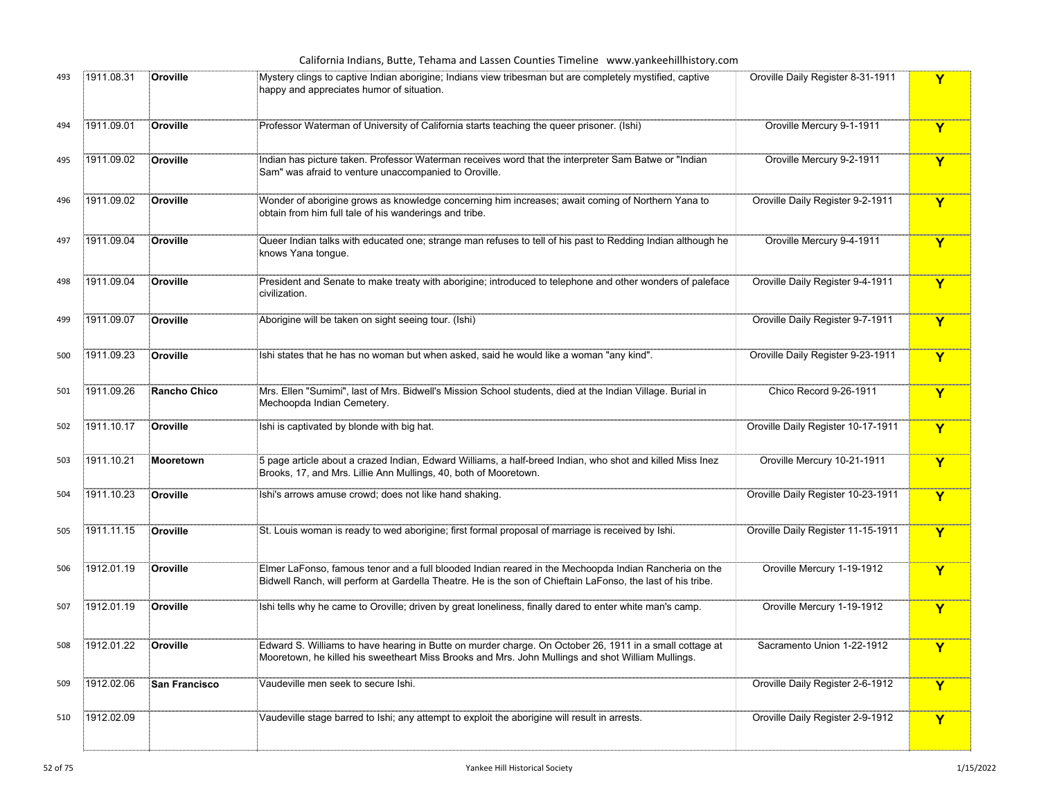|     |            |                     | California Indians, Butte, Tehama and Lassen Counties Timeline www.yankeehillhistory.com                                                                                                                             |                                    |              |
|-----|------------|---------------------|----------------------------------------------------------------------------------------------------------------------------------------------------------------------------------------------------------------------|------------------------------------|--------------|
| 493 | 1911.08.31 | Oroville            | Mystery clings to captive Indian aborigine; Indians view tribesman but are completely mystified, captive<br>happy and appreciates humor of situation.                                                                | Oroville Daily Register 8-31-1911  | Y            |
| 494 | 1911.09.01 | Oroville            | Professor Waterman of University of California starts teaching the queer prisoner. (Ishi)                                                                                                                            | Oroville Mercury 9-1-1911          | Y            |
| 495 | 1911.09.02 | Oroville            | Indian has picture taken. Professor Waterman receives word that the interpreter Sam Batwe or "Indian<br>Sam" was afraid to venture unaccompanied to Oroville.                                                        | Oroville Mercury 9-2-1911          | Y            |
| 496 | 1911.09.02 | Oroville            | Wonder of aborigine grows as knowledge concerning him increases; await coming of Northern Yana to<br>obtain from him full tale of his wanderings and tribe.                                                          | Oroville Daily Register 9-2-1911   | Y            |
| 497 | 1911.09.04 | Oroville            | Queer Indian talks with educated one; strange man refuses to tell of his past to Redding Indian although he<br>knows Yana tongue.                                                                                    | Oroville Mercury 9-4-1911          | Y            |
| 498 | 1911.09.04 | Oroville            | President and Senate to make treaty with aborigine; introduced to telephone and other wonders of paleface<br>civilization.                                                                                           | Oroville Daily Register 9-4-1911   | Y            |
| 499 | 1911.09.07 | Oroville            | Aborigine will be taken on sight seeing tour. (Ishi)                                                                                                                                                                 | Oroville Daily Register 9-7-1911   | $\mathbf{Y}$ |
| 500 | 1911.09.23 | Oroville            | shi states that he has no woman but when asked, said he would like a woman "any kind".                                                                                                                               | Oroville Daily Register 9-23-1911  | Y            |
| 501 | 1911.09.26 | <b>Rancho Chico</b> | Mrs. Ellen "Sumimi", last of Mrs. Bidwell's Mission School students, died at the Indian Village. Burial in<br>Mechoopda Indian Cemetery.                                                                             | Chico Record 9-26-1911             | Y            |
| 502 | 1911.10.17 | Oroville            | Ishi is captivated by blonde with big hat.                                                                                                                                                                           | Oroville Daily Register 10-17-1911 | Y            |
| 503 | 1911.10.21 | Mooretown           | 5 page article about a crazed Indian, Edward Williams, a half-breed Indian, who shot and killed Miss Inez<br>Brooks, 17, and Mrs. Lillie Ann Mullings, 40, both of Mooretown.                                        | Oroville Mercury 10-21-1911        | Y            |
| 504 | 1911.10.23 | Oroville            | Ishi's arrows amuse crowd; does not like hand shaking.                                                                                                                                                               | Oroville Daily Register 10-23-1911 | Y            |
| 505 | 1911.11.15 | Oroville            | St. Louis woman is ready to wed aborigine; first formal proposal of marriage is received by Ishi.                                                                                                                    | Oroville Daily Register 11-15-1911 | Y            |
| 506 | 1912.01.19 | Oroville            | Elmer LaFonso, famous tenor and a full blooded Indian reared in the Mechoopda Indian Rancheria on the<br>Bidwell Ranch, will perform at Gardella Theatre. He is the son of Chieftain LaFonso, the last of his tribe. | Oroville Mercury 1-19-1912         | Y            |
| 507 | 1912.01.19 | Oroville            | Ishi tells why he came to Oroville; driven by great loneliness, finally dared to enter white man's camp.                                                                                                             | Oroville Mercury 1-19-1912         | Y            |
|     | 1912.01.22 | Oroville            | Edward S. Williams to have hearing in Butte on murder charge. On October 26, 1911 in a small cottage at<br>Mooretown, he killed his sweetheart Miss Brooks and Mrs. John Mullings and shot William Mullings.         | Sacramento Union 1-22-1912         |              |
| 509 | 1912.02.06 | San Francisco       | Vaudeville men seek to secure Ishi.                                                                                                                                                                                  | Oroville Daily Register 2-6-1912   | Y            |
| 510 | 1912.02.09 |                     | Vaudeville stage barred to Ishi; any attempt to exploit the aborigine will result in arrests.                                                                                                                        | Oroville Daily Register 2-9-1912   | Y            |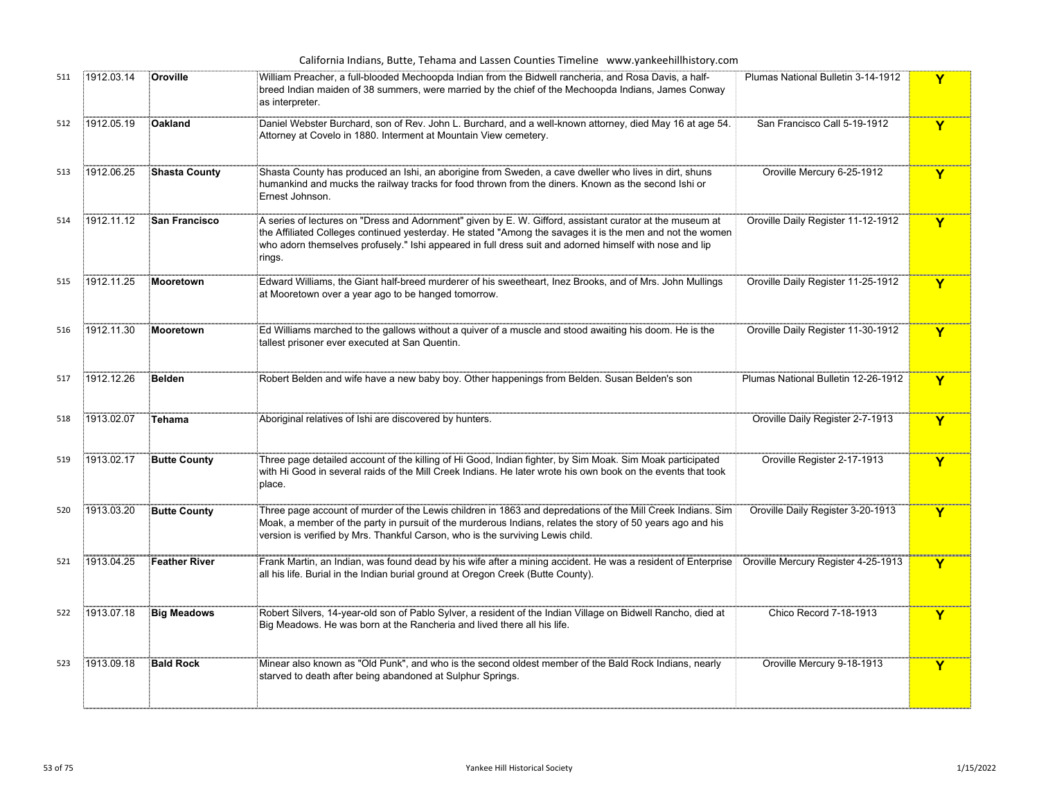| 511 | 1912.03.14 | Oroville             | William Preacher, a full-blooded Mechoopda Indian from the Bidwell rancheria, and Rosa Davis, a half-<br>breed Indian maiden of 38 summers, were married by the chief of the Mechoopda Indians, James Conway<br>as interpreter.                                                                                                            | Plumas National Bulletin 3-14-1912  | Y                       |
|-----|------------|----------------------|--------------------------------------------------------------------------------------------------------------------------------------------------------------------------------------------------------------------------------------------------------------------------------------------------------------------------------------------|-------------------------------------|-------------------------|
| 512 | 1912.05.19 | <b>Oakland</b>       | Daniel Webster Burchard, son of Rev. John L. Burchard, and a well-known attorney, died May 16 at age 54.<br>Attorney at Covelo in 1880. Interment at Mountain View cemetery.                                                                                                                                                               | San Francisco Call 5-19-1912        | Y                       |
| 513 | 1912.06.25 | <b>Shasta County</b> | Shasta County has produced an Ishi, an aborigine from Sweden, a cave dweller who lives in dirt, shuns<br>humankind and mucks the railway tracks for food thrown from the diners. Known as the second Ishi or<br>Ernest Johnson.                                                                                                            | Oroville Mercury 6-25-1912          | $\mathbf Y$             |
| 514 | 1912.11.12 | <b>San Francisco</b> | A series of lectures on "Dress and Adornment" given by E. W. Gifford, assistant curator at the museum at<br>the Affiliated Colleges continued yesterday. He stated "Among the savages it is the men and not the women<br>who adorn themselves profusely." Ishi appeared in full dress suit and adorned himself with nose and lip<br>rings. | Oroville Daily Register 11-12-1912  | $\mathbf{Y}$            |
| 515 | 1912.11.25 | Mooretown            | Edward Williams, the Giant half-breed murderer of his sweetheart, Inez Brooks, and of Mrs. John Mullings<br>at Mooretown over a year ago to be hanged tomorrow.                                                                                                                                                                            | Oroville Daily Register 11-25-1912  | Y                       |
| 516 | 1912.11.30 | Mooretown            | Ed Williams marched to the gallows without a quiver of a muscle and stood awaiting his doom. He is the<br>tallest prisoner ever executed at San Quentin.                                                                                                                                                                                   | Oroville Daily Register 11-30-1912  | Y                       |
| 517 | 1912.12.26 | Belden               | Robert Belden and wife have a new baby boy. Other happenings from Belden. Susan Belden's son                                                                                                                                                                                                                                               | Plumas National Bulletin 12-26-1912 | $\mathbf{Y}$            |
| 518 | 1913.02.07 | Tehama               | Aboriginal relatives of Ishi are discovered by hunters.                                                                                                                                                                                                                                                                                    | Oroville Daily Register 2-7-1913    | Y                       |
| 519 | 1913.02.17 | <b>Butte County</b>  | Three page detailed account of the killing of Hi Good, Indian fighter, by Sim Moak. Sim Moak participated<br>with Hi Good in several raids of the Mill Creek Indians. He later wrote his own book on the events that took<br>place.                                                                                                        | Oroville Register 2-17-1913         | Y                       |
| 520 | 1913.03.20 | <b>Butte County</b>  | Three page account of murder of the Lewis children in 1863 and depredations of the Mill Creek Indians. Sim<br>Moak, a member of the party in pursuit of the murderous Indians, relates the story of 50 years ago and his<br>version is verified by Mrs. Thankful Carson, who is the surviving Lewis child.                                 | Oroville Daily Register 3-20-1913   | Y                       |
| 521 | 1913.04.25 | <b>Feather River</b> | Frank Martin, an Indian, was found dead by his wife after a mining accident. He was a resident of Enterprise [<br>all his life. Burial in the Indian burial ground at Oregon Creek (Butte County).                                                                                                                                         | Oroville Mercury Register 4-25-1913 | $\overline{\mathbf{Y}}$ |
| 522 | 1913.07.18 | <b>Big Meadows</b>   | Robert Silvers, 14-year-old son of Pablo Sylver, a resident of the Indian Village on Bidwell Rancho, died at<br>Big Meadows. He was born at the Rancheria and lived there all his life.                                                                                                                                                    | Chico Record 7-18-1913              | $\mathbf Y$             |
| 523 | 1913.09.18 | <b>Bald Rock</b>     | Minear also known as "Old Punk", and who is the second oldest member of the Bald Rock Indians, nearly<br>starved to death after being abandoned at Sulphur Springs.                                                                                                                                                                        | Oroville Mercury 9-18-1913          | $\mathbf Y$             |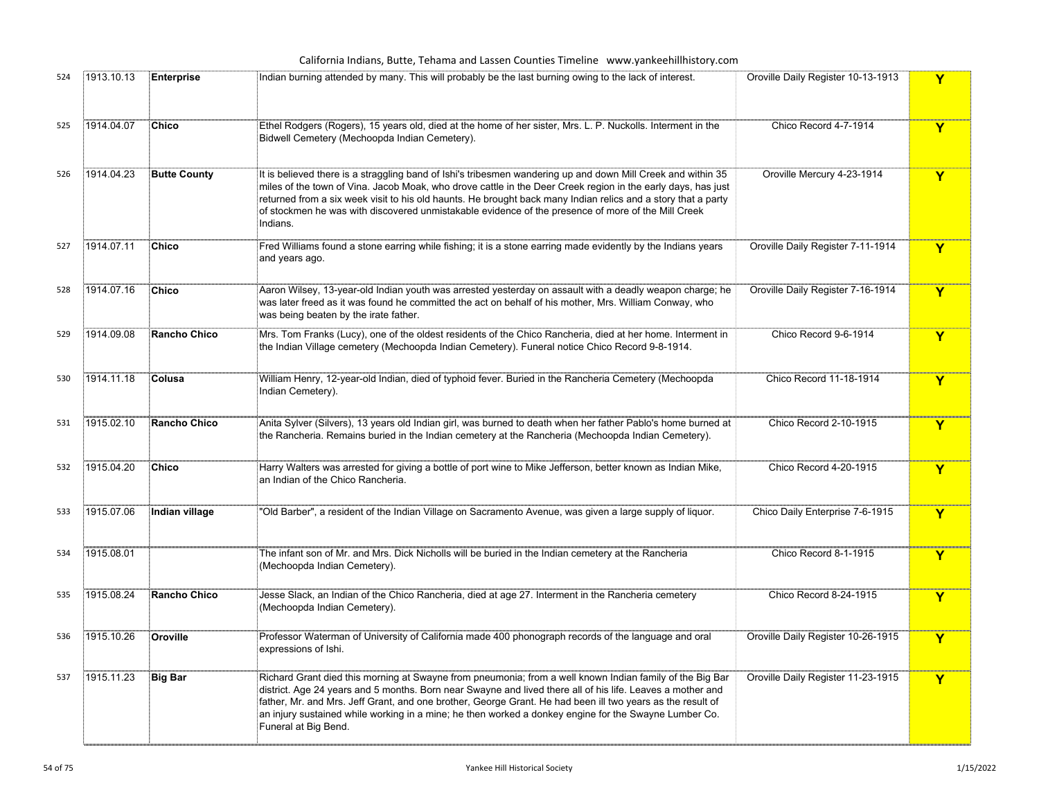California Indians, Butte, Tehama and Lassen Counties Timeline www.yankeehillhistory.com

| 524 | 1913.10.13 | <b>Enterprise</b>   | Indian burning attended by many. This will probably be the last burning owing to the lack of interest.                                                                                                                                                                                                                                                                                                                                                                | Oroville Daily Register 10-13-1913 | Y                       |
|-----|------------|---------------------|-----------------------------------------------------------------------------------------------------------------------------------------------------------------------------------------------------------------------------------------------------------------------------------------------------------------------------------------------------------------------------------------------------------------------------------------------------------------------|------------------------------------|-------------------------|
| 525 | 1914.04.07 | Chico               | Ethel Rodgers (Rogers), 15 years old, died at the home of her sister, Mrs. L. P. Nuckolls. Interment in the<br>Bidwell Cemetery (Mechoopda Indian Cemetery).                                                                                                                                                                                                                                                                                                          | Chico Record 4-7-1914              | $\overline{\mathbf{Y}}$ |
| 526 | 1914.04.23 | <b>Butte County</b> | It is believed there is a straggling band of Ishi's tribesmen wandering up and down Mill Creek and within 35<br>miles of the town of Vina. Jacob Moak, who drove cattle in the Deer Creek region in the early days, has just<br>returned from a six week visit to his old haunts. He brought back many Indian relics and a story that a party<br>of stockmen he was with discovered unmistakable evidence of the presence of more of the Mill Creek<br>Indians.       | Oroville Mercury 4-23-1914         | $\mathbf Y$             |
| 527 | 1914.07.11 | Chico               | Fred Williams found a stone earring while fishing; it is a stone earring made evidently by the Indians years<br>and years ago.                                                                                                                                                                                                                                                                                                                                        | Oroville Daily Register 7-11-1914  | Y                       |
| 528 | 1914.07.16 | Chico               | Aaron Wilsey, 13-year-old Indian youth was arrested yesterday on assault with a deadly weapon charge; he<br>was later freed as it was found he committed the act on behalf of his mother, Mrs. William Conway, who<br>was being beaten by the irate father.                                                                                                                                                                                                           | Oroville Daily Register 7-16-1914  | $\mathbf Y$             |
| 529 | 1914.09.08 | Rancho Chico        | Mrs. Tom Franks (Lucy), one of the oldest residents of the Chico Rancheria, died at her home. Interment in<br>the Indian Village cemetery (Mechoopda Indian Cemetery). Funeral notice Chico Record 9-8-1914.                                                                                                                                                                                                                                                          | Chico Record 9-6-1914              | Y                       |
| 530 | 1914.11.18 | Colusa              | William Henry, 12-year-old Indian, died of typhoid fever. Buried in the Rancheria Cemetery (Mechoopda<br>Indian Cemetery).                                                                                                                                                                                                                                                                                                                                            | Chico Record 11-18-1914            | $\overline{\mathbf{Y}}$ |
| 531 | 1915.02.10 | Rancho Chico        | Anita Sylver (Silvers), 13 years old Indian girl, was burned to death when her father Pablo's home burned at<br>the Rancheria. Remains buried in the Indian cemetery at the Rancheria (Mechoopda Indian Cemetery).                                                                                                                                                                                                                                                    | Chico Record 2-10-1915             | $\mathbf Y$             |
| 532 | 1915.04.20 | Chico               | Harry Walters was arrested for giving a bottle of port wine to Mike Jefferson, better known as Indian Mike,<br>an Indian of the Chico Rancheria.                                                                                                                                                                                                                                                                                                                      | Chico Record 4-20-1915             | Y                       |
| 533 | 1915.07.06 | Indian village      | "Old Barber", a resident of the Indian Village on Sacramento Avenue, was given a large supply of liquor.                                                                                                                                                                                                                                                                                                                                                              | Chico Daily Enterprise 7-6-1915    | $\mathbf Y$             |
| 534 | 1915.08.01 |                     | The infant son of Mr. and Mrs. Dick Nicholls will be buried in the Indian cemetery at the Rancheria<br>(Mechoopda Indian Cemetery).                                                                                                                                                                                                                                                                                                                                   | Chico Record 8-1-1915              | $\mathbf Y$             |
| 535 | 1915.08.24 | Rancho Chico        | Jesse Slack, an Indian of the Chico Rancheria, died at age 27. Interment in the Rancheria cemetery<br>(Mechoopda Indian Cemetery).                                                                                                                                                                                                                                                                                                                                    | Chico Record 8-24-1915             | $\overline{\mathbf{Y}}$ |
| 536 | 1915.10.26 | Oroville            | Professor Waterman of University of California made 400 phonograph records of the language and oral<br>expressions of Ishi.                                                                                                                                                                                                                                                                                                                                           | Oroville Daily Register 10-26-1915 | Y                       |
| 537 | 1915.11.23 | <b>Big Bar</b>      | Richard Grant died this morning at Swayne from pneumonia; from a well known Indian family of the Big Bar<br>district. Age 24 years and 5 months. Born near Swayne and lived there all of his life. Leaves a mother and<br>father, Mr. and Mrs. Jeff Grant, and one brother, George Grant. He had been ill two years as the result of<br>an injury sustained while working in a mine; he then worked a donkey engine for the Swayne Lumber Co.<br>Funeral at Big Bend. | Oroville Daily Register 11-23-1915 | $\overline{\mathbf{Y}}$ |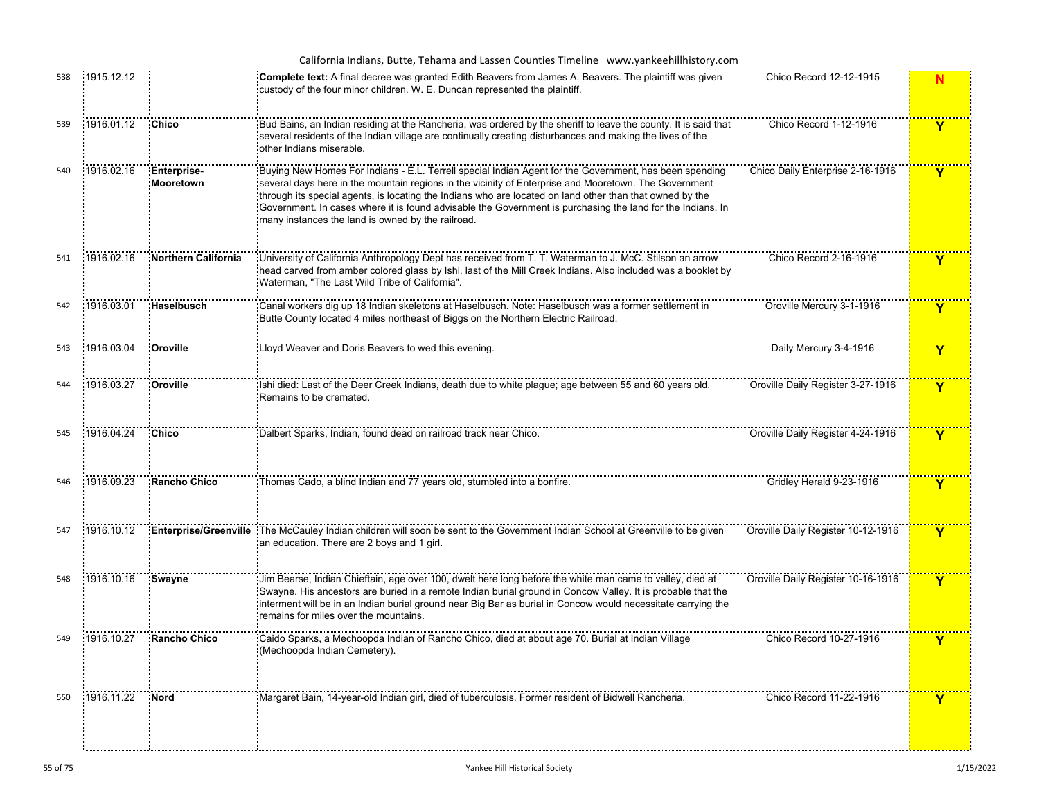|     |            |                                 | California Indians, Butte, Tehama and Lassen Counties Timeline www.yankeehillhistory.com                                                                                                                                                                                                                                                                                                                                                                                                       |                                    |              |
|-----|------------|---------------------------------|------------------------------------------------------------------------------------------------------------------------------------------------------------------------------------------------------------------------------------------------------------------------------------------------------------------------------------------------------------------------------------------------------------------------------------------------------------------------------------------------|------------------------------------|--------------|
| 538 | 1915.12.12 |                                 | Complete text: A final decree was granted Edith Beavers from James A. Beavers. The plaintiff was given<br>custody of the four minor children. W. E. Duncan represented the plaintiff.                                                                                                                                                                                                                                                                                                          | Chico Record 12-12-1915            | N            |
| 539 | 1916.01.12 | <b>Chico</b>                    | Bud Bains, an Indian residing at the Rancheria, was ordered by the sheriff to leave the county. It is said that<br>several residents of the Indian village are continually creating disturbances and making the lives of the<br>other Indians miserable.                                                                                                                                                                                                                                       | Chico Record 1-12-1916             | Y            |
| 540 | 1916.02.16 | <b>Enterprise-</b><br>Mooretown | Buying New Homes For Indians - E.L. Terrell special Indian Agent for the Government, has been spending<br>several days here in the mountain regions in the vicinity of Enterprise and Mooretown. The Government<br>through its special agents, is locating the Indians who are located on land other than that owned by the<br>Government. In cases where it is found advisable the Government is purchasing the land for the Indians. In<br>many instances the land is owned by the railroad. | Chico Daily Enterprise 2-16-1916   | Y            |
| 541 | 1916.02.16 | <b>Northern California</b>      | University of California Anthropology Dept has received from T. T. Waterman to J. McC. Stilson an arrow<br>head carved from amber colored glass by Ishi, last of the Mill Creek Indians. Also included was a booklet by<br>Waterman, "The Last Wild Tribe of California".                                                                                                                                                                                                                      | Chico Record 2-16-1916             | Y            |
| 542 | 1916.03.01 | Haselbusch                      | Canal workers dig up 18 Indian skeletons at Haselbusch. Note: Haselbusch was a former settlement in<br>Butte County located 4 miles northeast of Biggs on the Northern Electric Railroad.                                                                                                                                                                                                                                                                                                      | Oroville Mercury 3-1-1916          | Y            |
| 543 | 1916.03.04 | Oroville                        | Lloyd Weaver and Doris Beavers to wed this evening.                                                                                                                                                                                                                                                                                                                                                                                                                                            | Daily Mercury 3-4-1916             | Y            |
| 544 | 1916.03.27 | Oroville                        | Ishi died: Last of the Deer Creek Indians, death due to white plague; age between 55 and 60 years old.<br>Remains to be cremated.                                                                                                                                                                                                                                                                                                                                                              | Oroville Daily Register 3-27-1916  | $\mathbf{Y}$ |
| 545 | 1916.04.24 | Chico                           | Dalbert Sparks, Indian, found dead on railroad track near Chico.                                                                                                                                                                                                                                                                                                                                                                                                                               | Oroville Daily Register 4-24-1916  | Y            |
| 546 | 1916.09.23 | <b>Rancho Chico</b>             | Thomas Cado, a blind Indian and 77 years old, stumbled into a bonfire.                                                                                                                                                                                                                                                                                                                                                                                                                         | Gridley Herald 9-23-1916           | Y            |
| 547 | 1916.10.12 |                                 | Enterprise/Greenville The McCauley Indian children will soon be sent to the Government Indian School at Greenville to be given<br>an education. There are 2 boys and 1 girl.                                                                                                                                                                                                                                                                                                                   | Oroville Daily Register 10-12-1916 | Y            |
| 548 | 1916.10.16 | Swayne                          | Jim Bearse, Indian Chieftain, age over 100, dwelt here long before the white man came to valley, died at<br>Swayne. His ancestors are buried in a remote Indian burial ground in Concow Valley. It is probable that the<br>interment will be in an Indian burial ground near Big Bar as burial in Concow would necessitate carrying the<br>remains for miles over the mountains.                                                                                                               | Oroville Daily Register 10-16-1916 | Y            |
| 549 | 1916.10.27 | <b>Rancho Chico</b>             | Caido Sparks, a Mechoopda Indian of Rancho Chico, died at about age 70. Burial at Indian Village<br>(Mechoopda Indian Cemetery).                                                                                                                                                                                                                                                                                                                                                               | Chico Record 10-27-1916            | v            |
| 550 | 1916.11.22 | <b>Nord</b>                     | Margaret Bain, 14-year-old Indian girl, died of tuberculosis. Former resident of Bidwell Rancheria.                                                                                                                                                                                                                                                                                                                                                                                            | Chico Record 11-22-1916            | Y            |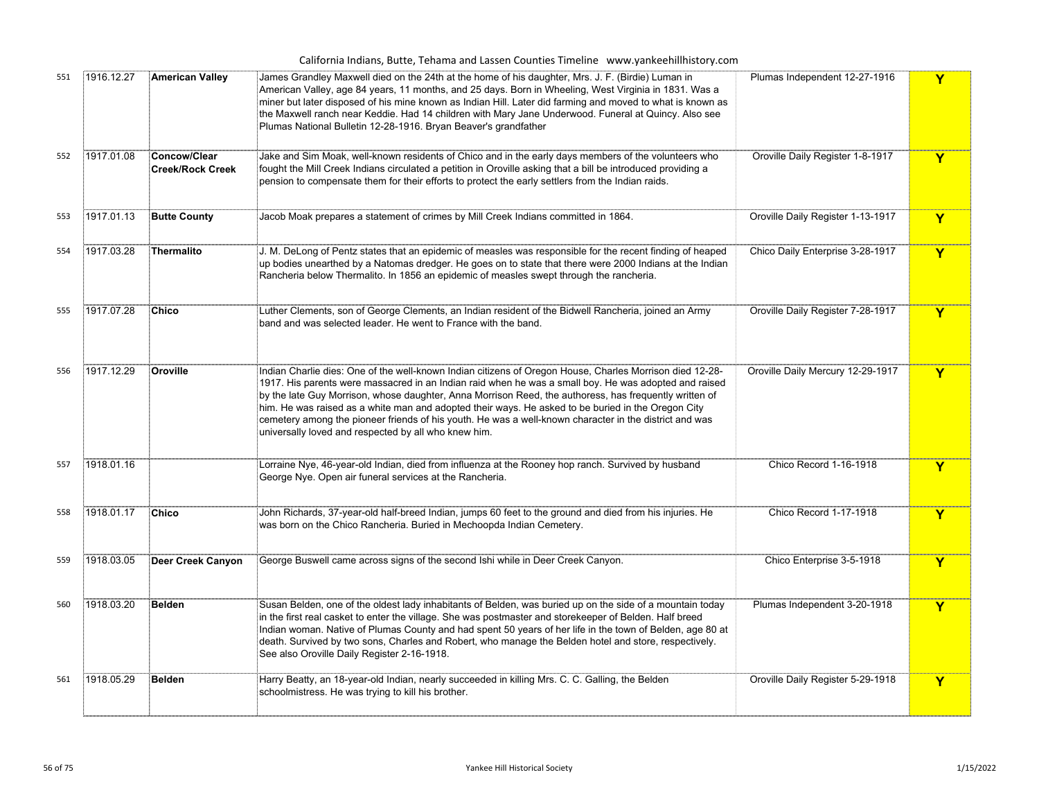| California Indians, Butte, Tehama and Lassen Counties Timeline www.yankeehillhistory.com |  |  |  |  |  |  |  |  |
|------------------------------------------------------------------------------------------|--|--|--|--|--|--|--|--|
|------------------------------------------------------------------------------------------|--|--|--|--|--|--|--|--|

|     |            |                                         | <u>Uma mulum, Butte, Tending and Eassen Counties Timeline - www.yankeeministory.com</u>                                                                                                                                                                                                                                                                                                                                                                                                                                                                                                             |                                   |             |
|-----|------------|-----------------------------------------|-----------------------------------------------------------------------------------------------------------------------------------------------------------------------------------------------------------------------------------------------------------------------------------------------------------------------------------------------------------------------------------------------------------------------------------------------------------------------------------------------------------------------------------------------------------------------------------------------------|-----------------------------------|-------------|
| 551 | 1916.12.27 | <b>American Valley</b>                  | James Grandley Maxwell died on the 24th at the home of his daughter, Mrs. J. F. (Birdie) Luman in<br>American Valley, age 84 years, 11 months, and 25 days. Born in Wheeling, West Virginia in 1831. Was a<br>miner but later disposed of his mine known as Indian Hill. Later did farming and moved to what is known as<br>the Maxwell ranch near Keddie. Had 14 children with Mary Jane Underwood. Funeral at Quincy. Also see<br>Plumas National Bulletin 12-28-1916. Bryan Beaver's grandfather                                                                                                 | Plumas Independent 12-27-1916     | Y           |
| 552 | 1917.01.08 | Concow/Clear<br><b>Creek/Rock Creek</b> | Jake and Sim Moak, well-known residents of Chico and in the early days members of the volunteers who<br>fought the Mill Creek Indians circulated a petition in Oroville asking that a bill be introduced providing a<br>pension to compensate them for their efforts to protect the early settlers from the Indian raids.                                                                                                                                                                                                                                                                           | Oroville Daily Register 1-8-1917  | Y           |
| 553 | 1917.01.13 | <b>Butte County</b>                     | Jacob Moak prepares a statement of crimes by Mill Creek Indians committed in 1864.                                                                                                                                                                                                                                                                                                                                                                                                                                                                                                                  | Oroville Daily Register 1-13-1917 | Y           |
| 554 | 1917.03.28 | Thermalito                              | U. M. DeLong of Pentz states that an epidemic of measles was responsible for the recent finding of heaped<br>up bodies unearthed by a Natomas dredger. He goes on to state that there were 2000 Indians at the Indian<br>Rancheria below Thermalito. In 1856 an epidemic of measles swept through the rancheria.                                                                                                                                                                                                                                                                                    | Chico Daily Enterprise 3-28-1917  | Y           |
| 555 | 1917.07.28 | Chico                                   | Luther Clements, son of George Clements, an Indian resident of the Bidwell Rancheria, joined an Army<br>band and was selected leader. He went to France with the band.                                                                                                                                                                                                                                                                                                                                                                                                                              | Oroville Daily Register 7-28-1917 | Y           |
| 556 | 1917.12.29 | Oroville                                | Indian Charlie dies: One of the well-known Indian citizens of Oregon House, Charles Morrison died 12-28-<br>1917. His parents were massacred in an Indian raid when he was a small boy. He was adopted and raised<br>by the late Guy Morrison, whose daughter, Anna Morrison Reed, the authoress, has frequently written of<br>him. He was raised as a white man and adopted their ways. He asked to be buried in the Oregon City<br>cemetery among the pioneer friends of his youth. He was a well-known character in the district and was<br>universally loved and respected by all who knew him. | Oroville Daily Mercury 12-29-1917 | Y           |
| 557 | 1918.01.16 |                                         | Lorraine Nye, 46-year-old Indian, died from influenza at the Rooney hop ranch. Survived by husband<br>George Nye. Open air funeral services at the Rancheria.                                                                                                                                                                                                                                                                                                                                                                                                                                       | Chico Record 1-16-1918            | Y           |
| 558 | 1918.01.17 | Chico                                   | John Richards, 37-year-old half-breed Indian, jumps 60 feet to the ground and died from his injuries. He<br>was born on the Chico Rancheria. Buried in Mechoopda Indian Cemetery.                                                                                                                                                                                                                                                                                                                                                                                                                   | Chico Record 1-17-1918            | $\mathbf Y$ |
| 559 | 1918.03.05 | Deer Creek Canyon                       | George Buswell came across signs of the second Ishi while in Deer Creek Canyon.                                                                                                                                                                                                                                                                                                                                                                                                                                                                                                                     | Chico Enterprise 3-5-1918         | Y           |
| 560 | 1918.03.20 | <b>Belden</b>                           | Susan Belden, one of the oldest lady inhabitants of Belden, was buried up on the side of a mountain today<br>in the first real casket to enter the village. She was postmaster and storekeeper of Belden. Half breed<br>Indian woman. Native of Plumas County and had spent 50 years of her life in the town of Belden, age 80 at<br>death. Survived by two sons, Charles and Robert, who manage the Belden hotel and store, respectively.<br>See also Oroville Daily Register 2-16-1918.                                                                                                           | Plumas Independent 3-20-1918      | Y           |
| 561 | 1918.05.29 | <b>Belden</b>                           | Harry Beatty, an 18-year-old Indian, nearly succeeded in killing Mrs. C. C. Galling, the Belden<br>schoolmistress. He was trying to kill his brother.                                                                                                                                                                                                                                                                                                                                                                                                                                               | Oroville Daily Register 5-29-1918 | Y           |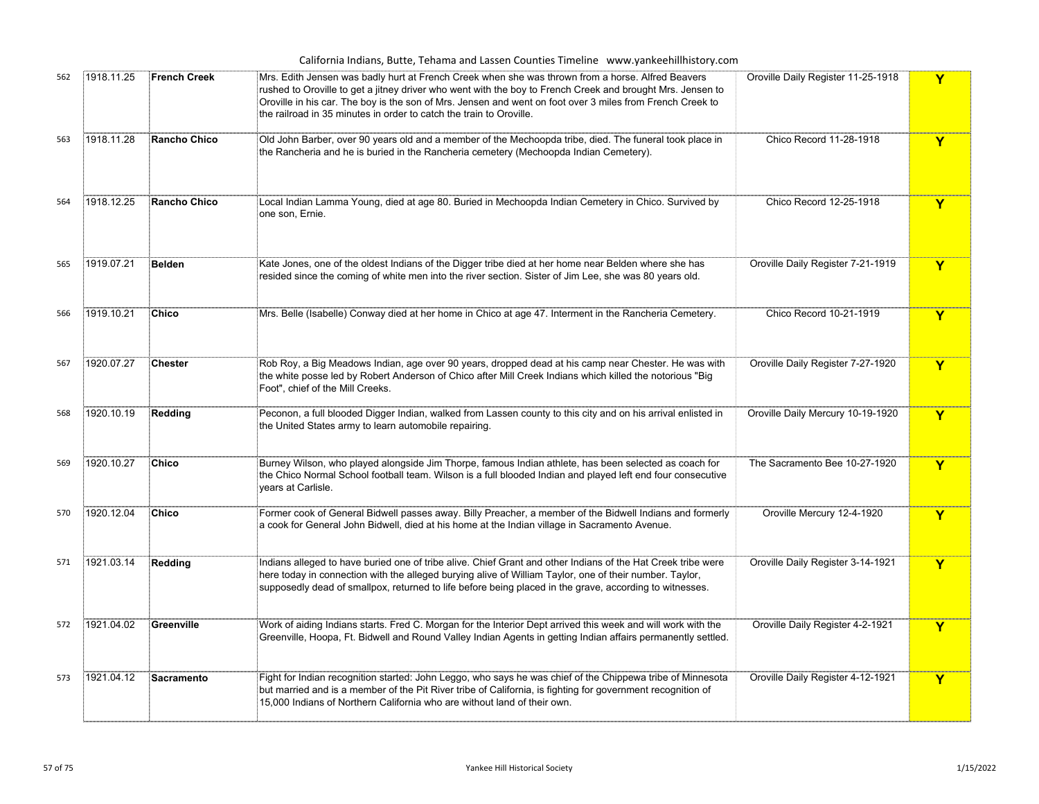|     |            |                     | California Indians, Butte, Tehama and Lassen Counties Timeline www.yankeehillhistory.com                                                                                                                                                                                                                                                                                                            |                                    |   |
|-----|------------|---------------------|-----------------------------------------------------------------------------------------------------------------------------------------------------------------------------------------------------------------------------------------------------------------------------------------------------------------------------------------------------------------------------------------------------|------------------------------------|---|
| 562 | 1918.11.25 | <b>French Creek</b> | Mrs. Edith Jensen was badly hurt at French Creek when she was thrown from a horse. Alfred Beavers<br>rushed to Oroville to get a jitney driver who went with the boy to French Creek and brought Mrs. Jensen to<br>Oroville in his car. The boy is the son of Mrs. Jensen and went on foot over 3 miles from French Creek to<br>the railroad in 35 minutes in order to catch the train to Oroville. | Oroville Daily Register 11-25-1918 | Y |
| 563 | 1918.11.28 | <b>Rancho Chico</b> | Old John Barber, over 90 years old and a member of the Mechoopda tribe, died. The funeral took place in<br>the Rancheria and he is buried in the Rancheria cemetery (Mechoopda Indian Cemetery).                                                                                                                                                                                                    | Chico Record 11-28-1918            | Y |
| 564 | 1918.12.25 | <b>Rancho Chico</b> | Local Indian Lamma Young, died at age 80. Buried in Mechoopda Indian Cemetery in Chico. Survived by<br>one son, Ernie.                                                                                                                                                                                                                                                                              | Chico Record 12-25-1918            | Y |
| 565 | 1919.07.21 | <b>Belden</b>       | Kate Jones, one of the oldest Indians of the Digger tribe died at her home near Belden where she has<br>resided since the coming of white men into the river section. Sister of Jim Lee, she was 80 years old.                                                                                                                                                                                      | Oroville Daily Register 7-21-1919  | Y |
| 566 | 1919.10.21 | Chico               | Mrs. Belle (Isabelle) Conway died at her home in Chico at age 47. Interment in the Rancheria Cemetery.                                                                                                                                                                                                                                                                                              | Chico Record 10-21-1919            | Y |
| 567 | 1920.07.27 | <b>Chester</b>      | Rob Roy, a Big Meadows Indian, age over 90 years, dropped dead at his camp near Chester. He was with<br>the white posse led by Robert Anderson of Chico after Mill Creek Indians which killed the notorious "Big<br>Foot", chief of the Mill Creeks.                                                                                                                                                | Oroville Daily Register 7-27-1920  | Y |
| 568 | 1920.10.19 | Redding             | Peconon, a full blooded Digger Indian, walked from Lassen county to this city and on his arrival enlisted in<br>the United States army to learn automobile repairing.                                                                                                                                                                                                                               | Oroville Daily Mercury 10-19-1920  | Y |
| 569 | 1920.10.27 | Chico               | Burney Wilson, who played alongside Jim Thorpe, famous Indian athlete, has been selected as coach for<br>the Chico Normal School football team. Wilson is a full blooded Indian and played left end four consecutive<br>vears at Carlisle.                                                                                                                                                          | The Sacramento Bee 10-27-1920      | Y |
| 570 | 1920.12.04 | <b>Chico</b>        | Former cook of General Bidwell passes away. Billy Preacher, a member of the Bidwell Indians and formerly<br>a cook for General John Bidwell, died at his home at the Indian village in Sacramento Avenue.                                                                                                                                                                                           | Oroville Mercury 12-4-1920         | Y |
| 571 | 1921.03.14 | Redding             | Indians alleged to have buried one of tribe alive. Chief Grant and other Indians of the Hat Creek tribe were<br>here today in connection with the alleged burying alive of William Taylor, one of their number. Taylor,<br>supposedly dead of smallpox, returned to life before being placed in the grave, according to witnesses.                                                                  | Oroville Daily Register 3-14-1921  | Y |
| 572 | 1921.04.02 | Greenville          | Work of aiding Indians starts. Fred C. Morgan for the Interior Dept arrived this week and will work with the<br>Greenville, Hoopa, Ft. Bidwell and Round Valley Indian Agents in getting Indian affairs permanently settled.                                                                                                                                                                        | Oroville Daily Register 4-2-1921   | Y |
| 573 | 1921.04.12 | <b>Sacramento</b>   | Fight for Indian recognition started: John Leggo, who says he was chief of the Chippewa tribe of Minnesota<br>but married and is a member of the Pit River tribe of California, is fighting for government recognition of<br>15,000 Indians of Northern California who are without land of their own.                                                                                               | Oroville Daily Register 4-12-1921  | Y |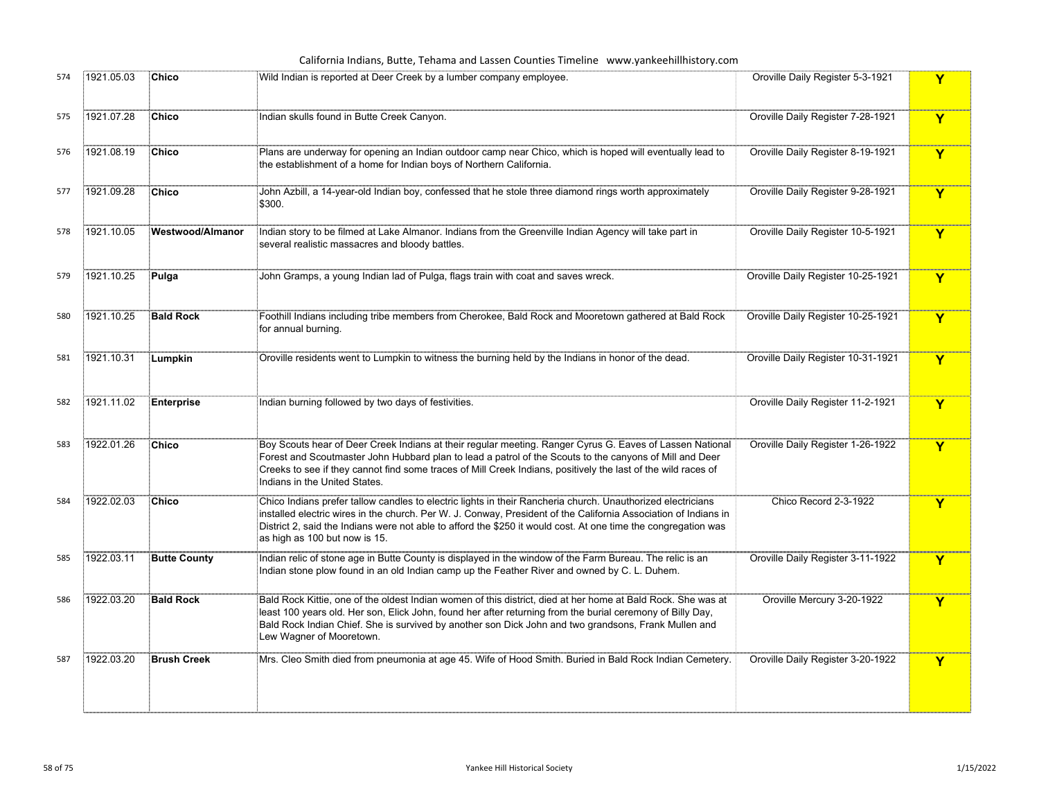|     |            |                     | California Indians, Butte, Tehama and Lassen Counties Timeline www.yankeehillhistory.com                                                                                                                                                                                                                                                                                          |                                    |             |
|-----|------------|---------------------|-----------------------------------------------------------------------------------------------------------------------------------------------------------------------------------------------------------------------------------------------------------------------------------------------------------------------------------------------------------------------------------|------------------------------------|-------------|
| 574 | 1921.05.03 | Chico               | Wild Indian is reported at Deer Creek by a lumber company employee.                                                                                                                                                                                                                                                                                                               | Oroville Daily Register 5-3-1921   | Y           |
| 575 | 1921.07.28 | Chico               | Indian skulls found in Butte Creek Canyon.                                                                                                                                                                                                                                                                                                                                        | Oroville Daily Register 7-28-1921  | Y           |
| 576 | 1921.08.19 | <b>Chico</b>        | Plans are underway for opening an Indian outdoor camp near Chico, which is hoped will eventually lead to<br>the establishment of a home for Indian boys of Northern California.                                                                                                                                                                                                   | Oroville Daily Register 8-19-1921  | Y           |
| 577 | 1921.09.28 | Chico               | John Azbill, a 14-year-old Indian boy, confessed that he stole three diamond rings worth approximately<br>\$300.                                                                                                                                                                                                                                                                  | Oroville Daily Register 9-28-1921  | Y           |
| 578 | 1921.10.05 | Westwood/Almanor    | Indian story to be filmed at Lake Almanor. Indians from the Greenville Indian Agency will take part in<br>several realistic massacres and bloody battles.                                                                                                                                                                                                                         | Oroville Daily Register 10-5-1921  | Y           |
| 579 | 1921.10.25 | Pulga               | John Gramps, a young Indian lad of Pulga, flags train with coat and saves wreck.                                                                                                                                                                                                                                                                                                  | Oroville Daily Register 10-25-1921 | Y           |
| 580 | 1921.10.25 | <b>Bald Rock</b>    | Foothill Indians including tribe members from Cherokee, Bald Rock and Mooretown gathered at Bald Rock<br>for annual burning.                                                                                                                                                                                                                                                      | Oroville Daily Register 10-25-1921 | Y           |
| 581 | 1921.10.31 | Lumpkin             | Oroville residents went to Lumpkin to witness the burning held by the Indians in honor of the dead.                                                                                                                                                                                                                                                                               | Oroville Daily Register 10-31-1921 | Y           |
| 582 | 1921.11.02 | <b>Enterprise</b>   | Indian burning followed by two days of festivities.                                                                                                                                                                                                                                                                                                                               | Oroville Daily Register 11-2-1921  | Y           |
| 583 | 1922.01.26 | <b>Chico</b>        | Boy Scouts hear of Deer Creek Indians at their regular meeting. Ranger Cyrus G. Eaves of Lassen National<br>Forest and Scoutmaster John Hubbard plan to lead a patrol of the Scouts to the canyons of Mill and Deer<br>Creeks to see if they cannot find some traces of Mill Creek Indians, positively the last of the wild races of<br>Indians in the United States.             | Oroville Daily Register 1-26-1922  | Y           |
| 584 | 1922.02.03 | Chico               | Chico Indians prefer tallow candles to electric lights in their Rancheria church. Unauthorized electricians<br>installed electric wires in the church. Per W. J. Conway, President of the California Association of Indians in<br>District 2, said the Indians were not able to afford the \$250 it would cost. At one time the congregation was<br>as high as 100 but now is 15. | Chico Record 2-3-1922              | Y           |
| 585 | 1922.03.11 | <b>Butte County</b> | Indian relic of stone age in Butte County is displayed in the window of the Farm Bureau. The relic is an<br>Indian stone plow found in an old Indian camp up the Feather River and owned by C. L. Duhem.                                                                                                                                                                          | Oroville Daily Register 3-11-1922  | $\mathbf Y$ |
| 586 | 1922.03.20 | <b>Bald Rock</b>    | Bald Rock Kittie, one of the oldest Indian women of this district, died at her home at Bald Rock. She was at<br>least 100 years old. Her son, Elick John, found her after returning from the burial ceremony of Billy Day,<br>Bald Rock Indian Chief. She is survived by another son Dick John and two grandsons, Frank Mullen and<br>Lew Wagner of Mooretown.                    | Oroville Mercury 3-20-1922         | Y           |
| 587 | 1922.03.20 | <b>Brush Creek</b>  | Mrs. Cleo Smith died from pneumonia at age 45. Wife of Hood Smith. Buried in Bald Rock Indian Cemetery.                                                                                                                                                                                                                                                                           | Oroville Daily Register 3-20-1922  | Y           |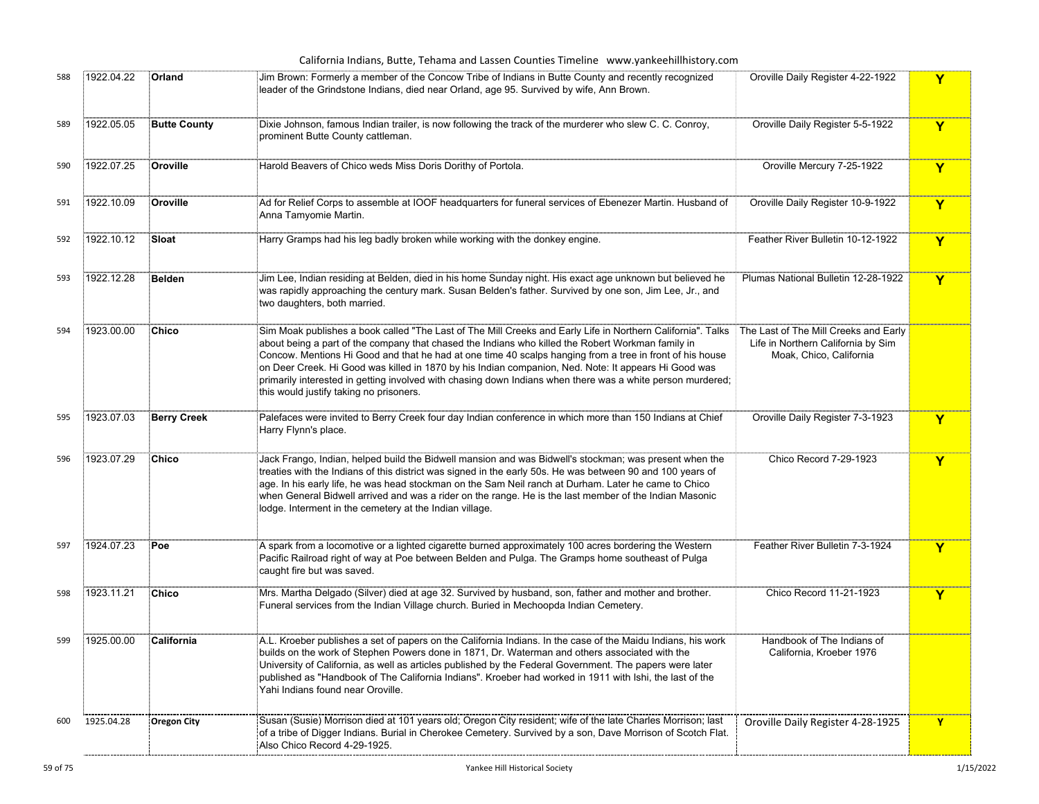## California Indians, Butte, Tehama and Lassen Counties Timeline www.yankeehillhistory.com

| 588 | 1922.04.22 | Orland              | Jim Brown: Formerly a member of the Concow Tribe of Indians in Butte County and recently recognized<br>leader of the Grindstone Indians, died near Orland, age 95. Survived by wife, Ann Brown.                                                                                                                                                                                                                                                                                                                                                                                               | Oroville Daily Register 4-22-1922                                                                      | Y           |
|-----|------------|---------------------|-----------------------------------------------------------------------------------------------------------------------------------------------------------------------------------------------------------------------------------------------------------------------------------------------------------------------------------------------------------------------------------------------------------------------------------------------------------------------------------------------------------------------------------------------------------------------------------------------|--------------------------------------------------------------------------------------------------------|-------------|
| 589 | 1922.05.05 | <b>Butte County</b> | Dixie Johnson, famous Indian trailer, is now following the track of the murderer who slew C. C. Conroy,<br>prominent Butte County cattleman.                                                                                                                                                                                                                                                                                                                                                                                                                                                  | Oroville Daily Register 5-5-1922                                                                       | Y           |
| 590 | 1922.07.25 | Oroville            | Harold Beavers of Chico weds Miss Doris Dorithy of Portola.                                                                                                                                                                                                                                                                                                                                                                                                                                                                                                                                   | Oroville Mercury 7-25-1922                                                                             | Y           |
| 591 | 1922.10.09 | Oroville            | Ad for Relief Corps to assemble at IOOF headquarters for funeral services of Ebenezer Martin. Husband of<br>Anna Tamyomie Martin.                                                                                                                                                                                                                                                                                                                                                                                                                                                             | Oroville Daily Register 10-9-1922                                                                      | Y           |
| 592 | 1922.10.12 | Sloat               | Harry Gramps had his leg badly broken while working with the donkey engine.                                                                                                                                                                                                                                                                                                                                                                                                                                                                                                                   | Feather River Bulletin 10-12-1922                                                                      | Y           |
| 593 | 1922.12.28 | Belden              | Jim Lee, Indian residing at Belden, died in his home Sunday night. His exact age unknown but believed he<br>was rapidly approaching the century mark. Susan Belden's father. Survived by one son, Jim Lee, Jr., and<br>two daughters, both married.                                                                                                                                                                                                                                                                                                                                           | Plumas National Bulletin 12-28-1922                                                                    | Y           |
| 594 | 1923.00.00 | Chico               | Sim Moak publishes a book called "The Last of The Mill Creeks and Early Life in Northern California". Talks<br>about being a part of the company that chased the Indians who killed the Robert Workman family in<br>Concow. Mentions Hi Good and that he had at one time 40 scalps hanging from a tree in front of his house<br>on Deer Creek. Hi Good was killed in 1870 by his Indian companion, Ned. Note: It appears Hi Good was<br>primarily interested in getting involved with chasing down Indians when there was a white person murdered;<br>this would justify taking no prisoners. | The Last of The Mill Creeks and Early<br>Life in Northern California by Sim<br>Moak, Chico, California |             |
| 595 | 1923.07.03 | <b>Berry Creek</b>  | Palefaces were invited to Berry Creek four day Indian conference in which more than 150 Indians at Chief<br>Harry Flynn's place.                                                                                                                                                                                                                                                                                                                                                                                                                                                              | Oroville Daily Register 7-3-1923                                                                       | Y           |
| 596 | 1923.07.29 | Chico               | Jack Frango, Indian, helped build the Bidwell mansion and was Bidwell's stockman; was present when the<br>treaties with the Indians of this district was signed in the early 50s. He was between 90 and 100 years of<br>age. In his early life, he was head stockman on the Sam Neil ranch at Durham. Later he came to Chico<br>when General Bidwell arrived and was a rider on the range. He is the last member of the Indian Masonic<br>lodge. Interment in the cemetery at the Indian village.                                                                                             | Chico Record 7-29-1923                                                                                 | Y           |
| 597 | 1924.07.23 | Poe                 | A spark from a locomotive or a lighted cigarette burned approximately 100 acres bordering the Western<br>Pacific Railroad right of way at Poe between Belden and Pulga. The Gramps home southeast of Pulga<br>caught fire but was saved.                                                                                                                                                                                                                                                                                                                                                      | Feather River Bulletin 7-3-1924                                                                        | $\mathbf Y$ |
| 598 | 1923.11.21 | Chico               | Mrs. Martha Delgado (Silver) died at age 32. Survived by husband, son, father and mother and brother.<br>Funeral services from the Indian Village church. Buried in Mechoopda Indian Cemetery.                                                                                                                                                                                                                                                                                                                                                                                                | Chico Record 11-21-1923                                                                                | Y           |
| 599 | 1925.00.00 | California          | A.L. Kroeber publishes a set of papers on the California Indians. In the case of the Maidu Indians, his work<br>builds on the work of Stephen Powers done in 1871, Dr. Waterman and others associated with the<br>University of California, as well as articles published by the Federal Government. The papers were later<br>published as "Handbook of The California Indians". Kroeber had worked in 1911 with Ishi, the last of the<br>Yahi Indians found near Oroville.                                                                                                                   | Handbook of The Indians of<br>California, Kroeber 1976                                                 |             |
| 600 | 1925.04.28 | <b>Oregon City</b>  | Susan (Susie) Morrison died at 101 years old; Oregon City resident; wife of the late Charles Morrison; last<br>of a tribe of Digger Indians. Burial in Cherokee Cemetery. Survived by a son, Dave Morrison of Scotch Flat.<br>Also Chico Record 4-29-1925.                                                                                                                                                                                                                                                                                                                                    | Oroville Daily Register 4-28-1925                                                                      | Y           |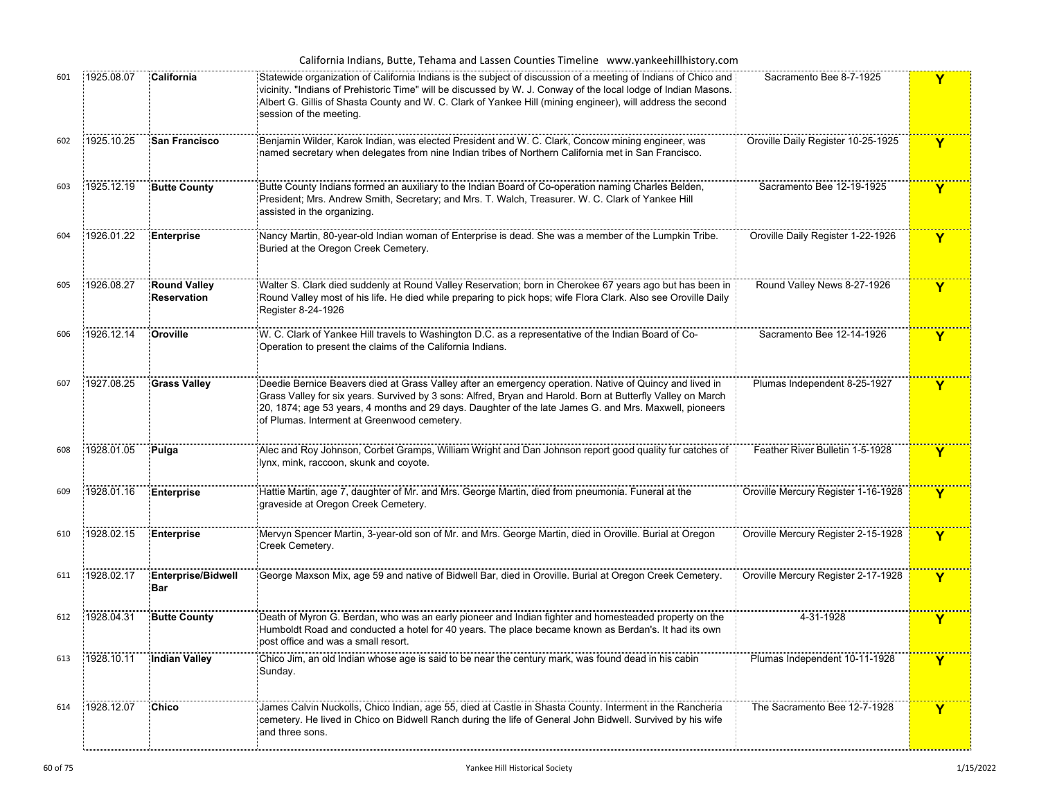|     |            |                                           | California Indians, Butte, Tehama and Lassen Counties Timeline www.yankeehillhistory.com                                                                                                                                                                                                                                                                                        |                                     |              |
|-----|------------|-------------------------------------------|---------------------------------------------------------------------------------------------------------------------------------------------------------------------------------------------------------------------------------------------------------------------------------------------------------------------------------------------------------------------------------|-------------------------------------|--------------|
| 601 | 1925.08.07 | California                                | Statewide organization of California Indians is the subject of discussion of a meeting of Indians of Chico and<br>vicinity. "Indians of Prehistoric Time" will be discussed by W. J. Conway of the local lodge of Indian Masons.<br>Albert G. Gillis of Shasta County and W. C. Clark of Yankee Hill (mining engineer), will address the second<br>session of the meeting.      | Sacramento Bee 8-7-1925             | Y            |
| 602 | 1925.10.25 | <b>San Francisco</b>                      | Benjamin Wilder, Karok Indian, was elected President and W. C. Clark, Concow mining engineer, was<br>named secretary when delegates from nine Indian tribes of Northern California met in San Francisco.                                                                                                                                                                        | Oroville Daily Register 10-25-1925  | Y            |
| 603 | 1925.12.19 | <b>Butte County</b>                       | Butte County Indians formed an auxiliary to the Indian Board of Co-operation naming Charles Belden,<br>President; Mrs. Andrew Smith, Secretary; and Mrs. T. Walch, Treasurer. W. C. Clark of Yankee Hill<br>assisted in the organizing.                                                                                                                                         | Sacramento Bee 12-19-1925           | Y            |
| 604 | 1926.01.22 | <b>Enterprise</b>                         | Nancy Martin, 80-year-old Indian woman of Enterprise is dead. She was a member of the Lumpkin Tribe.<br>Buried at the Oregon Creek Cemetery.                                                                                                                                                                                                                                    | Oroville Daily Register 1-22-1926   | Y            |
| 605 | 1926.08.27 | <b>Round Valley</b><br><b>Reservation</b> | Walter S. Clark died suddenly at Round Valley Reservation; born in Cherokee 67 years ago but has been in<br>Round Valley most of his life. He died while preparing to pick hops; wife Flora Clark. Also see Oroville Daily<br>Register 8-24-1926                                                                                                                                | Round Valley News 8-27-1926         | Y            |
| 606 | 1926.12.14 | Oroville                                  | W. C. Clark of Yankee Hill travels to Washington D.C. as a representative of the Indian Board of Co-<br>Operation to present the claims of the California Indians.                                                                                                                                                                                                              | Sacramento Bee 12-14-1926           | Y            |
| 607 | 1927.08.25 | <b>Grass Valley</b>                       | Deedie Bernice Beavers died at Grass Valley after an emergency operation. Native of Quincy and lived in<br>Grass Valley for six years. Survived by 3 sons: Alfred, Bryan and Harold. Born at Butterfly Valley on March<br>20, 1874; age 53 years, 4 months and 29 days. Daughter of the late James G. and Mrs. Maxwell, pioneers<br>of Plumas. Interment at Greenwood cemetery. | Plumas Independent 8-25-1927        | Y            |
| 608 | 1928.01.05 | Pulga                                     | Alec and Roy Johnson, Corbet Gramps, William Wright and Dan Johnson report good quality fur catches of<br>Iynx, mink, raccoon, skunk and coyote.                                                                                                                                                                                                                                | Feather River Bulletin 1-5-1928     | Y            |
| 609 | 1928.01.16 | Enterprise                                | Fuattie Martin, age 7, daughter of Mr. and Mrs. George Martin, died from pneumonia. Funeral at the<br>graveside at Oregon Creek Cemetery.                                                                                                                                                                                                                                       | Oroville Mercury Register 1-16-1928 | $\mathbf{Y}$ |
| 610 | 1928.02.15 | <b>Enterprise</b>                         | Mervyn Spencer Martin, 3-year-old son of Mr. and Mrs. George Martin, died in Oroville. Burial at Oregon®<br>Creek Cemetery.                                                                                                                                                                                                                                                     | Oroville Mercury Register 2-15-1928 | $\mathbf{Y}$ |
| 611 | 1928.02.17 | Enterprise/Bidwell<br>Bar                 | George Maxson Mix, age 59 and native of Bidwell Bar, died in Oroville. Burial at Oregon Creek Cemetery.                                                                                                                                                                                                                                                                         | Oroville Mercury Register 2-17-1928 | $\mathbf Y$  |
| 612 | 1928.04.31 | <b>Butte County</b>                       | Death of Myron G. Berdan, who was an early pioneer and Indian fighter and homesteaded property on the<br>Humboldt Road and conducted a hotel for 40 years. The place became known as Berdan's. It had its own<br>post office and was a small resort.                                                                                                                            | 4-31-1928                           | Y            |
| 613 | 1928.10.11 | Indian Valley                             | Chico Jim, an old Indian whose age is said to be near the century mark, was found dead in his cabin@<br>Sunday.                                                                                                                                                                                                                                                                 | Plumas Independent 10-11-1928       | Y            |
| 614 | 1928.12.07 | <b>Chico</b>                              | ames Calvin Nuckolls, Chico Indian, age 55, died at Castle in Shasta County. Interment in the Rancheria‡<br>cemetery. He lived in Chico on Bidwell Ranch during the life of General John Bidwell. Survived by his wife<br>and three sons.                                                                                                                                       | The Sacramento Bee 12-7-1928        | Y            |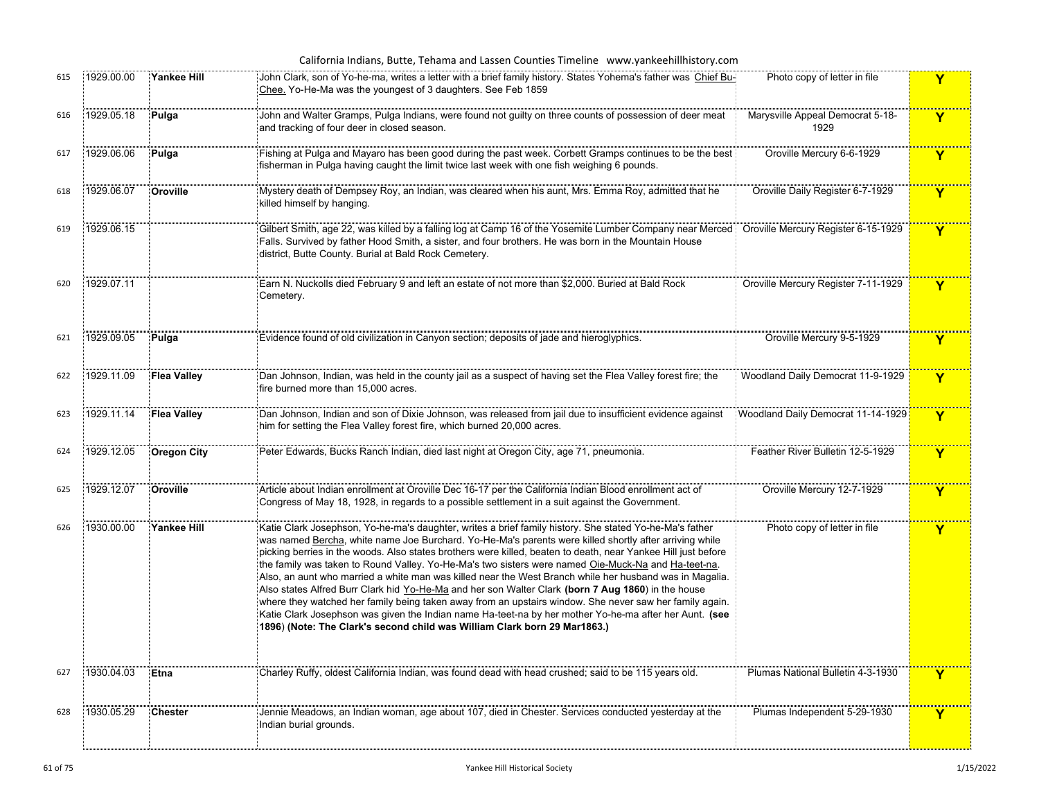|     |            |                    | California Indians, Butte, Tehama and Lassen Counties Timeline www.yankeehillhistory.com                                                                                                                                                                                                                                                                                                                                                                                                                                                                                                                                                                                                                                                                                                                                                                                                                                                                     |                                          |              |
|-----|------------|--------------------|--------------------------------------------------------------------------------------------------------------------------------------------------------------------------------------------------------------------------------------------------------------------------------------------------------------------------------------------------------------------------------------------------------------------------------------------------------------------------------------------------------------------------------------------------------------------------------------------------------------------------------------------------------------------------------------------------------------------------------------------------------------------------------------------------------------------------------------------------------------------------------------------------------------------------------------------------------------|------------------------------------------|--------------|
| 615 | 1929.00.00 | <b>Yankee Hill</b> | John Clark, son of Yo-he-ma, writes a letter with a brief family history. States Yohema's father was Chief Bu-<br>Chee. Yo-He-Ma was the youngest of 3 daughters. See Feb 1859                                                                                                                                                                                                                                                                                                                                                                                                                                                                                                                                                                                                                                                                                                                                                                               | Photo copy of letter in file             | Y            |
| 616 | 1929.05.18 | Pulga              | John and Walter Gramps, Pulga Indians, were found not guilty on three counts of possession of deer meat<br>and tracking of four deer in closed season.                                                                                                                                                                                                                                                                                                                                                                                                                                                                                                                                                                                                                                                                                                                                                                                                       | Marysville Appeal Democrat 5-18-<br>1929 | $\mathbf{Y}$ |
| 617 | 1929.06.06 | Pulga              | Fishing at Pulga and Mayaro has been good during the past week. Corbett Gramps continues to be the best<br>fisherman in Pulga having caught the limit twice last week with one fish weighing 6 pounds.                                                                                                                                                                                                                                                                                                                                                                                                                                                                                                                                                                                                                                                                                                                                                       | Oroville Mercury 6-6-1929                | $\mathbf Y$  |
| 618 | 1929.06.07 | Oroville           | Mystery death of Dempsey Roy, an Indian, was cleared when his aunt, Mrs. Emma Roy, admitted that he<br>killed himself by hanging.                                                                                                                                                                                                                                                                                                                                                                                                                                                                                                                                                                                                                                                                                                                                                                                                                            | Oroville Daily Register 6-7-1929         | Y            |
| 619 | 1929.06.15 |                    | Gilbert Smith, age 22, was killed by a falling log at Camp 16 of the Yosemite Lumber Company near Merced   Oroville Mercury Register 6-15-1929<br>Falls. Survived by father Hood Smith, a sister, and four brothers. He was born in the Mountain House<br>district, Butte County. Burial at Bald Rock Cemetery.                                                                                                                                                                                                                                                                                                                                                                                                                                                                                                                                                                                                                                              |                                          | Y            |
| 620 | 1929.07.11 |                    | Earn N. Nuckolls died February 9 and left an estate of not more than \$2,000. Buried at Bald Rock<br>Cemetery.                                                                                                                                                                                                                                                                                                                                                                                                                                                                                                                                                                                                                                                                                                                                                                                                                                               | Oroville Mercury Register 7-11-1929      | $\mathbf Y$  |
| 621 | 1929.09.05 | Pulga              | Evidence found of old civilization in Canyon section; deposits of jade and hieroglyphics.                                                                                                                                                                                                                                                                                                                                                                                                                                                                                                                                                                                                                                                                                                                                                                                                                                                                    | Oroville Mercury 9-5-1929                | $\mathbf Y$  |
| 622 | 1929.11.09 | <b>Flea Valley</b> | Dan Johnson, Indian, was held in the county jail as a suspect of having set the Flea Valley forest fire; the<br>fire burned more than 15,000 acres.                                                                                                                                                                                                                                                                                                                                                                                                                                                                                                                                                                                                                                                                                                                                                                                                          | Woodland Daily Democrat 11-9-1929        | Y            |
| 623 | 1929.11.14 | <b>Flea Valley</b> | Dan Johnson, Indian and son of Dixie Johnson, was released from jail due to insufficient evidence against<br>him for setting the Flea Valley forest fire, which burned 20,000 acres.                                                                                                                                                                                                                                                                                                                                                                                                                                                                                                                                                                                                                                                                                                                                                                         | Woodland Daily Democrat 11-14-1929       | $\mathbf{Y}$ |
| 624 | 1929.12.05 | <b>Oregon City</b> | Peter Edwards, Bucks Ranch Indian, died last night at Oregon City, age 71, pneumonia.                                                                                                                                                                                                                                                                                                                                                                                                                                                                                                                                                                                                                                                                                                                                                                                                                                                                        | Feather River Bulletin 12-5-1929         | Y            |
| 625 | 1929.12.07 | Oroville           | Article about Indian enrollment at Oroville Dec 16-17 per the California Indian Blood enrollment act of<br>Congress of May 18, 1928, in regards to a possible settlement in a suit against the Government.                                                                                                                                                                                                                                                                                                                                                                                                                                                                                                                                                                                                                                                                                                                                                   | Oroville Mercury 12-7-1929               | Y            |
| 626 | 1930.00.00 | Yankee Hill        | Katie Clark Josephson, Yo-he-ma's daughter, writes a brief family history. She stated Yo-he-Ma's father<br>was named Bercha, white name Joe Burchard. Yo-He-Ma's parents were killed shortly after arriving while<br>picking berries in the woods. Also states brothers were killed, beaten to death, near Yankee Hill just before<br>the family was taken to Round Valley. Yo-He-Ma's two sisters were named Oie-Muck-Na and Ha-teet-na.<br>Also, an aunt who married a white man was killed near the West Branch while her husband was in Magalia.<br>Also states Alfred Burr Clark hid Yo-He-Ma and her son Walter Clark (born 7 Aug 1860) in the house<br>where they watched her family being taken away from an upstairs window. She never saw her family again.<br>Katie Clark Josephson was given the Indian name Ha-teet-na by her mother Yo-he-ma after her Aunt. (see<br>1896) (Note: The Clark's second child was William Clark born 29 Mar1863.) | Photo copy of letter in file             | Y            |
| 627 | 1930.04.03 | Etna               | Charley Ruffy, oldest California Indian, was found dead with head crushed; said to be 115 years old.                                                                                                                                                                                                                                                                                                                                                                                                                                                                                                                                                                                                                                                                                                                                                                                                                                                         | Plumas National Bulletin 4-3-1930        | Y            |
| 628 | 1930.05.29 | Chester            | Jennie Meadows, an Indian woman, age about 107, died in Chester. Services conducted yesterday at the<br>Indian burial grounds.                                                                                                                                                                                                                                                                                                                                                                                                                                                                                                                                                                                                                                                                                                                                                                                                                               | Plumas Independent 5-29-1930             | $\mathbf Y$  |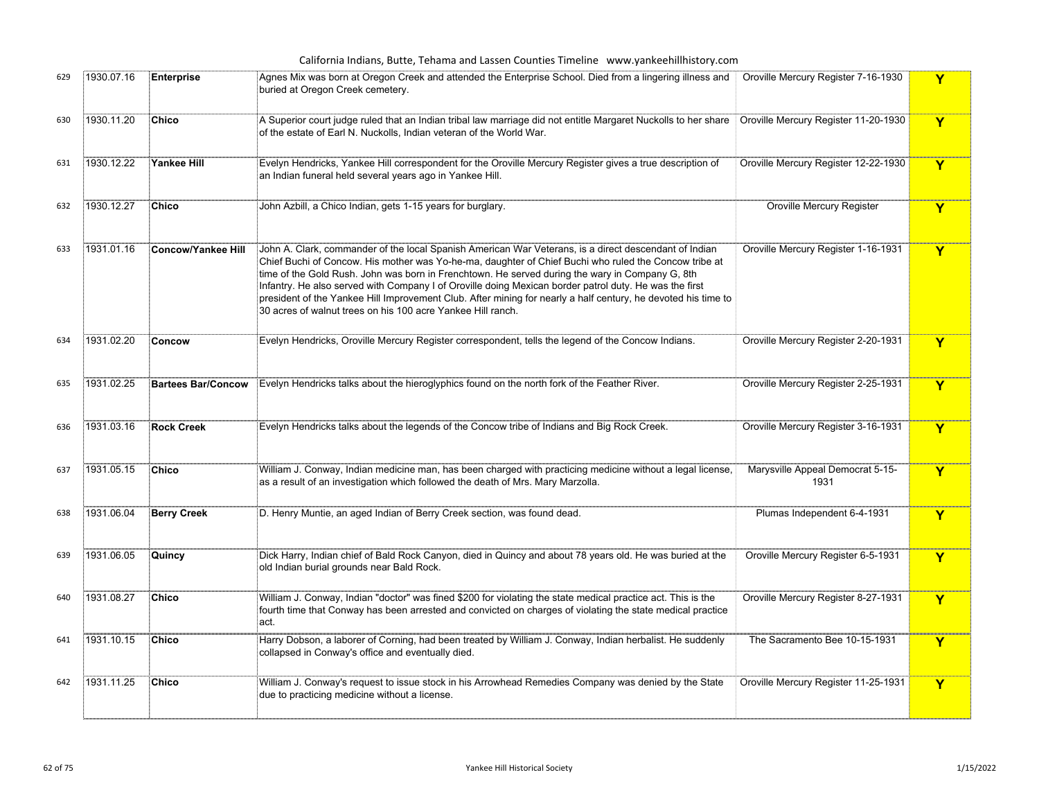|     |            |                           | California Indians, Butte, Tehama and Lassen Counties Timeline www.yankeehillhistory.com                                                                                                                                                                                                                                                                                                                                                                                                                                                                                                                    |                                          |                         |
|-----|------------|---------------------------|-------------------------------------------------------------------------------------------------------------------------------------------------------------------------------------------------------------------------------------------------------------------------------------------------------------------------------------------------------------------------------------------------------------------------------------------------------------------------------------------------------------------------------------------------------------------------------------------------------------|------------------------------------------|-------------------------|
| 629 | 1930.07.16 | <b>Enterprise</b>         | Agnes Mix was born at Oregon Creek and attended the Enterprise School. Died from a lingering illness and Norville Mercury Register 7-16-1930<br>buried at Oregon Creek cemetery.                                                                                                                                                                                                                                                                                                                                                                                                                            |                                          | Y                       |
| 630 | 1930.11.20 | Chico                     | A Superior court judge ruled that an Indian tribal law marriage did not entitle Margaret Nuckolls to her share ┊Oroville Mercury Register 11-20-1930<br>of the estate of Earl N. Nuckolls, Indian veteran of the World War.                                                                                                                                                                                                                                                                                                                                                                                 |                                          | $\overline{\mathbf{Y}}$ |
| 631 | 1930.12.22 | Yankee Hill               | Evelyn Hendricks, Yankee Hill correspondent for the Oroville Mercury Register gives a true description of<br>an Indian funeral held several years ago in Yankee Hill.                                                                                                                                                                                                                                                                                                                                                                                                                                       | Oroville Mercury Register 12-22-1930     | $\mathbf Y$             |
| 632 | 1930.12.27 | Chico                     | John Azbill, a Chico Indian, gets 1-15 years for burglary.                                                                                                                                                                                                                                                                                                                                                                                                                                                                                                                                                  | <b>Oroville Mercury Register</b>         | Y                       |
| 633 | 1931.01.16 | Concow/Yankee Hill        | John A. Clark, commander of the local Spanish American War Veterans, is a direct descendant of Indian<br>Chief Buchi of Concow. His mother was Yo-he-ma, daughter of Chief Buchi who ruled the Concow tribe at<br>time of the Gold Rush. John was born in Frenchtown. He served during the wary in Company G, 8th<br>Infantry. He also served with Company I of Oroville doing Mexican border patrol duty. He was the first<br>president of the Yankee Hill Improvement Club. After mining for nearly a half century, he devoted his time to<br>30 acres of walnut trees on his 100 acre Yankee Hill ranch. | Oroville Mercury Register 1-16-1931      | Y                       |
| 634 | 1931.02.20 | Concow                    | Evelyn Hendricks, Oroville Mercury Register correspondent, tells the legend of the Concow Indians.                                                                                                                                                                                                                                                                                                                                                                                                                                                                                                          | Oroville Mercury Register 2-20-1931      | Y                       |
| 635 | 1931.02.25 | <b>Bartees Bar/Concow</b> | Evelyn Hendricks talks about the hieroglyphics found on the north fork of the Feather River.                                                                                                                                                                                                                                                                                                                                                                                                                                                                                                                | Oroville Mercury Register 2-25-1931      | $\overline{\mathbf{Y}}$ |
| 636 | 1931.03.16 | <b>Rock Creek</b>         | Evelyn Hendricks talks about the legends of the Concow tribe of Indians and Big Rock Creek.                                                                                                                                                                                                                                                                                                                                                                                                                                                                                                                 | Oroville Mercury Register 3-16-1931      | $\mathbf Y$             |
| 637 | 1931.05.15 | <b>Chico</b>              | William J. Conway, Indian medicine man, has been charged with practicing medicine without a legal license,<br>as a result of an investigation which followed the death of Mrs. Mary Marzolla.                                                                                                                                                                                                                                                                                                                                                                                                               | Marysville Appeal Democrat 5-15-<br>1931 | Y                       |
| 638 | 1931.06.04 | <b>Berry Creek</b>        | D. Henry Muntie, an aged Indian of Berry Creek section, was found dead.                                                                                                                                                                                                                                                                                                                                                                                                                                                                                                                                     | Plumas Independent 6-4-1931              | Y                       |
| 639 | 1931.06.05 | Quincy                    | Dick Harry, Indian chief of Bald Rock Canyon, died in Quincy and about 78 years old. He was buried at the<br>old Indian burial grounds near Bald Rock.                                                                                                                                                                                                                                                                                                                                                                                                                                                      | Oroville Mercury Register 6-5-1931       | $\mathbf Y$             |
| 640 | 1931.08.27 | <b>Chico</b>              | William J. Conway, Indian "doctor" was fined \$200 for violating the state medical practice act. This is the<br>fourth time that Conway has been arrested and convicted on charges of violating the state medical practice<br>act.                                                                                                                                                                                                                                                                                                                                                                          | Oroville Mercury Register 8-27-1931      | $\mathbf{Y}$            |
| 641 | 1931.10.15 | <b>Chico</b>              | Harry Dobson, a laborer of Corning, had been treated by William J. Conway, Indian herbalist. He suddenly<br>collapsed in Conway's office and eventually died.                                                                                                                                                                                                                                                                                                                                                                                                                                               | The Sacramento Bee 10-15-1931            | Y                       |
| 642 | 1931.11.25 | Chico                     | William J. Conway's request to issue stock in his Arrowhead Remedies Company was denied by the State<br>due to practicing medicine without a license.                                                                                                                                                                                                                                                                                                                                                                                                                                                       | Oroville Mercury Register 11-25-1931     | Y                       |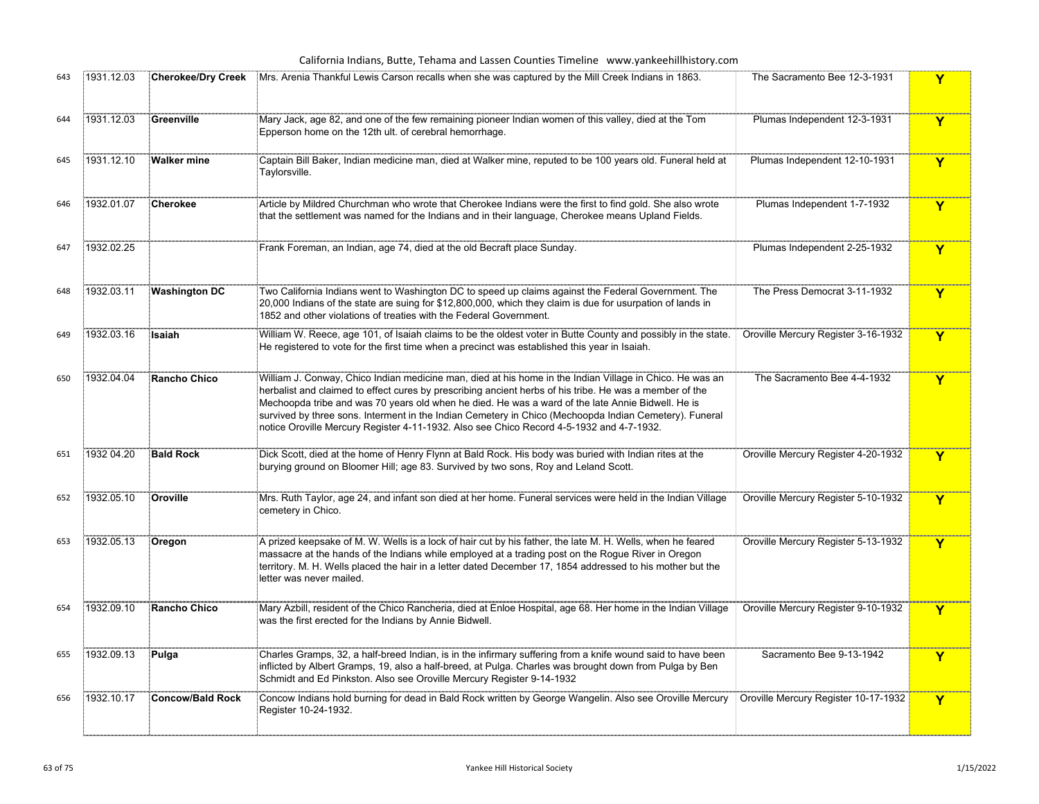## California Indians, Butte, Tehama and Lassen Counties Timeline www.yankeehillhistory.com

| 643 | 1931.12.03 | <b>Cherokee/Dry Creek</b> | Mrs. Arenia Thankful Lewis Carson recalls when she was captured by the Mill Creek Indians in 1863.                                                                                                                                                                                                                                                                                                                                                                                                                             | The Sacramento Bee 12-3-1931         | Y           |
|-----|------------|---------------------------|--------------------------------------------------------------------------------------------------------------------------------------------------------------------------------------------------------------------------------------------------------------------------------------------------------------------------------------------------------------------------------------------------------------------------------------------------------------------------------------------------------------------------------|--------------------------------------|-------------|
| 644 | 1931.12.03 | Greenville                | Mary Jack, age 82, and one of the few remaining pioneer Indian women of this valley, died at the Tom<br>Epperson home on the 12th ult. of cerebral hemorrhage.                                                                                                                                                                                                                                                                                                                                                                 | Plumas Independent 12-3-1931         | Y           |
| 645 | 1931.12.10 | <b>Walker mine</b>        | Captain Bill Baker, Indian medicine man, died at Walker mine, reputed to be 100 years old. Funeral held at<br>Taylorsville.                                                                                                                                                                                                                                                                                                                                                                                                    | Plumas Independent 12-10-1931        | Y           |
| 646 | 1932.01.07 | Cherokee                  | Article by Mildred Churchman who wrote that Cherokee Indians were the first to find gold. She also wrote<br>that the settlement was named for the Indians and in their language, Cherokee means Upland Fields.                                                                                                                                                                                                                                                                                                                 | Plumas Independent 1-7-1932          | Y           |
| 647 | 1932.02.25 |                           | Frank Foreman, an Indian, age 74, died at the old Becraft place Sunday.                                                                                                                                                                                                                                                                                                                                                                                                                                                        | Plumas Independent 2-25-1932         | Y           |
| 648 | 1932.03.11 | <b>Washington DC</b>      | Two California Indians went to Washington DC to speed up claims against the Federal Government. The<br>20,000 Indians of the state are suing for \$12,800,000, which they claim is due for usurpation of lands in<br>1852 and other violations of treaties with the Federal Government.                                                                                                                                                                                                                                        | The Press Democrat 3-11-1932         | Y           |
| 649 | 1932.03.16 | Isaiah                    | William W. Reece, age 101, of Isaiah claims to be the oldest voter in Butte County and possibly in the state.<br>He registered to vote for the first time when a precinct was established this year in Isaiah.                                                                                                                                                                                                                                                                                                                 | Oroville Mercury Register 3-16-1932  | Y           |
| 650 | 1932.04.04 | <b>Rancho Chico</b>       | William J. Conway, Chico Indian medicine man, died at his home in the Indian Village in Chico. He was an<br>herbalist and claimed to effect cures by prescribing ancient herbs of his tribe. He was a member of the<br>Mechoopda tribe and was 70 years old when he died. He was a ward of the late Annie Bidwell. He is<br>survived by three sons. Interment in the Indian Cemetery in Chico (Mechoopda Indian Cemetery). Funeral<br>notice Oroville Mercury Register 4-11-1932. Also see Chico Record 4-5-1932 and 4-7-1932. | The Sacramento Bee 4-4-1932          | Y           |
| 651 | 1932 04.20 | <b>Bald Rock</b>          | Dick Scott, died at the home of Henry Flynn at Bald Rock. His body was buried with Indian rites at the<br>burying ground on Bloomer Hill; age 83. Survived by two sons, Roy and Leland Scott.                                                                                                                                                                                                                                                                                                                                  | Oroville Mercury Register 4-20-1932  | Y           |
| 652 | 1932.05.10 | Oroville                  | Mrs. Ruth Taylor, age 24, and infant son died at her home. Funeral services were held in the Indian Village<br>cemetery in Chico.                                                                                                                                                                                                                                                                                                                                                                                              | Oroville Mercury Register 5-10-1932  | Y           |
| 653 | 1932.05.13 | Oregon                    | A prized keepsake of M. W. Wells is a lock of hair cut by his father, the late M. H. Wells, when he feared<br>massacre at the hands of the Indians while employed at a trading post on the Rogue River in Oregon<br>territory. M. H. Wells placed the hair in a letter dated December 17, 1854 addressed to his mother but the<br>letter was never mailed.                                                                                                                                                                     | Oroville Mercury Register 5-13-1932  | Y           |
| 654 | 1932.09.10 | Rancho Chico              | Mary Azbill, resident of the Chico Rancheria, died at Enloe Hospital, age 68. Her home in the Indian Village<br>was the first erected for the Indians by Annie Bidwell.                                                                                                                                                                                                                                                                                                                                                        | Oroville Mercury Register 9-10-1932  | Y           |
| 655 | 1932.09.13 | Pulga                     | Charles Gramps, 32, a half-breed Indian, is in the infirmary suffering from a knife wound said to have been<br>inflicted by Albert Gramps, 19, also a half-breed, at Pulga. Charles was brought down from Pulga by Ben<br>Schmidt and Ed Pinkston. Also see Oroville Mercury Register 9-14-1932                                                                                                                                                                                                                                | Sacramento Bee 9-13-1942             | Y           |
| 656 | 1932.10.17 | <b>Concow/Bald Rock</b>   | Concow Indians hold burning for dead in Bald Rock written by George Wangelin. Also see Oroville Mercury<br>Register 10-24-1932.                                                                                                                                                                                                                                                                                                                                                                                                | Oroville Mercury Register 10-17-1932 | $\mathbf Y$ |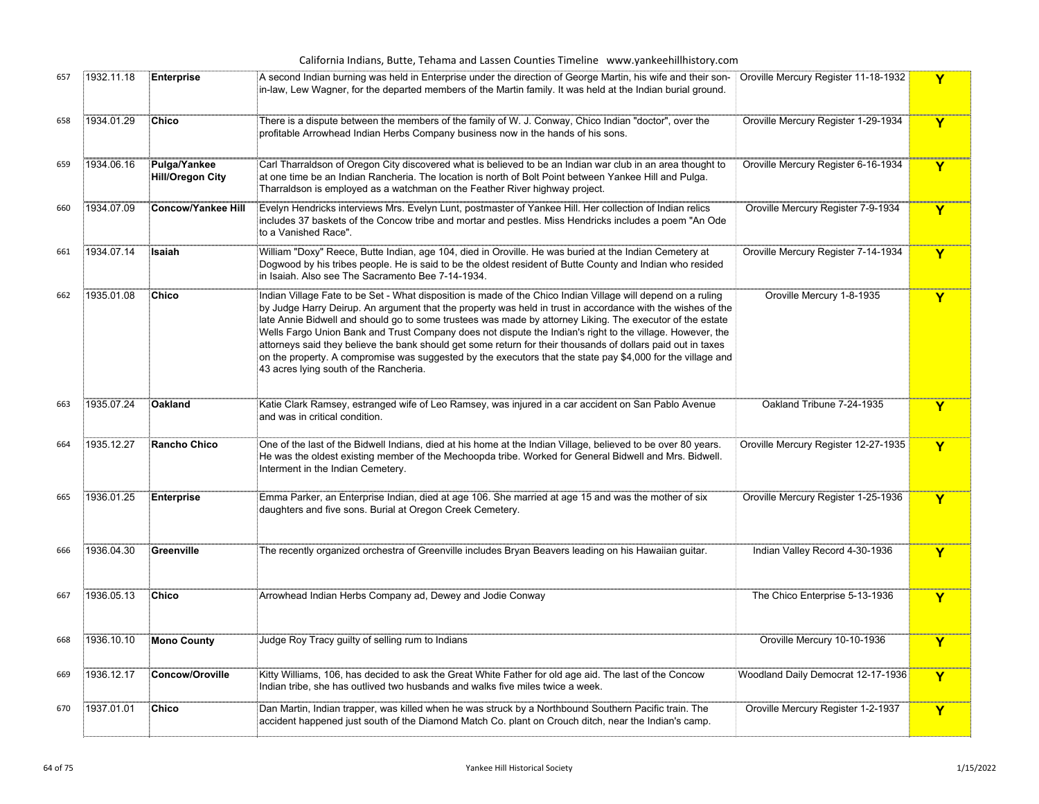|  |  |  | California Indians, Butte, Tehama and Lassen Counties Timeline www.yankeehillhistory.com |  |
|--|--|--|------------------------------------------------------------------------------------------|--|
|--|--|--|------------------------------------------------------------------------------------------|--|

| 657 | 1932.11.18 | Enterprise                              | A second Indian burning was held in Enterprise under the direction of George Martin, his wife and their son-<br>in-law, Lew Wagner, for the departed members of the Martin family. It was held at the Indian burial ground.                                                                                                                                                                                                                                                                                                                                                                                                                                                                                                    | Oroville Mercury Register 11-18-1932 | Y |
|-----|------------|-----------------------------------------|--------------------------------------------------------------------------------------------------------------------------------------------------------------------------------------------------------------------------------------------------------------------------------------------------------------------------------------------------------------------------------------------------------------------------------------------------------------------------------------------------------------------------------------------------------------------------------------------------------------------------------------------------------------------------------------------------------------------------------|--------------------------------------|---|
| 658 | 1934.01.29 | <b>Chico</b>                            | There is a dispute between the members of the family of W. J. Conway, Chico Indian "doctor", over the<br>profitable Arrowhead Indian Herbs Company business now in the hands of his sons.                                                                                                                                                                                                                                                                                                                                                                                                                                                                                                                                      | Oroville Mercury Register 1-29-1934  | Y |
| 659 | 1934.06.16 | Pulga/Yankee<br><b>Hill/Oregon City</b> | Carl Tharraldson of Oregon City discovered what is believed to be an Indian war club in an area thought to<br>at one time be an Indian Rancheria. The location is north of Bolt Point between Yankee Hill and Pulga.<br>Tharraldson is employed as a watchman on the Feather River highway project.                                                                                                                                                                                                                                                                                                                                                                                                                            | Oroville Mercury Register 6-16-1934  | Y |
| 660 | 1934.07.09 | Concow/Yankee Hill                      | Evelyn Hendricks interviews Mrs. Evelyn Lunt, postmaster of Yankee Hill. Her collection of Indian relics<br>includes 37 baskets of the Concow tribe and mortar and pestles. Miss Hendricks includes a poem "An Ode<br>to a Vanished Race".                                                                                                                                                                                                                                                                                                                                                                                                                                                                                     | Oroville Mercury Register 7-9-1934   | Y |
| 661 | 1934.07.14 | Isaiah                                  | William "Doxy" Reece, Butte Indian, age 104, died in Oroville. He was buried at the Indian Cemetery at<br>Dogwood by his tribes people. He is said to be the oldest resident of Butte County and Indian who resided<br>in Isaiah. Also see The Sacramento Bee 7-14-1934.                                                                                                                                                                                                                                                                                                                                                                                                                                                       | Oroville Mercury Register 7-14-1934  | Y |
| 662 | 1935.01.08 | Chico                                   | Indian Village Fate to be Set - What disposition is made of the Chico Indian Village will depend on a ruling<br>by Judge Harry Deirup. An argument that the property was held in trust in accordance with the wishes of the<br>late Annie Bidwell and should go to some trustees was made by attorney Liking. The executor of the estate<br>Wells Fargo Union Bank and Trust Company does not dispute the Indian's right to the village. However, the<br>attorneys said they believe the bank should get some return for their thousands of dollars paid out in taxes<br>on the property. A compromise was suggested by the executors that the state pay \$4,000 for the village and<br>43 acres lying south of the Rancheria. | Oroville Mercury 1-8-1935            | Y |
| 663 | 1935.07.24 | Oakland                                 | Katie Clark Ramsey, estranged wife of Leo Ramsey, was injured in a car accident on San Pablo Avenue<br>and was in critical condition.                                                                                                                                                                                                                                                                                                                                                                                                                                                                                                                                                                                          | Oakland Tribune 7-24-1935            | Y |
| 664 | 1935.12.27 | Rancho Chico                            | One of the last of the Bidwell Indians, died at his home at the Indian Village, believed to be over 80 years.<br>He was the oldest existing member of the Mechoopda tribe. Worked for General Bidwell and Mrs. Bidwell.<br>Interment in the Indian Cemetery.                                                                                                                                                                                                                                                                                                                                                                                                                                                                   | Oroville Mercury Register 12-27-1935 | Y |
| 665 | 1936.01.25 | Enterprise                              | Emma Parker, an Enterprise Indian, died at age 106. She married at age 15 and was the mother of six<br>daughters and five sons. Burial at Oregon Creek Cemetery.                                                                                                                                                                                                                                                                                                                                                                                                                                                                                                                                                               | Oroville Mercury Register 1-25-1936  | Y |
| 666 | 1936.04.30 | Greenville                              | The recently organized orchestra of Greenville includes Bryan Beavers leading on his Hawaiian guitar.                                                                                                                                                                                                                                                                                                                                                                                                                                                                                                                                                                                                                          | Indian Valley Record 4-30-1936       | Y |
| 667 | 1936.05.13 | <b>Chico</b>                            | Arrowhead Indian Herbs Company ad, Dewey and Jodie Conway                                                                                                                                                                                                                                                                                                                                                                                                                                                                                                                                                                                                                                                                      | The Chico Enterprise 5-13-1936       | Y |
| 668 | 1936.10.10 | Mono County                             | Judge Roy Tracy guilty of selling rum to Indians                                                                                                                                                                                                                                                                                                                                                                                                                                                                                                                                                                                                                                                                               | Oroville Mercury 10-10-1936          | Y |
| 669 | 1936.12.17 | Concow/Oroville                         | Kitty Williams, 106, has decided to ask the Great White Father for old age aid. The last of the Concow<br>Indian tribe, she has outlived two husbands and walks five miles twice a week.                                                                                                                                                                                                                                                                                                                                                                                                                                                                                                                                       | Woodland Daily Democrat 12-17-1936   | Y |
| 670 | 1937.01.01 | Chico                                   | Dan Martin, Indian trapper, was killed when he was struck by a Northbound Southern Pacific train. The<br>accident happened just south of the Diamond Match Co. plant on Crouch ditch, near the Indian's camp.                                                                                                                                                                                                                                                                                                                                                                                                                                                                                                                  | Oroville Mercury Register 1-2-1937   | Y |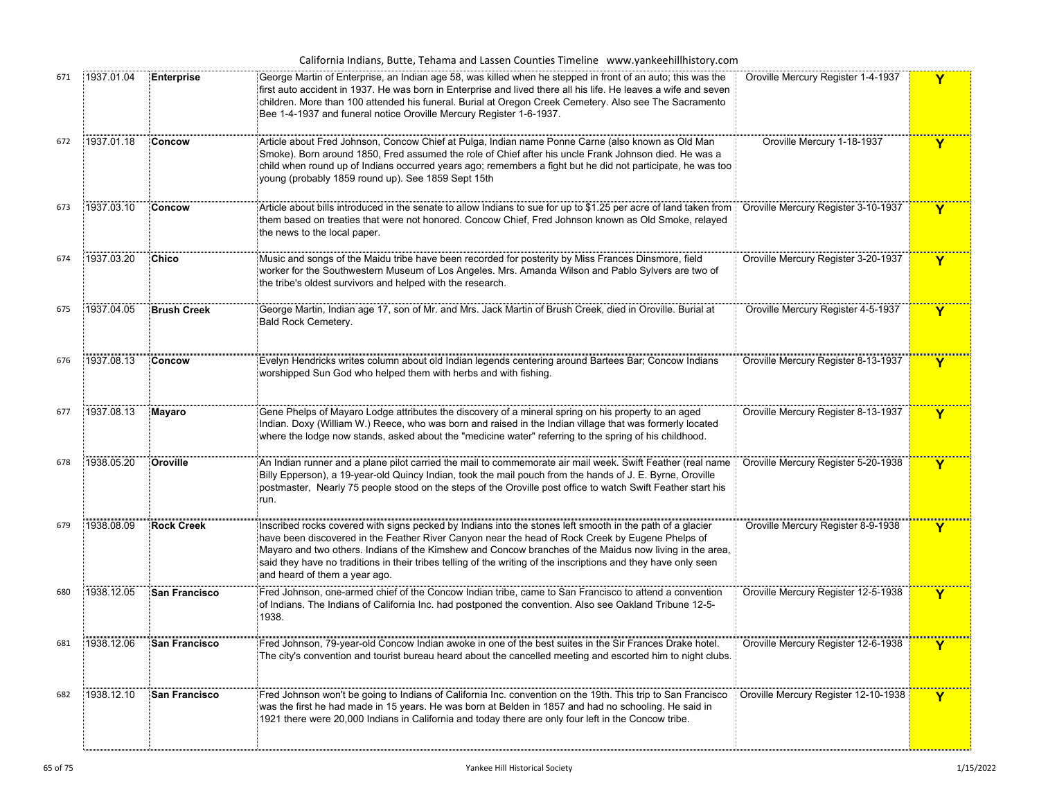|  |  |  | California Indians, Butte, Tehama and Lassen Counties Timeline www.yankeehillhistory.com |
|--|--|--|------------------------------------------------------------------------------------------|
|--|--|--|------------------------------------------------------------------------------------------|

| 671 | 1937.01.04 | <b>Enterprise</b>    | George Martin of Enterprise, an Indian age 58, was killed when he stepped in front of an auto; this was the<br>first auto accident in 1937. He was born in Enterprise and lived there all his life. He leaves a wife and seven<br>children. More than 100 attended his funeral. Burial at Oregon Creek Cemetery. Also see The Sacramento<br>Bee 1-4-1937 and funeral notice Oroville Mercury Register 1-6-1937.                                                              | Oroville Mercury Register 1-4-1937   | Y                       |
|-----|------------|----------------------|------------------------------------------------------------------------------------------------------------------------------------------------------------------------------------------------------------------------------------------------------------------------------------------------------------------------------------------------------------------------------------------------------------------------------------------------------------------------------|--------------------------------------|-------------------------|
| 672 | 1937.01.18 | Concow               | Article about Fred Johnson, Concow Chief at Pulga, Indian name Ponne Carne (also known as Old Man<br>Smoke). Born around 1850, Fred assumed the role of Chief after his uncle Frank Johnson died. He was a<br>child when round up of Indians occurred years ago; remembers a fight but he did not participate, he was too<br>young (probably 1859 round up). See 1859 Sept 15th                                                                                              | Oroville Mercury 1-18-1937           | Y                       |
| 673 | 1937.03.10 | Concow               | Article about bills introduced in the senate to allow Indians to sue for up to \$1.25 per acre of land taken from<br>them based on treaties that were not honored. Concow Chief, Fred Johnson known as Old Smoke, relayed<br>the news to the local paper.                                                                                                                                                                                                                    | Oroville Mercury Register 3-10-1937  | $\mathbf Y$             |
| 674 | 1937.03.20 | <b>Chico</b>         | Music and songs of the Maidu tribe have been recorded for posterity by Miss Frances Dinsmore, field<br>worker for the Southwestern Museum of Los Angeles. Mrs. Amanda Wilson and Pablo Sylvers are two of<br>the tribe's oldest survivors and helped with the research.                                                                                                                                                                                                      | Oroville Mercury Register 3-20-1937  | Y                       |
| 675 | 1937.04.05 | <b>Brush Creek</b>   | George Martin, Indian age 17, son of Mr. and Mrs. Jack Martin of Brush Creek, died in Oroville. Burial at<br>Bald Rock Cemetery.                                                                                                                                                                                                                                                                                                                                             | Oroville Mercury Register 4-5-1937   | Y                       |
| 676 | 1937.08.13 | Concow               | Evelyn Hendricks writes column about old Indian legends centering around Bartees Bar; Concow Indians<br>worshipped Sun God who helped them with herbs and with fishing.                                                                                                                                                                                                                                                                                                      | Oroville Mercury Register 8-13-1937  | Y                       |
| 677 | 1937.08.13 | Mayaro               | Gene Phelps of Mayaro Lodge attributes the discovery of a mineral spring on his property to an aged<br>Indian. Doxy (William W.) Reece, who was born and raised in the Indian village that was formerly located<br>where the lodge now stands, asked about the "medicine water" referring to the spring of his childhood.                                                                                                                                                    | Oroville Mercury Register 8-13-1937  | Y                       |
| 678 | 1938.05.20 | Oroville             | An Indian runner and a plane pilot carried the mail to commemorate air mail week. Swift Feather (real name<br>Billy Epperson), a 19-year-old Quincy Indian, took the mail pouch from the hands of J. E. Byrne, Oroville<br>postmaster, Nearly 75 people stood on the steps of the Oroville post office to watch Swift Feather start his<br>run.                                                                                                                              | Oroville Mercury Register 5-20-1938  | $\overline{\mathbf{Y}}$ |
| 679 | 1938.08.09 | <b>Rock Creek</b>    | Inscribed rocks covered with signs pecked by Indians into the stones left smooth in the path of a glacier<br>have been discovered in the Feather River Canyon near the head of Rock Creek by Eugene Phelps of<br>Mayaro and two others. Indians of the Kimshew and Concow branches of the Maidus now living in the area,<br>said they have no traditions in their tribes telling of the writing of the inscriptions and they have only seen<br>and heard of them a year ago. | Oroville Mercury Register 8-9-1938   | Y                       |
| 680 | 1938.12.05 | <b>San Francisco</b> | Fred Johnson, one-armed chief of the Concow Indian tribe, came to San Francisco to attend a convention<br>of Indians. The Indians of California Inc. had postponed the convention. Also see Oakland Tribune 12-5-<br>1938.                                                                                                                                                                                                                                                   | Oroville Mercury Register 12-5-1938  | Y                       |
| 681 | 1938.12.06 | <b>San Francisco</b> | Fred Johnson, 79-year-old Concow Indian awoke in one of the best suites in the Sir Frances Drake hotel.<br>The city's convention and tourist bureau heard about the cancelled meeting and escorted him to night clubs.                                                                                                                                                                                                                                                       | Oroville Mercury Register 12-6-1938  | Y                       |
| 682 | 1938.12.10 | San Francisco        | Fred Johnson won't be going to Indians of California Inc. convention on the 19th. This trip to San Francisco<br>was the first he had made in 15 years. He was born at Belden in 1857 and had no schooling. He said in<br>1921 there were 20,000 Indians in California and today there are only four left in the Concow tribe.                                                                                                                                                | Oroville Mercury Register 12-10-1938 | Y                       |
|     |            |                      |                                                                                                                                                                                                                                                                                                                                                                                                                                                                              |                                      |                         |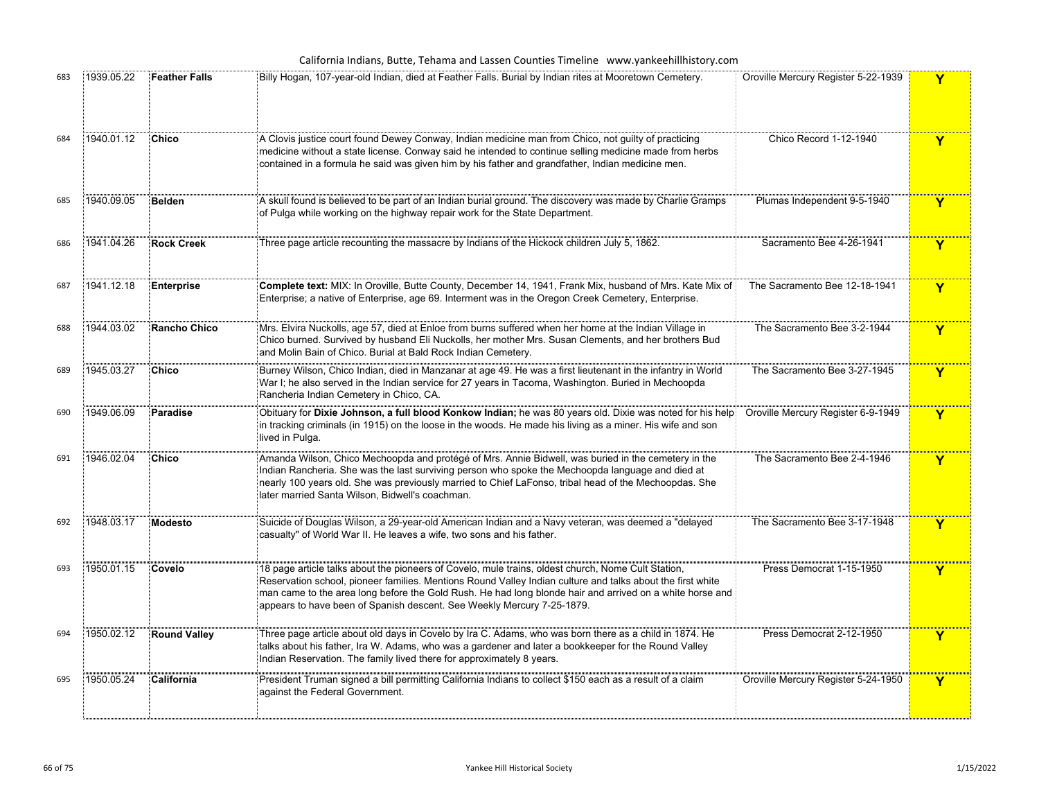California Indians, Butte, Tehama and Lassen Counties Timeline www.yankeehillhistory.com

| 683 | 1939.05.22 | <b>Feather Falls</b> | Billy Hogan, 107-year-old Indian, died at Feather Falls. Burial by Indian rites at Mooretown Cemetery.                                                                                                                                                                                                                                                                                                 | Oroville Mercury Register 5-22-1939 | Y                       |
|-----|------------|----------------------|--------------------------------------------------------------------------------------------------------------------------------------------------------------------------------------------------------------------------------------------------------------------------------------------------------------------------------------------------------------------------------------------------------|-------------------------------------|-------------------------|
| 684 | 1940.01.12 | Chico                | A Clovis justice court found Dewey Conway, Indian medicine man from Chico, not guilty of practicing<br>medicine without a state license. Conway said he intended to continue selling medicine made from herbs<br>contained in a formula he said was given him by his father and grandfather, Indian medicine men.                                                                                      | Chico Record 1-12-1940              | Y                       |
| 685 | 1940.09.05 | Belden               | A skull found is believed to be part of an Indian burial ground. The discovery was made by Charlie Gramps<br>of Pulga while working on the highway repair work for the State Department.                                                                                                                                                                                                               | Plumas Independent 9-5-1940         | Y                       |
| 686 | 1941.04.26 | <b>Rock Creek</b>    | Three page article recounting the massacre by Indians of the Hickock children July 5, 1862.                                                                                                                                                                                                                                                                                                            | Sacramento Bee 4-26-1941            | Y                       |
| 687 | 1941.12.18 | Enterprise           | Complete text: MIX: In Oroville, Butte County, December 14, 1941, Frank Mix, husband of Mrs. Kate Mix of<br>Enterprise; a native of Enterprise, age 69. Interment was in the Oregon Creek Cemetery, Enterprise.                                                                                                                                                                                        | The Sacramento Bee 12-18-1941       | $\overline{\mathbf{Y}}$ |
| 688 | 1944.03.02 | Rancho Chico         | Mrs. Elvira Nuckolls, age 57, died at Enloe from burns suffered when her home at the Indian Village in<br>Chico burned. Survived by husband Eli Nuckolls, her mother Mrs. Susan Clements, and her brothers Bud<br>and Molin Bain of Chico. Burial at Bald Rock Indian Cemetery.                                                                                                                        | The Sacramento Bee 3-2-1944         | $\mathbf Y$             |
| 689 | 1945.03.27 | Chico                | Burney Wilson, Chico Indian, died in Manzanar at age 49. He was a first lieutenant in the infantry in World<br>War I; he also served in the Indian service for 27 years in Tacoma, Washington. Buried in Mechoopda<br>Rancheria Indian Cemetery in Chico, CA.                                                                                                                                          | The Sacramento Bee 3-27-1945        | Y                       |
| 690 | 1949.06.09 | Paradise             | Obituary for Dixie Johnson, a full blood Konkow Indian; he was 80 years old. Dixie was noted for his help<br>in tracking criminals (in 1915) on the loose in the woods. He made his living as a miner. His wife and son<br>lived in Pulga.                                                                                                                                                             | Oroville Mercury Register 6-9-1949  | Y                       |
| 691 | 1946.02.04 | <b>Chico</b>         | Amanda Wilson, Chico Mechoopda and protégé of Mrs. Annie Bidwell, was buried in the cemetery in the<br>Indian Rancheria. She was the last surviving person who spoke the Mechoopda language and died at<br>nearly 100 years old. She was previously married to Chief LaFonso, tribal head of the Mechoopdas. She<br>later married Santa Wilson, Bidwell's coachman.                                    | The Sacramento Bee 2-4-1946         | $\mathbf Y$             |
| 692 | 1948.03.17 | Modesto              | Suicide of Douglas Wilson, a 29-year-old American Indian and a Navy veteran, was deemed a "delayed<br>casualty" of World War II. He leaves a wife, two sons and his father.                                                                                                                                                                                                                            | The Sacramento Bee 3-17-1948        | Y                       |
| 693 | 1950.01.15 | Covelo               | 18 page article talks about the pioneers of Covelo, mule trains, oldest church, Nome Cult Station,<br>Reservation school, pioneer families. Mentions Round Valley Indian culture and talks about the first white<br>man came to the area long before the Gold Rush. He had long blonde hair and arrived on a white horse and<br>appears to have been of Spanish descent. See Weekly Mercury 7-25-1879. | Press Democrat 1-15-1950            | Y                       |
| 694 | 1950.02.12 | <b>Round Valley</b>  | Three page article about old days in Covelo by Ira C. Adams, who was born there as a child in 1874. He<br>talks about his father, Ira W. Adams, who was a gardener and later a bookkeeper for the Round Valley<br>Indian Reservation. The family lived there for approximately 8 years.                                                                                                                | Press Democrat 2-12-1950            | $\mathbf Y$             |
| 695 | 1950.05.24 | California           | President Truman signed a bill permitting California Indians to collect \$150 each as a result of a claim<br>against the Federal Government.                                                                                                                                                                                                                                                           | Oroville Mercury Register 5-24-1950 | $\mathbf Y$             |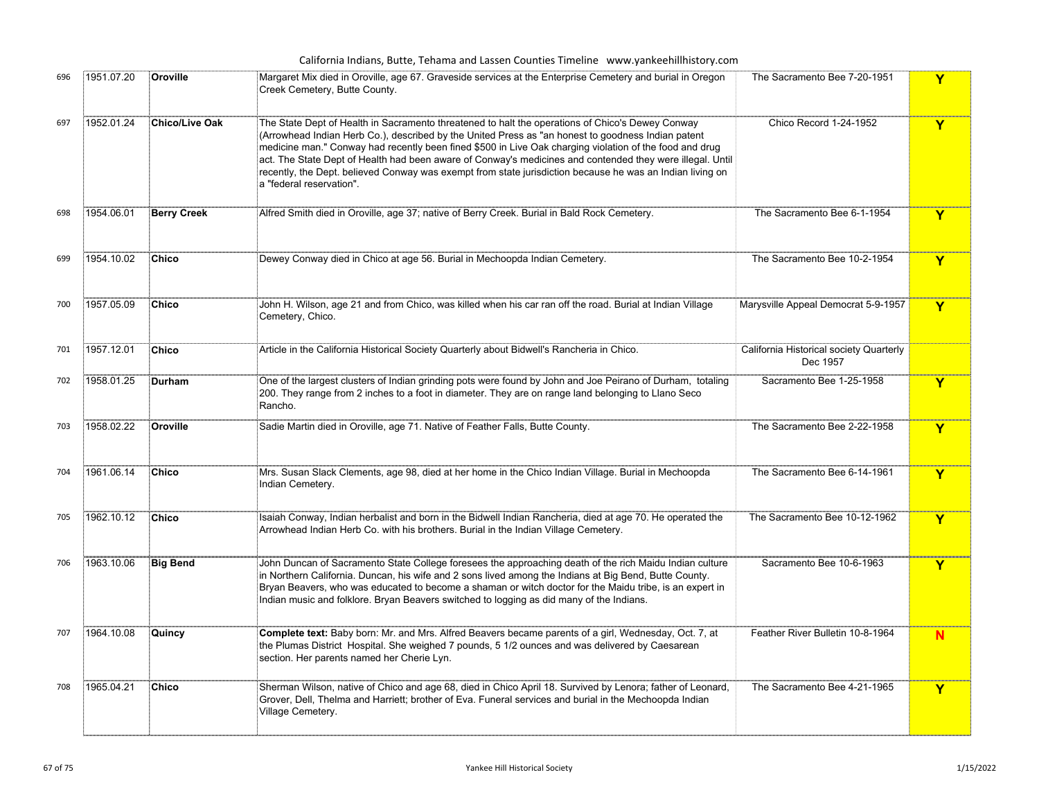|     |            |                    | California Indians, Butte, Tehama and Lassen Counties Timeline www.yankeehillhistory.com                                                                                                                                                                                                                                                                                                                                                                                                                                                                                |                                                     |                         |
|-----|------------|--------------------|-------------------------------------------------------------------------------------------------------------------------------------------------------------------------------------------------------------------------------------------------------------------------------------------------------------------------------------------------------------------------------------------------------------------------------------------------------------------------------------------------------------------------------------------------------------------------|-----------------------------------------------------|-------------------------|
| 696 | 1951.07.20 | Oroville           | Margaret Mix died in Oroville, age 67. Graveside services at the Enterprise Cemetery and burial in Oregon<br>Creek Cemetery, Butte County.                                                                                                                                                                                                                                                                                                                                                                                                                              | The Sacramento Bee 7-20-1951                        | Y                       |
| 697 | 1952.01.24 | Chico/Live Oak     | The State Dept of Health in Sacramento threatened to halt the operations of Chico's Dewey Conway<br>(Arrowhead Indian Herb Co.), described by the United Press as "an honest to goodness Indian patent<br>medicine man." Conway had recently been fined \$500 in Live Oak charging violation of the food and drug<br>act. The State Dept of Health had been aware of Conway's medicines and contended they were illegal. Until<br>recently, the Dept. believed Conway was exempt from state jurisdiction because he was an Indian living on<br>a "federal reservation". | Chico Record 1-24-1952                              | Y                       |
| 698 | 1954.06.01 | <b>Berry Creek</b> | Alfred Smith died in Oroville, age 37; native of Berry Creek. Burial in Bald Rock Cemetery.                                                                                                                                                                                                                                                                                                                                                                                                                                                                             | The Sacramento Bee 6-1-1954                         | $\overline{\mathbf{Y}}$ |
| 699 | 1954.10.02 | Chico              | Dewey Conway died in Chico at age 56. Burial in Mechoopda Indian Cemetery.                                                                                                                                                                                                                                                                                                                                                                                                                                                                                              | The Sacramento Bee 10-2-1954                        | Y                       |
| 700 | 1957.05.09 | <b>Chico</b>       | John H. Wilson, age 21 and from Chico, was killed when his car ran off the road. Burial at Indian Village<br>Cemetery, Chico.                                                                                                                                                                                                                                                                                                                                                                                                                                           | Marysville Appeal Democrat 5-9-1957                 | $\overline{\mathsf{Y}}$ |
| 701 | 1957.12.01 | <b>Chico</b>       | Article in the California Historical Society Quarterly about Bidwell's Rancheria in Chico.                                                                                                                                                                                                                                                                                                                                                                                                                                                                              | California Historical society Quarterly<br>Dec 1957 |                         |
| 702 | 1958.01.25 | Durham             | One of the largest clusters of Indian grinding pots were found by John and Joe Peirano of Durham, totaling<br>200. They range from 2 inches to a foot in diameter. They are on range land belonging to Llano Seco<br>Rancho.                                                                                                                                                                                                                                                                                                                                            | Sacramento Bee 1-25-1958                            | Y                       |
| 703 | 1958.02.22 | Oroville           | Sadie Martin died in Oroville, age 71. Native of Feather Falls, Butte County.                                                                                                                                                                                                                                                                                                                                                                                                                                                                                           | The Sacramento Bee 2-22-1958                        | Y                       |
| 704 | 1961.06.14 | Chico              | Mrs. Susan Slack Clements, age 98, died at her home in the Chico Indian Village. Burial in Mechoopda<br>Indian Cemetery.                                                                                                                                                                                                                                                                                                                                                                                                                                                | The Sacramento Bee 6-14-1961                        | Y                       |
| 705 | 1962.10.12 | Chico              | Isaiah Conway, Indian herbalist and born in the Bidwell Indian Rancheria, died at age 70. He operated the<br>Arrowhead Indian Herb Co. with his brothers. Burial in the Indian Village Cemetery.                                                                                                                                                                                                                                                                                                                                                                        | The Sacramento Bee 10-12-1962                       | Y                       |
| 706 | 1963.10.06 | <b>Big Bend</b>    | John Duncan of Sacramento State College foresees the approaching death of the rich Maidu Indian culture<br>in Northern California. Duncan, his wife and 2 sons lived among the Indians at Big Bend, Butte County.<br>Bryan Beavers, who was educated to become a shaman or witch doctor for the Maidu tribe, is an expert in<br>Indian music and folklore. Bryan Beavers switched to logging as did many of the Indians.                                                                                                                                                | Sacramento Bee 10-6-1963                            | Y                       |
| 707 | 1964.10.08 | Quincy             | <b>Complete text:</b> Baby born: Mr. and Mrs. Alfred Beavers became parents of a girl, Wednesday, Oct. 7, at<br>the Plumas District Hospital. She weighed 7 pounds, 5 1/2 ounces and was delivered by Caesarean<br>section. Her parents named her Cherie Lyn.                                                                                                                                                                                                                                                                                                           | Feather River Bulletin 10-8-1964                    | N                       |
| 708 | 1965.04.21 | <b>Chico</b>       | Sherman Wilson, native of Chico and age 68, died in Chico April 18. Survived by Lenora; father of Leonard,<br>Grover, Dell, Thelma and Harriett; brother of Eva. Funeral services and burial in the Mechoopda Indian<br>Village Cemetery.                                                                                                                                                                                                                                                                                                                               | The Sacramento Bee 4-21-1965                        | $\mathbf Y$             |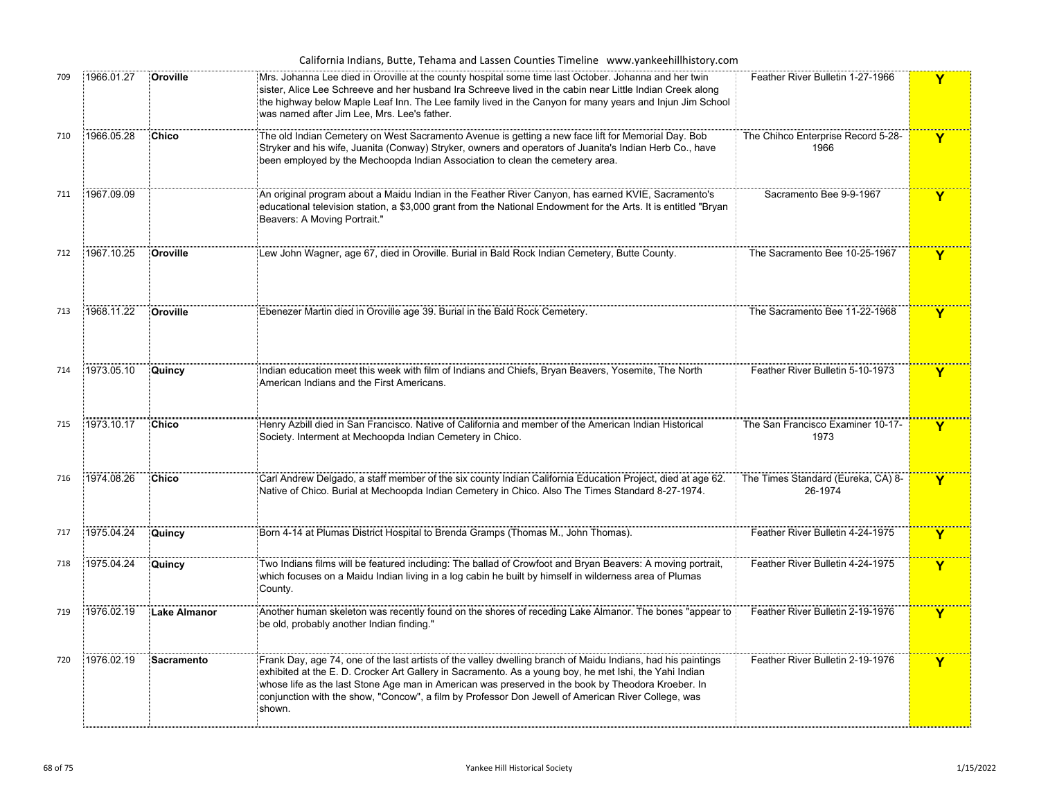|     |            |                     | California Indians, Butte, Tehama and Lassen Counties Timeline www.yankeehillhistory.com                                                                                                                                                                                                                                                                                                                                                     |                                               |   |
|-----|------------|---------------------|----------------------------------------------------------------------------------------------------------------------------------------------------------------------------------------------------------------------------------------------------------------------------------------------------------------------------------------------------------------------------------------------------------------------------------------------|-----------------------------------------------|---|
| 709 | 1966.01.27 | Oroville            | Mrs. Johanna Lee died in Oroville at the county hospital some time last October. Johanna and her twin<br>sister, Alice Lee Schreeve and her husband Ira Schreeve lived in the cabin near Little Indian Creek along<br>the highway below Maple Leaf Inn. The Lee family lived in the Canyon for many years and Injun Jim School<br>was named after Jim Lee, Mrs. Lee's father.                                                                | Feather River Bulletin 1-27-1966              | Y |
| 710 | 1966.05.28 | Chico               | The old Indian Cemetery on West Sacramento Avenue is getting a new face lift for Memorial Day. Bob<br>Stryker and his wife, Juanita (Conway) Stryker, owners and operators of Juanita's Indian Herb Co., have<br>been employed by the Mechoopda Indian Association to clean the cemetery area.                                                                                                                                               | The Chihco Enterprise Record 5-28-<br>1966    | Y |
| 711 | 1967.09.09 |                     | An original program about a Maidu Indian in the Feather River Canyon, has earned KVIE, Sacramento's<br>educational television station, a \$3,000 grant from the National Endowment for the Arts. It is entitled "Bryan<br>Beavers: A Moving Portrait."                                                                                                                                                                                       | Sacramento Bee 9-9-1967                       | Y |
| 712 | 1967.10.25 | Oroville            | Lew John Wagner, age 67, died in Oroville. Burial in Bald Rock Indian Cemetery, Butte County.                                                                                                                                                                                                                                                                                                                                                | The Sacramento Bee 10-25-1967                 | Y |
| 713 | 1968.11.22 | Oroville            | Ebenezer Martin died in Oroville age 39. Burial in the Bald Rock Cemetery.                                                                                                                                                                                                                                                                                                                                                                   | The Sacramento Bee 11-22-1968                 | Y |
| 714 | 1973.05.10 | Quincy              | Indian education meet this week with film of Indians and Chiefs, Bryan Beavers, Yosemite, The North<br>American Indians and the First Americans.                                                                                                                                                                                                                                                                                             | Feather River Bulletin 5-10-1973              | Y |
| 715 | 1973.10.17 | Chico               | Henry Azbill died in San Francisco. Native of California and member of the American Indian Historical<br>Society. Interment at Mechoopda Indian Cemetery in Chico.                                                                                                                                                                                                                                                                           | The San Francisco Examiner 10-17-<br>1973     | Y |
| 716 | 1974.08.26 | <b>Chico</b>        | Carl Andrew Delgado, a staff member of the six county Indian California Education Project, died at age 62.<br>Native of Chico. Burial at Mechoopda Indian Cemetery in Chico. Also The Times Standard 8-27-1974.                                                                                                                                                                                                                              | The Times Standard (Eureka, CA) 8-<br>26-1974 | Y |
| 717 | 1975.04.24 | Quincy              | Born 4-14 at Plumas District Hospital to Brenda Gramps (Thomas M., John Thomas).                                                                                                                                                                                                                                                                                                                                                             | Feather River Bulletin 4-24-1975              | Y |
| 718 | 1975.04.24 | Quincy              | Two Indians films will be featured including: The ballad of Crowfoot and Bryan Beavers: A moving portrait,<br>which focuses on a Maidu Indian living in a log cabin he built by himself in wilderness area of Plumas<br>County.                                                                                                                                                                                                              | Feather River Bulletin 4-24-1975              | Y |
| 719 | 1976.02.19 | <b>Lake Almanor</b> | Another human skeleton was recently found on the shores of receding Lake Almanor. The bones "appear to<br>be old, probably another Indian finding."                                                                                                                                                                                                                                                                                          | Feather River Bulletin 2-19-1976              | Y |
| 720 | 1976.02.19 | Sacramento          | Frank Day, age 74, one of the last artists of the valley dwelling branch of Maidu Indians, had his paintings<br>exhibited at the E. D. Crocker Art Gallery in Sacramento. As a young boy, he met Ishi, the Yahi Indian<br>whose life as the last Stone Age man in American was preserved in the book by Theodora Kroeber. In<br>conjunction with the show, "Concow", a film by Professor Don Jewell of American River College, was<br>shown. | Feather River Bulletin 2-19-1976              | Y |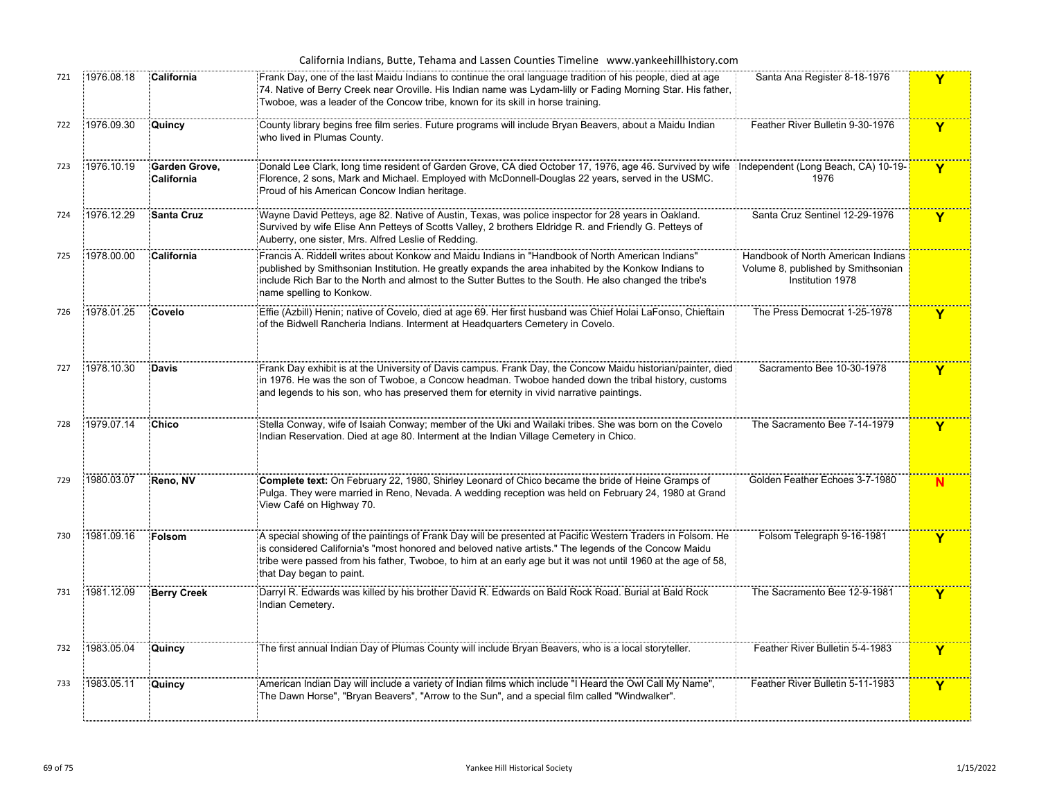| California Indians, Butte, Tehama and Lassen Counties Timeline www.yankeehillhistory.com |            |                             |                                                                                                                                                                                                                                                                                                                                                                  |                                                                                              |              |  |  |
|------------------------------------------------------------------------------------------|------------|-----------------------------|------------------------------------------------------------------------------------------------------------------------------------------------------------------------------------------------------------------------------------------------------------------------------------------------------------------------------------------------------------------|----------------------------------------------------------------------------------------------|--------------|--|--|
| 721                                                                                      | 1976.08.18 | California                  | Frank Day, one of the last Maidu Indians to continue the oral language tradition of his people, died at age<br>74. Native of Berry Creek near Oroville. His Indian name was Lydam-lilly or Fading Morning Star. His father,<br>Twoboe, was a leader of the Concow tribe, known for its skill in horse training.                                                  | Santa Ana Register 8-18-1976                                                                 | Y            |  |  |
| 722                                                                                      | 1976.09.30 | Quincy                      | County library begins free film series. Future programs will include Bryan Beavers, about a Maidu Indian<br>who lived in Plumas County.                                                                                                                                                                                                                          | Feather River Bulletin 9-30-1976                                                             | $\mathbf{Y}$ |  |  |
| 723                                                                                      | 1976.10.19 | Garden Grove,<br>California | Donald Lee Clark, long time resident of Garden Grove, CA died October 17, 1976, age 46. Survived by wife [Independent (Long Beach, CA) 10-19-<br>Florence, 2 sons, Mark and Michael. Employed with McDonnell-Douglas 22 years, served in the USMC.<br>Proud of his American Concow Indian heritage.                                                              | 1976                                                                                         | Y            |  |  |
| 724                                                                                      | 1976.12.29 | <b>Santa Cruz</b>           | Wayne David Petteys, age 82. Native of Austin, Texas, was police inspector for 28 years in Oakland.<br>Survived by wife Elise Ann Petteys of Scotts Valley, 2 brothers Eldridge R. and Friendly G. Petteys of<br>Auberry, one sister, Mrs. Alfred Leslie of Redding.                                                                                             | Santa Cruz Sentinel 12-29-1976                                                               | Y            |  |  |
| 725                                                                                      | 1978.00.00 | California                  | Francis A. Riddell writes about Konkow and Maidu Indians in "Handbook of North American Indians"<br>published by Smithsonian Institution. He greatly expands the area inhabited by the Konkow Indians to<br>include Rich Bar to the North and almost to the Sutter Buttes to the South. He also changed the tribe's<br>name spelling to Konkow.                  | Handbook of North American Indians<br>Volume 8, published by Smithsonian<br>Institution 1978 |              |  |  |
| 726                                                                                      | 1978.01.25 | Covelo                      | Effie (Azbill) Henin; native of Covelo, died at age 69. Her first husband was Chief Holai LaFonso, Chieftain<br>of the Bidwell Rancheria Indians. Interment at Headquarters Cemetery in Covelo.                                                                                                                                                                  | The Press Democrat 1-25-1978                                                                 | Y            |  |  |
| 727                                                                                      | 1978.10.30 | <b>Davis</b>                | Frank Day exhibit is at the University of Davis campus. Frank Day, the Concow Maidu historian/painter, died<br>in 1976. He was the son of Twoboe, a Concow headman. Twoboe handed down the tribal history, customs<br>and legends to his son, who has preserved them for eternity in vivid narrative paintings.                                                  | Sacramento Bee 10-30-1978                                                                    | Y            |  |  |
| 728                                                                                      | 1979.07.14 | <b>Chico</b>                | Stella Conway, wife of Isaiah Conway; member of the Uki and Wailaki tribes. She was born on the Covelo<br>Indian Reservation. Died at age 80. Interment at the Indian Village Cemetery in Chico.                                                                                                                                                                 | The Sacramento Bee 7-14-1979                                                                 | Y            |  |  |
| 729                                                                                      | 1980.03.07 | Reno, NV                    | Complete text: On February 22, 1980, Shirley Leonard of Chico became the bride of Heine Gramps of<br>Pulga. They were married in Reno, Nevada. A wedding reception was held on February 24, 1980 at Grand<br>View Café on Highway 70.                                                                                                                            | Golden Feather Echoes 3-7-1980                                                               | N            |  |  |
| 730                                                                                      | 1981.09.16 | Folsom                      | A special showing of the paintings of Frank Day will be presented at Pacific Western Traders in Folsom. He<br>is considered California's "most honored and beloved native artists." The legends of the Concow Maidu<br>tribe were passed from his father, Twoboe, to him at an early age but it was not until 1960 at the age of 58,<br>that Day began to paint. | Folsom Telegraph 9-16-1981                                                                   | $\mathbf Y$  |  |  |
| 731                                                                                      | 1981.12.09 | <b>Berry Creek</b>          | Darryl R. Edwards was killed by his brother David R. Edwards on Bald Rock Road. Burial at Bald Rock<br>Indian Cemetery.                                                                                                                                                                                                                                          | The Sacramento Bee 12-9-1981                                                                 | Y            |  |  |
| 732                                                                                      | 1983.05.04 | Quincy                      | The first annual Indian Day of Plumas County will include Bryan Beavers, who is a local storyteller.                                                                                                                                                                                                                                                             | Feather River Bulletin 5-4-1983                                                              | Y            |  |  |
| 733                                                                                      | 1983.05.11 | Quincy                      | American Indian Day will include a variety of Indian films which include "I Heard the Owl Call My Name",<br>The Dawn Horse", "Bryan Beavers", "Arrow to the Sun", and a special film called "Windwalker".                                                                                                                                                        | Feather River Bulletin 5-11-1983                                                             | Y            |  |  |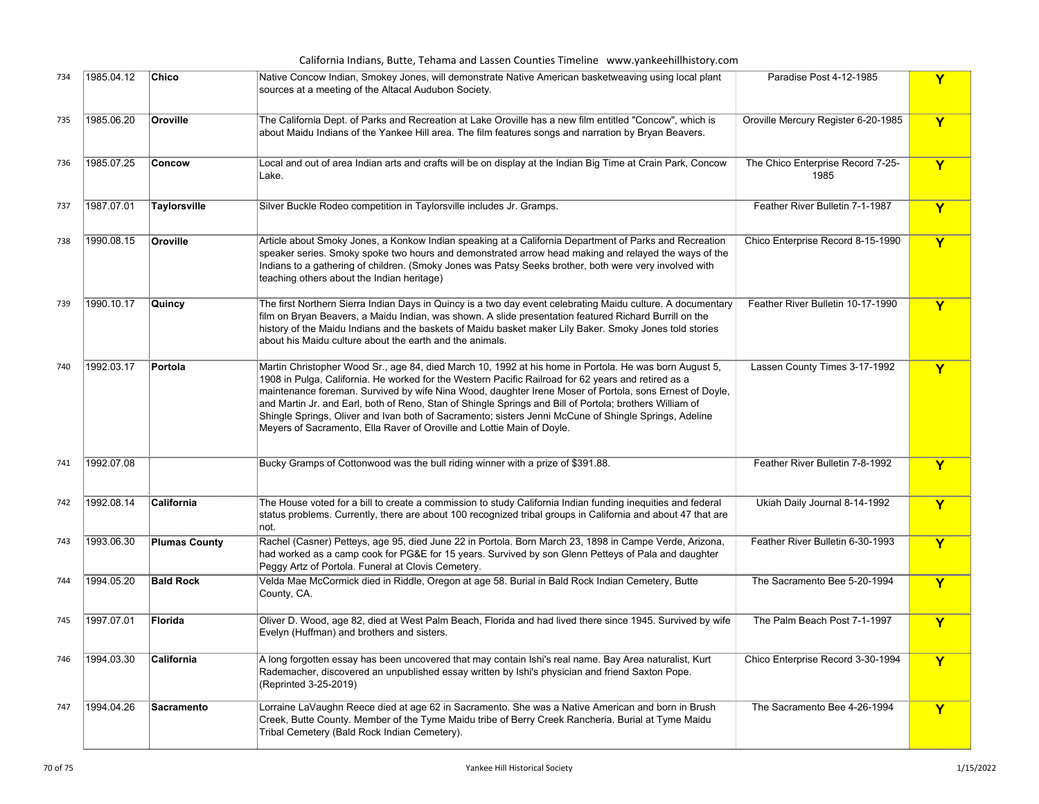|     |            |                      | California Indians, Butte, Tehama and Lassen Counties Timeline www.yankeehillhistory.com                                                                                                                                                                                                                                                                                                                                                                                                                                                                                                                               |                                           |              |
|-----|------------|----------------------|------------------------------------------------------------------------------------------------------------------------------------------------------------------------------------------------------------------------------------------------------------------------------------------------------------------------------------------------------------------------------------------------------------------------------------------------------------------------------------------------------------------------------------------------------------------------------------------------------------------------|-------------------------------------------|--------------|
| 734 | 1985.04.12 | Chico                | Native Concow Indian, Smokey Jones, will demonstrate Native American basketweaving using local plant<br>sources at a meeting of the Altacal Audubon Society.                                                                                                                                                                                                                                                                                                                                                                                                                                                           | Paradise Post 4-12-1985                   | Y            |
| 735 | 1985.06.20 | Oroville             | The California Dept. of Parks and Recreation at Lake Oroville has a new film entitled "Concow", which is<br>about Maidu Indians of the Yankee Hill area. The film features songs and narration by Bryan Beavers.                                                                                                                                                                                                                                                                                                                                                                                                       | Oroville Mercury Register 6-20-1985       | Y            |
| 736 | 1985.07.25 | Concow               | Local and out of area Indian arts and crafts will be on display at the Indian Big Time at Crain Park, Concow<br>Lake.                                                                                                                                                                                                                                                                                                                                                                                                                                                                                                  | The Chico Enterprise Record 7-25-<br>1985 | $\mathbf{Y}$ |
| 737 | 1987.07.01 | Taylorsville         | Silver Buckle Rodeo competition in Taylorsville includes Jr. Gramps.                                                                                                                                                                                                                                                                                                                                                                                                                                                                                                                                                   | Feather River Bulletin 7-1-1987           | Y            |
| 738 | 1990.08.15 | Oroville             | Article about Smoky Jones, a Konkow Indian speaking at a California Department of Parks and Recreation<br>speaker series. Smoky spoke two hours and demonstrated arrow head making and relayed the ways of the<br>Indians to a gathering of children. (Smoky Jones was Patsy Seeks brother, both were very involved with<br>teaching others about the Indian heritage)                                                                                                                                                                                                                                                 | Chico Enterprise Record 8-15-1990         | Y            |
| 739 | 1990.10.17 | Quincy               | The first Northern Sierra Indian Days in Quincy is a two day event celebrating Maidu culture. A documentary<br>film on Bryan Beavers, a Maidu Indian, was shown. A slide presentation featured Richard Burrill on the<br>history of the Maidu Indians and the baskets of Maidu basket maker Lily Baker. Smoky Jones told stories<br>about his Maidu culture about the earth and the animals.                                                                                                                                                                                                                           | Feather River Bulletin 10-17-1990         | Y            |
| 740 | 1992.03.17 | Portola              | Martin Christopher Wood Sr., age 84, died March 10, 1992 at his home in Portola. He was born August 5,<br>1908 in Pulga, California. He worked for the Western Pacific Railroad for 62 years and retired as a<br>maintenance foreman. Survived by wife Nina Wood, daughter Irene Moser of Portola, sons Ernest of Doyle,<br>and Martin Jr. and Earl, both of Reno, Stan of Shingle Springs and Bill of Portola; brothers William of<br>Shingle Springs, Oliver and Ivan both of Sacramento; sisters Jenni McCune of Shingle Springs, Adeline<br>Meyers of Sacramento, Ella Raver of Oroville and Lottie Main of Doyle. | Lassen County Times 3-17-1992             | $\mathbf{Y}$ |
| 741 | 1992.07.08 |                      | Bucky Gramps of Cottonwood was the bull riding winner with a prize of \$391.88.                                                                                                                                                                                                                                                                                                                                                                                                                                                                                                                                        | Feather River Bulletin 7-8-1992           | Y            |
| 742 | 1992.08.14 | California           | The House voted for a bill to create a commission to study California Indian funding inequities and federal<br>status problems. Currently, there are about 100 recognized tribal groups in California and about 47 that are<br>not.                                                                                                                                                                                                                                                                                                                                                                                    | Ukiah Daily Journal 8-14-1992             | Y            |
| 743 | 1993.06.30 | <b>Plumas County</b> | .<br>ERachel (Casner) Petteys, age 95, died June 22 in Portola. Born March 23, 1898 in Campe Verde, Arizona,<br>had worked as a camp cook for PG&E for 15 years. Survived by son Glenn Petteys of Pala and daughter∮<br>Peggy Artz of Portola. Funeral at Clovis Cemetery.                                                                                                                                                                                                                                                                                                                                             | Feather River Bulletin 6-30-1993          | Y            |
| 744 | 1994.05.20 | <b>Bald Rock</b>     | Velda Mae McCormick died in Riddle, Oregon at age 58. Burial in Bald Rock Indian Cemetery, Butte<br>County, CA.                                                                                                                                                                                                                                                                                                                                                                                                                                                                                                        | The Sacramento Bee 5-20-1994              | Y            |
| 745 | 1997.07.01 | Florida              | Oliver D. Wood, age 82, died at West Palm Beach, Florida and had lived there since 1945. Survived by wife<br>Evelyn (Huffman) and brothers and sisters.                                                                                                                                                                                                                                                                                                                                                                                                                                                                | The Palm Beach Post 7-1-1997              | $\mathbf{Y}$ |
| 746 | 1994.03.30 | California           | A long forgotten essay has been uncovered that may contain Ishi's real name. Bay Area naturalist, Kurt<br>Rademacher, discovered an unpublished essay written by Ishi's physician and friend Saxton Pope.<br>(Reprinted 3-25-2019)                                                                                                                                                                                                                                                                                                                                                                                     | Chico Enterprise Record 3-30-1994         | Y            |
| 747 | 1994.04.26 | Sacramento           | Lorraine LaVaughn Reece died at age 62 in Sacramento. She was a Native American and born in Brush<br>Creek, Butte County. Member of the Tyme Maidu tribe of Berry Creek Rancheria. Burial at Tyme Maidu<br>Tribal Cemetery (Bald Rock Indian Cemetery).                                                                                                                                                                                                                                                                                                                                                                | The Sacramento Bee 4-26-1994              | Y            |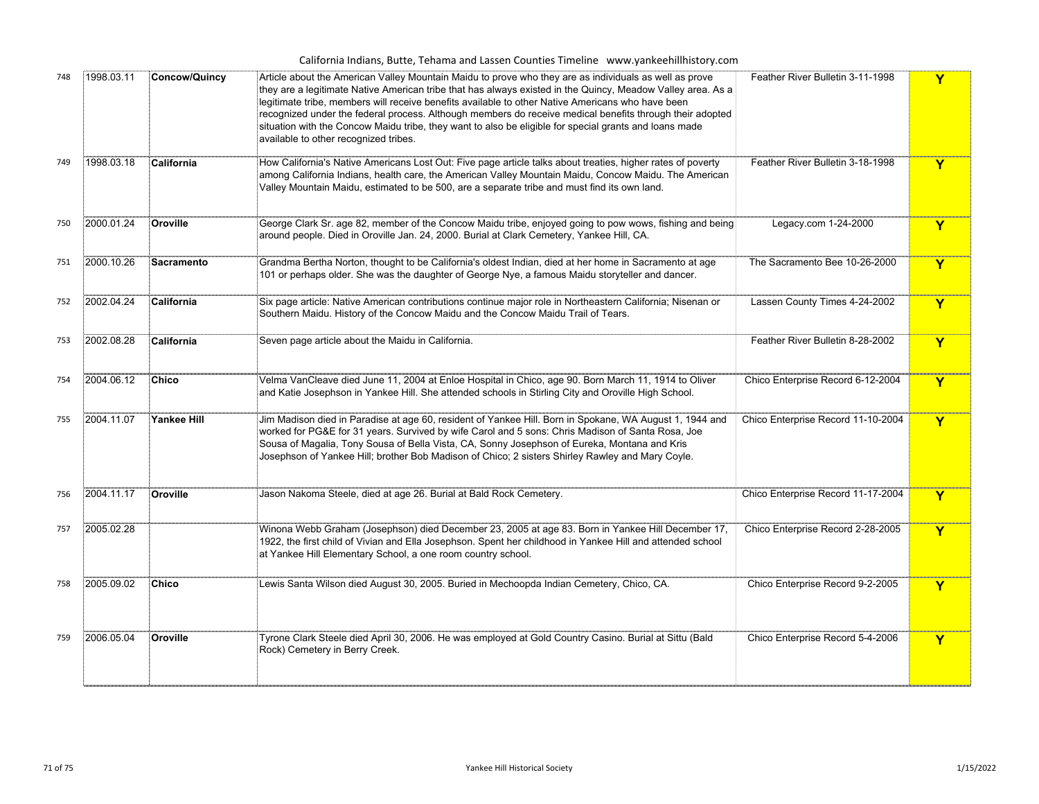| California Indians, Butte, Tehama and Lassen Counties Timeline www.yankeehillhistory.com |  |
|------------------------------------------------------------------------------------------|--|
|------------------------------------------------------------------------------------------|--|

| 748 | 1998.03.11 | <b>Concow/Quincy</b> | Article about the American Valley Mountain Maidu to prove who they are as individuals as well as prove<br>Feather River Bulletin 3-11-1998<br>they are a legitimate Native American tribe that has always existed in the Quincy, Meadow Valley area. As a<br>legitimate tribe, members will receive benefits available to other Native Americans who have been<br>recognized under the federal process. Although members do receive medical benefits through their adopted<br>situation with the Concow Maidu tribe, they want to also be eligible for special grants and loans made<br>available to other recognized tribes. |                                    | Y |
|-----|------------|----------------------|-------------------------------------------------------------------------------------------------------------------------------------------------------------------------------------------------------------------------------------------------------------------------------------------------------------------------------------------------------------------------------------------------------------------------------------------------------------------------------------------------------------------------------------------------------------------------------------------------------------------------------|------------------------------------|---|
| 749 | 1998.03.18 | California           | How California's Native Americans Lost Out: Five page article talks about treaties, higher rates of poverty<br>among California Indians, health care, the American Valley Mountain Maidu, Concow Maidu. The American<br>Valley Mountain Maidu, estimated to be 500, are a separate tribe and must find its own land.                                                                                                                                                                                                                                                                                                          | Feather River Bulletin 3-18-1998   | Y |
| 750 | 2000.01.24 | Oroville             | George Clark Sr. age 82, member of the Concow Maidu tribe, enjoyed going to pow wows, fishing and being<br>around people. Died in Oroville Jan. 24, 2000. Burial at Clark Cemetery, Yankee Hill, CA.                                                                                                                                                                                                                                                                                                                                                                                                                          | Legacy.com 1-24-2000               | Y |
| 751 | 2000.10.26 | Sacramento           | Grandma Bertha Norton, thought to be California's oldest Indian, died at her home in Sacramento at age<br>101 or perhaps older. She was the daughter of George Nye, a famous Maidu storyteller and dancer.                                                                                                                                                                                                                                                                                                                                                                                                                    | The Sacramento Bee 10-26-2000      | Y |
| 752 | 2002.04.24 | California           | Six page article: Native American contributions continue major role in Northeastern California; Nisenan or<br>Southern Maidu. History of the Concow Maidu and the Concow Maidu Trail of Tears.                                                                                                                                                                                                                                                                                                                                                                                                                                | Lassen County Times 4-24-2002      | Y |
| 753 | 2002.08.28 | California           | Seven page article about the Maidu in California.                                                                                                                                                                                                                                                                                                                                                                                                                                                                                                                                                                             | Feather River Bulletin 8-28-2002   | Y |
| 754 | 2004.06.12 | <b>Chico</b>         | Velma VanCleave died June 11, 2004 at Enloe Hospital in Chico, age 90. Born March 11, 1914 to Oliver<br>and Katie Josephson in Yankee Hill. She attended schools in Stirling City and Oroville High School.                                                                                                                                                                                                                                                                                                                                                                                                                   | Chico Enterprise Record 6-12-2004  | Y |
| 755 | 2004.11.07 | Yankee Hill          | Jim Madison died in Paradise at age 60, resident of Yankee Hill. Born in Spokane, WA August 1, 1944 and<br>worked for PG&E for 31 years. Survived by wife Carol and 5 sons: Chris Madison of Santa Rosa, Joe<br>Sousa of Magalia, Tony Sousa of Bella Vista, CA, Sonny Josephson of Eureka, Montana and Kris<br>Josephson of Yankee Hill; brother Bob Madison of Chico; 2 sisters Shirley Rawley and Mary Coyle.                                                                                                                                                                                                              | Chico Enterprise Record 11-10-2004 | Y |
| 756 | 2004.11.17 | Oroville             | Jason Nakoma Steele, died at age 26. Burial at Bald Rock Cemetery.                                                                                                                                                                                                                                                                                                                                                                                                                                                                                                                                                            | Chico Enterprise Record 11-17-2004 | Y |
| 757 | 2005.02.28 |                      | Winona Webb Graham (Josephson) died December 23, 2005 at age 83. Born in Yankee Hill December 17,<br>1922, the first child of Vivian and Ella Josephson. Spent her childhood in Yankee Hill and attended school<br>at Yankee Hill Elementary School, a one room country school.                                                                                                                                                                                                                                                                                                                                               | Chico Enterprise Record 2-28-2005  | Y |
| 758 | 2005.09.02 | Chico                | Lewis Santa Wilson died August 30, 2005. Buried in Mechoopda Indian Cemetery, Chico, CA.                                                                                                                                                                                                                                                                                                                                                                                                                                                                                                                                      | Chico Enterprise Record 9-2-2005   | Y |
| 759 | 2006.05.04 | Oroville             | Tyrone Clark Steele died April 30, 2006. He was employed at Gold Country Casino. Burial at Sittu (Bald<br>Rock) Cemetery in Berry Creek.                                                                                                                                                                                                                                                                                                                                                                                                                                                                                      | Chico Enterprise Record 5-4-2006   | Y |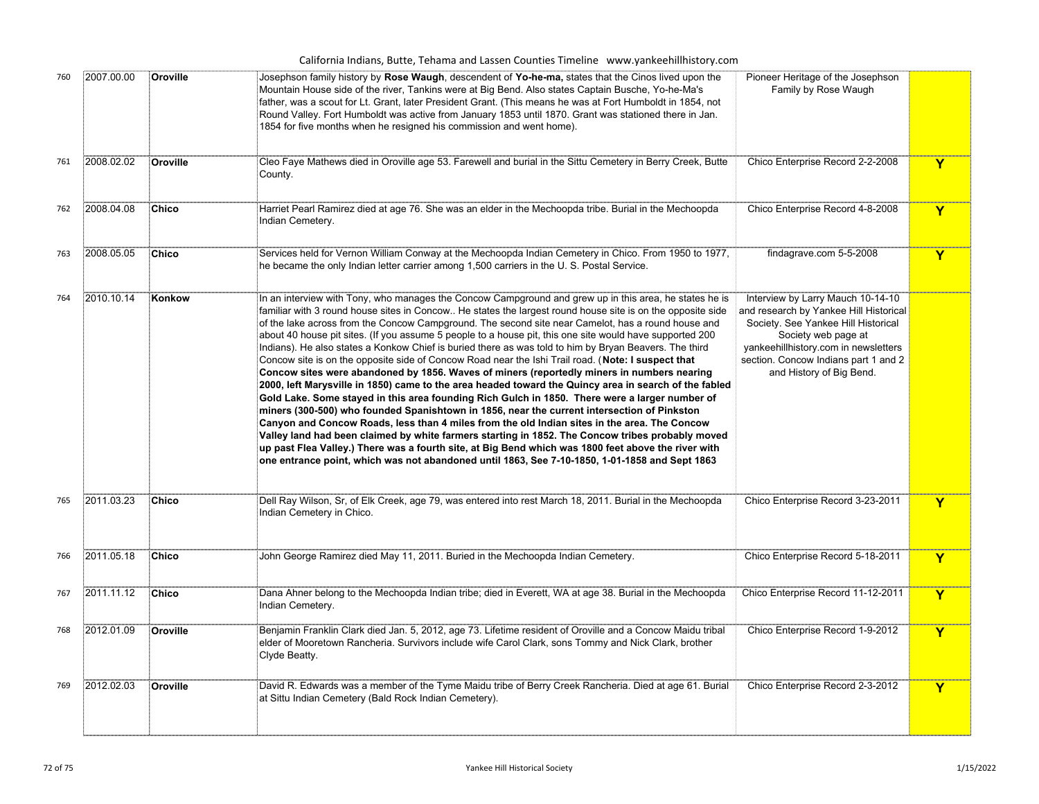| California Indians, Butte, Tehama and Lassen Counties Timeline www.yankeehillhistory.com |  |  |  |  |  |  |  |  |  |
|------------------------------------------------------------------------------------------|--|--|--|--|--|--|--|--|--|
|------------------------------------------------------------------------------------------|--|--|--|--|--|--|--|--|--|

| 760 | 2007.00.00 | Oroville     | Josephson family history by Rose Waugh, descendent of Yo-he-ma, states that the Cinos lived upon the<br>Mountain House side of the river, Tankins were at Big Bend. Also states Captain Busche, Yo-he-Ma's<br>father, was a scout for Lt. Grant, later President Grant. (This means he was at Fort Humboldt in 1854, not<br>Round Valley. Fort Humboldt was active from January 1853 until 1870. Grant was stationed there in Jan.<br>1854 for five months when he resigned his commission and went home).                                                                                                                                                                                                                                                                                                                                                                                                                                                                                                                                                                                                                                                                                                                                                                                                                                                                                                                                                                  | Pioneer Heritage of the Josephson<br>Family by Rose Waugh                                                                                                                                                                                             |                         |
|-----|------------|--------------|-----------------------------------------------------------------------------------------------------------------------------------------------------------------------------------------------------------------------------------------------------------------------------------------------------------------------------------------------------------------------------------------------------------------------------------------------------------------------------------------------------------------------------------------------------------------------------------------------------------------------------------------------------------------------------------------------------------------------------------------------------------------------------------------------------------------------------------------------------------------------------------------------------------------------------------------------------------------------------------------------------------------------------------------------------------------------------------------------------------------------------------------------------------------------------------------------------------------------------------------------------------------------------------------------------------------------------------------------------------------------------------------------------------------------------------------------------------------------------|-------------------------------------------------------------------------------------------------------------------------------------------------------------------------------------------------------------------------------------------------------|-------------------------|
| 761 | 2008.02.02 | Oroville     | Cleo Faye Mathews died in Oroville age 53. Farewell and burial in the Sittu Cemetery in Berry Creek, Butte<br>County.                                                                                                                                                                                                                                                                                                                                                                                                                                                                                                                                                                                                                                                                                                                                                                                                                                                                                                                                                                                                                                                                                                                                                                                                                                                                                                                                                       | Chico Enterprise Record 2-2-2008                                                                                                                                                                                                                      | Y                       |
| 762 | 2008.04.08 | Chico        | Harriet Pearl Ramirez died at age 76. She was an elder in the Mechoopda tribe. Burial in the Mechoopda<br>Indian Cemetery.                                                                                                                                                                                                                                                                                                                                                                                                                                                                                                                                                                                                                                                                                                                                                                                                                                                                                                                                                                                                                                                                                                                                                                                                                                                                                                                                                  | Chico Enterprise Record 4-8-2008                                                                                                                                                                                                                      | Y                       |
| 763 | 2008.05.05 | Chico        | Services held for Vernon William Conway at the Mechoopda Indian Cemetery in Chico. From 1950 to 1977,<br>he became the only Indian letter carrier among 1,500 carriers in the U.S. Postal Service.                                                                                                                                                                                                                                                                                                                                                                                                                                                                                                                                                                                                                                                                                                                                                                                                                                                                                                                                                                                                                                                                                                                                                                                                                                                                          | findagrave.com 5-5-2008                                                                                                                                                                                                                               | Y                       |
| 764 | 2010.10.14 | Konkow       | In an interview with Tony, who manages the Concow Campground and grew up in this area, he states he is<br>familiar with 3 round house sites in Concow He states the largest round house site is on the opposite side<br>of the lake across from the Concow Campground. The second site near Camelot, has a round house and<br>about 40 house pit sites. (If you assume 5 people to a house pit, this one site would have supported 200<br>Indians). He also states a Konkow Chief is buried there as was told to him by Bryan Beavers. The third<br>Concow site is on the opposite side of Concow Road near the Ishi Trail road. (Note: I suspect that<br>Concow sites were abandoned by 1856. Waves of miners (reportedly miners in numbers nearing<br>2000, left Marysville in 1850) came to the area headed toward the Quincy area in search of the fabled<br>Gold Lake. Some stayed in this area founding Rich Gulch in 1850. There were a larger number of<br>miners (300-500) who founded Spanishtown in 1856, near the current intersection of Pinkston<br>Canyon and Concow Roads, less than 4 miles from the old Indian sites in the area. The Concow<br>Valley land had been claimed by white farmers starting in 1852. The Concow tribes probably moved<br>up past Flea Valley.) There was a fourth site, at Big Bend which was 1800 feet above the river with<br>one entrance point, which was not abandoned until 1863, See 7-10-1850, 1-01-1858 and Sept 1863 | Interview by Larry Mauch 10-14-10<br>and research by Yankee Hill Historical<br>Society. See Yankee Hill Historical<br>Society web page at<br>yankeehillhistory.com in newsletters<br>section. Concow Indians part 1 and 2<br>and History of Big Bend. |                         |
| 765 | 2011.03.23 | Chico        | .<br>[Dell Ray Wilson, Sr, of Elk Creek, age 79, was entered into rest March 18, 2011. Burial in the Mechoopda<br>Indian Cemetery in Chico.                                                                                                                                                                                                                                                                                                                                                                                                                                                                                                                                                                                                                                                                                                                                                                                                                                                                                                                                                                                                                                                                                                                                                                                                                                                                                                                                 | Chico Enterprise Record 3-23-2011                                                                                                                                                                                                                     | Y                       |
| 766 | 2011.05.18 | Chico        | John George Ramirez died May 11, 2011. Buried in the Mechoopda Indian Cemetery.                                                                                                                                                                                                                                                                                                                                                                                                                                                                                                                                                                                                                                                                                                                                                                                                                                                                                                                                                                                                                                                                                                                                                                                                                                                                                                                                                                                             | Chico Enterprise Record 5-18-2011                                                                                                                                                                                                                     | Y                       |
| 767 | 2011.11.12 | <b>Chico</b> | Dana Ahner belong to the Mechoopda Indian tribe; died in Everett, WA at age 38. Burial in the Mechoopda<br>Indian Cemetery.                                                                                                                                                                                                                                                                                                                                                                                                                                                                                                                                                                                                                                                                                                                                                                                                                                                                                                                                                                                                                                                                                                                                                                                                                                                                                                                                                 | Chico Enterprise Record 11-12-2011                                                                                                                                                                                                                    | Y                       |
| 768 | 2012.01.09 | Oroville     | Benjamin Franklin Clark died Jan. 5, 2012, age 73. Lifetime resident of Oroville and a Concow Maidu tribal<br>elder of Mooretown Rancheria. Survivors include wife Carol Clark, sons Tommy and Nick Clark, brother<br>Clyde Beatty.                                                                                                                                                                                                                                                                                                                                                                                                                                                                                                                                                                                                                                                                                                                                                                                                                                                                                                                                                                                                                                                                                                                                                                                                                                         | Chico Enterprise Record 1-9-2012                                                                                                                                                                                                                      | $\mathbf Y$             |
| 769 | 2012.02.03 | Oroville     | David R. Edwards was a member of the Tyme Maidu tribe of Berry Creek Rancheria. Died at age 61. Burial<br>at Sittu Indian Cemetery (Bald Rock Indian Cemetery).                                                                                                                                                                                                                                                                                                                                                                                                                                                                                                                                                                                                                                                                                                                                                                                                                                                                                                                                                                                                                                                                                                                                                                                                                                                                                                             | Chico Enterprise Record 2-3-2012                                                                                                                                                                                                                      | $\overline{\mathsf{Y}}$ |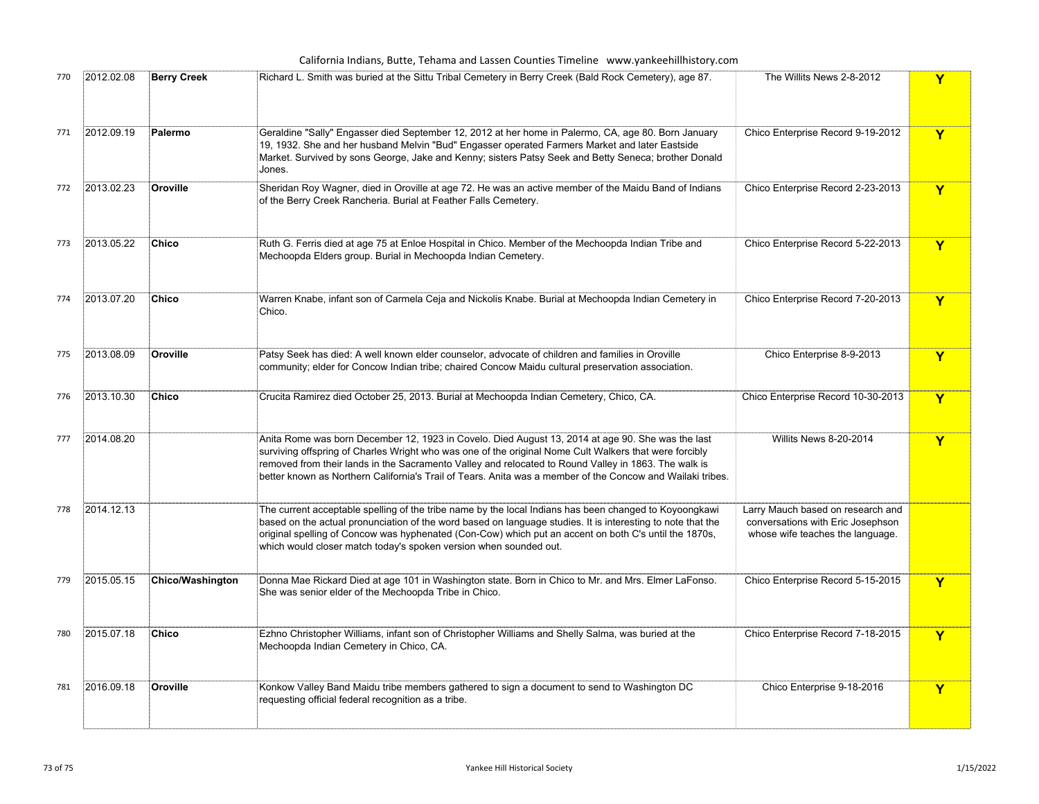California Indians, Butte, Tehama and Lassen Counties Timeline www.yankeehillhistory.com

| 770 | 2012.02.08 | <b>Berry Creek</b>      | Richard L. Smith was buried at the Sittu Tribal Cemetery in Berry Creek (Bald Rock Cemetery), age 87.                                                                                                                                                                                                                                                                                                                             | The Willits News 2-8-2012                                                                                  | Y                       |
|-----|------------|-------------------------|-----------------------------------------------------------------------------------------------------------------------------------------------------------------------------------------------------------------------------------------------------------------------------------------------------------------------------------------------------------------------------------------------------------------------------------|------------------------------------------------------------------------------------------------------------|-------------------------|
| 771 | 2012.09.19 | Palermo                 | Geraldine "Sally" Engasser died September 12, 2012 at her home in Palermo, CA, age 80. Born January<br>19, 1932. She and her husband Melvin "Bud" Engasser operated Farmers Market and later Eastside<br>Market. Survived by sons George, Jake and Kenny; sisters Patsy Seek and Betty Seneca; brother Donald<br>Jones.                                                                                                           | Chico Enterprise Record 9-19-2012                                                                          | Y                       |
| 772 | 2013.02.23 | Oroville                | Sheridan Roy Wagner, died in Oroville at age 72. He was an active member of the Maidu Band of Indians<br>of the Berry Creek Rancheria. Burial at Feather Falls Cemetery.                                                                                                                                                                                                                                                          | Chico Enterprise Record 2-23-2013                                                                          | $\overline{\mathsf{Y}}$ |
| 773 | 2013.05.22 | Chico                   | Ruth G. Ferris died at age 75 at Enloe Hospital in Chico. Member of the Mechoopda Indian Tribe and<br>Mechoopda Elders group. Burial in Mechoopda Indian Cemetery.                                                                                                                                                                                                                                                                | Chico Enterprise Record 5-22-2013                                                                          | Y                       |
| 774 | 2013.07.20 | Chico                   | Warren Knabe, infant son of Carmela Ceja and Nickolis Knabe. Burial at Mechoopda Indian Cemetery in<br>Chico.                                                                                                                                                                                                                                                                                                                     | Chico Enterprise Record 7-20-2013                                                                          | $\overline{\mathsf{Y}}$ |
| 775 | 2013.08.09 | Oroville                | Patsy Seek has died: A well known elder counselor, advocate of children and families in Oroville<br>community; elder for Concow Indian tribe; chaired Concow Maidu cultural preservation association.                                                                                                                                                                                                                             | Chico Enterprise 8-9-2013                                                                                  | $\mathbf Y$             |
| 776 | 2013.10.30 | Chico                   | Crucita Ramirez died October 25, 2013. Burial at Mechoopda Indian Cemetery, Chico, CA.                                                                                                                                                                                                                                                                                                                                            | Chico Enterprise Record 10-30-2013                                                                         | $\overline{\mathbf{Y}}$ |
| 777 | 2014.08.20 |                         | Anita Rome was born December 12, 1923 in Covelo. Died August 13, 2014 at age 90. She was the last<br>surviving offspring of Charles Wright who was one of the original Nome Cult Walkers that were forcibly<br>removed from their lands in the Sacramento Valley and relocated to Round Valley in 1863. The walk is<br>better known as Northern California's Trail of Tears. Anita was a member of the Concow and Wailaki tribes. | Willits News 8-20-2014                                                                                     | Y                       |
| 778 | 2014.12.13 |                         | The current acceptable spelling of the tribe name by the local Indians has been changed to Koyoongkawi<br>.<br>based on the actual pronunciation of the word based on language studies. It is interesting to note that the<br>original spelling of Concow was hyphenated (Con-Cow) which put an accent on both C's until the 1870s,<br>which would closer match today's spoken version when sounded out.                          | Larry Mauch based on research and<br>conversations with Eric Josephson<br>whose wife teaches the language. |                         |
| 779 | 2015.05.15 | <b>Chico/Washington</b> | Donna Mae Rickard Died at age 101 in Washington state. Born in Chico to Mr. and Mrs. Elmer LaFonso.<br>She was senior elder of the Mechoopda Tribe in Chico.                                                                                                                                                                                                                                                                      | Chico Enterprise Record 5-15-2015                                                                          | Y                       |
| 780 | 2015.07.18 | <b>Chico</b>            | Ezhno Christopher Williams, infant son of Christopher Williams and Shelly Salma, was buried at the<br>Mechoopda Indian Cemetery in Chico, CA.                                                                                                                                                                                                                                                                                     | Chico Enterprise Record 7-18-2015                                                                          | $\mathbf Y$             |
| 781 | 2016.09.18 | Oroville                | Konkow Valley Band Maidu tribe members gathered to sign a document to send to Washington DC<br>requesting official federal recognition as a tribe.                                                                                                                                                                                                                                                                                | Chico Enterprise 9-18-2016                                                                                 | Y                       |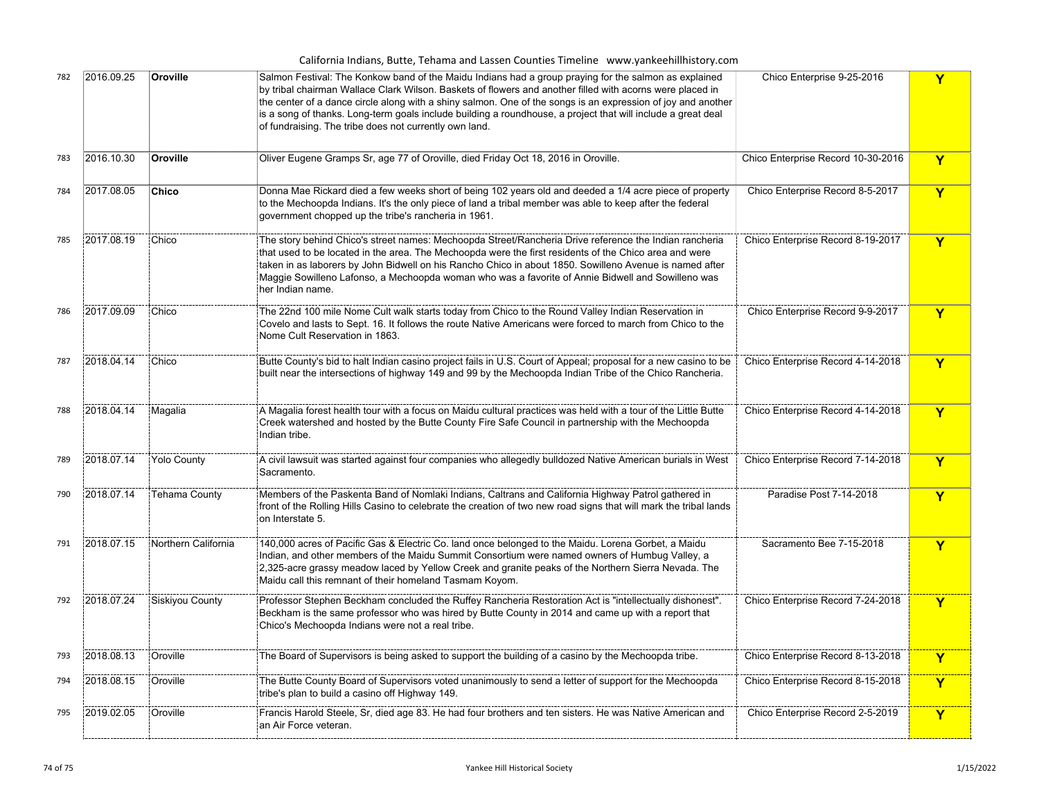| California Indians, Butte, Tehama and Lassen Counties Timeline www.yankeehillhistory.com |            |                     |                                                                                                                                                                                                                                                                                                                                                                                                                                                                                                              |                                    |              |  |
|------------------------------------------------------------------------------------------|------------|---------------------|--------------------------------------------------------------------------------------------------------------------------------------------------------------------------------------------------------------------------------------------------------------------------------------------------------------------------------------------------------------------------------------------------------------------------------------------------------------------------------------------------------------|------------------------------------|--------------|--|
| 782                                                                                      | 2016.09.25 | Oroville            | Salmon Festival: The Konkow band of the Maidu Indians had a group praying for the salmon as explained<br>by tribal chairman Wallace Clark Wilson. Baskets of flowers and another filled with acorns were placed in<br>the center of a dance circle along with a shiny salmon. One of the songs is an expression of joy and another<br>is a song of thanks. Long-term goals include building a roundhouse, a project that will include a great deal<br>of fundraising. The tribe does not currently own land. | Chico Enterprise 9-25-2016         | Y            |  |
| 783                                                                                      | 2016.10.30 | Oroville            | Oliver Eugene Gramps Sr, age 77 of Oroville, died Friday Oct 18, 2016 in Oroville.                                                                                                                                                                                                                                                                                                                                                                                                                           | Chico Enterprise Record 10-30-2016 | Y            |  |
| 784                                                                                      | 2017.08.05 | <b>Chico</b>        | Donna Mae Rickard died a few weeks short of being 102 years old and deeded a 1/4 acre piece of property<br>to the Mechoopda Indians. It's the only piece of land a tribal member was able to keep after the federal<br>government chopped up the tribe's rancheria in 1961.                                                                                                                                                                                                                                  | Chico Enterprise Record 8-5-2017   | Y            |  |
| 785                                                                                      | 2017.08.19 | Chico               | The story behind Chico's street names: Mechoopda Street/Rancheria Drive reference the Indian rancheria<br>that used to be located in the area. The Mechoopda were the first residents of the Chico area and were<br>taken in as laborers by John Bidwell on his Rancho Chico in about 1850. Sowilleno Avenue is named after<br>Maggie Sowilleno Lafonso, a Mechoopda woman who was a favorite of Annie Bidwell and Sowilleno was<br>her Indian name.                                                         | Chico Enterprise Record 8-19-2017  | Y            |  |
| 786                                                                                      | 2017.09.09 | Chico               | The 22nd 100 mile Nome Cult walk starts today from Chico to the Round Valley Indian Reservation in<br>Covelo and lasts to Sept. 16. It follows the route Native Americans were forced to march from Chico to the<br>Nome Cult Reservation in 1863.                                                                                                                                                                                                                                                           | Chico Enterprise Record 9-9-2017   | Y            |  |
| 787                                                                                      | 2018.04.14 | Chico               | Butte County's bid to halt Indian casino project fails in U.S. Court of Appeal; proposal for a new casino to be<br>built near the intersections of highway 149 and 99 by the Mechoopda Indian Tribe of the Chico Rancheria.                                                                                                                                                                                                                                                                                  | Chico Enterprise Record 4-14-2018  | Y            |  |
| 788                                                                                      | 2018.04.14 | Magalia             | A Magalia forest health tour with a focus on Maidu cultural practices was held with a tour of the Little Butte<br>Creek watershed and hosted by the Butte County Fire Safe Council in partnership with the Mechoopda<br>Indian tribe.                                                                                                                                                                                                                                                                        | Chico Enterprise Record 4-14-2018  | Y            |  |
| 789                                                                                      | 2018.07.14 | <b>Yolo County</b>  | A civil lawsuit was started against four companies who allegedly bulldozed Native American burials in West<br>Sacramento.                                                                                                                                                                                                                                                                                                                                                                                    | Chico Enterprise Record 7-14-2018  | Y            |  |
| 790                                                                                      | 2018.07.14 | Tehama County       | Members of the Paskenta Band of Nomlaki Indians, Caltrans and California Highway Patrol gathered in<br>front of the Rolling Hills Casino to celebrate the creation of two new road signs that will mark the tribal lands<br>on Interstate 5.                                                                                                                                                                                                                                                                 | Paradise Post 7-14-2018            | Y            |  |
| 791                                                                                      | 2018.07.15 | Northern California | 140,000 acres of Pacific Gas & Electric Co. land once belonged to the Maidu. Lorena Gorbet, a Maidu<br>Indian, and other members of the Maidu Summit Consortium were named owners of Humbug Valley, a<br>2,325-acre grassy meadow laced by Yellow Creek and granite peaks of the Northern Sierra Nevada. The<br>Maidu call this remnant of their homeland Tasmam Koyom.                                                                                                                                      | Sacramento Bee 7-15-2018           | Y            |  |
| 792                                                                                      | 2018.07.24 | Siskiyou County     | Professor Stephen Beckham concluded the Ruffey Rancheria Restoration Act is "intellectually dishonest".<br>Beckham is the same professor who was hired by Butte County in 2014 and came up with a report that<br>Chico's Mechoopda Indians were not a real tribe.                                                                                                                                                                                                                                            | Chico Enterprise Record 7-24-2018  | $\mathbf Y$  |  |
| 793                                                                                      | 2018.08.13 | Oroville            | The Board of Supervisors is being asked to support the building of a casino by the Mechoopda tribe.                                                                                                                                                                                                                                                                                                                                                                                                          | Chico Enterprise Record 8-13-2018  | $\mathbf{Y}$ |  |
| 794                                                                                      | 2018.08.15 | Oroville            | The Butte County Board of Supervisors voted unanimously to send a letter of support for the Mechoopda<br>tribe's plan to build a casino off Highway 149.                                                                                                                                                                                                                                                                                                                                                     | Chico Enterprise Record 8-15-2018  | Y            |  |
| 795                                                                                      | 2019.02.05 | Oroville            | Francis Harold Steele, Sr, died age 83. He had four brothers and ten sisters. He was Native American and<br>an Air Force veteran.                                                                                                                                                                                                                                                                                                                                                                            | Chico Enterprise Record 2-5-2019   | Y            |  |